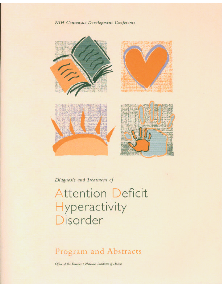### NIH Consensus Development Conference



Diagnosis and Treatment of

**Attention Deficit** Hyperactivity Disorder

# Program and Abstracts

Office of the Director + National Institutes of Health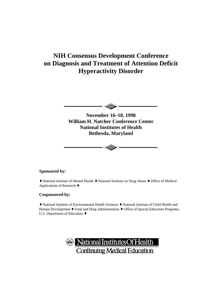## **NIH Consensus Development Conference on Diagnosis and Treatment of Attention Deficit Hyperactivity Disorder**



**November 16–18, 1998 William H. Natcher Conference Center National Institutes of Health Bethesda, Maryland**

$$
\overbrace{\hspace{4.5cm}}
$$

#### **Sponsored by:**

♦ National Institute of Mental Health ♦ National Institute on Drug Abuse ♦ Office of Medical Applications of Research ♦

#### **Cosponsored by:**

♦ National Institute of Environmental Health Sciences ♦ National Institute of Child Health and Human Development ♦ Food and Drug Administration ♦ Office of Special Education Programs, U.S. Department of Education ♦

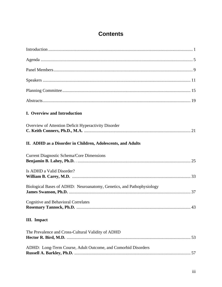## **Contents**

| I. Overview and Introduction                                          |
|-----------------------------------------------------------------------|
| Overview of Attention Deficit Hyperactivity Disorder                  |
| II. ADHD as a Disorder in Children, Adolescents, and Adults           |
| <b>Current Diagnostic Schema/Core Dimensions</b>                      |
| Is ADHD a Valid Disorder?                                             |
| Biological Bases of ADHD: Neuroanatomy, Genetics, and Pathophysiology |
| <b>Cognitive and Behavioral Correlates</b><br>43                      |
| III. Impact                                                           |
| The Prevalence and Cross-Cultural Validity of ADHD                    |
| ADHD: Long-Term Course, Adult Outcome, and Comorbid Disorders         |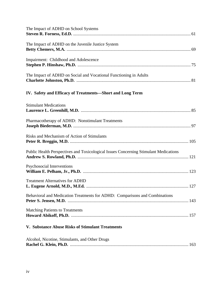| The Impact of ADHD on School Systems                                                 |  |
|--------------------------------------------------------------------------------------|--|
| The Impact of ADHD on the Juvenile Justice System                                    |  |
| Impairment: Childhood and Adolescence                                                |  |
| The Impact of ADHD on Social and Vocational Functioning in Adults                    |  |
| IV. Safety and Efficacy of Treatments-Short and Long Term                            |  |
| <b>Stimulant Medications</b>                                                         |  |
| Pharmacotherapy of ADHD: Nonstimulant Treatments                                     |  |
| Risks and Mechanism of Action of Stimulants                                          |  |
| Public Health Perspectives and Toxicological Issues Concerning Stimulant Medications |  |
| Psychosocial Interventions                                                           |  |
| <b>Treatment Alternatives for ADHD</b>                                               |  |
| Behavioral and Medication Treatments for ADHD: Comparisons and Combinations          |  |
| <b>Matching Patients to Treatments</b>                                               |  |
| <b>V. Substance Abuse Risks of Stimulant Treatments</b>                              |  |
| Alcohol, Nicotine, Stimulants, and Other Drugs                                       |  |

| Alconol, Nicoline, Sumulants, and Other Drugs |  |
|-----------------------------------------------|--|
|                                               |  |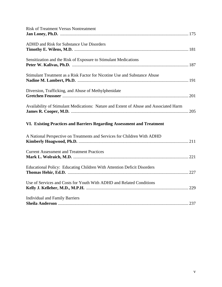| <b>Risk of Treatment Versus Nontreatment</b>                                          |
|---------------------------------------------------------------------------------------|
| <b>ADHD and Risk for Substance Use Disorders</b>                                      |
| Sensitization and the Risk of Exposure to Stimulant Medications                       |
| Stimulant Treatment as a Risk Factor for Nicotine Use and Substance Abuse             |
| Diversion, Trafficking, and Abuse of Methylphenidate                                  |
| Availability of Stimulant Medications: Nature and Extent of Abuse and Associated Harm |
|                                                                                       |
| VI. Existing Practices and Barriers Regarding Assessment and Treatment                |
| A National Perspective on Treatments and Services for Children With ADHD              |
| <b>Current Assessment and Treatment Practices</b>                                     |
| Educational Policy: Educating Children With Attention Deficit Disorders               |
| Use of Services and Costs for Youth With ADHD and Related Conditions                  |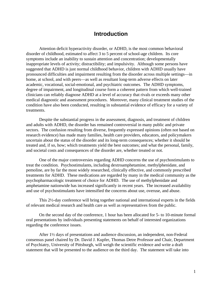## **Introduction**

Attention deficit hyperactivity disorder, or ADHD, is the most common behavioral disorder of childhood, estimated to affect 3 to 5 percent of school-age children. Its core symptoms include an inability to sustain attention and concentration; developmentally inappropriate levels of activity; distractibility; and impulsivity. Although some persons have suggested that ADHD is just normal childhood behavior, children with ADHD usually have pronounced difficulties and impairment resulting from the disorder across multiple settings—in home, at school, and with peers—as well as resultant long-term adverse effects on later academic, vocational, social-emotional, and psychiatric outcomes. The ADHD symptoms, degree of impairment, and longitudinal course form a coherent pattern from which well-trained clinicians can reliably diagnose ADHD at a level of accuracy that rivals or exceeds many other medical diagnostic and assessment procedures. Moreover, many clinical treatment studies of the condition have also been conducted, resulting in substantial evidence of efficacy for a variety of treatments.

Despite the substantial progress in the assessment, diagnosis, and treatment of children and adults with ADHD, the disorder has remained controversial in many public and private sectors. The confusion resulting from diverse, frequently expressed opinions (often not based on research evidence) has made many families, health care providers, educators, and policymakers uncertain about the status of the disorder and its long-term consequences; whether it should be treated and, if so, how; which treatments yield the best outcomes; and what the personal, family, and societal costs and consequences of the disorder are, whether treated or not.

One of the major controversies regarding ADHD concerns the use of psychostimulants to treat the condition. Psychostimulants, including dextroamphetamine, methylphenidate, and pemoline, are by far the most widely researched, clinically effective, and commonly prescribed treatments for ADHD. These medications are regarded by many in the medical community as the psychopharmacologic treatment of choice for ADHD. The use of methylphenidate and amphetamine nationwide has increased significantly in recent years. The increased availability and use of psychostimulants have intensified the concerns about use, overuse, and abuse.

This 2½-day conference will bring together national and international experts in the fields of relevant medical research and health care as well as representatives from the public.

On the second day of the conference, 1 hour has been allocated for 5- to 10-minute formal oral presentations by individuals presenting statements on behalf of interested organizations regarding the conference issues.

After 1½ days of presentations and audience discussion, an independent, non-Federal consensus panel chaired by Dr. David J. Kupfer, Thomas Detre Professor and Chair, Department of Psychiatry, University of Pittsburgh, will weigh the scientific evidence and write a draft statement that will be presented to the audience on the third day. The statement will take into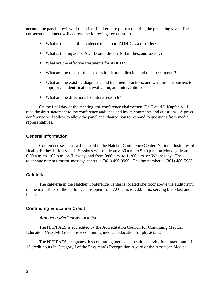account the panel's review of the scientific literature prepared during the preceding year. The consensus statement will address the following key questions:

- What is the scientific evidence to support ADHD as a disorder?
- What is the impact of ADHD on individuals, families, and society?
- What are the effective treatments for ADHD?
- What are the risks of the use of stimulant medication and other treatments?
- What are the existing diagnostic and treatment practices, and what are the barriers to appropriate identification, evaluation, and intervention?
- What are the directions for future research?

On the final day of the meeting, the conference chairperson, Dr. David J. Kupfer, will read the draft statement to the conference audience and invite comments and questions. A press conference will follow to allow the panel and chairperson to respond to questions from media representatives.

#### **General Information**

Conference sessions will be held in the Natcher Conference Center, National Institutes of Health, Bethesda, Maryland. Sessions will run from 8:30 a.m. to 5:30 p.m. on Monday, from 8:00 a.m. to 1:00 p.m. on Tuesday, and from 9:00 a.m. to 11:00 a.m. on Wednesday. The telephone number for the message center is (301) 496-9966. The fax number is (301) 480-5982.

#### **Cafeteria**

The cafeteria in the Natcher Conference Center is located one floor above the auditorium on the main floor of the building. It is open from 7:00 a.m. to 2:00 p.m., serving breakfast and lunch.

#### **Continuing Education Credit**

#### American Medical Association

The NIH/FAES is accredited by the Accreditation Council for Continuing Medical Education (ACCME) to sponsor continuing medical education for physicians.

The NIH/FAES designates this continuing medical education activity for a maximum of 15 credit hours in Category I of the Physician's Recognition Award of the American Medical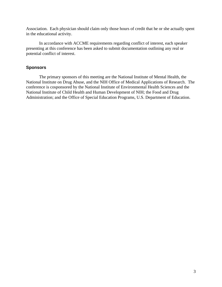Association. Each physician should claim only those hours of credit that he or she actually spent in the educational activity.

In accordance with ACCME requirements regarding conflict of interest, each speaker presenting at this conference has been asked to submit documentation outlining any real or potential conflict of interest.

#### **Sponsors**

The primary sponsors of this meeting are the National Institute of Mental Health, the National Institute on Drug Abuse, and the NIH Office of Medical Applications of Research. The conference is cosponsored by the National Institute of Environmental Health Sciences and the National Institute of Child Health and Human Development of NIH; the Food and Drug Administration; and the Office of Special Education Programs, U.S. Department of Education.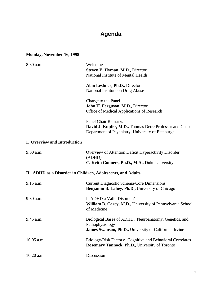## **Agenda**

## **Monday, November 16, 1998**

| 8:30 a.m.                    | Welcome                                                                                                       |
|------------------------------|---------------------------------------------------------------------------------------------------------------|
|                              | Steven E. Hyman, M.D., Director                                                                               |
|                              | National Institute of Mental Health                                                                           |
|                              | Alan Leshner, Ph.D., Director                                                                                 |
|                              | National Institute on Drug Abuse                                                                              |
|                              | Charge to the Panel                                                                                           |
|                              | John H. Ferguson, M.D., Director                                                                              |
|                              | Office of Medical Applications of Research                                                                    |
|                              | <b>Panel Chair Remarks</b>                                                                                    |
|                              | David J. Kupfer, M.D., Thomas Detre Professor and Chair<br>Department of Psychiatry, University of Pittsburgh |
| I. Overview and Introduction |                                                                                                               |
| 9:00 a.m.                    | Overview of Attention Deficit Hyperactivity Disorder<br>(ADHD)                                                |
|                              | C. Keith Conners, Ph.D., M.A., Duke University                                                                |
|                              | II. ADHD as a Disorder in Children, Adolescents, and Adults                                                   |
| 9:15 a.m.                    | <b>Current Diagnostic Schema/Core Dimensions</b>                                                              |
|                              | Benjamin B. Lahey, Ph.D., University of Chicago                                                               |

| $9:30$ a.m.  | Is ADHD a Valid Disorder?<br>William B. Carey, M.D., University of Pennsylvania School<br>of Medicine                                     |
|--------------|-------------------------------------------------------------------------------------------------------------------------------------------|
| $9:45$ a.m.  | Biological Bases of ADHD: Neuroanatomy, Genetics, and<br>Pathophysiology<br><b>James Swanson, Ph.D., University of California, Irvine</b> |
| $10:05$ a.m. | Etiology/Risk Factors: Cognitive and Behavioral Correlates<br><b>Rosemary Tannock, Ph.D., University of Toronto</b>                       |
| $10:20$ a.m. | Discussion                                                                                                                                |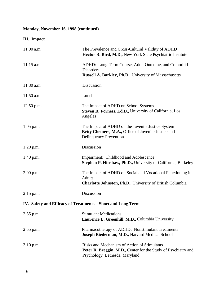## **Monday, November 16, 1998 (continued)**

## **III. Impact**

| $11:00$ a.m.                                              | The Prevalence and Cross-Cultural Validity of ADHD<br>Hector R. Bird, M.D., New York State Psychiatric Institute                                |  |
|-----------------------------------------------------------|-------------------------------------------------------------------------------------------------------------------------------------------------|--|
| $11:15$ a.m.                                              | ADHD: Long-Term Course, Adult Outcome, and Comorbid<br><b>Disorders</b><br><b>Russell A. Barkley, Ph.D., University of Massachusetts</b>        |  |
| $11:30$ a.m.                                              | Discussion                                                                                                                                      |  |
| $11:50$ a.m.                                              | Lunch                                                                                                                                           |  |
| $12:50$ p.m.                                              | The Impact of ADHD on School Systems<br>Steven R. Forness, Ed.D., University of California, Los<br>Angeles                                      |  |
| $1:05$ p.m.                                               | The Impact of ADHD on the Juvenile Justice System<br>Betty Chemers, M.A., Office of Juvenile Justice and<br><b>Delinquency Prevention</b>       |  |
| $1:20$ p.m.                                               | Discussion                                                                                                                                      |  |
| $1:40$ p.m.                                               | Impairment: Childhood and Adolescence<br>Stephen P. Hinshaw, Ph.D., University of California, Berkeley                                          |  |
| $2:00$ p.m.                                               | The Impact of ADHD on Social and Vocational Functioning in<br><b>Adults</b><br><b>Charlotte Johnston, Ph.D., University of British Columbia</b> |  |
| $2:15$ p.m.                                               | Discussion                                                                                                                                      |  |
| IV. Safety and Efficacy of Treatments-Short and Long Term |                                                                                                                                                 |  |
| 2:35 p.m.                                                 | <b>Stimulant Medications</b><br>Laurence L. Greenhill, M.D., Columbia University                                                                |  |
| $2:55$ p.m.                                               | Pharmacotherapy of ADHD: Nonstimulant Treatments<br>Joseph Biederman, M.D., Harvard Medical School                                              |  |
| $3:10$ p.m.                                               | Risks and Mechanism of Action of Stimulants<br>Peter R. Breggin, M.D., Center for the Study of Psychiatry and<br>Psychology, Bethesda, Maryland |  |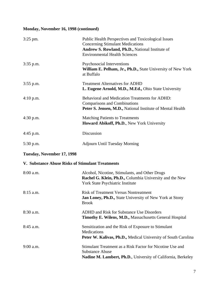## **Monday, November 16, 1998 (continued)**

| $3:25$ pm.                                              | Public Health Perspectives and Toxicological Issues<br><b>Concerning Stimulant Medications</b><br>Andrew S. Rowland, Ph.D., National Institute of<br><b>Environmental Health Sciences</b> |
|---------------------------------------------------------|-------------------------------------------------------------------------------------------------------------------------------------------------------------------------------------------|
| $3:35$ p.m.                                             | Psychosocial Interventions<br>William E. Pelham, Jr., Ph.D., State University of New York<br>at Buffalo                                                                                   |
| $3:55$ p.m.                                             | <b>Treatment Alternatives for ADHD</b><br>L. Eugene Arnold, M.D., M.Ed., Ohio State University                                                                                            |
| $4:10$ p.m.                                             | Behavioral and Medication Treatments for ADHD:<br><b>Comparisons and Combinations</b><br>Peter S. Jensen, M.D., National Institute of Mental Health                                       |
| $4:30$ p.m.                                             | <b>Matching Patients to Treatments</b><br>Howard Abikoff, Ph.D., New York University                                                                                                      |
| $4:45$ p.m.                                             | Discussion                                                                                                                                                                                |
| 5:30 p.m.                                               | <b>Adjourn Until Tuesday Morning</b>                                                                                                                                                      |
| Tuesday, November 17, 1998                              |                                                                                                                                                                                           |
| <b>V. Substance Abuse Risks of Stimulant Treatments</b> |                                                                                                                                                                                           |
| 8:00 a.m.                                               | Alcohol, Nicotine, Stimulants, and Other Drugs<br>Rachel G. Klein, Ph.D., Columbia University and the New<br>York State Psychiatric Institute                                             |
| 8:15 a.m.                                               | <b>Risk of Treatment Versus Nontreatment</b><br><b>Jan Loney, Ph.D., State University of New York at Stony</b><br><b>Brook</b>                                                            |
| 8:30 a.m.                                               | ADHD and Risk for Substance Use Disorders<br>Timothy E. Wilens, M.D., Massachusetts General Hospital                                                                                      |
| 8:45 a.m.                                               | Sensitization and the Risk of Exposure to Stimulant<br>Medications<br>Peter W. Kalivas, Ph.D., Medical University of South Carolina                                                       |
| $9:00$ a.m.                                             | Stimulant Treatment as a Risk Factor for Nicotine Use and<br><b>Substance Abuse</b><br>Nadine M. Lambert, Ph.D., University of California, Berkeley                                       |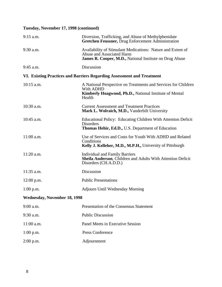## **Tuesday, November 17, 1998 (continued)**

| $9:15$ a.m.                                                            | Diversion, Trafficking, and Abuse of Methylphenidate<br>Gretchen Feussner, Drug Enforcement Administration                                                 |  |
|------------------------------------------------------------------------|------------------------------------------------------------------------------------------------------------------------------------------------------------|--|
| 9:30 a.m.                                                              | Availability of Stimulant Medications: Nature and Extent of<br>Abuse and Associated Harm<br><b>James R. Cooper, M.D., National Institute on Drug Abuse</b> |  |
| 9:45 a.m.                                                              | Discussion                                                                                                                                                 |  |
| VI. Existing Practices and Barriers Regarding Assessment and Treatment |                                                                                                                                                            |  |
| $10:15$ a.m.                                                           | A National Perspective on Treatments and Services for Children<br>With ADHD<br>Kimberly Hoagwood, Ph.D., National Institute of Mental<br>Health            |  |
| $10:30$ a.m.                                                           | <b>Current Assessment and Treatment Practices</b><br>Mark L. Wolraich, M.D., Vanderbilt University                                                         |  |
| $10:45$ a.m.                                                           | Educational Policy: Educating Children With Attention Deficit<br><b>Disorders</b><br>Thomas Hehir, Ed.D., U.S. Department of Education                     |  |
| $11:00$ a.m.                                                           | Use of Services and Costs for Youth With ADHD and Related<br>Conditions<br>Kelly J. Kelleher, M.D., M.P.H., University of Pittsburgh                       |  |
| 11:20 a.m.                                                             | <b>Individual and Family Barriers</b><br>Sheila Anderson, Children and Adults With Attention Deficit<br>Disorders (CH.A.D.D.)                              |  |
| 11:35 a.m.                                                             | Discussion                                                                                                                                                 |  |
| $12:00$ p.m.                                                           | <b>Public Presentations</b>                                                                                                                                |  |
| $1:00$ p.m.                                                            | Adjourn Until Wednesday Morning                                                                                                                            |  |
| Wednesday, November 18, 1998                                           |                                                                                                                                                            |  |
| 9:00 a.m.                                                              | Presentation of the Consensus Statement                                                                                                                    |  |
| 9:30 a.m.                                                              | <b>Public Discussion</b>                                                                                                                                   |  |
| 11:00 a.m.                                                             | <b>Panel Meets in Executive Session</b>                                                                                                                    |  |
| $1:00$ p.m.                                                            | Press Conference                                                                                                                                           |  |
| $2:00$ p.m.                                                            | Adjournment                                                                                                                                                |  |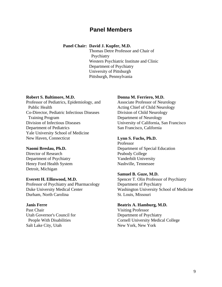## **Panel Members**

#### **Panel Chair: David J. Kupfer, M.D.**

Thomas Detre Professor and Chair of **Psychiatry** Western Psychiatric Institute and Clinic Department of Psychiatry University of Pittsburgh Pittsburgh, Pennsylvania

#### **Robert S. Baltimore, M.D.**

Professor of Pediatrics, Epidemiology, and Public Health Co-Director, Pediatric Infectious Diseases Training Program Division of Infectious Diseases Department of Pediatrics Yale University School of Medicine New Haven, Connecticut

#### **Naomi Breslau, Ph.D.**

Director of Research Department of Psychiatry Henry Ford Health System Detroit, Michigan

#### **Everett H. Ellinwood, M.D.**

Professor of Psychiatry and Pharmacology Duke University Medical Center Durham, North Carolina

#### **Janis Ferre**

Past Chair Utah Governor's Council for People With Disabilities Salt Lake City, Utah

#### **Donna M. Ferriero, M.D.**

Associate Professor of Neurology Acting Chief of Child Neurology Division of Child Neurology Department of Neurology University of California, San Francisco San Francisco, California

#### **Lynn S. Fuchs, Ph.D.**

Professor Department of Special Education Peabody College Vanderbilt University Nashville, Tennessee

#### **Samuel B. Guze, M.D.**

Spencer T. Olin Professor of Psychiatry Department of Psychiatry Washington University School of Medicine St. Louis, Missouri

#### **Beatrix A. Hamburg, M.D.**

Visiting Professor Department of Psychiatry Cornell University Medical College New York, New York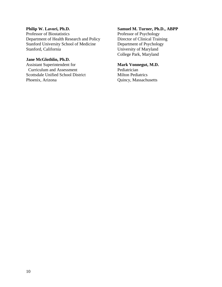#### **Philip W. Lavori, Ph.D.**

Professor of Biostatistics Department of Health Research and Policy Stanford University School of Medicine Stanford, California

#### **Jane McGlothlin, Ph.D.**

Assistant Superintendent for Curriculum and Assessment Scottsdale Unified School District Phoenix, Arizona

### **Samuel M. Turner, Ph.D., ABPP**

Professor of Psychology Director of Clinical Training Department of Psychology University of Maryland College Park, Maryland

#### **Mark Vonnegut, M.D.**

Pediatrician Milton Pediatrics Quincy, Massachusetts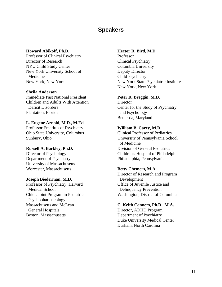## **Speakers**

#### **Howard Abikoff, Ph.D.**

Professor of Clinical Psychiatry Director of Research NYU Child Study Center New York University School of Medicine New York, New York

#### **Sheila Anderson**

Immediate Past National President Children and Adults With Attention Deficit Disorders Plantation, Florida

#### **L. Eugene Arnold, M.D., M.Ed.**

Professor Emeritus of Psychiatry Ohio State University, Columbus Sunbury, Ohio

### **Russell A. Barkley, Ph.D.**

Director of Psychology Department of Psychiatry University of Massachusetts Worcester, Massachusetts

#### **Joseph Biederman, M.D.**

Professor of Psychiatry, Harvard Medical School Chief, Joint Program in Pediatric Psychopharmacology Massachusetts and McLean General Hospitals Boston, Massachusetts

#### **Hector R. Bird, M.D.**

Professor Clinical Psychiatry Columbia University Deputy Director Child Psychiatry New York State Psychiatric Institute New York, New York

#### **Peter R. Breggin, M.D.**

**Director** Center for the Study of Psychiatry and Psychology Bethesda, Maryland

#### **William B. Carey, M.D.**

Clinical Professor of Pediatrics University of Pennsylvania School of Medicine Division of General Pediatrics Children's Hospital of Philadelphia Philadelphia, Pennsylvania

#### **Betty Chemers, M.A.**

Director of Research and Program Development Office of Juvenile Justice and Delinquency Prevention Washington, District of Columbia

#### **C. Keith Conners, Ph.D., M.A.**

Director, ADHD Program Department of Psychiatry Duke University Medical Center Durham, North Carolina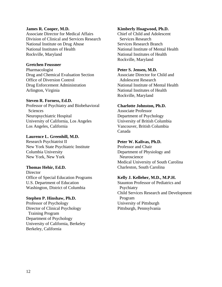#### **James R. Cooper, M.D.**

Associate Director for Medical Affairs Division of Clinical and Services Research National Institute on Drug Abuse National Institutes of Health Rockville, Maryland

#### **Gretchen Feussner**

Pharmacologist Drug and Chemical Evaluation Section Office of Diversion Control Drug Enforcement Administration Arlington, Virginia

#### **Steven R. Forness, Ed.D.**

Professor of Psychiatry and Biobehavioral Sciences Neuropsychiatric Hospital University of California, Los Angeles Los Angeles, California

#### **Laurence L. Greenhill, M.D.**

Research Psychiatrist II New York State Psychiatric Institute Columbia University New York, New York

#### **Thomas Hehir, Ed.D.**

**Director** Office of Special Education Programs U.S. Department of Education Washington, District of Columbia

#### **Stephen P. Hinshaw, Ph.D.**

Professor of Psychology Director of Clinical Psychology Training Program Department of Psychology University of California, Berkeley Berkeley, California

#### **Kimberly Hoagwood, Ph.D.**

Chief of Child and Adolescent Services Research Services Research Branch National Institute of Mental Health National Institutes of Health Rockville, Maryland

#### **Peter S. Jensen, M.D.**

Associate Director for Child and Adolescent Research National Institute of Mental Health National Institutes of Health Rockville, Maryland

#### **Charlotte Johnston, Ph.D.**

Associate Professor Department of Psychology University of British Columbia Vancouver, British Columbia Canada

#### **Peter W. Kalivas, Ph.D.**

Professor and Chair Department of Physiology and Neuroscience Medical University of South Carolina Charleston, South Carolina

#### **Kelly J. Kelleher, M.D., M.P.H.**

Staunton Professor of Pediatrics and **Psychiatry** Child Services Research and Development Program University of Pittsburgh Pittsburgh, Pennsylvania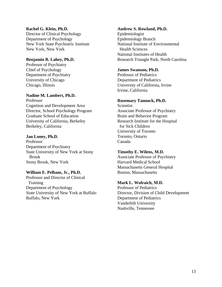#### **Rachel G. Klein, Ph.D.**

Director of Clinical Psychology Department of Psychology New York State Psychiatric Institute New York, New York

#### **Benjamin B. Lahey, Ph.D.**

Professor of Psychiatry Chief of Psychology Department of Psychiatry University of Chicago Chicago, Illinois

#### **Nadine M. Lambert, Ph.D.**

Professor Cognition and Development Area Director, School Psychology Program Graduate School of Education University of California, Berkeley Berkeley, California

#### **Jan Loney, Ph.D.**

Professor Department of Psychiatry State University of New York at Stony Brook Stony Brook, New York

#### **William E. Pelham, Jr., Ph.D.**

Professor and Director of Clinical **Training** Department of Psychology State University of New York at Buffalo Buffalo, New York

#### **Andrew S. Rowland, Ph.D.**

Epidemiologist Epidemiology Branch National Institute of Environmental Health Sciences National Institutes of Health Research Triangle Park, North Carolina

#### **James Swanson, Ph.D.**

Professor of Pediatrics Department of Pediatrics University of California, Irvine Irvine, California

#### **Rosemary Tannock, Ph.D.**

Scientist Associate Professor of Psychiatry Brain and Behavior Program Research Institute for the Hospital for Sick Children University of Toronto Toronto, Ontario Canada

#### **Timothy E. Wilens, M.D.**

Associate Professor of Psychiatry Harvard Medical School Massachusetts General Hospital Boston, Massachusetts

#### **Mark L. Wolraich, M.D.**

Professor of Pediatrics Director, Division of Child Development Department of Pediatrics Vanderbilt University Nashville, Tennessee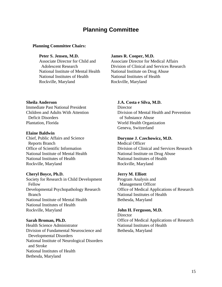## **Planning Committee**

#### **Planning Committee Chairs:**

#### **Peter S. Jensen, M.D.**

Associate Director for Child and Adolescent Research National Institute of Mental Health National Institutes of Health Rockville, Maryland

#### **Sheila Anderson**

Immediate Past National President Children and Adults With Attention Deficit Disorders Plantation, Florida

#### **Elaine Baldwin**

Chief, Public Affairs and Science Reports Branch Office of Scientific Information National Institute of Mental Health National Institutes of Health Rockville, Maryland

#### **Cheryl Boyce, Ph.D.**

Society for Research in Child Development Fellow Developmental Psychopathology Research Branch National Institute of Mental Health National Institutes of Health Rockville, Maryland

#### **Sarah Broman, Ph.D.**

Health Science Administrator Division of Fundamental Neuroscience and Developmental Disorders National Institute of Neurological Disorders and Stroke National Institutes of Health Bethesda, Maryland

#### **James R. Cooper, M.D.**

Associate Director for Medical Affairs Division of Clinical and Services Research National Institute on Drug Abuse National Institutes of Health Rockville, Maryland

#### **J.A. Costa e Silva, M.D.**

**Director** Division of Mental Health and Prevention of Substance Abuse World Health Organization Geneva, Switzerland

#### **Dorynne J. Czechowicz, M.D.**

Medical Officer Division of Clinical and Services Research National Institute on Drug Abuse National Institutes of Health Rockville, Maryland

#### **Jerry M. Elliott**

Program Analysis and Management Officer Office of Medical Applications of Research National Institutes of Health Bethesda, Maryland

#### **John H. Ferguson, M.D.**

**Director** Office of Medical Applications of Research National Institutes of Health Bethesda, Maryland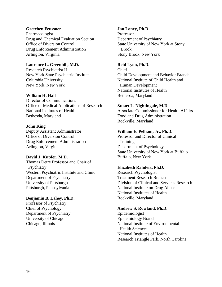#### **Gretchen Feussner**

Pharmacologist Drug and Chemical Evaluation Section Office of Diversion Control Drug Enforcement Administration Arlington, Virginia

### **Laurence L. Greenhill, M.D.**

Research Psychiatrist II New York State Psychiatric Institute Columbia University New York, New York

#### **William H. Hall**

Director of Communications Office of Medical Applications of Research National Institutes of Health Bethesda, Maryland

#### **John King**

Deputy Assistant Administrator Office of Diversion Control Drug Enforcement Administration Arlington, Virginia

#### **David J. Kupfer, M.D.**

Thomas Detre Professor and Chair of Psychiatry Western Psychiatric Institute and Clinic Department of Psychiatry University of Pittsburgh Pittsburgh, Pennsylvania

#### **Benjamin B. Lahey, Ph.D.**

Professor of Psychiatry Chief of Psychology Department of Psychiatry University of Chicago Chicago, Illinois

#### **Jan Loney, Ph.D.**

Professor Department of Psychiatry State University of New York at Stony Brook Stony Brook, New York

#### **Reid Lyon, Ph.D.**

Chief Child Development and Behavior Branch National Institute of Child Health and Human Development National Institutes of Health Bethesda, Maryland

#### **Stuart L. Nightingale, M.D.**

Associate Commissioner for Health Affairs Food and Drug Administration Rockville, Maryland

#### **William E. Pelham, Jr., Ph.D.**

Professor and Director of Clinical Training Department of Psychology State University of New York at Buffalo Buffalo, New York

#### **Elizabeth Rahdert, Ph.D.**

Research Psychologist Treatment Research Branch Division of Clinical and Services Research National Institute on Drug Abuse National Institutes of Health Rockville, Maryland

#### **Andrew S. Rowland, Ph.D.**

Epidemiologist Epidemiology Branch National Institute of Environmental Health Sciences National Institutes of Health Research Triangle Park, North Carolina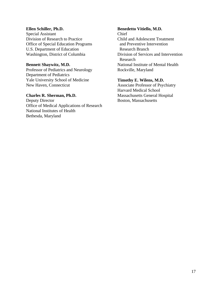Special Assistant Chief Division of Research to Practice Child and Adolescent Treatment Office of Special Education Programs and Preventive Intervention U.S. Department of Education Research Branch Washington, District of Columbia Division of Services and Intervention

Professor of Pediatrics and Neurology Rockville, Maryland Department of Pediatrics Yale University School of Medicine **Timothy E. Wilens, M.D.**  New Haven, Connecticut Associate Professor of Psychiatry

Deputy Director Boston, Massachusetts Office of Medical Applications of Research National Institutes of Health Bethesda, Maryland

#### **Ellen Schiller, Ph.D. Benedetto Vitiello, M.D.**

 Research **Bennett Shaywitz, M.D.** National Institute of Mental Health

Harvard Medical School **Charles R. Sherman, Ph.D.** Massachusetts General Hospital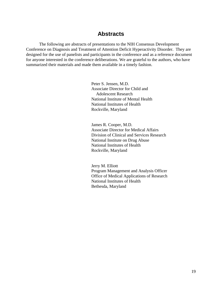## **Abstracts**

The following are abstracts of presentations to the NIH Consensus Development Conference on Diagnosis and Treatment of Attention Deficit Hyperactivity Disorder. They are designed for the use of panelists and participants in the conference and as a reference document for anyone interested in the conference deliberations. We are grateful to the authors, who have summarized their materials and made them available in a timely fashion.

> Peter S. Jensen, M.D. Associate Director for Child and Adolescent Research National Institute of Mental Health National Institutes of Health Rockville, Maryland

James R. Cooper, M.D. Associate Director for Medical Affairs Division of Clinical and Services Research National Institute on Drug Abuse National Institutes of Health Rockville, Maryland

Jerry M. Elliott Program Management and Analysis Officer Office of Medical Applications of Research National Institutes of Health Bethesda, Maryland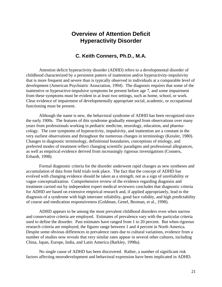## **Overview of Attention Deficit Hyperactivity Disorder**

### **C. Keith Conners, Ph.D., M.A.**

Attention deficit hyperactivity disorder (ADHD) refers to a developmental disorder of childhood characterized by a persistent pattern of inattention and/or hyperactivity-impulsivity that is more frequent and severe than is typically observed in individuals at a comparable level of development (American Psychiatric Association, 1994). The diagnosis requires that some of the inattentive or hyperactive-impulsive symptoms be present before age 7, and some impairment from these symptoms must be evident in at least two settings, such as home, school, or work. Clear evidence of impairment of developmentally appropriate social, academic, or occupational functioning must be present.

Although the name is new, the behavioral syndrome of ADHD has been recognized since the early 1900s. The features of this syndrome gradually emerged from observations over many years from professionals working in pediatric medicine, neurology, education, and pharmacology. The core symptoms of hyperactivity, impulsivity, and inattention are a constant in the very earliest observations and throughout the numerous changes in terminology (Kessler, 1980). Changes in diagnostic terminology, definitional boundaries, conceptions of etiology, and preferred modes of treatment reflect changing scientific paradigms and professional allegiances, as well as empirical evidence derived from increasingly rigorous investigations (Conners, Erhardt, 1998).

Formal diagnostic criteria for the disorder underwent rapid changes as new syntheses and accumulation of data from field trials took place. The fact that the concept of ADHD has evolved with changing evidence should be taken as a strength, not as a sign of unreliability or vague conceptualization. Comprehensive review of the evidence regarding diagnosis and treatment carried out by independent expert medical reviewers concludes that diagnostic criteria for ADHD are based on extensive empirical research and, if applied appropriately, lead to the diagnosis of a syndrome with high interrater reliability, good face validity, and high predictability of course and medication responsiveness (Goldman, Genel, Bezman, et al., 1998).

ADHD appears to be among the most prevalent childhood disorders even when narrow and conservative criteria are employed. Estimates of prevalence vary with the particular criteria used to define the disorder. Past estimates have ranged from 1 to 20 percent. But when rigorous research criteria are employed, the figures range between 1 and 4 percent in North America. Despite some obvious differences in prevalence rates due to cultural variations, evidence from a number of studies now reveals that very similar rates appear in several other cultures, including China, Japan, Europe, India, and Latin America (Barkley, 1998a).

No single cause of ADHD has been discovered. Rather, a number of significant risk factors affecting neurodevelopment and behavioral expression have been implicated in ADHD.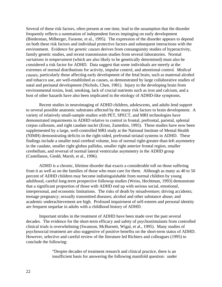Several of these risk factors, often present at one time, lead to the assumption that the disorder frequently reflects a summation of independent forces impinging on early development (Biederman, Milberger, Faraone, et al., 1995). The expression of the disorder appears to depend on both these risk factors and individual protective factors and subsequent interactions with the environment. Evidence for *genetic causes* derives from consanguinity studies of hyperactivity, family genetic studies, and recent transmission studies from several laboratories. Normal *variations in temperament* (which are also likely to be genetically determined) must also be considered a risk factor for ADHD. Data suggest that some individuals are merely at the extremes of normal distributions for activity, impulse control, and attentional control. *Medical causes*, particularly those affecting early development of the fetal brain, such as maternal alcohol and tobacco use, are well-established as causes, as demonstrated by large collaborative studies of natal and perinatal development (Nichols, Chen, 1981). Injury to the developing brain from environmental toxins, lead, smoking, lack of crucial nutrients such as iron and calcium, and a host of other hazards have also been implicated in the etiology of ADHD-like symptoms.

Recent studies in neuroimaging of ADHD children, adolescents, and adults lend support to several possible anatomic substrates affected by the many risk factors to brain development. A variety of relatively small-sample studies with PET, SPECT, and MRI technologies have demonstrated impairments in ADHD relative to control in frontal, prefrontal, parietal, splenial corpus callosum, and right caudate nuclei (Ernst, Zametkin, 1995). These studies have now been supplemented by a large, well-controlled MRI study at the National Institute of Mental Health (NIMH) demonstrating deficits in the right-sided, prefrontal-striatal systems in ADHD. These findings include a smaller total cerebral volume, loss of normal right-greater-than-left asymmetry in the caudate, smaller right globus pallidus, smaller right anterior frontal region, smaller cerebellum, and reversal of normal lateral ventricular asymmetry in the ADHD group (Castellanos, Giedd, Marsh, et al., 1996).

ADHD is a chronic, lifetime disorder that exacts a considerable toll on those suffering from it as well as on the families of those who must care for them. Although as many as 40 to 50 percent of ADHD children may become indistinguishable from normal children by young adulthood, careful long-term prospective followup studies (Weiss, Hechtman, 1993) demonstrate that a significant proportion of those with ADHD end up with serious social, emotional, interpersonal, and economic limitations. The risks of death by misadventure; driving accidents; teenage pregnancy; sexually transmitted diseases; alcohol and other substance abuse; and academic underachievement are high. Profound impairment of self-esteem and personal identity are frequent sequelae in adults with a childhood history of ADHD.

Important strides in the treatment of ADHD have been made over the past several decades. The evidence for the short-term efficacy and safety of psychostimulants from controlled clinical trials is overwhelming (Swanson, McBurnett, Wigal, et al., 1995). Many studies of psychosocial treatment are also suggestive of positive benefits on the short-term status of ADHD. However, selective and careful review of the literature led Richters and colleagues (1995) to conclude the following:

> "Despite decades of treatment research and clinical practice, there is an insufficient basis for answering the following manifold question: under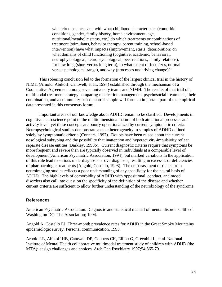what circumstances and with what childhood characteristics (comorbid conditions, gender, family history, home environment, age, nutritional/metabolic status, etc.) do which treatments or combinations of treatment (stimulants, behavior therapy, parent training, school-based intervention) have what impacts (improvement, stasis, deterioration) on what domains of child functioning (cognitive, academic, behavioral, neurophysiological, neuropsychological, peer relations, family relations), for how long (short versus long term), to what extent (effect sizes, normal versus pathological range), and why (processes underlying change)?"

This sobering conclusion led to the formation of the largest clinical trial in the history of NIMH (Arnold, Abikoff, Cantwell, et al., 1997) established through the mechanism of a Cooperative Agreement among seven university teams and NIMH. The results of that trial of a multimodal treatment strategy comparing medication management, psychosocial treatments, their combination, and a community-based control sample will form an important part of the empirical data presented in this consensus forum.

Important areas of our knowledge about ADHD remain to be clarified. Developments in cognitive neuroscience point to the multidimensional nature of both attentional processes and activity level, yet these concepts are poorly operationalized by current symptomatic criteria. Neuropsychological studies demonstrate a clear heterogeneity in samples of ADHD defined solely by symptomatic criteria (Conners, 1997). Doubts have been raised about the current nosological subtyping and the possibility that inattention and hyperactivity-impulsivity reflect separate disease entities (Barkley, 1998b). Current diagnostic criteria require that symptoms be more frequent and severe than are typically observed in individuals at a comparable level of development (American Psychiatric Association, 1994), but marked variations in the application of this rule lead to serious underdiagnosis or overdiagnosis, resulting in excesses or deficiencies of pharmacologic treatments (Angold, Costello, 1998). The embarassment of riches from neuroimaging studies reflects a poor understanding of any specificity for the neural basis of ADHD. The high levels of comorbidity of ADHD with oppositional, conduct, and mood disorders also call into question the specificity of the definition of the disease and whether current criteria are sufficient to allow further understanding of the neurobiology of the syndrome.

#### **References**

American Psychiatric Association. Diagnostic and statistical manual of mental disorders, 4th ed. Washington DC: The Association; 1994.

Angold A, Costello EJ. Three-month prevalence rates for ADHD in the Great Smoky Mountains epidemiologic survey. Personal communication, 1998.

Arnold LE, Abikoff HB, Cantwell DP, Conners CK, Elliott G, Greenhill L, et al. National Institute of Mental Health collaborative multimodal treatment study of children with ADHD (the MTA): design challenges and choices*.* Arch Gen Psychiatry 1997;54:865-70.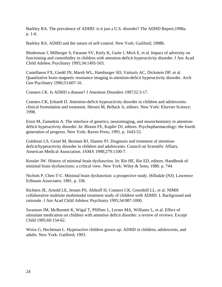Barkley RA. The prevalence of ADHD: is it just a U.S. disorder? The ADHD Report;1998a. p. 1-6.

Barkley RA. ADHD and the nature of self-control. New York: Guilford; 1998b.

Biederman J, Milberger S, Faraone SV, Kiely K, Guite J, Mick E, et al. Impact of adversity on functioning and comorbidity in children with attention-deficit hyperactivity disorder*.* J Am Acad Child Adolesc Psychiatry 1995;34:1495-503.

Castellanos FX, Giedd JN, Marsh WL, Hamburger SD, Vaituzis AC, Dickstein DP, et al. Quantitative brain magnetic resonance imaging in attention-deficit hyperactivity disorder. Arch Gen Psychiatry 1996;53:607-16.

Conners CK. Is ADHD a disease? J Attention Disorders 1997;l2:3-17.

Conners CK, Erhardt D. Attention-deficit hyperactivity disorder in children and adolescents: clinical formulation and treatment. Hersen M, Bellack A, editors. New York: Elsevier Science; 1998.

Ernst M, Zametkin A. The interface of genetics, neuroimaging, and neurochemistry in attentiondeficit hyperactivity disorder. In: Bloom FE, Kupfer DJ, editors. Psychopharmacology: the fourth generation of progress. New York: Raven Press; 1995. p. 1643-52.

Goldman LS, Genel M, Bezman RJ, Slanetz PJ. Diagnosis and treatment of attentiondeficit/hyperactivity disorder in children and adolescents. Council on Scientific Affairs, American Medical Association. JAMA 1998;279:1100-7.

Kessler JW. History of minimal brain dysfunction. In: Rie HE, Rie ED, editors. Handbook of minimal brain dysfunctions: a critical view. New York: Wiley & Sons; 1980. p. 744.

Nichols P, Chen T-C. Minimal brain dysfunction: a prospective study. Hillsdale (NJ): Lawrence Erlbaum Associates; 1981. p. 336.

Richters JE, Arnold LE, Jensen PS, Abikoff H, Conners CK, Greenhill LL, et al. NIMH collaborative multisite multimodal treatment study of children with ADHD: I. Background and rationale*.* J Am Acad Child Adolesc Psychiatry 1995;34:987-1000.

Swanson JM, McBurnett K, Wigal T, Pfiffner L, Lerner MA, Williams L, et al. Effect of stimulant medication on children with attention deficit disorder: a review of reviews. Except Child 1995;60:154-62.

Weiss G, Hechtman L. Hyperactive children grown up: ADHD in children, adolescents, and adults. New York: Guilford; 1993.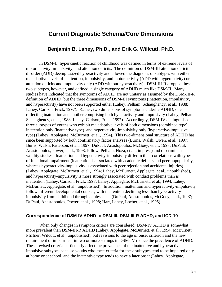## **Current Diagnostic Schema/Core Dimensions**

## **Benjamin B. Lahey, Ph.D., and Erik G. Willcutt, Ph.D.**

In DSM-II, hyperkinetic reaction of childhood was defined in terms of extreme levels of motor activity, impulsivity, and attention deficits. The definition of DSM-III attention deficit disorder (ADD) deemphasized hyperactivity and allowed the diagnosis of subtypes with either maladaptive levels of inattention, impulsivity, and motor activity (ADD with hyperactivity) or attention deficits and impulsivity only (ADD without hyperactivity). DSM-III-R dropped these two subtypes, however, and defined a single category of ADHD much like DSM-II. Many studies have indicated that the symptoms of ADHD are not unitary as assumed by the DSM-III-R definition of ADHD, but the three dimensions of DSM-III symptoms (inattention, impulsivity, and hyperactivity) have not been supported either (Lahey, Pelham, Schaughency, et al., 1988; Lahey, Carlson, Frick, 1997). Rather, two dimensions of symptoms underlie ADHD, one reflecting inattention and another comprising both hyperactivity and impulsivity (Lahey, Pelham, Schaughency, et al., 1988; Lahey, Carlson, Frick, 1997). Accordingly, DSM-IV distinguished three subtypes of youths who exhibit maladaptive levels of both dimensions (combined type), inattention only (inattentive type), and hyperactivity-impulsivity only (hyperactive-impulsive type) (Lahey, Applegate, McBurnett, et al., 1994). This two-dimensional structure of ADHD has since been supported by both confirmatory factor analyses (Burns, Walsh, Owen, et al., 1997; Burns, Walsh, Patterson, et al., 1997; DuPaul, Anastopoulos, McGoey, et al., 1997; DuPaul, Anastopoulos, Power, et al., 1998; Pillow, Pelham, Hoza, et al., in press) and discriminant validity studies. Inattention and hyperactivity-impulsivity differ in their correlations with types of functional impairment (inattention is associated with academic deficits and peer unpopularity, whereas hyperactivity-impulsivity is associated with peer rejection and accidental injuries) (Lahey, Applegate, McBurnett, et al., 1994; Lahey, McBurnett, Applegate, et al., unpublished), and hyperactivity-impulsivity is more strongly associated with conduct problems than is inattention (Lahey, Carlson, Frick, 1997; Lahey, Applegate, McBurnett, et al., 1994; Lahey, McBurnett, Applegate, et al., unpublished). In addition, inattention and hyperactivity-impulsivity follow different developmental courses, with inattention declining less than hyperactivityimpulsivity from childhood through adolescence (DuPaul, Anastopoulos, McGoey, et al., 1997; DuPaul, Anastopoulos, Power, et al., 1998; Hart, Lahey, Loeber, et al., 1995).

#### **Correspondence of DSM-IV ADHD to DSM-III, DSM-III-R ADHD, and ICD-10**

When only changes in symptom criteria are considered, DSM-IV ADHD is somewhat more prevalent than DSM-III-R ADHD (Lahey, Applegate, McBurnett, et al., 1994; McBurnett, Pfiffner, Wilcutt, et al., unpublished), but revisions to the age of onset criterion and the new requirement of impairment in two or more settings in DSM-IV reduce the prevalence of ADHD. These revised criteria particularly affect the prevalence of the inattentive and hyperactiveimpulsive subtypes because youths who meet criteria for these subtypes tend to be impaired only at home or at school, and the inattentive type tends to have a later onset (Lahey, Applegate,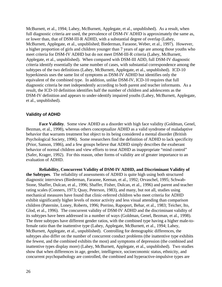McBurnett, et al., 1994; Lahey, McBurnett, Applegate, et al., unpublished). As a result, when full diagnostic criteria are used, the prevalence of DSM-IV ADHD is approximately the same as, or lower than, that of DSM-III-R ADHD, with a substantial degree of overlap (Lahey, McBurnett, Applegate, et al., unpublished; Biederman, Faraone, Weber, et al., 1997). However, a higher proportion of girls and children younger than 7 years of age are among those youths who meet criteria for DSM-IV ADHD but do not meet DSM-III-R criteria (Lahey, McBurnett, Applegate, et al., unpublished). When compared with DSM-III ADD, full DSM-IV diagnostic criteria identify essentially the same number of cases, with substantial correspondence among the subtypes of the two definitions (Lahey, McBurnett, Applegate, et al., unpublished). ICD-10 hyperkinesis uses the same list of symptoms as DSM-IV ADHD but identifies only the equivalent of the combined type. In addition, unlike DSM-IV, ICD-10 requires that full diagnostic criteria be met independently according to both parent and teacher informants. As a result, the ICD-10 definition identifies half the number of children and adolescents as the DSM-IV definition and appears to under-identify impaired youths (Lahey, McBurnett, Applegate, et al., unpublished).

#### **Validity of ADHD**

**Face Validity**. Some view ADHD as a disorder with high face validity (Goldman, Genel, Bezman, et al., 1998), whereas others conceptualize ADHD as a valid syndrome of maladaptive behavior that warrants treatment but object to its being considered a mental disorder (British Psychological Society, 1996). Some researchers find the definition of ADHD to lack specificity (Prior, Sanson, 1986), and a few groups believe that ADHD simply describes the exuberant behavior of normal children and view efforts to treat ADHD as inappropriate "mind control" (Safer, Krager, 1992). For this reason, other forms of validity are of greater importance to an evaluation of ADHD.

**Reliability, Concurrent Validity of DSM-IV ADHD, and Discriminant Validity of the Subtypes**. The reliability of assessments of ADHD is quite high using both structured diagnostic interviews (Biederman, Faraone, Keenan, et al., 1992; Orvaschel, 1995; Schwab-Stone, Shaffer, Dulcan, et al., 1996; Shaffer, Fisher, Dulcan, et al., 1996) and parent and teacher rating scales (Conners, 1973; Quay, Peterson, 1983), and many, but not all, studies using mechanical measures have found that clinic-referred children who meet criteria for ADHD exhibit significantly higher levels of motor activity and less visual attending than comparison children (Paternite, Loney, Roberts, 1996; Porrino, Rapoport, Behar, et al., 1983; Teicher, Ito, Glod, et al., 1996). The concurrent validity of DSM-IV ADHD and the discriminant validity of its subtypes have been addressed in a number of ways (Goldman, Genel, Bezman, et al., 1998). The three subtypes have different gender ratios, with the combined type having a higher male-tofemale ratio than the inattentive type (Lahey, Applegate, McBurnett, et al., 1994; Lahey, McBurnett, Applegate, et al., unpublished). Controlling for demographic differences, the subtypes also differ on the number of concurrent conduct problems (the inattentive type exhibits the fewest, and the combined exhibits the most) and symptoms of depression (the combined and inattentive types display more) (Lahey, McBurnett, Applegate, et al., unpublished). Two studies show that when differences in age, gender, intelligence, socioeconomic status, ethnicity, and concurrent psychopathology are controlled, the combined and hyperactive-impulsive types are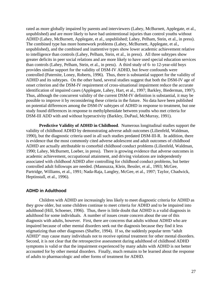rated as more globally impaired by parents and interviewers (Lahey, McBurnett, Applegate, et al., unpublished) and are more likely to have had unintentional injuries than control youths without ADHD (Lahey, McBurnett, Applegate, et al., unpublished; Lahey, Pelham, Stein, et al., in press). The combined type has more homework problems (Lahey, McBurnett, Applegate, et al., unpublished), and the combined and inattentive types show lower academic achievement relative to intelligence than controls (Lahey, Pelham, Stein, et al., in press). All three subtypes show greater deficits in peer social relations and are more likely to have used special education services than controls (Lahey, Pelham, Stein, et al., in press). A third study of 6- to 12-year-old boys provides similar support for the validity of DSM-IV ADHD, but fewer confounds were controlled (Paternite, Loney, Roberts, 1996). Thus, there is substantial support for the validity of ADHD and its subtypes. On the other hand, several studies suggest that both the DSM-IV age of onset criterion and the DSM-IV requirement of cross-situational impairment reduce the accurate identification of impaired cases (Applegate, Lahey, Hart, et al., 1997; Barkley, Biederman, 1997). Thus, although the concurrent validity of the current DSM-IV definition is substantial, it may be possible to improve it by reconsidering these criteria in the future. No data have been published on potential differences among the DSM-IV subtypes of ADHD in response to treatment, but one study found differences in response to methylphenidate between youths who met criteria for DSM-III ADD with and without hyperactivity (Barkley, DuPaul, McMurray, 1991).

**Predictive Validity of ADHD in Childhood**. Numerous longitudinal studies support the validity of childhood ADHD by demonstrating adverse adult outcomes (Lilienfeld, Waldman, 1990), but the diagnostic criteria used in all such studies predated DSM-III-R. In addition, there is evidence that the most commonly cited adverse adolescent and adult outcomes of childhood ADHD are actually attributable to comorbid childhood conduct problems (Lilienfeld, Waldman, 1990; Lahey, McBurnett, Loeber, in press). There is growing evidence that adverse outcomes in academic achievement, occupational attainment, and driving violations are independently associated with childhood ADHD after controlling for childhood conduct problems, but better controlled adult followups are needed. (Mannuzza, Klein, Bessler, et al., 1993; McGee, Partridge, Williams, et al., 1991; Nada-Raja, Langley, McGee, et al., 1997; Taylor, Chadwick, Heptinstall, et al., 1996).

#### **ADHD in Adulthood**

Children with ADHD are increasingly less likely to meet diagnostic criteria for ADHD as they grow older, but some children continue to meet criteria for ADHD and to be impaired into adulthood (Hill, Schoener, 1996). Thus, there is little doubt that ADHD is a valid diagnosis in adulthood for some individuals. A number of issues create concern about the use of this diagnosis with adults, however. First, there are concerns that adults without ADHD who are impaired because of other mental disorders seek out the diagnosis because they find it less stigmatizing than other diagnoses (Shaffer, 1994). If so, the suddenly popular term "adult ADHD" may cause many individuals not to receive optimal treatment for other mental disorders. Second, it is not clear that the retrospective assessment during adulthood of childhood ADHD symptoms is valid or that the impairment experienced by many adults with ADHD is not better accounted for by other mental disorders. Finally, much remains to be learned about the response of adults to pharmacologic and other forms of treatment for ADHD.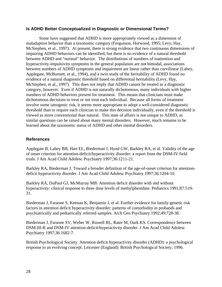#### **Is ADHD Better Conceptualized in Diagnostic or Dimensional Terms?**

Some have suggested that ADHD is more appropriately viewed as a dimension of maladaptive behavior than a taxonomic category (Fergusson, Horwood, 1995; Levy, Hay, McStephen, et al., 1997). At present, there is strong evidence that two continuous dimensions of impairing ADHD behaviors can be identified, but there is no evidence of a natural threshold between ADHD and "normal" behavior. The distributions of numbers of inattention and hyperactivity-impulsivity symptoms in the general population are not bimodal, associations between numbers of ADHD symptoms and impairment are linear rather than curvilinear (Lahey, Applegate, McBurnett, et al., 1994), and a twin study of the heritability of ADHD found no evidence of a natural diagnostic threshold based on differential heritability (Levy, Hay, McStephen, et al., 1997). This does not imply that ADHD cannot be treated as a diagnostic category, however. Even if ADHD is not naturally dichotomous, many individuals with higher numbers of ADHD behaviors present for treatment. This means that clinicians must make dichotomous decisions to treat or not treat each individual. Because all forms of treatment involve some iatrogenic risk, it seems more appropriate to adopt a well-considered diagnostic threshold than to require each clinician to make this decision individually, even if the threshold is viewed as more conventional than natural. This state of affairs is not unique to ADHD, as similar questions can be raised about many mental disorders. However, much remains to be learned about the taxonomic status of ADHD and other mental disorders.

#### **References**

Applegate B, Lahey BB, Hart EL, Biederman J, Hynd GW, Barkley RA, et al. Validity of the age of onset criterion for attention-deficit/hyperactivity disorder: a report from the DSM-IV field trials. J Am Acad Child Adolesc Psychiatry 1997;36:1211-21.

Barkley RA, Biederman J. Toward a broader definition of the age-of-onset criterion for attentiondeficit hyperactivity disorder. J Am Acad Child Adolesc Psychiatry 1997;36:1204-10.

Barkley RA, DuPaul GJ, McMurray MB. Attention deficit disorder with and without hyperactivity: clinical response to three dose levels of methylphenidate. Pediatrics 1991;87:519- 31.

Biederman J, Faraone S, Keenan K, Benjamin J, et al. Further evidence for family-genetic risk factors in attention deficit hyperactivity disorder: patterns of comorbidity in probands and psychiatrically and pediatrically referred samples. Arch Gen Psychiatry 1992;49:728-38.

Biederman J, Faraone SV, Weber W, Russell RL, Rater M, Oark KS. Correspondence between DSM-III-R and DSM-IV attention-deficit/hyperactivity disorder. J Am Acad Child Adolesc Psychiatry 1997;36:1682-7.

British Psychological Society. Attention deficit hyperactivity disorder (ADHD): a psychological response to an evolving concept. Leicester (England): British Psychological Society; 1996.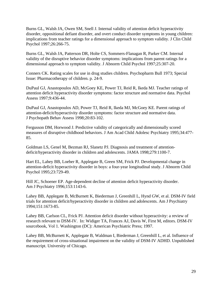Burns GL, Walsh JA, Owen SM, Snell J. Internal validity of attention deficit hyperactivity disorder, oppositional defiant disorder, and overt conduct disorder symptoms in young children: implications from teacher ratings for a dimensional approach to symptom validity. J Clin Child Psychol 1997;26:266-75.

Burns GL, Walsh JA, Patterson DR, Holte CS, Sommers-Flanagan R, Parker CM. Internal validity of the disruptive behavior disorder symptoms: implications from parent ratings for a dimensional approach to symptom validity. J Abnorm Child Psychol 1997;25:307-20.

Conners CK. Rating scales for use in drug studies children. Psychopharm Bull 1973; Special Issue: Pharmacotherapy of children. p. 24-9.

DuPaul GJ, Anastopoulos AD, McGoey KE, Power TJ, Reid R, Ikeda MJ. Teacher ratings of attention deficit hyperactivity disorder symptoms: factor structure and normative data. Psychol Assess 1997;9:436-44.

DuPaul GJ, Anastopoulos AD, Power TJ, Reid R, Ikeda MJ, McGoey KE. Parent ratings of attention-deficit/hyperactivity disorder symptoms: factor structure and normative data. J Psychopath Behav Assess 1998;20:83-102.

Fergusson DM, Horwood J. Predictive validity of categorically and dimensionally scored measures of disruptive childhood behaviors. J Am Acad Child Adolesc Psychiatry 1995;34:477- 85.

Goldman LS, Genel M, Bezman RJ, Slanetz PJ. Diagnosis and treatment of attentiondeficit/hyperactivity disorder in children and adolescents. JAMA 1998;279:1100-7.

Hart EL, Lahey BB, Loeber R, Applegate B, Green SM, Frick PJ. Developmental change in attention-deficit hyperactivity disorder in boys: a four-year longitudinal study. J Abnorm Child Psychol 1995;23:729-49.

Hill JC, Schoener EP. Age-dependent decline of attention deficit hyperactivity disorder. Am J Psychiatry 1996;153:1143-6.

Lahey BB, Applegate B, McBurnett K, Biederman J, Greenhill L, Hynd GW, et al. DSM-IV field trials for attention deficit/hyperactivity disorder in children and adolescents. Am J Psychiatry 1994;151:1673-85.

Lahey BB, Carlson CL, Frick PJ. Attention deficit disorder without hyperactivity: a review of research relevant to DSM-IV. In: Widiger TA, Frances AJ, Davis W, First M, editors. DSM-IV sourcebook, Vol 1. Washington (DC): American Psychiatric Press; 1997.

Lahey BB, McBurnett K, Applegate B, Waldman I, Biederman J, Greenhill L, et al. Influence of the requirement of cross-situational impairment on the validity of DSM-IV ADHD. Unpublished manuscript. University of Chicago.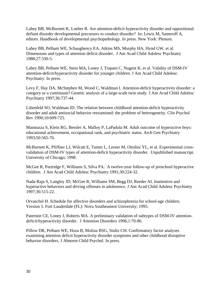Lahey BB, McBurnett K, Loeber R. Are attention-deficit hyperactivity disorder and oppositional defiant disorder developmental precursors to conduct disorder? In: Lewis M, Sameroff A, editors. Handbook of developmental psychopathology. In press. New York: Plenum.

Lahey BB, Pelham WE, Schaughency EA, Atkins MS, Murphy HA, Hynd GW, et al. Dimensions and types of attention deficit disorder. J Am Acad Child Adolesc Psychiatry 1988;27:330-5.

Lahey BB, Pelham WE, Stein MA, Loney J, Trapani C, Nugent K, et al. Validity of DSM-IV attention-deficit/hyperactivity disorder for younger children. J Am Acad Child Adolesc Psychiatry. In press.

Levy F, Hay DA, McStephen M, Wood C, Waldman I. Attention-deficit hyperactivity disorder: a category or a continuum? Genetic analysis of a large-scale twin study. J Am Acad Child Adolesc Psychiatry 1997;36:737-44.

Lilienfeld SO, Waldman ID. The relation between childhood attention-deficit hyperactivity disorder and adult antisocial behavior reexamined: the problem of heterogeneity. Clin Psychol Rev 1990;10:699-725.

Mannuzza S, Klein RG, Bessler A, Malloy P, LaPadula M. Adult outcome of hyperactive boys: educational achievement, occupational rank, and psychiatric status. Arch Gen Psychiatry 1993;50:565-76.

McBurnett K, Pfiffner LJ, Wilcutt E, Tamm L, Lerner M, Ottolini YL, et al. Experimental crossvalidation of DSM-IV types of attention-deficit hyperactivity disorder. Unpublished manuscript. University of Chicago; 1998.

McGee R, Partridge F, Williams S, Silva PA. A twelve-year follow-up of preschool hyperactive children. J Am Acad Child Adolesc Psychiatry 1991;30:224-32.

Nada-Raja S, Langley JD, McGee R, Williams SM, Begg DJ, Reeder AI. Inattentive and hyperactive behaviors and driving offenses in adolesence. J Am Acad Child Adolesc Psychiatry 1997;36:515-22.

Orvaschel H. Schedule for affective disorders and schizophrenia for school-age children. Version 5. Fort Lauderdale (FL): Nova Southeastern University; 1995.

Paternite CE, Loney J, Roberts MA. A preliminary validation of subtypes of DSM-IV attentiondeficit/hyperactivity disorder. J Attention Disorders 1996;1:70-86.

Pillow DR, Pelham WE, Hoza B, Molina BSG, Stultz CH. Confirmatory factor analyses examining attention deficit hyperactivity disorder symptoms and other childhood disruptive behavior disorders. J Abnorm Child Psychol. In press.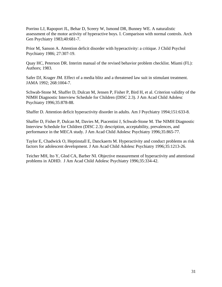Porrino LJ, Rapoport JL, Behar D, Sceery W, Ismond DR, Bunney WE. A naturalistic assessment of the motor activity of hyperactive boys. I. Comparison with normal controls. Arch Gen Psychiatry 1983;40:681-7.

Prior M, Sanson A. Attention deficit disorder with hyperactivity: a critique. J Child Psychol Psychiatry 1986; 27:307-19.

Quay HC, Peterson DR. Interim manual of the revised behavior problem checklist. Miami (FL): Authors; 1983.

Safer DJ, Krager JM. Effect of a media blitz and a threatened law suit in stimulant treatment. JAMA 1992; 268:1004-7.

Schwab-Stone M, Shaffer D, Dulcan M, Jensen P, Fisher P, Bird H, et al. Criterion validity of the NIMH Diagnostic Interview Schedule for Children (DISC 2.3). J Am Acad Child Adolesc Psychiatry 1996;35:878-88.

Shaffer D. Attention deficit hyperactivity disorder in adults. Am J Psychiatry 1994;151:633-8.

Shaffer D, Fisher P, Dulcan M, Davies M, Piacentini J, Schwab-Stone M. The NIMH Diagnostic Interview Schedule for Children (DISC 2.3): description, acceptability, prevalences, and performance in the MECA study. J Am Acad Child Adolesc Psychiatry 1996;35:865-77.

Taylor E, Chadwick O, Heptinstall E, Danckaerts M. Hyperactivity and conduct problems as risk factors for adolescent development. J Am Acad Child Adolesc Psychiatry 1996;35:1213-26.

Teicher MH, Ito Y, Glod CA, Barber NI. Objective measurement of hyperactivity and attentional problems in ADHD. J Am Acad Child Adolesc Psychiatry 1996;35:334-42.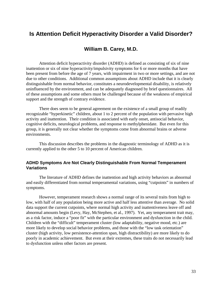## **Is Attention Deficit Hyperactivity Disorder a Valid Disorder?**

## **William B. Carey, M.D.**

Attention deficit hyperactivity disorder (ADHD) is defined as consisting of six of nine inattention or six of nine hyperactivity/impulsivity symptoms for 6 or more months that have been present from before the age of 7 years, with impairment in two or more settings, and are not due to other conditions. Additional common assumptions about ADHD include that it is clearly distinguishable from normal behavior, constitutes a neurodevelopmental disability, is relatively uninfluenced by the environment, and can be adequately diagnosed by brief questionnaires. All of these assumptions and some others must be challenged because of the weakness of empirical support and the strength of contrary evidence.

There does seem to be general agreement on the existence of a small group of readily recognizable "hyperkinetic" children, about 1 to 2 percent of the population with pervasive high activity and inattention. Their condition is associated with early onset, antisocial behavior, cognitive deficits, neurological problems, and response to methylphenidate. But even for this group, it is generally not clear whether the symptoms come from abnormal brains or adverse environments.

This discussion describes the problems in the diagnostic terminology of ADHD as it is currently applied to the other 5 to 10 percent of American children.

#### **ADHD Symptoms Are Not Clearly Distinguishable From Normal Temperament Variations**

The literature of ADHD defines the inattention and high activity behaviors as abnormal and easily differentiated from normal temperamental variations, using "cutpoints" in numbers of symptoms.

However, temperament research shows a normal range of its several traits from high to low, with half of any population being more active and half less attentive than average. No solid data support the current cutpoints, where normal high activity and inattentiveness leave off and abnormal amounts begin (Levy, Hay, McStephen, et al., 1997). Yet, any temperament trait may, as a risk factor, induce a "poor fit" with the particular environment and dysfunction in the child. Children with the "difficult" temperament cluster (low adaptability, negative mood, etc.) are more likely to develop social behavior problems, and those with the "low task orientation" cluster (high activity, low persistence-attention span, high distractibility) are more likely to do poorly in academic achievement. But even at their extremes, these traits do not necessarily lead to dysfunction unless other factors are present.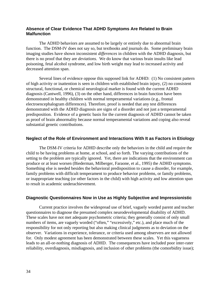#### **Absence of Clear Evidence That ADHD Symptoms Are Related to Brain Malfunction**

The ADHD behaviors are assumed to be largely or entirely due to abnormal brain function. The DSM-IV does not say so, but textbooks and journals do. Some preliminary brain imaging studies have shown inconsistent *differences* in children with the ADHD diagnosis, but there is no proof that they are *deviations.* We do know that various brain insults like lead poisoning, fetal alcohol syndrome, and low birth weight may lead to increased activity and decreased attention span.

Several lines of evidence oppose this supposed link for ADHD: (1) No consistent pattern of high activity or inattention is seen in children with established brain injury, (2) no consistent structural, functional, or chemical neurological marker is found with the current ADHD diagnosis (Cantwell, 1996), (3) on the other hand, differences in brain function have been demonstrated in healthy children with normal temperamental variations (e.g., frontal electroencephalogram differences). Therefore, proof is needed that any test differences demonstrated with the ADHD diagnosis are signs of a disorder and not just a temperamental predisposition. Evidence of a genetic basis for the current diagnosis of ADHD cannot be taken as proof of brain abnormality because normal temperamental variations and coping also reveal substantial genetic contributions.

#### **Neglect of the Role of Environment and Interactions With It as Factors in Etiology**

The DSM-IV criteria for ADHD describe only the behaviors in the child and require the child to be having problems at home, at school, and so forth. The varying contributions of the setting to the problem are typically ignored. Yet, there are indications that the environment can produce or at least worsen (Biederman, Milberger, Faraone, et al., 1995) the ADHD symptoms. Something else is needed besides the behavioral predisposition to cause a disorder, for example, family problems with difficult temperament to produce behavior problems, or family problems, or inappropriate teaching (or other factors in the child) with high activity and low attention span to result in academic underachievement.

#### **Diagnostic Questionnaires Now in Use as Highly Subjective and Impressionistic**

Current practice involves the widespread use of brief, vaguely worded parent and teacher questionnaires to diagnose the presumed complex neurodevelopmental disability of ADHD. These scales have not met adequate psychometric criteria; they generally consist of only small numbers of items, are vaguely worded ("often," "excessively," etc.), and place much of the responsibility for not only reporting but also making clinical judgments as to deviation on the observer. Variations in experience, tolerance, or criteria used among observers are not allowed for. Only modest agreement has been demonstrated between these scales. Yet this vagueness leads to an all-or-nothing diagnosis of ADHD. The consequences have included poor inter-rater reliability, overdiagnosis, misdiagnosis, and inclusion of other problems (the comorbidity issue);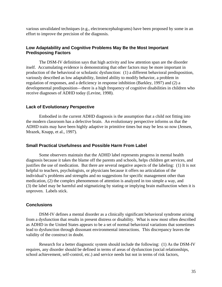various unvalidated techniques (e.g., electroencephalograms) have been proposed by some in an effort to improve the precision of the diagnosis.

#### **Low Adaptability and Cognitive Problems May Be the Most Important Predisposing Factors**

The DSM-IV definition says that high activity and low attention span are the disorder itself. Accumulating evidence is demonstrating that other factors may be more important in production of the behavioral or scholastic dysfunction: (1) a different behavioral predisposition, variously described as low adaptability, limited ability to modify behavior, a problem in regulation of responses, and a deficiency in response inhibition (Barkley, 1997) and (2) a developmental predisposition—there is a high frequency of cognitive disabilities in children who receive diagnoses of ADHD today (Levine, 1998).

#### **Lack of Evolutionary Perspective**

Embodied in the current ADHD diagnosis is the assumption that a child not fitting into the modern classroom has a defective brain. An evolutionary perspective informs us that the ADHD traits may have been highly adaptive in primitive times but may be less so now (Jensen, Mrazek, Knapp, et al., 1997).

#### **Small Practical Usefulness and Possible Harm From Label**

Some observers maintain that the ADHD label represents progress in mental health diagnosis because it takes the blame off the parents and schools, helps children get services, and justifies the use of medication. But there are several negative aspects of the labeling: (1) It is not helpful to teachers, psychologists, or physicians because it offers no articulation of the individual's problems and strengths and no suggestions for specific management other than medication, (2) the complex phenomenon of attention is analyzed in too simple a way, and (3) the label may be harmful and stigmatizing by stating or implying brain malfunction when it is unproven. Labels stick.

#### **Conclusions**

DSM-IV defines a mental disorder as a clinically significant behavioral syndrome arising from a dysfunction that results in present distress or disability. What is now most often described as ADHD in the United States appears to be a set of normal behavioral variations that sometimes lead to dysfunction through dissonant environmental interactions*.* This discrepancy leaves the validity of the construct in doubt.

Research for a better diagnostic system should include the following: (1) As the DSM-IV requires, any disorder should be defined in terms of areas of dysfunction (social relationships, school achievement, self-control, etc.) and service needs but not in terms of risk factors,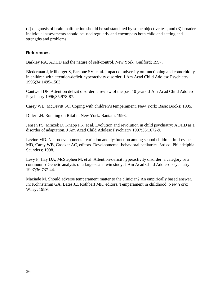(2) diagnosis of brain malfunction should be substantiated by some objective test, and (3) broader individual assessments should be used regularly and encompass both child and setting and strengths and problems.

### **References**

Barkley RA. ADHD and the nature of self-control. New York: Guilford; 1997.

Biederman J, Milberger S, Faraone SV, et al. Impact of adversity on functioning and comorbidity in children with attention-deficit hyperactivity disorder. J Am Acad Child Adolesc Psychiatry 1995;34:1495-1503.

Cantwell DP. Attention deficit disorder: a review of the past 10 years. J Am Acad Child Adolesc Psychiatry 1996;35:978-87.

Carey WB, McDevitt SC. Coping with children's temperament. New York: Basic Books; 1995.

Diller LH. Running on Ritalin. New York: Bantam; 1998.

Jensen PS, Mrazek D, Knapp PK, et al. Evolution and revolution in child psychiatry: ADHD as a disorder of adaptation. J Am Acad Child Adolesc Psychiatry 1997;36:1672-9.

Levine MD. Neurodevelopmental variation and dysfunction among school children. In: Levine MD, Carey WB, Crocker AC, editors. Developmental-behavioral pediatrics. 3rd ed. Philadelphia: Saunders; 1998.

Levy F, Hay DA, McStephen M, et al. Attention-deficit hyperactivity disorder: a category or a continuum? Genetic analysis of a large-scale twin study. J Am Acad Child Adolesc Psychiatry 1997;36:737-44.

Maziade M. Should adverse temperament matter to the clinician? An empirically based answer. In: Kohnstamm GA, Bates JE, Rothbart MK, editors. Temperament in childhood. New York: Wiley; 1989.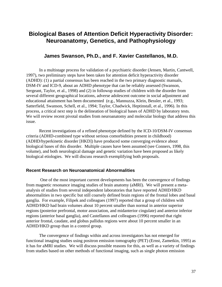# **Biological Bases of Attention Deficit Hyperactivity Disorder: Neuroanatomy, Genetics, and Pathophysiology**

# **James Swanson, Ph.D., and F. Xavier Castellanos, M.D.**

In a multistage process for validation of a psychiatric disorder (Jensen, Martin, Cantwell, 1997), two preliminary steps have been taken for attention deficit hyperactivity disorder (ADHD): (1) a partial consensus has been reached in the two primary diagnostic manuals, DSM-IV and ICD-9, about an ADHD phenotype that can be reliably assessed (Swanson, Sergeant, Taylor, et al., 1998) and (2) in followup studies of children with the disorder from several different geographical locations, adverse adolescent outcome in social adjustment and educational attainment has been documented (e.g., Mannuzza, Klein, Bessler, et al., 1993; Satterfield, Swanson, Schell, et al., 1994; Taylor, Chadwick, Heptinstall, et al., 1996). In this process, a critical next step is the delineation of biological bases of ADHD by laboratory tests. We will review recent pivotal studies from neuroanatomy and molecular biology that address this issue.

Recent investigations of a refined phenotype defined by the ICD-10/DSM-IV consensus criteria (ADHD-combined type without serious comorbidities present in childhood) (ADHD/hyperkinetic disorder [HKD]) have produced some converging evidence about biological bases of this disorder. Multiple causes have been assumed (see Conners, 1998, this volume), and both neurological damage and genetic variation have been proposed as likely biological etiologies. We will discuss research exemplifying both proposals.

### **Recent Research on Neuroanatomical Abnormalities**

 One of the most important current developments has been the convergence of findings from magnetic resonance imaging studies of brain anatomy (aMRI). We will present a metaanalysis of studies from several independent laboratories that have reported ADHD/HKD abnormalities in two specific but still coarsely defined brain regions of the frontal lobes and basal ganglia. For example, Filipek and colleagues (1997) reported that a group of children with ADHD/HKD had brain volumes about 10 percent smaller than normal in anterior superior regions (posterior prefrontal, motor association, and midanterior cingulate) and anterior inferior regions (anterior basal ganglia), and Castellanos and colleagues (1996) reported that right anterior frontal, caudate, and globus pallidus regions were about 10 percent smaller in an ADHD/HKD group than in a control group.

The convergence of findings within and across investigators has not emerged for functional imaging studies using positron emission tomography (PET) (Ernst, Zametkin, 1995) as it has for aMRI studies. We will discuss possible reasons for this, as well as a variety of findings from studies based on other methods of functional imaging, such as single photon emission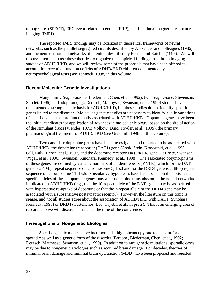tomography (SPECT), EEG event-related potentials (ERP), and functional magnetic resonance imaging (fMRI).

The reported aMRI findings may be localized in theoretical frameworks of neural networks, such as the parallel segregated circuits described by Alexander and colleagues (1986) and the neuroanatomical networks of attention described by Posner and Raichle (1996). We will discuss attempts to use these theories to organize the empirical findings from brain imaging studies of ADHD/HKD, and we will review some of the proposals that have been offered to account for executive function deficits of ADHD/HKD children documented by neuropsychological tests (see Tannock, 1998, in this volume).

#### **Recent Molecular Genetic Investigations**

Many family (e.g., Faraone, Biederman, Chen, et al., 1992), twin (e.g., Gjone, Stevenson, Sundet, 1996), and adoption (e.g., Deutsch, Matthysse, Swanson, et al., 1990) studies have documented a strong genetic basis for ADHD/HKD, but these studies do not identify specific genes linked to the disorder. Molecular genetic studies are necessary to identify allelic variations of specific genes that are functionally associated with ADHD/HKD. Dopamine genes have been the initial candidates for application of advances in molecular biology, based on the site of action of the stimulant drugs (Wender, 1971; Volkow, Ding, Fowler, et al., 1995), the primary pharmacological treatment for ADHD/HKD (see Greenhill, 1998, in this volume).

Two candidate dopamine genes have been investigated and reported to be associated with ADHD/HKD: the dopamine transporter (DAT1) gene (Cook, Stein, Krasowski, et al., 1995; Gill, Daly, Heron, et al., 1997) and the dopamine receptor D4 (DRD4) gene (LaHoste, Swanson, Wigal, et al., 1996; Swanson, Sunohara, Kennedy, et al., 1998). The associated polymorphisms of these genes are defined by variable numbers of tandem repeats (VNTR), which for the DAT1 gene is a 40-bp repeat sequence on chromosome 5p15.3 and for the DRD4 gene is a 48-bp repeat sequence on chromosome 11p15.5. Speculative hypotheses have been based on the notions that specific alleles of these dopamine genes may alter dopamine transmission in the neural networks implicated in ADHD/HKD (e.g., that the 10-repeat allele of the DAT1 gene may be associated with hyperactive re-uptake of dopamine or that the 7-repeat allele of the DRD4 gene may be associated with a subsensitive postsynaptic receptor). However, the literature on this topic is sparse, and not all studies agree about the association of ADHD/HKD with DAT1 (Sunohara, Kennedy, 1998) or DRD4 (Castellanos, Lau, Tayebi, et al., in press). This is an emerging area of research; so we will discuss its status at the time of the conference.

### **Investigations of Nongenetic Etiologies**

Specific genetic models have incorporated a high phenocopy rate to account for a sporadic as well as a genetic form of the disorder (Faraone, Biederman, Chen, et al., 1992; Deutsch, Matthysse, Swanson, et al., 1990). In addition to rare genetic mutations, sporadic cases may be due to nongenetic etiologies such as acquired brain damage. For decades, theories of minimal brain damage and minimal brain dysfunction (MBD) have been proposed and rejected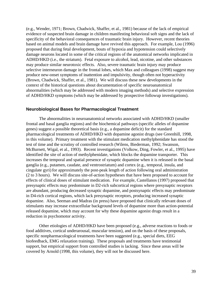(e.g., Wender, 1971; Brown, Chadwick, Shaffer, et al., 1981) because of the lack of empirical evidence of suspected brain damage in children manifesting behavioral soft signs and the lack of specificity of the behavioral consequences of traumatic brain injury. However, recent theories based on animal models and brain damage have revived this approach. For example, Lou (1996) proposed that during fetal development, bouts of hypoxia and hypotension could selectively damage neurons located in some of the critical regions of the anatomical networks implicated in ADHD/HKD (i.e., the striatum). Fetal exposure to alcohol, lead, nicotine, and other substances may produce similar neurotoxic effects. Also, severe traumatic brain injury may produce selective interneuron damage in the frontal lobes, which Max and colleagues (1998) suggest may produce new-onset symptoms of inattention and impulsivity, though often not hyperactivity (Brown, Chadwick, Shaffer, et al., 1981). We will discuss these new developments in the context of the historical questions about documentation of specific neuroanatomical abnormalities (which may be addressed with modern imaging methods) and selective expression of ADHD/HKD symptoms (which may be addressed by prospective followup investigations).

#### **Neurobiological Bases for Pharmacological Treatment**

The abnormalities in neuroanatomical networks associated with ADHD/HKD (smaller frontal and basal ganglia regions) and the biochemical pathways (specific alleles of dopamine genes) suggest a possible theoretical basis (e.g., a dopamine deficit) for the standard pharmacological treatments of ADHD/HKD with dopamine agonist drugs (see Greenhill, 1998, in this volume). Primary treatment with the stimulant medication methylphenidate has stood the test of time and the scrutiny of controlled research (Wilens, Biederman, 1992; Swanson, McBurnett, Wigal, et al., 1993). Recent investigations (Volkow, Ding, Fowler, et al., 1995) have identified the site of action of methylphenidate, which blocks the dopamine transporter. This increases the temporal and spatial presence of synaptic dopamine when it is released in the basal ganglia (e.g., putamen, caudate, and ventrostriatum) and cortex (e.g., temporal, insula, and cingulate gyri) for approximately the post-peak length of action following oral administration (2 to 3 hours). We will discuss site-of-action hypotheses that have been proposed to account for effects of clinical doses of stimulant medication. For example, Castellanos (1997) proposed that presynaptic effects may predominate in D2-rich subcortical regions where presynaptic receptors are abundant, producing decreased synaptic dopamine, and postsynaptic effects may predominate in D4-rich cortical regions, which lack presynaptic receptors, producing increased synaptic dopamine. Also, Seeman and Madras (in press) have proposed that clinically relevant doses of stimulants may increase extracellular background levels of dopamine more than action-potential released dopamine, which may account for why these dopamine agonist drugs result in a reduction in psychomotor activity.

Other etiologies of ADHD/HKD have been proposed (e.g., adverse reactions to foods or food additives, cortical underarousal, muscular tension), and on the basis of these proposals, specific nonpharmacological treatments have been suggested (e.g., special diets, EEG biofeedback, EMG relaxation training). These proposals and treatments have testimonial support, but empirical support from controlled studies is lacking. Since these areas will be covered by Arnold (1998, this volume), they will not be discussed here.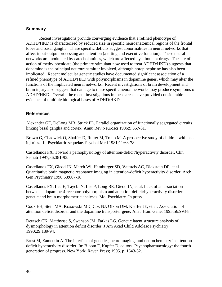### **Summary**

Recent investigations provide converging evidence that a refined phenotype of ADHD/HKD is characterized by reduced size in specific neuroanatomical regions of the frontal lobes and basal ganglia. These specific deficits suggest abnormalities in neural networks that affect input-output processing and attention (alerting and executive function). These neural networks are modulated by catecholamines, which are affected by stimulant drugs. The site of action of methylphenidate (the primary stimulant now used to treat ADHD/HKD) suggests that dopamine is the principal neurotransmitter involved, although norepinephrine has also been implicated. Recent molecular genetic studies have documented significant association of a refined phenotype of ADHD/HKD with polymorphisms in dopamine genes, which may alter the functions of the implicated neural networks. Recent investigations of brain development and brain injury also suggest that damage to these specific neural networks may produce symptoms of ADHD/HKD. Overall, the recent investigations in these areas have provided considerable evidence of multiple biological bases of ADHD/HKD.

## **References**

Alexander GE, DeLong MR, Strick PL. Parallel organization of functionally segregated circuits linking basal ganglia and cortex. Annu Rev Neurosci 1986;9:357-81.

Brown G, Chadwick O, Shaffer D, Rutter M, Traub M. A prospective study of children with head injuries. III. Psychiatric sequelae. Psychol Med 1981;11:63-78.

Castellanos FX. Toward a pathophysiology of attention-deficit/hyperactivity disorder. Clin Pediatr 1997;36:381-93.

Castellanos FX, Giedd JN, March Wl, Hamburger SD, Vaituzis AC, Dickstein DP, et al. Quantitative brain magnetic resonance imaging in attention-deficit hyperactivity disorder. Arch Gen Psychiatry 1996;53:607-16.

Castellanos FX, Lau E, Tayebi N, Lee P, Long BE, Giedd JN, et al. Lack of an association between a dopamine-4 receptor polymorphism and attention-deficit/hyperactivity disorder: genetic and brain morphometric analyses. Mol Psychiatry. In press.

Cook EH, Stein MA, Krasowski MD, Cox NJ, Olkon DM, Kieffer JE, et al. Association of attention deficit disorder and the dopamine transporter gene. Am J Hum Genet 1995;56:993-8.

Deutsch CK, Matthysse S, Swanson JM, Farkas LG. Genetic latent structure analysis of dysmorphology in attention deficit disorder. J Am Acad Child Adolesc Psychiatry 1990;29:189-94.

Ernst M, Zametkin A. The interface of genetics, neuroimaging, and neurochemistry in attentiondeficit hyperactivity disorder. In: Bloom F, Kupfer D, editors. Psychopharmacology: the fourth generation of progress. New York: Raven Press; 1995. p. 1643-52.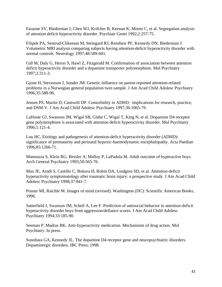Faraone SV, Biederman J, Chen WJ, Krifcher B, Keenan K, Moore C, et al. Segregation analysis of attention deficit hyperactivity disorder. Psychiatr Genet 1992;2:257-75.

Filipek PA, Semrud-Clikeman M, Steingard RJ, Renshaw PF, Kennedy DN, Biederman J. Volumetric MRI analysis comparing subjects having attention-deficit hyperactivity disorder with normal controls. Neurology 1997;48:589-601.

Gill M, Daly G, Heron S, Hawl Z, Fitzgerald M. Confirmation of association between attention deficit hyperactivity disorder and a dopamine transporter polymorphism. Mol Psychiatry 1997;2:311-3.

Gjone H, Stevenson J, Sundet JM. Genetic influence on parent-reported attention-related problems in a Norwegian general population twin sample. J Am Acad Child Adolesc Psychiatry 1996;35:588-96.

Jensen PS, Martin D, Cantwell DP. Comorbidity in ADHD: implications for research, practice, and DSM-V. J Am Acad Child Adolesc Psychiatry 1997;36:1065-79.

LaHoste GJ, Swanson JM, Wigal SB, Glabe C, Wigal T, King N, et al. Dopamine D4 receptor gene polymorphism is associated with attention deficit hyperactivity disorder. Mol Psychiatry 1996;1:121-4.

Lou HC. Etiology and pathogenesis of attention-deficit hyperactivity disorder (ADHD): significance of prematurity and perinatal hypoxic-haemodynamic encephalopathy. Acta Paediatr 1996;85:1266-71.

Mannuzza S, Klein RG, Bessler A, Malloy P, LaPadula M. Adult outcome of hyperactive boys. Arch General Psychiatry 1993;50:565-76.

Max JE, Arndt S, Castillo C, Bokura H, Robin DA, Lindgren SD, et al. Attention-deficit hyperactivity symptomatology after traumatic brain injury: a prospective study. J Am Acad Child Adolesc Psychiatry 1998;37:841-7.

Posner MI, Raichle M. Images of mind (revised). Washington (DC): Scientific American Books; 1996.

Satterfield J, Swanson JM, Schell A, Lee F. Prediction of antisocial behavior in attention-deficit hyperactivity disorder boys from aggression/defiance scores. J Am Acad Child Adolesc Psychiatry 1994;33:185-90.

Seeman P, Madras BK. Anti-hyperactivity medication. Mechanisms of drug action. Mol Psychiatry. In press.

Sunohara GA, Kennedy JL. The dopamine D4 receptor gene and neuropsychiatric disorders. Dopaminergic disorders. IBC Press; 1998.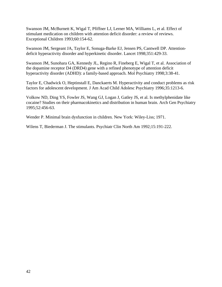Swanson JM, McBurnett K, Wigal T, Pfiffner LJ, Lerner MA, Williams L, et al. Effect of stimulant medication on children with attention deficit disorder: a review of reviews. Exceptional Children 1993;60:154-62.

Swanson JM, Sergeant JA, Taylor E, Sonuga-Barke EJ, Jensen PS, Cantwell DP. Attentiondeficit hyperactivity disorder and hyperkinetic disorder. Lancet 1998;351:429-33.

Swanson JM, Sunohara GA, Kennedy JL, Regino R, Fineberg E, Wigal T, et al. Association of the dopamine receptor D4 (DRD4) gene with a refined phenotype of attention deficit hyperactivity disorder (ADHD): a family-based approach. Mol Psychiatry 1998;3:38-41.

Taylor E, Chadwick O, Heptinstall E, Danckaerts M. Hyperactivity and conduct problems as risk factors for adolescent development. J Am Acad Child Adolesc Psychiatry 1996;35:1213-6.

Volkow ND, Ding YS, Fowler JS, Wang GJ, Logan J, Gatley JS, et al. Is methylphenidate like cocaine? Studies on their pharmacokinetics and distribution in human brain. Arch Gen Psychiatry 1995;52:456-63.

Wender P. Minimal brain dysfunction in children*.* New York: Wiley-Liss; 1971.

Wilens T, Biederman J. The stimulants. Psychiatr Clin North Am 1992;15:191-222.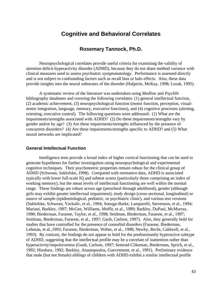# **Cognitive and Behavioral Correlates**

# **Rosemary Tannock, Ph.D.**

Neuropsychological correlates provide useful criteria for examining the validity of attention deficit hyperactivity disorder (ADHD), because they do not share method variance with clinical measures used to assess psychiatric symptomatology. Performance is assessed directly and is not subject to confounding factors such as recall bias or halo effects. Also, these data provide insights into the neural substrates of the disorder (Halperin, McKay, 1998; Lezak, 1995).

A systematic review of the literature was undertaken using *Medline* and *Psychlit*  bibliography databases and covering the following correlates: (1) general intellectual function, (2) academic achievement, (3) neuropsychological function (motor function, perception, visualmotor integration, language, memory, executive functions), and (4) cognitive processes (alerting, orienting, executive control). The following questions were addressed: (1) What are the impairments/strengths associated with ADHD? (2) Do these impairments/strengths vary by gender and/or by age? (3) Are these impairments/strengths influenced by the presence of concurrent disorders? (4) Are these impairments/strengths specific to ADHD? and (5) What neural networks are implicated?

### **General Intellectual Function**

Intelligence tests provide a broad index of higher cortical functioning that can be used to generate hypotheses for further investigation using neuropsychological and experimental cognitive techniques. Their psychometric properties remain robust for the clinical group of ADHD (Schwean, Saklofske, 1998). Compared with normative data, ADHD is associated typically with lower full-scale IQ and subtest scores (particularly those comprising an index of working memory), but the mean levels of intellectual functioning are well within the normal range. These findings are robust across age (preschool through adulthood), gender (although girls may exhibit greater intellectual impairment), study design (cross-sectional, longitudinal) or source of sample (epidemiological, pediatric, or psychiatric clinic), and various test versions (Saklofske, Schwean, Yackalic, et al., 1994; Sonuga-Barke, Lamparelli, Stevenson, et al., 1994; Mariani, Barkley, 1997; McGee, Williams, Moffit, et al., 1989; Barkley, DuPaul, McMurray, 1990; Biederman, Faraone, Taylor, et al., 1998; Seidman, Biederman, Faraone, et al., 1997; Seidman, Biederman, Faraone, et al., 1997; Gaub, Carlson, 1997). Also, they generally hold for studies that have controlled for the presence of comorbid disorders (Faraone, Biederman, Lehman, et al.,1993; Faraone, Biederman, Weber, et al., 1998; Newby, Recht, Caldwell, et al., 1993). By contrast, the findings do not appear to hold for the predominantly hyperactive subtype of ADHD, suggesting that the intellectual profile may be a correlate of inattention rather than hyperactivity/impulsiveness (Gaub, Carlson, 1997; Semrud-Clikeman, Biederman, Sprich, et al., 1992; Hinshaw, 1992; Barkley, Anastopoulos, Guevremont, et al., 1991). Preliminary evidence that male (but not female) siblings of children with ADHD exhibit a similar intellectual profile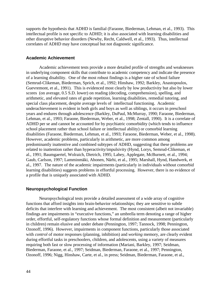supports the hypothesis that ADHD is familial (Faraone, Biederman, Lehman, et al., 1993). This intellectual profile is not specific to ADHD; it is also associated with learning disabilities and other disruptive behavior disorders (Newby, Recht, Caldwell, et al., 1993). Thus, intellectual correlates of ADHD may have conceptual but not diagnostic significance.

### **Academic Achievement**

Academic achievement tests provide a more detailed profile of strengths and weaknesses in underlying component skills that contribute to academic competency and indicate the presence of a learning disability. One of the most robust findings is a higher rate of school failure (Semrud-Clikeman, Biederman, Sprich, et al., 1992; Hinshaw, 1992; Barkley, Anastopoulos, Guevremont, et al., 1991). This is evidenced most clearly by low productivity but also by lower scores (on average, 0.5 S.D. lower) on reading (decoding, comprehension), spelling, and arithmetic, and elevated rates of grade repetition, learning disabilities, remedial tutoring, and special class placement, despite average levels of intellectual functioning. Academic underachievement is evident in both girls and boys as well as siblings, it occurs in preschool years and endures through adolescence (Barkley, DuPaul, McMurray, 1990; Faraone, Biederman, Lehman, et al., 1993; Faraone, Biederman, Weber, et al., 1998; Zentall, 1990). It is a correlate of ADHD per se and cannot be accounted for by psychiatric comorbidity (which tends to influence school placement rather than school failure or intellectual ability) or comorbid learning disabilities (Faraone, Biederman, Lehman, et al., 1993; Faraone, Biederman, Weber, et al., 1998). However, academic problems, particularly in arithmetic, are more common among predominantly inattentive and combined subtypes of ADHD, suggesting that these problems are related to inattention rather than hyperactivity/impulsivity (Hynd, Lorys, Semrud-Clikeman, et al., 1991; Baumgaertel, Wolraich, Dietrich, 1995; Lahey, Applegate, McBurnett, et al., 1994; Gaub, Carlson, 1997; Lamminm�ki, Ahonen, N�rhi, et al., 1995; Marshall, Hynd, Handwerk, et al., 1997. The nature of the academic impairments (particularly in individuals without comorbid learning disabilities) suggests problems in effortful processing. However, there is no evidence of a profile that is uniquely associated with ADHD.

#### **Neuropsychological Function**

Neuropsychological tests provide a detailed assessment of a wide array of cognitive functions that afford insights into brain-behavior relationships; they are sensitive to subtle deficits that interfere with learning and achievement. The most consistent (albeit not invariable) findings are impairments in "executive functions," an umbrella term denoting a range of higher order, effortful, self-regulatory functions whose formal definition and measurement (particularly in children) remain elusive and under debate (Pennington, 1997; Tannock, 1998; Pennington, Ozonoff, 1996). However, impairments in component functions, particularly those associated with *control* of motor responses (planning, inhibition) and *working* memory, are clearly evident during effortful tasks in preschoolers, children, and adolescents, using a variety of measures requiring both fast or slow processing of information (Mariani, Barkley, 1997; Seidman, Biederman, Faraone, et al., 1997; Seidman, Biederman, Faraone, et al., 1997; Pennington, Ozonoff, 1996; Nigg, Hinshaw, Carte, et al., in press; Seidman, Biederman, Faraone, et al.,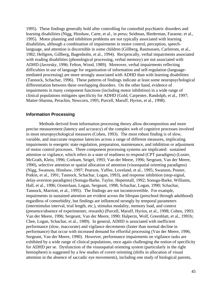1995). These findings generally hold after controlling for comorbid psychiatric disorders and learning disabilities (Nigg, Hinshaw, Carte, et al., in press; Seidman, Biederman, Faraone, et al., 1995). Motor planning and inhibition problems are not typically associated with learning disabilities, although a combination of impairments in motor control, perception, speechlanguage, and attention is discernible in some children (Gillberg, Rasmussen, Carlstrom, et al., 1982; Hellgren, Gillberg, Bagenholm, et al., 1994). Reciprocally, verbal impairments associated with reading disabilities (phonological processing, verbal memory) are not associated with ADHD (Javorsky, 1996; Felton, Wood, 1989). Moreover, verbal impairments reflecting difficulties in *use* of language for organization of information and self-regulation (languagemediated processing) are more strongly associated with ADHD than with learning disabilities (Tannock, Schachar, 1996). These patterns of findings indicate at least some neuropsychological differentiation between these overlapping disorders. On the other hand, evidence of impairments in many component functions (including motor inhibition) in a wide range of clinical populations mitigates specificity for ADHD (Gold, Carpenter, Randolph, et al., 1997; Matier-Sharma, Perachio, Newcorn, 1995; Purcell, Maruff, Hyrios, et al., 1998).

#### **Information Processing**

Methods derived from information processing theory allow decomposition and more precise measurement (latency and accuracy) of the complex web of cognitive processes involved in most neuropsychological measures (Cohen, 1993). The most robust finding is of slow, variable, and inaccurate response latencies across a range of different measures, implicating impairments in energetic state regulation, preparation, maintenance, and inhibition or adjustment of motor control processes. Three component processing systems are implicated: sustained attention or vigilance, which refers to a state of readiness to respond (CPT paradigms) (Losier, McGrath, Klein, 1996; Corkum, Seigel, 1993; Van der Meere, 1996; Sergeant, Van der Meere, 1990), selective attention or spatial allocation of attention (visuospatial orienting paradigms) (Nigg, Swanson, Hinshaw, 1997; Pearson, Yaffee, Loveland, et al., 1995; Swanson, Posner, Potkin, et al., 1991; Tannock, Schachar, Logan, 1993), and response inhibition (stop-signal, delay-aversion paradigms) (Sonuga-Barke, Taylor, Hepenstall, 1992; Sonuga-Barke, Williams, Hall, et al., 1996; Oosterlaan, Logan, Sergeant, 1998; Schachar, Logan, 1990; Schachar, Tannock, Marriott, et al., 1995). The findings are not incontrovertible. For example, impairments in sustained attention are evident across the lifespan (preschool through adulthood) regardless of comorbidity, but findings are influenced strongly by temporal parameters (interstimulus interval, trial length, etc.), stimulus modality, memory load, and context (presence/absence of experimenter, rewards) (Purcell, Maruff, Hyrios, et al., 1998; Cohen, 1993; Van der Meere, 1996; Sergeant, Van der Meere, 1990; Halperin, Wolf, Greenblatt, et al., 1991b; Chee, Logan, Schachar, et al., 1989). In general, ADHD is associated with inefficient performance (slow, inaccurate) and vigilance decrements (faster than normal decline in performance) that occur with increased demand for effortful processing (Van der Meere, 1996; Sergeant, Van der Meere, 1990). However, performance impairments on vigilance tasks are exhibited by a wide range of clinical populations, once again challenging the notion of specificity for ADHD per se. Dysfunction of the visuospatial orienting system (particularly in the right hemisphere) is suggested by a few studies of covert orienting (shifts in allocation of visual attention in the absence of saccadic eye movements), including one study of biological parents,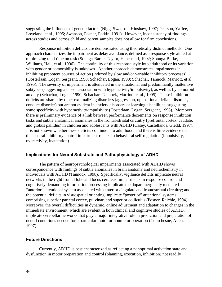suggesting the influence of genetic factors (Nigg, Swanson, Hinshaw, 1997; Pearson, Yaffee, Loveland, et al., 1995; Swanson, Posner, Potkin, 1991). However, inconsistency of findings across studies and across child and parent samples does not allow for firm conclusions.

Response inhibition deficits are demonstrated using theoretically distinct methods. One approach characterizes the impairment as delay avoidance, defined as a response style aimed at minimizing total time on task (Sonuga-Barke, Taylor, Hepenstall, 1992; Sonuga-Barke, Williams, Hall, et al., 1996). The continuity of this response style into adulthood or its variation with gender or comorbidity is unknown. Another approach demonstrates impairments in inhibiting prepotent courses of action (indexed by slow and/or variable inhibitory processes) (Oosterlaan, Logan, Sergeant, 1998; Schachar, Logan, 1990; Schachar, Tannock, Marriott, et al., 1995). The severity of impairment is attenuated in the situational and predominantly inattentive subtypes (suggesting a closer association with hyperactivity/impulsivity), as well as by comorbid anxiety (Schachar, Logan, 1990; Schachar, Tannock, Marriott, et al., 1995). These inhibition deficits are shared by other externalizing disorders (aggression, oppositional defiant disorder, conduct disorder) but are not evident in anxiety disorders or learning disabilities, suggesting some specificity with hyperactivity/impulsivity (Oosterlaan, Logan, Sergeant, 1998). Moreover, there is preliminary evidence of a link between performance decrements on response inhibition tasks and subtle anatomical anomalies in the frontal-striatal circuitry (prefrontal cortex, caudate, and globus pallidus) in children and adolescents with ADHD (Casey, Castellanos, Giedd, 1997). It is not known whether these deficits continue into adulthood, and there is little evidence that this central inhibitory control impairment relates to behavioral self-regulation (impulsivity, overactivity, inattention).

#### **Implications for Neural Substrate and Pathophysiology of ADHD**

The pattern of neuropsychological impairments associated with ADHD shows correspondence with findings of subtle anomalies in brain anatomy and neurochemistry in individuals with ADHD (Tannock, 1998). Specifically, vigilance deficits implicate neural networks in the right frontal lobe and locus ceruleus; impairments in response control and cognitively demanding information processing implicate the dopaminergically mediated "anterior" attentional system associated with anterior cingulate and frontostriatal circuitry; and the potential deficits in visuospatial orienting implicate "posterior" attentional systems comprising superior parietal cortex, pulvinar, and superior colliculus (Posner, Raichle, 1994). Moreover, the overall difficulties in dynamic, online adjustment and adaptation to changes in the immediate environment, which are evident in both clinical and cognitive studies of ADHD, implicate cerebellar networks that play a major integrative role in prediction and preparation of neural conditions needed for a particular motor or nonmotor operation (Courchesne, Allen, 1997).

### **Future Directions**

Currently, ADHD is best characterized as reflecting a nonoptimal activation state and dysfunction in motor preparation and control (planning, execution, inhibition) not readily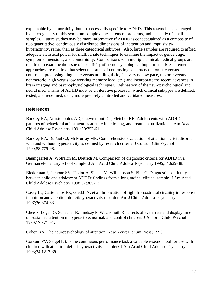explainable by comorbidity, but not necessarily specific to ADHD. This research is challenged by heterogeneity of this symptom complex, measurement problems, and the study of small samples. Future studies may be more informative if ADHD is conceptualized as a composite of two quantitative, continuously distributed dimensions of inattention and impulsivity/ hyperactivity, rather than as three categorical subtypes. Also, large samples are required to afford adequate statistical power for multivariate techniques to examine the impact of gender, age, symptom dimensions, and comorbidity. Comparisons with multiple clinical/medical groups are required to examine the issue of specificity of neuropsychological impairment. Measurement approaches are required that select measures of contrasting constructs (automatic versus controlled processing, linguistic versus non-linguistic, fast versus slow pace, motoric versus nonmotoric, high versus low working memory load, etc.) and incorporate the recent advances in brain imaging and psychophysiological techniques. Delineation of the neuropsychological and neural mechanisms of ADHD must be an iterative process in which clinical subtypes are defined, tested, and redefined, using more precisely controlled and validated measures.

## **References**

Barkley RA, Anastopoulos AD, Guevremont DC, Fletcher KE. Adolescents with ADHD: patterns of behavioral adjustment, academic functioning, and treatment utilization. J Am Acad Child Adolesc Psychiatry 1991;30:752-61.

Barkley RA, DuPaul GJ, McMurray MB. Comprehensive evaluation of attention deficit disorder with and without hyperactivity as defined by research criteria. J Consult Clin Psychol 1990;58:775-98.

Baumgaertel A, Wolraich M, Dietrich M. Comparison of diagnostic criteria for ADHD in a German elementary school sample. J Am Acad Child Adolesc Psychiatry 1995;34:629-38.

Biederman J, Faraone SV, Taylor A, Sienna M, Williamson S, Fine C. Diagnostic continuity between child and adolescent ADHD: findings from a longitudinal clinical sample. J Am Acad Child Adolesc Psychiatry 1998;37:305-13.

Casey BJ, Castellanos FX, Giedd JN, et al. Implication of right frontostriatal circuitry in response inhibition and attention-deficit/hyperactivity disorder. Am J Child Adolesc Psychiatry 1997;36:374-83.

Chee P, Logan G, Schachar R, Lindsay P, Wachsmuth R. Effects of event rate and display time on sustained attention in hyperactive, normal, and control children. J Abnorm Child Psychol 1989;17:371-91.

Cohen RA. The neuropsychology of attention. New York: Plenum Press; 1993.

Corkum PV, Seigel LS. Is the continuous performance task a valuable research tool for use with children with attention-deficit-hyperactivity disorder? J Am Acad Child Adolesc Psychiatry 1993;34:1217-39.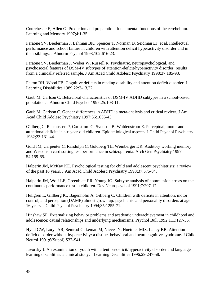Courchesne E, Allen G. Prediction and preparation, fundamental functions of the cerebellum. Learning and Memory 1997;4:1-35.

Faraone SV, Biederman J, Lehman BK, Spencer T, Norman D, Seidman LJ, et al. Intellectual performance and school failure in children with attention deficit hyperactivity disorder and in their siblings. J Abnorm Psychol 1993;102:616-23.

Faraone SV, Biederman J, Weber W, Russell R. Psychiatric, neuropsychological, and psychosocial features of DSM-IV subtypes of attention-deficit/hyperactivity disorder: results from a clinically referred sample. J Am Acad Child Adolesc Psychiatry 1998;37:185-93.

Felton RH, Wood FB. Cognitive deficits in reading disability and attention deficit disorder. J Learning Disabilities 1989;22:3-13,22.

Gaub M, Carlson C. Behavioral characteristics of DSM-IV ADHD subtypes in a school-based population. J Abnorm Child Psychol 1997;25:103-11.

Gaub M, Carlson C. Gender differences in ADHD: a meta-analysis and critical review. J Am Acad Child Adolesc Psychiatry 1997;36:1036-45.

Gillberg C, Rasmussen P, Carlstrom G, Svenson B, Waldenstrom E. Perceptual, motor and attentional deficits in six-year-old children. Epidemiological aspects. J Child Psychol Psychiatry 1982;23:131-44.

Gold JM, Carpenter C, Randolph C, Goldberg TE, Weinberger DR. Auditory working memory and Wisconsin card sorting test performance in schizophrenia. Arch Gen Psychiatry 1997; 54:159-65.

Halperin JM, McKay KE. Psychological testing for child and adolescent psychiatrists: a review of the past 10 years. J Am Acad Child Adolesc Psychiatry 1998;37:575-84.

Halperin JM, Wolf LE, Greenblatt ER, Young JG. Subtype analysis of commission errors on the continuous performance test in children. Dev Neuropsychol 1991;7:207-17.

Hellgren L, Gillberg IC, Bagenholm A, Gillberg C. Children with deficits in attention, motor control, and perception (DAMP) almost grown up: psychiatric and personality disorders at age 16 years. J Child Psychol Psychiatry 1994;35:1255-71.

Hinshaw SP. Externalizing behavior problems and academic underachievement in childhood and adolescence: causal relationships and underlying mechanisms. Psychol Bull 1992;111:127-55.

Hynd GW, Lorys AR, Semrud-Clikeman M, Nieves N, Huettner MIS, Lahey BB. Attention deficit disorder without hyperactivity: a distinct behavioral and neurocognitive syndrome. J Child Neurol 1991;6(Suppl):S37-S41.

Javorsky J. An examination of youth with attention-deficit/hyperactivity disorder and language learning disabilities: a clinical study. J Learning Disabilities 1996;29:247-58.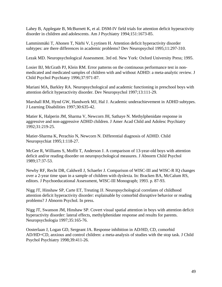Lahey B, Applegate B, McBurnett K, et al. DSM-IV field trials for attention deficit hyperactivity disorder in children and adolescents. Am J Psychiatry 1994;151:1673-85.

Lamminmäki T, Ahonen T, Närhi V, Lyytinen H. Attention deficit hyperactivity disorder subtypes: are there differences in academic problems? Dev Neuropsychol 1995;11:297-310.

Lezak MD. Neuropsychological Assessment. 3rd ed. New York: Oxford University Press; 1995.

Losier BJ, McGrath PJ, Klein RM. Error patterns on the continuous performance test in nonmedicated and medicated samples of children with and without ADHD: a meta-analytic review. J Child Psychol Psychiatry 1996;37:971-87.

Mariani MA, Barkley RA. Neuropsychological and academic functioning in preschool boys with attention deficit hyperactivity disorder. Dev Neuropsychol 1997;13:111-29.

Marshall RM, Hynd GW, Handwerk MJ, Hal J. Academic underachievement in ADHD subtypes. J Learning Disabilities 1997;30:635-42.

Matier K, Halperin JM, Sharma V, Newcorn JH, Sathaye N. Methylphenidate response in aggressive and non-aggressive ADHD children. J Amer Acad Child and Adolesc Psychiatry 1992;31:219-25.

Matier-Sharma K, Perachio N, Newcorn N. Differential diagnosis of ADHD. Child Neuropsychiat 1995;1:118-27.

McGee R, Williams S, Moffit T, Anderson J. A comparison of 13-year-old boys with attention deficit and/or reading disorder on neuropsychological measures. J Abnorm Child Psychol 1989;17:37-53.

Newby RF, Recht DR, Caldwell J, Schaefer J. Comparison of WISC-III and WISC-R IQ changes over a 2-year time span in a sample of children with dyslexia. In: Bracken BA, McCalum RS, editors. J Psychoeducational Assessment, WISC-III Monograph; 1993. p. 87-93.

Nigg JT, Hinshaw SP, Carte ET, Treuting JJ. Neuropsychological correlates of childhood attention deficit hyperactivity disorder: explainable by comorbid disruptive behavior or reading problems? J Abnorm Psychol. In press.

Nigg JT, Swanson JM, Hinshaw SP. Covert visual spatial attention in boys with attention deficit hyperactivity disorder: lateral effects, methylphenidate response and results for parents. Neuropsychologia 1997;35:165-76.

Oosterlaan J, Logan GD, Sergeant JA. Response inhibition in AD/HD, CD, comorbid AD/HD+CD, anxious and control children: a meta-analysis of studies with the stop task. J Child Psychol Psychiatry 1998;39:411-26.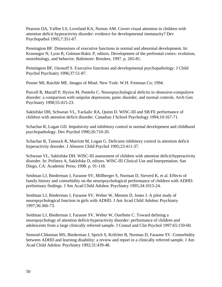Pearson DA, Yaffee LS, Loveland KA, Norton AM. Covert visual attention in children with attention deficit hyperactivity disorder: evidence for developmental immaturity? Dev Psychopathol 1995;7:351-67.

Pennington BF. Dimensions of executive functions in normal and abnormal development. In: Krasnegor N, Lyon R, Golman-Rakic P, editors. Development of the prefrontal cortex: evolution, neurobiology, and behavior. Baltimore: Brookes; 1997. p. 265-81.

Pennington BF, Ozonoff S. Executive functions and developmental psychopathology. J Child Psychol Psychiatry 1996;37:51-87.

Posner MI, Raichle ME. Images of Mind. New York: W.H. Freeman Co; 1994.

Purcell R, Maruff P, Hyrios M, Pantelis C. Neuropsychological deficits in obsessive-compulsive disorder: a comparison with unipolar depression, panic disorder, and normal controls. Arch Gen Psychiatry 1998;55:415-23.

Saklofske DH, Schwean VL, Yackalic RA, Quinn D. WISC-III and SB:FE performance of children with attention deficit disorder. Canadian J School Psychology 1994;10:167-71.

Schachar R, Logan GD. Impulsivity and inhibitory control in normal development and childhood psychopathology. Dev Psychol 1990;26:710-20.

Schachar R, Tannock R, Marriott M, Logan G. Deficient inhibitory control in attention deficit hyperactivity disorder. J Abnorm Child Psychol 1995;23:411-37.

Schwean VL, Saklofske DH. WISC-III assessment of children with attention deficit/hyperactivity disorder. In: Prifitera A, Saklofske D, editors. WISC-III Clinical Use and Interpretation. San Diego, CA: Academic Press; 1998. p. 91-118.

Seidman LJ, Biederman J, Faraone SV, Millberger S, Norman D, Sieverd K, et al. Effects of family history and comorbidity on the neuropsychological performance of children with ADHD: preliminary findings. J Am Acad Child Adolesc Psychiatry 1995;34:1015-24.

Seidman LJ, Biederman J, Faraone SV, Weber W, Mennin D, Jones J. A pilot study of neuropsychological function in girls with ADHD. J Am Acad Child Adolesc Psychiatry 1997;36:366-73.

Seidman LJ, Biederman J, Faraone SV, Weber W, Ouellette C. Toward defining a neuropsychology of attention deficit-hyperactivity disorder: performance of children and adolescents from a large clinically referred sample. J Consul and Clin Psychol 1997;65:150-60.

Semrud-Clikeman MS, Biederman J, Sprich S, Krifcher B, Norman D, Faraone SV. Comorbidity between ADHD and learning disability: a review and report in a clinically referred sample. J Am Acad Child Adolesc Psychiatry 1992;31:439-48.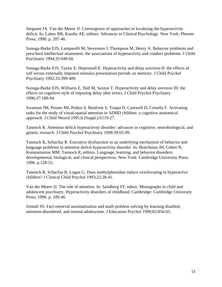Sergeant JA. Van der Meere JJ. Convergence of approaches in localizing the hyperactivity deficit. In: Lahey BB, Kazdin AE, editors. Advances in Clinical Psychology. New York: Plenum Press; 1990. p. 207-46.

Sonuga-Barke EJS, Lamparelli M, Stevenson J, Thompson M, Henry A. Behavior problems and preschool intellectual attainment: the associations of hyperactivity and conduct problems. J Child Psychiatry 1994;35:949-60.

Sonuga-Barke EJS, Taylor E, Hepenstall E. Hyperactivity and delay aversion-II: the effects of self versus externally imposed stimulus presentation periods on memory. J Child Psychol Psychiatry 1992;33:399-409.

Sonuga-Barke EJS, Williams E, Hall M, Saxton T. Hyperactivity and delay aversion III: the effects on cognitive style of imposing delay after errors. J Child Psychol Psychiatry 1996;37:189-94.

Swanson JM, Posner MI, Potkin S, Bonforte S, Youpa D, Cantwell D, Crinella F. Activating tasks for the study of visual-spatial attention in ADHD children: a cognitive anatomical approach. J Child Neurol 1991;6 (Suppl.):S119-27.

Tannock R. Attention deficit hyperactivity disorder: advances in cognitive, neurobiological, and genetic research. J Child Psychol Psychiatry 1998;39:65-99.

Tannock R**,** Schachar R. Executive dysfunction as an underlying mechanism of behavior and language problems in attention deficit hyperactivity disorder. In: Beitchman JH, Cohen N, Konstantareas MM, Tannock R, editors. Language, learning, and behavior disorders: developmental, biological, and clinical perspectives. New York: Cambridge University Press; 1996. p.128-55.

Tannock R, Schachar R, Logan G. Does methylphenidate induce overfocusing in hyperactive children? J Clinical Child Psychol 1993;22:28-41.

Van der Meere JJ. The role of attention. In: Sandberg ST, editor. Monographs in child and adolescent psychiatry. Hyperactivity disorders of childhood. Cambridge: Cambridge University Press; 1996. p. 109-46.

Zentall SS. Fact-retrieval automatization and math problem solving by learning disabled, attention-disordered, and normal adolescents. J Education Psychol 1990;82:856-65.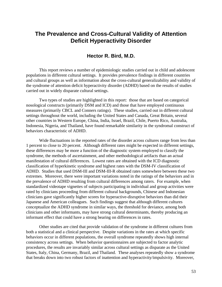# **The Prevalence and Cross-Cultural Validity of Attention Deficit Hyperactivity Disorder**

# **Hector R. Bird, M.D.**

This report reviews a number of epidemiologic studies carried out in child and adolescent populations in different cultural settings. It provides prevalence findings in different countries and cultural groups as well as information about the cross-cultural generalizability and validity of the syndrome of attention deficit hyperactivity disorder (ADHD) based on the results of studies carried out in widely disparate cultural settings.

Two types of studies are highlighted in this report: those that are based on categorical nosological constructs (primarily DSM and ICD) and those that have employed continuous measures (primarily CBCL and Conners ratings). These studies, carried out in different cultural settings throughout the world, including the United States and Canada, Great Britain, several other countries in Western Europe, China, India, Israel, Brazil, Chile, Puerto Rico, Australia, Indonesia, Nigeria, and Thailand, have found remarkable similarity in the syndromal construct of behaviors characteristic of ADHD.

Wide fluctuations in the reported rates of the disorder across cultures range from less than 1 percent to close to 20 percent. Although different rates might be expected in different settings, these differences may be more a function of the diagnostic system employed to classify the syndrome, the methods of ascertainment, and other methodological artifacts than an actual manifestation of cultural differences. Lowest rates are obtained with the ICD diagnostic classification of hyperkinetic syndrome and highest rates with the DSM-IV classification of ADHD. Studies that used DSM-III and DSM-III-R obtained rates somewhere between these two extremes. Moreover, there were important variations noted in the ratings of the behaviors and in the prevalence of ADHD resulting from cultural differences among raters. For example, when standardized videotape vignettes of subjects participating in individual and group activities were rated by clinicians proceeding from different cultural backgrounds, Chinese and Indonesian clinicians gave significantly higher scores for hyperactive-disruptive behaviors than did their Japanese and American colleagues. Such findings suggest that although different cultures conceptualize the ADHD syndrome in similar ways, the threshold for deviance, among both clinicians and other informants, may have strong cultural determinants, thereby producing an informant effect that could have a strong bearing on differences in rates.

Other studies are cited that provide validation of the syndrome in different cultures from both a statistical and a clinical perspective. Despite variations in the rates at which specific behaviors occur in different populations, the overall syndrome repeatedly shows high internal consistency across settings. When behavior questionnaires are subjected to factor analytic procedures, the results are invariably similar across cultural settings as disparate as the United States, Italy, China, Germany, Brazil, and Thailand. These analyses repeatedly show a syndrome that breaks down into two robust factors of inattention and hyperactivity/impulsivity. Moreover,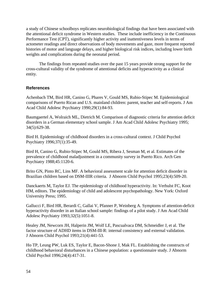a study of Chinese schoolboys replicates neurobiological findings that have been associated with the attentional deficit syndrome in Western studies. These include inefficiency in the Continuous Performance Test (CPT), significantly higher activity and inattentiveness levels in terms of actometer readings and direct observations of body movements and gaze, more frequent reported histories of motor and language delays, and higher biological risk indices, including lower birth weights and complications during the neonatal period.

The findings from repeated studies over the past 15 years provide strong support for the cross-cultural validity of the syndrome of attentional deficits and hyperactivity as a clinical entity.

# **References**

Achenbach TM, Bird HR, Canino G, Phares V, Gould MS, Rubio-Stipec M. Epidemiological comparisons of Puerto Rican and U.S. mainland children: parent, teacher and self-reports. J Am Acad Child Adolesc Psychiatry 1990;29(1):84-93.

Baumgaertel A, Wolraich ML, Dietrich M. Comparison of diagnostic criteria for attention deficit disorders in a German elementary school sample. J Am Acad Child Adolesc Psychiatry 1995; 34(5):629-38.

Bird H. Epidemiology of childhood disorders in a cross-cultural context. J Child Psychol Psychiatry 1996;37(1):35-49.

Bird H, Canino G, Rubio-Stipec M, Gould MS, Ribera J, Sesman M, et al. Estimates of the prevalence of childhood maladjustment in a community survey in Puerto Rico. Arch Gen Psychiatry 1988;45:1120-6.

Brito GN, Pinto RC, Lins MF. A behavioral assessment scale for attention deficit disorder in Brazilian children based on DSM-IIIR criteria. J Abnorm Child Psychol 1995;23(4):509-20.

Danckaerts M, Taylor EJ. The epidemiology of childhood hyperactivity. In: Verhulst FC, Koot HM, editors. The epidemiology of child and adolescent psychopathology. New York: Oxford University Press; 1995.

Gallucci F, Bird HR, Berardi C, Gallai V, Pfanner P, Weinberg A. Symptoms of attention-deficit hyperactivity disorder in an Italian school sample: findings of a pilot study. J Am Acad Child Adolesc Psychiatry 1993;32(5):1051-8.

Healey JM, Newcorn JH, Halperin JM, Wolf LE, Pascualvaca DM, Schmeidler J, et al. The factor structure of ADHD items in DSM-III-R: internal consistency and external validation. J Abnorm Child Psychol 1993;21(4):441-53.

Ho TP, Leung PW, Luk ES, Taylor E, Bacon-Shone J, Mak FL. Establishing the constructs of childhood behavioral disturbances in a Chinese population: a questionnaire study. J Abnorm Child Psychol 1996;24(4):417-31.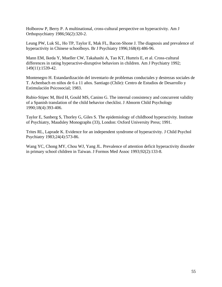Holborow P, Berry P. A multinational, cross-cultural perspective on hyperactivity. Am J Orthopsychiatry 1986;56(2):320-2.

Leung PW, Luk SL, Ho TP, Taylor E, Mak FL, Bacon-Shone J. The diagnosis and prevalence of hyperactivity in Chinese schoolboys. Br J Psychiatry 1996;168(4):486-96.

Mann EM, Ikeda Y, Mueller CW, Takahashi A, Tao KT, Humris E, et al. Cross-cultural differences in rating hyperactive-disruptive behaviors in children. Am J Psychiatry 1992; 149(11):1539-42.

Montenegro H. Estandardización del inventario de problemas conductales y destrezas sociales de T. Achenbach en niños de 6 a 11 años. Santiago (Chile): Centro de Estudios de Desarrollo y Estimulación Psicosocial; 1983.

Rubio-Stipec M, Bird H, Gould MS, Canino G. The internal consistency and concurrent validity of a Spanish translation of the child behavior checklist. J Abnorm Child Psychology 1990;18(4):393-406.

Taylor E, Sanberg S, Thorley G, Giles S. The epidemiology of childhood hyperactivity*.* Institute of Psychiatry, Maudsley Monographs (33), London: Oxford University Press; 1991.

Trites RL, Laprade K. Evidence for an independent syndrome of hyperactivity. J Child Psychol Psychiatry 1983;24(4):573-86.

Wang YC, Chong MY, Chou WJ, Yang JL. Prevalence of attention deficit hyperactivity disorder in primary school children in Taiwan. J Formos Med Assoc 1993;92(2):133-8.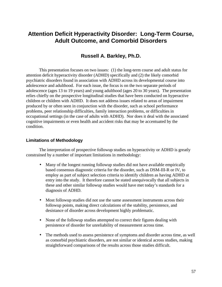# **Attention Deficit Hyperactivity Disorder: Long-Term Course, Adult Outcome, and Comorbid Disorders**

# **Russell A. Barkley, Ph.D.**

This presentation focuses on two issues: (1) the long-term course and adult status for attention deficit hyperactivity disorder (ADHD) specifically and (2) the likely comorbid psychiatric disorders found in association with ADHD across its developmental course into adolescence and adulthood. For each issue, the focus is on the two separate periods of adolescence (ages 13 to 19 years) and young adulthood (ages 20 to 30 years). The presentation relies chiefly on the prospective longitudinal studies that have been conducted on hyperactive children or children with ADHD. It does not address issues related to areas of impairment produced by or often seen in conjunction with the disorder, such as school performance problems, peer relationship difficulties, family interaction problems, or difficulties in occupational settings (in the case of adults with ADHD). Nor does it deal with the associated cognitive impairments or even health and accident risks that may be accentuated by the condition.

### **Limitations of Methodology**

The interpretation of prospective followup studies on hyperactivity or ADHD is greatly constrained by a number of important limitations in methodology:

- Many of the longest running followup studies did not have available empirically based consensus diagnostic criteria for the disorder, such as DSM-III-R or IV, to employ as part of subject selection criteria to identify children as having ADHD at entry into the study. It therefore cannot be stated unequivocally that all subjects in these and other similar followup studies would have met today's standards for a diagnosis of ADHD.
- Most followup studies did not use the same assessment instruments across their followup points, making direct calculations of the stability, persistence, and desistance of disorder across development highly problematic.
- None of the followup studies attempted to correct their figures dealing with persistence of disorder for unreliability of measurement across time.
- The methods used to assess persistence of symptoms and disorder across time, as well as comorbid psychiatric disorders, are not similar or identical across studies, making straightforward comparisons of the results across those studies difficult.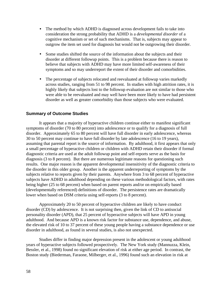- The method by which ADHD is diagnosed across development fails to take into consideration the strong probability that ADHD is a *developmental disorder* of a cognitive mechanism or set of such mechanisms. That is, subjects may appear to outgrow the item set used for diagnosis but would not be outgrowing their disorder.
- Some studies shifted the source of the information about the subjects and their disorder at different followup points. This is a problem because there is reason to believe that subjects with ADHD may have more limited self-awareness of their symptoms and so may underreport the extent of their disorder and comorbidities.
- The percentage of subjects relocated and reevaluated at followup varies markedly across studies, ranging from 51 to 98 percent. In studies with high attrition rates, it is highly likely that subjects lost to the followup evaluation are not similar to those who were able to be reevaluated and may well have been more likely to have had persistent disorder as well as greater comorbidity than those subjects who were evaluated.

## **Summary of Outcome Studies**

It appears that a majority of hyperactive children continue either to manifest significant symptoms of disorder (70 to 80 percent) into adolescence or to qualify for a diagnosis of full disorder. Approximately 65 to 80 percent will have full disorder in early adolescence, whereas 30 to 50 percent may continue to have full disorder by late adolescence (16 to 19 years), assuming that parental report is the source of information. By adulthood, it first appears that only a small percentage of hyperactive children or children with ADHD retain their disorder if formal diagnostic criteria are used at the adult followup point and self-reports serve as the basis for diagnosis (3 to 8 percent). But there are numerous legitimate reasons for questioning such results. One major reason is the apparent developmental insensitivity of the diagnostic criteria to the disorder in this older group. Another is the apparent underreporting of symptoms by the subjects relative to reports given by their parents. Anywhere from 3 to 68 percent of hyperactive subjects have ADHD in adulthood depending on these various methodological factors, with rates being higher (25 to 68 percent) when based on parent reports and/or on empirically based (developmentally referenced) definitions of disorder. The persistence rates are dramatically lower when based on DSM criteria using self-reports (3 to 8 percent).

Approximately 20 to 50 percent of hyperactive children are likely to have conduct disorder (CD) by adolescence. It is not surprising then, given the link of CD to antisocial personality disorder (APD), that 25 percent of hyperactive subjects will have APD in young adulthood. And because APD is a known risk factor for substance use, dependence, and abuse, the elevated risk of 10 to 37 percent of these young people having a substance dependence or use disorder in adulthood, as found in several studies, is also not unexpected.

Studies differ in finding major depression present in the adolescent or young adulthood years of hyperactive subjects followed prospectively. The New York study (Mannuzza, Klein, Bessler, et al., 1998) found no significant elevation of risk at either age period. In contrast, the Boston study (Biederman, Faraone, Milberger, et al., 1996) found such an elevation in risk at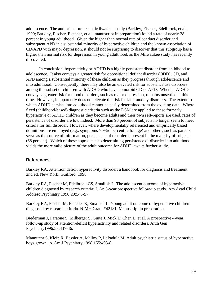adolescence. The author's more recent Milwaukee study (Barkley, Fischer, Edelbrock, et al., 1990; Barkley, Fischer, Fletcher, et al., manuscript in preparation) found a rate of nearly 28 percent in young adulthood. Given the higher than normal rate of conduct disorder and subsequent APD in a substantial minority of hyperactive children and the known association of CD/APD with major depression, it should not be surprising to discover that this subgroup has a higher than normal risk for depression in young adulthood, as the Milwaukee study has recently discovered.

In conclusion, hyperactivity or ADHD is a highly persistent disorder from childhood to adolescence. It also conveys a greater risk for oppositional defiant disorder (ODD), CD, and APD among a substantial minority of these children as they progress through adolescence and into adulthood. Consequently, there may also be an elevated risk for substance use disorders among this subset of children with ADHD who have comorbid CD or APD. Whether ADHD conveys a greater risk for mood disorders, such as major depression, remains unsettled at this time. However, it apparently does not elevate the risk for later anxiety disorders. The extent to which ADHD persists into adulthood cannot be easily determined from the existing data. Where fixed (childhood-based) diagnostic criteria such as the DSM are applied to these formerly hyperactive or ADHD children as they become adults and their own self-reports are used, rates of persistence of disorder are low indeed. More than 90 percent of subjects no longer seem to meet criteria for full disorder. However, where developmentally referenced and empirically based definitions are employed (e.g., symptoms > 93rd percentile for age) and others, such as parents, serve as the source of information, persistence of disorder is present in the majority of subjects (68 percent). Which of these approaches to determining persistence of disorder into adulthood yields the more valid picture of the adult outcome for ADHD awaits further study.

### **References**

Barkley RA. Attention deficit hyperactivity disorder: a handbook for diagnosis and treatment. 2nd ed. New York: Guilford; 1998.

Barkley RA, Fischer M, Edelbrock CS, Smallish L. The adolescent outcome of hyperactive children diagnosed by research criteria: I. An 8-year prospective follow-up study. Am Acad Child Adolesc Psychiatry 1990;29:546-57.

Barkley RA, Fischer M, Fletcher K, Smallish L. Young adult outcome of hyperactive children diagnosed by research criteria. NIMH Grant #42181. Manuscript in preparation.

Biederman J, Faraone S, Milberger S, Guite J, Mick E, Chen L, et al. A prospective 4-year follow-up study of attention-deficit hyperactivity and related disorders. Arch Gen Psychiatry1996;53:437-46.

Mannuzza S, Klein R, Bessler A, Malloy P, LaPadula M. Adult psychiatric status of hyperactive boys grown up. Am J Psychiatry 1998;155:493-8.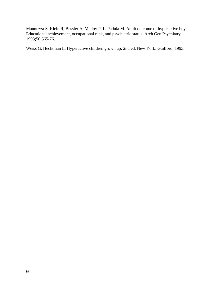Mannuzza S, Klein R, Bessler A, Malloy P, LaPadula M. Adult outcome of hyperactive boys. Educational achievement, occupational rank, and psychiatric status. Arch Gen Psychiatry 1993;50:565-76.

Weiss G, Hechtman L. Hyperactive children grown up. 2nd ed. New York: Guilford; 1993.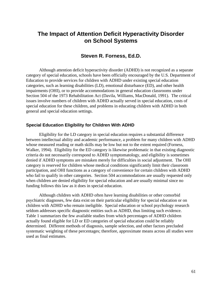# **The Impact of Attention Deficit Hyperactivity Disorder on School Systems**

# **Steven R. Forness, Ed.D.**

Although attention deficit hyperactivity disorder (ADHD) is not recognized as a separate category of special education, schools have been officially encouraged by the U.S. Department of Education to provide services for children with ADHD under existing special education categories, such as learning disabilities (LD), emotional disturbance (ED), and other health impairments (OHI), or to provide accommodations in general education classrooms under Section 504 of the 1973 Rehabilitation Act (Davila, Williams, MacDonald, 1991). The critical issues involve numbers of children with ADHD actually served in special education, costs of special education for these children, and problems in educating children with ADHD in both general and special education settings.

### **Special Education Eligibility for Children With ADHD**

Eligibility for the LD category in special education requires a substantial difference between intellectual ability and academic performance, a problem for many children with ADHD whose measured reading or math skills may be low but not to the extent required (Forness, Walker, 1994). Eligibility for the ED category is likewise problematic in that existing diagnostic criteria do not necessarily correspond to ADHD symptomatology, and eligibility is sometimes denied if ADHD symptoms are mistaken merely for difficulties in social adjustment. The OHI category is reserved for children whose medical conditions significantly limit their classroom participation, and OHI functions as a category of convenience for certain children with ADHD who fail to qualify in other categories. Section 504 accommodations are usually requested only when children are denied eligibility for special education and are usually minimal since no funding follows this law as it does in special education.

Although children with ADHD often have learning disabilities or other comorbid psychiatric diagnoses, few data exist on their particular eligibility for special education or on children with ADHD who remain ineligible. Special education or school psychology research seldom addresses specific diagnostic entities such as ADHD, thus limiting such evidence. Table 1 summarizes the few available studies from which percentages of ADHD children actually found eligible for LD or ED categories of special education could be reliably determined. Different methods of diagnosis, sample selection, and other factors precluded systematic weighting of these percentages; therefore, approximate means across all studies were used as final estimates.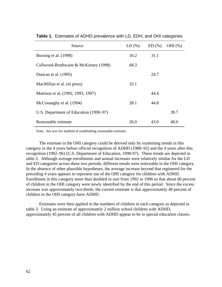| Source                                 | LD(%) | ED(%) | $OHI$ (%) |
|----------------------------------------|-------|-------|-----------|
| Bussing et al. (1998)                  | 16.2  | 31.1  |           |
| Cullwood-Brathwaite & McKinney (1998)  | 68.3  |       |           |
| Duncan et al. (1995)                   |       | 24.7  |           |
| MacMillan et al. (in press)            | 33.1  |       |           |
| Mattison et al. (1992, 1993, 1997)     |       | 44.4  |           |
| McConaughy et al. (1994)               | 28.1  | 44.8  |           |
| U.S. Department of Education (1990–97) |       |       | 39.7      |
| Reasonable estimate                    | 26.0  | 43.0  | 40.0      |

**Table 1.** Estimates of ADHD prevalence with LD, EDH, and OHI categories

Note: See text for method of establishing reasonable estimate.

The estimate in the OHI category could be derived only by examining trends in this category in the 4 years before official recognition of ADHD (1988–92) and the 4 years after this recognition (1992–96) (U.S. Department of Education, 1990-97). These trends are depicted in table 2. Although average enrollments and annual increases were relatively similar for the LD and ED categories across these two periods, different trends were noticeable in the OHI category. In the absence of other plausible hypotheses, the average increase beyond that registered for the preceding 4 years appears to represent use of the OHI category for children with ADHD. Enrollment in this category more than doubled in size from 1992 to 1996 so that about 60 percent of children in the OHI category were newly identified by the end of this period. Since the excess increase was approximately two-thirds, the current estimate is that approximately 40 percent of children in the OHI category have ADHD.

Estimates were then applied to the numbers of children in each category as depicted in table 3. Using an estimate of approximately 2 million school children with ADHD, approximately 45 percent of all children with ADHD appear to be in special education classes.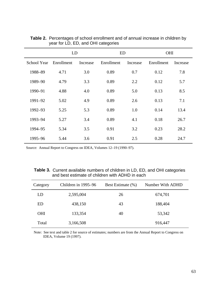|             |            | LD<br><b>ED</b> |            |          | <b>OHI</b> |          |
|-------------|------------|-----------------|------------|----------|------------|----------|
| School Year | Enrollment | Increase        | Enrollment | Increase | Enrollment | Increase |
| 1988-89     | 4.71       | 3.0             | 0.89       | 0.7      | 0.12       | 7.8      |
| 1989-90     | 4.79       | 3.3             | 0.89       | 2.2      | 0.12       | 5.7      |
| 1990-91     | 4.88       | 4.0             | 0.89       | 5.0      | 0.13       | 8.5      |
| 1991-92     | 5.02       | 4.9             | 0.89       | 2.6      | 0.13       | 7.1      |
| 1992-93     | 5.25       | 5.3             | 0.89       | 1.0      | 0.14       | 13.4     |
| 1993-94     | 5.27       | 3.4             | 0.89       | 4.1      | 0.18       | 26.7     |
| 1994-95     | 5.34       | 3.5             | 0.91       | 3.2      | 0.23       | 28.2     |
| 1995-96     | 5.44       | 3.6             | 0.91       | 2.5      | 0.28       | 24.7     |

**Table 2.** Percentages of school enrollment and of annual increase in children by year for LD, ED, and OHI categories

Source: Annual Report to Congress on IDEA, Volumes 12–19 (1990–97).

| <b>Table 3.</b> Current available numbers of children in LD, ED, and OHI categories |
|-------------------------------------------------------------------------------------|
| and best estimate of children with ADHD in each                                     |

| Children in 1995–96 | Best Estimate (%) | Number With ADHD |
|---------------------|-------------------|------------------|
| 2,595,004           | 26                | 674,701          |
| 438,150             | 43                | 188,404          |
| 133,354             | 40                | 53,342           |
| 3,166,508           |                   | 916,447          |
|                     |                   |                  |

Note: See text and table 2 for source of estimates; numbers are from the Annual Report to Congress on IDEA, Volume 19 (1997).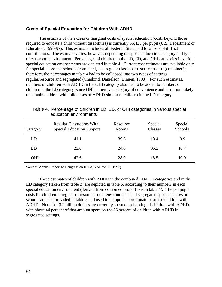### **Costs of Special Education for Children With ADHD**

The estimate of the excess or marginal costs of special education (costs beyond those required to educate a child without disabilities) is currently \$5,435 per pupil (U.S. Department of Education, 1990-97). This estimate includes all Federal, State, and local school district contributions. The estimate varies, however, depending on special education category and type of classroom environment. Percentages of children in the LD, ED, and OHI categories in various special education environments are depicted in table 4. Current cost estimates are available only for special classes or schools (combined) and regular classes or resource rooms (combined); therefore, the percentages in table 4 had to be collapsed into two types of settings, regular/resource and segregated (Chaikind, Danielson, Brauen, 1993). For such estimates, numbers of children with ADHD in the OHI category also had to be added to numbers of children in the LD category, since OHI is merely a category of convenience and thus more likely to contain children with mild cases of ADHD similar to children in the LD category.

| Category | <b>Regular Classrooms With</b><br><b>Special Education Support</b> | Resource<br>Rooms | Special<br>Classes | Special<br>Schools |
|----------|--------------------------------------------------------------------|-------------------|--------------------|--------------------|
| LD       | 41.1                                                               | 39.6              | 18.4               | 0.9                |
| ED       | 22.0                                                               | 24.0              | 35.2               | 18.7               |
| OHI      | 42.6                                                               | 28.9              | 18.5               | 10.0               |

### **Table 4.** Percentage of children in LD, ED, or OHI categories in various special education environments

Source: Annual Report to Congress on IDEA, Volume 19 (1997).

These estimates of children with ADHD in the combined LD/OHI categories and in the ED category (taken from table 3) are depicted in table 5, according to their numbers in each special education environment (derived from combined proportions in table 4). The per pupil costs for children in regular or resource room environments and segregated special classes or schools are also provided in table 5 and used to compute approximate costs for children with ADHD. Note that 3.2 billion dollars are currently spent on schooling of children with ADHD, with about 44 percent of that amount spent on the 26 percent of children with ADHD in segregated settings.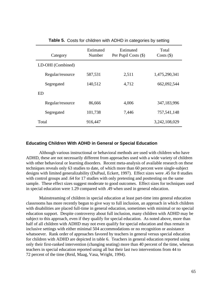| Category          | Estimated<br>Number | Estimated<br>Per Pupil Costs (\$) | Total<br>$Costs$ (\$) |
|-------------------|---------------------|-----------------------------------|-----------------------|
| LD-OHI (Combined) |                     |                                   |                       |
| Regular/resource  | 587,531             | 2,511                             | 1,475,290,341         |
| Segregated        | 140,512             | 4,712                             | 662,092,544           |
| <b>ED</b>         |                     |                                   |                       |
| Regular/resource  | 86,666              | 4,006                             | 347,183,996           |
| Segregated        | 101,738             | 7,446                             | 757,541,148           |
| Total             | 916,447             |                                   | 3,242,108,029         |

**Table 5.** Costs for children with ADHD in categories by setting

### **Educating Children With ADHD in General or Special Education**

Although various instructional or behavioral methods are used with children who have ADHD, these are not necessarily different from approaches used with a wide variety of children with other behavioral or learning disorders. Recent meta-analysis of available research on these techniques reveals only 63 studies to date, of which more than 60 percent were single-subject designs with limited generalizability (DuPaul, Eckert, 1997). Effect sizes were .45 for 8 studies with control groups and .64 for 17 studies with only pretesting and posttesting on the same sample. These effect sizes suggest moderate to good outcomes. Effect sizes for techniques used in special education were 1.29 compared with .49 when used in general education.

Mainstreaming of children in special education at least part-time into general education classrooms has more recently begun to give way to full inclusion, an approach in which children with disabilities are placed full-time in general education, sometimes with minimal or no special education support. Despite controversy about full inclusion, many children with ADHD may be subject to this approach, even if they qualify for special education. As noted above, more than half of all children with ADHD may not even qualify for special education and thus remain in inclusive settings with either minimal 504 accommodations or no recognition or assistance whatsoever. Rank order of approaches favored by teachers in general versus special education for children with ADHD are depicted in table 6. Teachers in general education reported using only their first-ranked intervention (changing seating) more than 40 percent of the time, whereas teachers in special education reported using all but their last two interventions from 44 to 72 percent of the time (Reid, Maag, Vasa, Wright, 1994).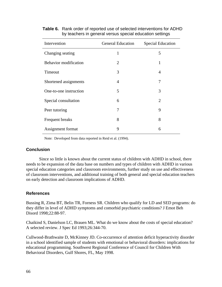| Intervention           | <b>General Education</b> | <b>Special Education</b> |
|------------------------|--------------------------|--------------------------|
| Changing seating       | $\mathbf{1}$             | 5                        |
| Behavior modification  | $\overline{2}$           | 1                        |
| Timeout                | 3                        | 4                        |
| Shortened assignments  | 4                        | 7                        |
| One-to-one instruction | 5                        | 3                        |
| Special consultation   | 6                        | $\overline{2}$           |
| Peer tutoring          | 7                        | 9                        |
| Frequent breaks        | 8                        | 8                        |
| Assignment format      | 9                        | 6                        |

## **Table 6.** Rank order of reported use of selected interventions for ADHD by teachers in general versus special education settings

Note: Developed from data reported in Reid et al. (1994).

### **Conclusion**

Since so little is known about the current status of children with ADHD in school, there needs to be expansion of the data base on numbers and types of children with ADHD in various special education categories and classroom environments, further study on use and effectiveness of classroom interventions, and additional training of both general and special education teachers on early detection and classroom implications of ADHD.

### **References**

Bussing R, Zima BT, Belin TR, Forness SR. Children who qualify for LD and SED programs: do they differ in level of ADHD symptoms and comorbid psychiatric conditions? J Emot Beh Disord 1998;22:88-97.

Chaikind S, Danielson LC, Brauen ML. What do we know about the costs of special education? A selected review. J Spec Ed 1993;26:344-70.

Cullwood-Brathwaite D, McKinney JD. Co-occurrence of attention deficit hyperactivity disorder in a school identified sample of students with emotional or behavioral disorders: implications for educational programming. Southwest Regional Conference of Council for Children With Behavioral Disorders, Gulf Shores, FL, May 1998.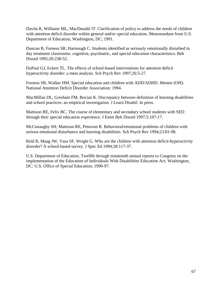Davila R, Williams ML, MacDonald JT. Clarification of policy to address the needs of children with attention deficit disorder within general and/or special education. Memorandum from U.S. Department of Education, Washington, DC; 1991.

Duncan B, Forness SR, Hartsough C. Students identified as seriously emotionally disturbed in day treatment classrooms: cognitive, psychiatric, and special education characteristics. Beh Disord 1995;20:238-52.

DuPaul GJ, Eckert TL. The effects of school-based interventions for attention deficit hyperactivity disorder: a meta analysis. Sch Psych Rev 1997;26:5-27.

Forness SR, Walker HM. Special education and children with ADD/ADHD. Mentor (OH): National Attention Deficit Disorder Association; 1994.

MacMillan DL, Gresham FM, Bocian K. Discrepancy between definition of learning disabilities and school practices: an empirical investigation. J Learn Disabil. In press.

Mattison RE, Felix BC. The course of elementary and secondary school students with SED through their special education experience. J Emot Beh Disord 1997;5:107-17.

McConaughy SH, Mattison RE, Peterson R. Behavioral/emotional problems of children with serious emotional disturbance and learning disabilities. Sch Psych Rev 1994;23:81-98.

Reid R, Maag JW, Vasa SF, Wright G. Who are the children with attention deficit-hyperactivity disorder? A school-based survey. J Spec Ed 1994;28:117-37.

U.S. Department of Education. Twelfth through nineteenth annual reports to Congress on the implementation of the Education of Individuals With Disabilities Education Act. Washington, DC: U.S. Office of Special Education; 1990-97.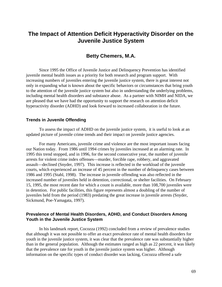# **The Impact of Attention Deficit Hyperactivity Disorder on the Juvenile Justice System**

# **Betty Chemers, M.A.**

Since 1995 the Office of Juvenile Justice and Delinquency Prevention has identified juvenile mental health issues as a priority for both research and program support. With increasing numbers of juveniles entering the juvenile justice system, there is great interest not only in expanding what is known about the specific behaviors or circumstances that bring youth to the attention of the juvenile justice system but also in understanding the underlying problems, including mental health disorders and substance abuse. As a partner with NIMH and NIDA, we are pleased that we have had the opportunity to support the research on attention deficit hyperactivity disorder (ADHD) and look forward to increased collaboration in the future.

### **Trends in Juvenile Offending**

To assess the impact of ADHD on the juvenile justice system, it is useful to look at an updated picture of juvenile crime trends and their impact on juvenile justice agencies.

For many Americans, juvenile crime and violence are the most important issues facing our Nation today. From 1986 until 1994 crimes by juveniles increased at an alarming rate. In 1995 this trend stopped, and in 1996, for the second consecutive year, the number of juvenile arrests for violent crime index offenses—murder, forcible rape, robbery, and aggravated assault—declined (Snyder, 1997). This increase is reflected in the workload of the juvenile courts, which experienced an increase of 45 percent in the number of delinquency cases between 1986 and 1995 (Stahl, 1998). The increase in juvenile offending was also reflected in the increased number of juveniles held in detention, correctional, or shelter facilities. On February 15, 1995, the most recent date for which a count is available, more than 108,700 juveniles were in detention. For public facilities, this figure represents almost a doubling of the number of juveniles held from the period (1983) predating the great increase in juvenile arrests (Snyder, Sickmund, Poe-Yamagata, 1997).

### **Prevalence of Mental Health Disorders, ADHD, and Conduct Disorders Among Youth in the Juvenile Justice System**

In his landmark report, Cocozza (1992) concluded from a review of prevalence studies that although it was not possible to offer an exact prevalence rate of mental health disorders for youth in the juvenile justice system, it was clear that the prevalence rate was substantially higher than in the general population. Although the estimates ranged as high as 22 percent, it was likely that the prevalence rate for youth in the juvenile justice system was higher. Although information on the specific types of conduct disorder was lacking, Cocozza offered a safe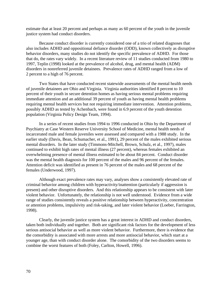estimate that at least 20 percent and perhaps as many as 60 percent of the youth in the juvenile justice system had conduct disorders.

Because conduct disorder is currently considered one of a trio of related diagnoses that also includes ADHD and oppositional defiance disorder (ODD), known collectively as disruptive behavior disorders, many studies do not identify the specific prevalence of ADHD. For those that do, the rates vary widely. In a recent literature review of 11 studies conducted from 1980 to 1997, Teplin (1998) looked at the prevalence of alcohol, drug, and mental health (ADM) disorders in nonreferred juvenile detainees. Prevalence rates of ADHD ranged from a low of 2 percent to a high of 76 percent.

Two States that have conducted recent statewide assessments of the mental health needs of juvenile detainees are Ohio and Virginia. Virginia authorities identified 8 percent to 10 percent of their youth in secure detention homes as having serious mental problems requiring immediate attention and an additional 39 percent of youth as having mental health problems requiring mental health services but not requiring immediate intervention. Attention problems, possibly ADHD as tested by Achenbach, were found in 6.9 percent of the youth detention population (Virginia Policy Design Team, 1994).

In a series of recent studies from 1994 to 1996 conducted in Ohio by the Department of Psychiatry at Case Western Reserve University School of Medicine, mental health needs of incarcerated male and female juveniles were assessed and compared with a 1988 study. In the earlier study (Davis, Bean, Schumacher, et al., 1991), 29 percent of the males exhibited serious mental disorders. In the later study (Timmons-Mitchell, Brown, Schulz, et al., 1997), males continued to exhibit high rates of mental illness (27 percent), whereas females exhibited an overwhelming presence of mental illness estimated to be about 84 percent. Conduct disorder was the mental health diagnosis for 100 percent of the males and 96 percent of the females. Attention deficit was identified as present in 76 percent of the males and 68 percent of the females (Underwood, 1997).

Although exact prevalence rates may vary, analyses show a consistently elevated rate of criminal behavior among children with hyperactivity/inattention (particularly if aggression is present) and other disruptive disorders. And this relationship appears to be consistent with later violent behavior. Unfortunately, the relationship is not well understood. Evidence from a wide range of studies consistently reveals a positive relationship between hyperactivity, concentration or attention problems, impulsivity and risk-taking, and later violent behavior (Loeber, Farrington, 1998).

Clearly, the juvenile justice system has a great interest in ADHD and conduct disorders, taken both individually and together. Both are significant risk factors for the development of less serious antisocial behavior as well as more violent behavior. Furthermore, there is evidence that the comorbidity is associated with more arrests and more antisocial behavior, which start at a younger age, than with conduct disorder alone. The comorbidity of the two disorders seems to combine the worst features of both (Foley, Carlton, Howell, 1996).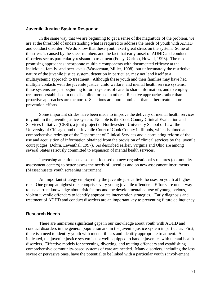#### **Juvenile Justice System Response**

In the same way that we are beginning to get a sense of the magnitude of the problem, we are at the threshold of understanding what is required to address the needs of youth with ADHD and conduct disorder. We do know that these youth exert great stress on the system. Some of the stress is caused by the sheer numbers and the fact that early onset of ADHD and conduct disorders seems particularly resistant to treatment (Foley, Carlton, Howell, 1996). The most promising approaches incorporate multiple components with documented efficacy at the individual, family, and peer levels (Wasserman, Miller, 1998), but unfortunately the restrictive nature of the juvenile justice system, detention in particular, may not lend itself to a multisystemic approach to treatment. Although these youth and their families may have had multiple contacts with the juvenile justice, child welfare, and mental health service systems, these systems are just beginning to form systems of care, to share information, and to employ treatments established in one discipline for use in others. Reactive approaches rather than proactive approaches are the norm. Sanctions are more dominant than either treatment or prevention efforts.

Some important strides have been made to improve the delivery of mental health services to youth in the juvenile justice system. Notable is the Cook County Clinical Evaluation and Services Initiative (CESI), a joint project of Northwestern University School of Law, the University of Chicago, and the Juvenile Court of Cook County in Illinois, which is aimed at a comprehensive redesign of the Department of Clinical Services and a correlating reform of the use and acquisition of information obtained from the provision of clinical services by the juvenile court judges (Dohrn, Leventhal, 1997). As described earlier, Virginia and Ohio are among several States seriously committed to expansion of mental health services.

Increasing attention has also been focused on new organizational structures (community assessment centers) to better assess the needs of juveniles and on new assessment instruments (Massachusetts youth screening instrument).

An important strategy employed by the juvenile justice field focuses on youth at highest risk. One group at highest risk comprises very young juvenile offenders. Efforts are under way to use current knowledge about risk factors and the developmental course of young, serious, violent juvenile offenders to identify appropriate intervention strategies. Early diagnosis and treatment of ADHD and conduct disorders are an important key to preventing future delinquency.

#### **Research Needs**

There are numerous significant gaps in our knowledge about youth with ADHD and conduct disorders in the general population and in the juvenile justice system in particular. First, there is a need to identify youth with mental illness and identify appropriate treatment. As indicated, the juvenile justice system is not well equipped to handle juveniles with mental health disorders. Effective models for screening, diverting, and treating offenders and establishing comprehensive community-based systems of care are needed. Many disorders, including the less severe or pervasive ones, have the potential to be linked with a particular youth's involvement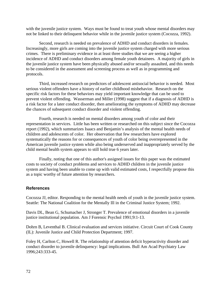with the juvenile justice system. Ways must be found to treat youth whose mental disorders may not be linked to their delinquent behavior while in the juvenile justice system (Cocozza, 1992).

Second, research is needed on prevalence of ADHD and conduct disorders in females. Increasingly, more girls are coming into the juvenile justice system charged with more serious crimes. There is preliminary evidence in at least three studies that we are seeing a higher incidence of ADHD and conduct disorders among female youth detainees. A majority of girls in the juvenile justice system have been physically abused and/or sexually assaulted, and this needs to be considered in the assessment and screening process as well as in programming and protocols.

Third, increased research on predictors of adolescent antisocial behavior is needed. Most serious violent offenders have a history of earlier childhood misbehavior. Research on the specific risk factors for these behaviors may yield important knowledge that can be used to prevent violent offending. Wasserman and Miller (1998) suggest that if a diagnosis of ADHD is a risk factor for a later conduct disorder, then ameliorating the symptoms of ADHD may decrease the chances of subsequent conduct disorder and violent offending.

Fourth, research is needed on mental disorders among youth of color and their representation in services. Little has been written or researched on this subject since the Cocozza report (1992), which summarizes Isaacs and Benjamin's analysis of the mental health needs of children and adolescents of color. Her observation that few researchers have explored systematically the reasons for or consequences of youth of color being overrepresented in the American juvenile justice system while also being underserved and inappropriately served by the child mental health system appears to still hold true 6 years later.

Finally, noting that one of this author's assigned issues for this paper was the estimated costs to society of conduct problems and services to ADHD children in the juvenile justice system and having been unable to come up with valid estimated costs, I respectfully propose this as a topic worthy of future attention by researchers.

### **References**

Cocozza JJ, editor. Responding to the mental health needs of youth in the juvenile justice system. Seattle: The National Coalition for the Mentally Ill in the Criminal Justice System; 1992.

Davis DL, Bean G, Schumacher J, Stronger T. Prevalence of emotional disorders in a juvenile justice institutional population. Am J Forensic Psychol 1991;9:1-13.

Dohrn B, Leventhal B. Clinical evaluation and services initiative. Circuit Court of Cook County (IL): Juvenile Justice and Child Protection Department; 1997.

Foley H, Carlton C, Howell R. The relationship of attention deficit hyperactivity disorder and conduct disorder to juvenile delinquency: legal implications. Bull Am Acad Psychiatry Law 1996;243:333-45.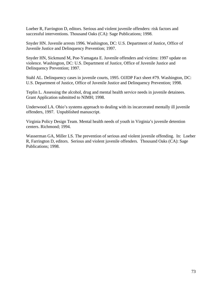Loeber R, Farrington D, editors. Serious and violent juvenile offenders: risk factors and successful interventions. Thousand Oaks (CA): Sage Publications; 1998.

Snyder HN. Juvenile arrests 1996. Washington, DC: U.S. Department of Justice, Office of Juvenile Justice and Delinquency Prevention; 1997.

Snyder HN, Sickmund M, Poe-Yamagata E. Juvenile offenders and victims: 1997 update on violence. Washington, DC: U.S. Department of Justice, Office of Juvenile Justice and Delinquency Prevention; 1997.

Stahl AL. Delinquency cases in juvenile courts, 1995. OJJDP Fact sheet #79. Washington, DC: U.S. Department of Justice, Office of Juvenile Justice and Delinquency Prevention; 1998.

Teplin L. Assessing the alcohol, drug and mental health service needs in juvenile detainees. Grant Application submitted to NIMH; 1998.

Underwood LA. Ohio's systems approach to dealing with its incarcerated mentally ill juvenile offenders, 1997. Unpublished manuscript.

Virginia Policy Design Team. Mental health needs of youth in Virginia's juvenile detention centers. Richmond; 1994.

Wasserman GA, Miller LS. The prevention of serious and violent juvenile offending. In: Loeber R, Farrington D, editors. Serious and violent juvenile offenders. Thousand Oaks (CA): Sage Publications; 1998.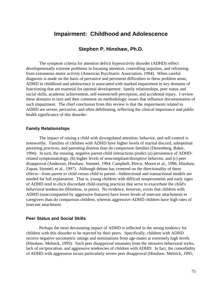# **Impairment: Childhood and Adolescence**

# **Stephen P. Hinshaw, Ph.D.**

The symptom criteria for attention deficit hyperactivity disorder (ADHD) reflect developmentally extreme problems in focusing attention, controlling impulses, and refraining from extraneous motor activity (American Psychiatric Association, 1994). When careful diagnosis is made on the basis of pervasive and persistent difficulties in these problem areas, ADHD in childhood and adolescence is associated with marked impairment in key domains of functioning that are essential for optimal development: family relationships, peer status and social skills, academic achievement, self-esteem/self-perception, and accidental injury. I review these domains in turn and then comment on methodologic issues that influence documentation of such impairment. The chief conclusion from this review is that the impairments related to ADHD are severe, pervasive, and often debilitating, reflecting the clinical importance and public health significance of this disorder.

### **Family Relationships**

The impact of raising a child with dysregulated attention, behavior, and self-control is noteworthy. Families of children with ADHD have higher levels of marital discord, suboptimal parenting practices, and parenting distress than do comparison families (Donenberg, Baker, 1994). In turn, the ensuing, negative parent-child interactions predict (a) persistence of ADHDrelated symptomatology, (b) higher levels of noncompliant/disruptive behavior, and (c) peer disapproval (Anderson, Hinshaw, Simmel, 1994; Campbell, Pierce, Moore et al., 1996; Hinshaw, Zupan, Simmel, et al., 1997). Although debate has centered on the directionality of these effects—from parent to child versus child to parent—bidirectional and transactional models are needed for full explanation. That is, young children with difficult temperaments and early signs of ADHD tend to elicit discordant child-rearing practices that serve to exacerbate the child's behavioral tendencies (Hinshaw, in press). No evidence, however, exists that children with ADHD (unaccompanied by aggressive features) have lower levels of insecure attachments to caregivers than do comparison children, whereas aggressive-ADHD children have high rates of insecure attachment.

#### **Peer Status and Social Skills**

Perhaps the most devastating impact of ADHD is reflected in the strong tendency for children with this disorder to be rejected by their peers. Specifically, children with ADHD receive negative sociometric ratings and nominations from age-mates at extremely high levels (Hinshaw, Melnick, 1995). Such peer disapproval emanates from the intrusive behavioral styles, lack of reciprocation, and aggressive tendencies of children with ADHD. In fact, the comorbidity of ADHD with aggression incurs particularly severe peer disapproval (Hinshaw, Melnick, 1995;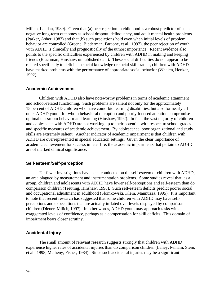Milich, Landau, 1989). Given that (a) peer rejection in childhood is a robust predictor of such negative long-term outcomes as school dropout, delinquency, and adult mental health problems (Parker, Asher, 1987) and that (b) such predictions hold even when initial levels of problem behavior are controlled (Greene, Biederman, Faraone, et al., 1997), the peer rejection of youth with ADHD is clinically and prognostically of the utmost importance. Recent evidence also points to the specific difficulties experienced by children with ADHD in making and keeping friends (Blachman, Hinshaw, unpublished data). These social difficulties do not appear to be related specifically to deficits in social knowledge or social skill; rather, children with ADHD have marked problems with the performance of appropriate social behavior (Whalen, Henker, 1992).

### **Academic Achievement**

Children with ADHD also have noteworthy problems in terms of academic attainment and school-related functioning. Such problems are salient not only for the approximately 15 percent of ADHD children who have comorbid learning disabilities, but also for nearly all other ADHD youth, for whom behavioral disruption and poorly focused attention compromise optimal classroom behavior and learning (Hinshaw, 1992). In fact, the vast majority of children and adolescents with ADHD are not working up to their potential with respect to school grades and specific measures of academic achievement. By adolescence, poor organizational and study skills are extremely salient. Another indicator of academic impairment is that children with ADHD are overrepresented in special education settings. Given the clear importance of academic achievement for success in later life, the academic impairments that pertain to ADHD are of marked clinical significance.

### **Self-esteem/Self-perception**

Far fewer investigations have been conducted on the self-esteem of children with ADHD, an area plagued by measurement and instrumentation problems. Some studies reveal that, as a group, children and adolescents with ADHD have lower self-perceptions and self-esteem than do comparison children (Treuting, Hinshaw, 1998). Such self-esteem deficits predict poorer social and occupational adjustment in adulthood (Slomkowski, Klein, Mannuzza, 1995). It is important to note that recent research has suggested that some children with ADHD may have selfperceptions and expectations that are actually inflated over levels displayed by comparison children (Diener, Milich, 1997). In other words, ADHD youth may approach tasks with exaggerated levels of confidence, perhaps as a compensation for skill deficits. This domain of impairment bears closer scrutiny.

### **Accidental Injury**

The small amount of relevant research suggests strongly that children with ADHD experience higher rates of accidental injuries than do comparison children (Lahey, Pelham, Stein, et al., 1998; Matheny, Fisher, 1984). Since such accidental injuries may be a significant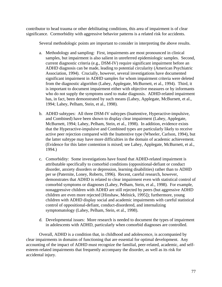contributor to head trauma or other debilitating conditions, this area of impairment is of clear significance. Cormorbidity with aggressive behavior patterns is a related risk for accidents.

Several methodologic points are important to consider in interpreting the above results.

- a. Methodology and sampling: First, impairments are most pronounced in clinical samples, but impairment is also salient in unreferred epidemiologic samples. Second, current diagnostic criteria (e.g., DSM-IV) require significant impairment before an ADHD diagnosis can be made, leading to potential circularity (American Psychiatric Association, 1994). Crucially, however, several investigations have documented significant impairment in ADHD samples for whom impairment criteria were deleted from the diagnostic algorithm (Lahey, Applegate, McBurnett, et al., 1994). Third, it is important to document impairment either with objective measures or by informants who do not supply the symptoms used to make diagnosis. ADHD-related impairment has, in fact, been demonstrated by such means (Lahey, Applegate, McBurnett, et al., 1994; Lahey, Pelham, Stein, et al., 1998).
- b. ADHD subtypes: All three DSM-IV subtypes (Inattentive, Hyperactive-impulsive, and Combined) have been shown to display clear impairment (Lahey, Applegate, McBurnett, 1994; Lahey, Pelham, Stein, et al., 1998). In addition, evidence exists that the Hyperactive-impulsive and Combined types are particularly likely to receive active peer rejection compared with the Inattentive type (Wheeler, Carlson, 1994), but the latter subtype may have more difficulties in the domain of academic achievement. (Evidence for this latter contention is mixed; see Lahey, Applegate, McBurnett, et al., 1994.)
- c. Comorbidity: Some investigations have found that ADHD-related impairment is attributable specifically to comorbid conditions (oppositional-defiant or conduct disorder, anxiety disorders or depression, learning disabilities) rather than to ADHD per se (Paternite, Loney, Roberts, 1996). Recent, careful research, however, demonstrates that ADHD is related to clear impairment even with statistical control of comorbid symptoms or diagnoses (Lahey, Pelham, Stein, et al., 1998). For example, nonaggressive children with ADHD are still rejected by peers (but aggressive ADHD children are even more rejected [Hinshaw, Melnick, 1995]); furthermore, young children with ADHD display social and academic impairments with careful statistical control of oppositional-defiant, conduct-disordered, and internalizing symptomatology (Lahey, Pelham, Stein, et al., 1998).
- d. Developmental issues: More research is needed to document the types of impairment in adolescents with ADHD, particularly when comorbid diagnoses are controlled.

Overall, ADHD is a condition that, in childhood and adolescence, is accompanied by clear impairments in domains of functioning that are essential for optimal development. Any accounting of the impact of ADHD must recognize the familial, peer-related, academic, and selfesteem-related impairments that frequently accompany the disorder, as well as its risk for accidental injury.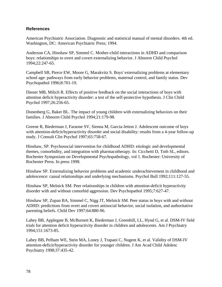## **References**

American Psychiatric Association. Diagnostic and statistical manual of mental disorders. 4th ed. Washington, DC: American Psychiatric Press; 1994.

Anderson CA, Hinshaw SP, Simmel C. Mother-child interactions in ADHD and comparison boys: relationships to overt and covert externalizing behavior. J Abnorm Child Psychol 1994;22:247-65.

Campbell SB, Pierce EW, Moore G, Marakvitz S. Boys' externalizing problems at elementary school age: pathways from early behavior problems, maternal control, and family status. Dev Psychopathol 1996;8:701-19.

Diener MB, Milich R. Effects of positive feedback on the social interactions of boys with attention deficit hyperactivity disorder: a test of the self-protective hypothesis. J Clin Child Psychol 1997;26:256-65.

Donenberg G, Baker BL. The impact of young children with externalizing behaviors on their families. J Abnorm Child Psychol 1994;21:179-98.

Greene R, Biederman J, Faraone SV, Sienna M, Garcia-Jetton J. Adolescent outcome of boys with attention-deficit/hyperactivity disorder and social disability: results from a 4-year follow-up study. J Consult Clin Psychol 1997;65:758-67.

Hinshaw, SP. Psychosocial intervention for childhood ADHD: etiologic and developmental themes, comorbidity, and integration with pharmacotherapy. In: Cicchetti D, Toth SL, editors. Rochester Symposium on Developmental Psychopathology, vol 1. Rochester: University of Rochester Press. In press 1998.

Hinshaw SP. Externalizing behavior problems and academic underachievement in childhood and adolescence: causal relationships and underlying mechanisms. Psychol Bull 1992;111:127-55.

Hinshaw SP, Melnick SM. Peer relationships in children with attention-deficit hyperactivity disorder with and without comorbid aggression. Dev Psychopathol 1995;7:627-47.

Hinshaw SP, Zupan BA, Simmel C, Nigg JT, Melnick SM. Peer status in boys with and without ADHD: predictions from overt and covert antisocial behavior, social isolation, and authoritative parenting beliefs. Child Dev 1997;64:880-96.

Lahey BB, Applegate B, McBurnett K, Biederman J, Greenhill, LL, Hynd G, et al. DSM-IV field trials for attention deficit hyperactivity disorder in children and adolescents. Am J Psychiatry 1994;151:1673-85.

Lahey BB, Pelham WE, Stein MA, Loney J, Trapani C, Nugent K, et al. Validity of DSM-IV attention-deficit/hyperactivity disorder for younger children. J Am Acad Child Adolesc Psychiatry 1998;37:435-42.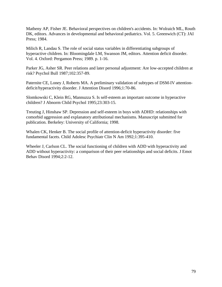Matheny AP, Fisher JE. Behavioral perspectives on children's accidents. In: Wolraich ML, Routh DK, editors. Advances in developmental and behavioral pediatrics. Vol. 5. Greenwich (CT): JAI Press; 1984.

Milich R, Landau S. The role of social status variables in differentiating subgroups of hyperactive children. In: Bloomingdale LM, Swanson JM, editors. Attention deficit disorder. Vol. 4. Oxford: Pergamon Press; 1989. p. 1-16.

Parker JG, Asher SR. Peer relations and later personal adjustment: Are low-accepted children at risk? Psychol Bull 1987;102:357-89.

Paternite CE, Loney J, Roberts MA. A preliminary validation of subtypes of DSM-IV attentiondeficit/hyperactivity disorder. J Attention Disord 1996;1:70-86.

Slomkowski C, Klein RG, Mannuzza S. Is self-esteem an important outcome in hyperactive children? J Abnorm Child Psychol 1995;23:303-15.

Treuting J, Hinshaw SP. Depression and self-esteem in boys with ADHD: relationships with comorbid aggression and explanatory attributional mechanisms. Manuscript submitted for publication. Berkeley: University of California; 1998.

Whalen CK, Henker B. The social profile of attention-deficit hyperactivity disorder: five fundamental facets. Child Adolesc Psychiatr Clin N Am 1992;1:395-410.

Wheeler J, Carlson CL. The social functioning of children with ADD with hyperactivity and ADD without hyperactivity: a comparison of their peer relationships and social deficits. J Emot Behav Disord 1994;2:2-12.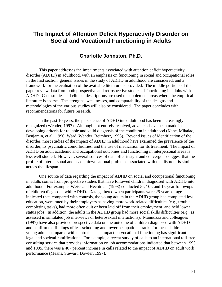## **The Impact of Attention Deficit Hyperactivity Disorder on Social and Vocational Functioning in Adults**

## **Charlotte Johnston, Ph.D.**

This paper addresses the impairments associated with attention deficit hyperactivity disorder (ADHD) in adulthood, with an emphasis on functioning in social and occupational roles. In the first section, general issues in the study of ADHD in adulthood are considered, and a framework for the evaluation of the available literature is provided. The middle portions of the paper review data from both prospective and retrospective studies of functioning in adults with ADHD. Case studies and clinical descriptions are used to supplement areas where the empirical literature is sparse. The strengths, weaknesses, and comparability of the designs and methodologies of the various studies will also be considered. The paper concludes with recommendations for future research.

In the past 10 years, the persistence of ADHD into adulthood has been increasingly recognized (Wender, 1997). Although not entirely resolved, advances have been made in developing criteria for reliable and valid diagnosis of the condition in adulthood (Kane, Mikalac, Benjamin, et al., 1990; Ward, Wender, Reimherr, 1993). Beyond issues of identification of the disorder, most studies of the impact of ADHD in adulthood have examined the prevalence of the disorder, its psychiatric comorbidities, and the use of medication for its treatment. The impact of ADHD on adult academic and occupational outcomes and functioning in interpersonal areas is less well studied. However, several sources of data offer insight and converge to suggest that the profile of interpersonal and academic/vocational problems associated with the disorder is similar across the lifespan.

One source of data regarding the impact of ADHD on social and occupational functioning in adults comes from prospective studies that have followed children diagnosed with ADHD into adulthood. For example, Weiss and Hechtman (1993) conducted 5-, 10-, and 15-year followups of children diagnosed with ADHD. Data gathered when participants were 25 years of age indicated that, compared with controls, the young adults in the ADHD group had completed less education, were rated by their employers as having more work-related difficulties (e.g., trouble completing tasks), had more often quit or been laid off from their employment, and held lower status jobs. In addition, the adults in the ADHD group had more social skills difficulties (e.g., as assessed in simulated job interviews or heterosexual interactions). Mannuzza and colleagues (1997) have also provided prospective data on the outcome of children diagnosed with ADHD and confirm the findings of less schooling and lower occupational ranks for these children as young adults compared with controls. This impact on vocational functioning has significant legal and societal ramifications. For example, a recent survey of calls to an international toll-free consulting service that provides information on job accommodations indicated that between 1993 and 1995, there was a 407 percent increase in calls related to the impact of ADHD on adult work performance (Means, Stewart, Dowler, 1997).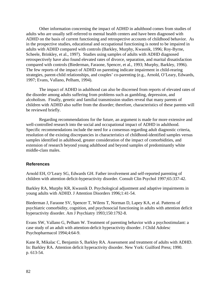Other information concerning the impact of ADHD in adulthood comes from studies of adults who are usually self-referred to mental health centers and have been diagnosed with ADHD on the basis of current functioning and retrospective accounts of childhood behavior. As in the prospective studies, educational and occupational functioning is noted to be impaired in adults with ADHD compared with controls (Barkley, Murphy, Kwasnik, 1996; Roy-Byrne, Scheele, Brinkley, et al., 1997). Studies using samples of adults with ADHD diagnosed retrospectively have also found elevated rates of divorce, separation, and marital dissatisfaction compared with controls (Biederman, Faraone, Spencer, et al., 1993; Murphy, Barkley, 1996). The few reports of the impact of ADHD on parenting indicate impairment in child-rearing strategies, parent-child relationships, and couples' co-parenting (e.g., Arnold, O'Leary, Edwards, 1997; Evans, Vallano, Pelham, 1994).

The impact of ADHD in adulthood can also be discerned from reports of elevated rates of the disorder among adults suffering from problems such as gambling, depression, and alcoholism. Finally, genetic and familial transmission studies reveal that many parents of children with ADHD also suffer from the disorder; therefore, characteristics of these parents will be reviewed briefly.

Regarding recommendations for the future, an argument is made for more extensive and well-controlled research into the social and occupational impact of ADHD in adulthood. Specific recommendations include the need for a consensus regarding adult diagnostic criteria, resolution of the existing discrepancies in characteristics of childhood-identified samples versus samples identified in adulthood, greater consideration of the impact of comorbidities, and extension of research beyond young adulthood and beyond samples of predominantly white middle-class males.

#### **References**

Arnold EH, O'Leary SG, Edwards GH. Father involvement and self-reported parenting of children with attention deficit-hyperactivity disorder. Consult Clin Psychol 1997;65:337-42.

Barkley RA, Murphy KR, Kwasnik D. Psychological adjustment and adaptive impairments in young adults with ADHD. J Attention Disorders 1996;1:41-54.

Biederman J, Faraone SV, Spencer T, Wilens T, Norman D, Lapey KA, et al. Patterns of psychiatric comorbidity, cognition, and psychosocial functioning in adults with attention deficit hyperactivity disorder. Am J Psychiatry 1993;150:1792-8.

Evans SW, Vallano G, Pelham W. Treatment of parenting behavior with a psychostimulant: a case study of an adult with attention-deficit hyperactivity disorder. J Child Adolesc Psychopharmacol 1994;4:64-9.

Kane R, Mikalac C, Benjamin S, Barkley RA. Assessment and treatment of adults with ADHD. In: Barkley RA. Attention deficit hyperactivity disorder. New York: Guilford Press; 1990. p. 613-54.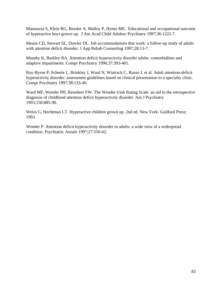Mannuzza S, Klein RG, Bessler A, Malloy P, Hynes ME. Educational and occupational outcome of hyperactive boys grown up. J Am Acad Child Adolesc Psychiatry 1997;36:1222-7.

Means CD, Stewart SL, Dowler DL. Job accommodations that work: a follow-up study of adults with attention deficit disorder. J App Rehab Counseling 1997;28:13-7.

Murphy K, Barkley RA. Attention deficit hyperactivity disorder adults: comorbidities and adaptive impairments. Compr Psychiatry 1996;37:393-401.

Roy-Byrne P, Scheele L, Brinkley J, Ward N, Wiatrack C, Russo J, et al. Adult attention-deficit hyperactivity disorder: assessment guidelines based on clinical presentation to a specialty clinic. Compr Psychiatry 1997;38:133-40.

Ward MF, Wender PH, Reimherr FW. The Wender Utah Rating Scale: an aid in the retrospective diagnosis of childhood attention deficit hyperactivity disorder. Am J Psychiatry 1993;150:885-90.

Weiss G, Hechtman LT. Hyperactive children grown up. 2nd ed. New York: Guilford Press; 1993.

Wender P. Attention deficit hyperactivity disorder in adults: a wide view of a widespread condition. Psychiatric Annals 1997;27:556-62.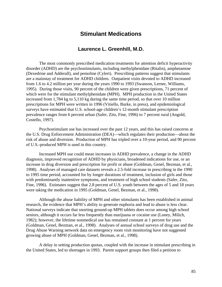## **Stimulant Medications**

## **Laurence L. Greenhill, M.D.**

The most commonly prescribed medication treatments for attention deficit hyperactivity disorder (ADHD) are the psychostimulants, including methylphenidate (Ritalin), amphetamine (Dexedrine and Adderall), and pemoline (Cylert). Prescribing patterns suggest that stimulants are a mainstay of treatment for ADHD children. Outpatient visits devoted to ADHD increased from 1.6 to 4.2 million per year during the years 1990 to 1993 (Swanson, Lerner, Williams, 1995). During those visits, 90 percent of the children were given prescriptions, 71 percent of which were for the stimulant methylphenidate (MPH). MPH production in the United States increased from 1,784 kg to 5,110 kg during the same time period, so that over 10 million prescriptions for MPH were written in 1996 (Vitiello, Burke, in press), and epidemiological surveys have estimated that U.S. school-age children's 12-month stimulant prescription prevalence ranges from 6 percent urban (Safer, Zito, Fine, 1996) to 7 percent rural (Angold, Costello, 1997).

Psychostimulant use has increased over the past 12 years, and this has raised concerns at the U.S. Drug Enforcement Administration (DEA)—which regulates their production—about the risk of abuse and diversion. Production of MPH has tripled over a 10-year period, and 90 percent of U.S.-produced MPH is used in this country.

Increased MPH use could mean increases in ADHD prevalence, a change in the ADHD diagnosis, improved recognition of ADHD by physicians, broadened indications for use, or an increase in drug diversion and prescription for profit or abuse (Goldman, Genel, Bezman, et al., 1998). Analyses of managed care datasets reveals a 2.5-fold increase in prescribing in the 1990 to 1995 time period, accounted for by longer durations of treatment, inclusion of girls and those with predominantly inattentive symptoms, and treatment of high school students (Safer, Zito, Fine, 1996). Estimates suggest that 2.8 percent of U.S. youth between the ages of 5 and 18 years were taking the medication in 1995 (Goldman, Genel, Bezman, et al., 1998).

Although the abuse liability of MPH and other stimulants has been established in animal research, the evidence that MPH's ability to generate euphoria and lead to abuse is less clear. National surveys indicate that snorting ground-up MPH tablets does occur among high school seniors, although it occurs far less frequently than marijuana or cocaine use (Loney, Milich, 1982); however, the lifetime nonmedical use has remained constant at 1 percent for years (Goldman, Genel, Bezman, et al., 1998). Analyses of annual school surveys of drug use and the Drug Abuse Warning network data on emergency room visit monitoring have not suggested growing abuse of MPH (Goldman, Genel, Bezman, et al., 1998).

A delay in setting production quotas, coupled with the increase in stimulant prescribing in the United States, led to shortages in 1993. Parent support groups then filed a petition to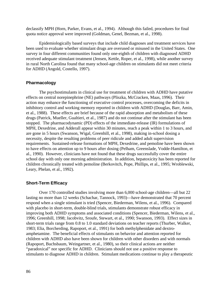declassify MPH (Horn, Parker, Evans, et al., 1994). Although this failed, procedures for final quota notice approval were improved (Goldman, Genel, Bezman, et al., 1998).

Epidemiologically based surveys that include child diagnoses and treatment services have been used to evaluate whether stimulant drugs are overused or misused in the United States. One survey in four different communities found only one-eighth of children with diagnosed ADHD received adequate stimulant treatment (Jensen, Kettle, Roper, et al., 1998), while another survey in rural North Carolina found that many school-age children on stimulants did not meet criteria for ADHD (Angold, Costello, 1997).

#### **Pharmacology**

The psychostimulants in clinical use for treatment of children with ADHD have putative effects on central norepinephrine (NE) pathways (Pliszka, McCracken, Maas, 1996). Their action may enhance the functioning of executive control processes, overcoming the deficits in inhibitory control and working memory reported in children with ADHD (Douglas, Barr, Amin, et al., 1988). These effects are brief because of the rapid absorption and metabolism of these drugs (Patrick, Mueller, Gualtieri, et al., 1987) and do not continue after the stimulant has been stopped. The pharmacodynamic (PD) effects of the immediate-release (IR) formulations of MPH, Dexedrine, and Adderall appear within 30 minutes, reach a peak within 1 to 3 hours, and are gone in 5 hours (Swanson, Wigal, Greenhill, et al., 1998), making in-school dosing a necessity, despite the resulting problems of peer ridicule and added adult supervision requirements. Sustained-release formations of MPH, Dexedrine, and pemoline have been shown to have effects on attention up to 9 hours after dosing (Pelham, Greenslade, Vodde-Hamilton, et al., 1990). However, clinicians have not found that these drugs successfully cover the entire school day with only one morning administration. In addition, hepatoxicity has been reported for children chronically treated with pemoline (Berkovitch, Pope, Phillips, et al., 1995; Wroblewski, Leary, Phelan, et al., 1992).

#### **Short-Term Efficacy**

Over 170 controlled studies involving more than 6,000 school-age children—all but 22 lasting no more than 12 weeks (Schachar, Tannock, 1993)—have demonstrated that 70 percent respond when a single stimulant is tried (Spencer, Biederman, Wilens, et al., 1996). Compared with placebo in short-term, double-blind trials, stimulants demonstrate robust efficacy in improving both ADHD symptoms and associated conditions (Spencer, Biederman, Wilens, et al., 1996; Greenhill, 1998; Jacobvitz, Sroufe, Stewart, et al., 1990; Swanson, 1993). Effect sizes in short-term trials range from 0.8 to 1.0 standard deviations on teacher reports (Thurber, Walker, 1983; Elia, Borcherding, Rapoport, et al., 1991) for both methylphenidate and dextroamphetamine. The beneficial effects of stimulants on behavior and attention reported for children with ADHD also have been shown for children with other disorders and with normals (Rapoport, Buchsbaum, Weingartner, et al., 1980), so their clinical actions are neither "paradoxical" nor specific for ADHD. Clinicians should not use a positive response to stimulants to diagnose ADHD in children. Stimulant medications continue to play a therapeutic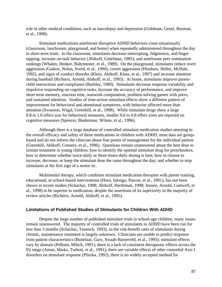role in other medical conditions, such as narcolepsy and depression (Goldman, Genel, Bezman, et al., 1998).

Stimulant medications ameliorate disruptive ADHD behaviors cross-situationally (classroom, lunchroom, playground, and home) when repeatedly administered throughout the day in short-term trials. In the classroom, stimulants decrease interrupting, fidgetiness, and finger tapping; increase on-task behavior (Abikoff, Gittelman, 1985); and ameliorate peer nomination rankings (Whalen, Henker, Buhrmester, et al., 1989). On the playground, stimulants reduce overt aggression (Gadow, Nolan, Sverd, et al., 1990), covert aggression (Hinshaw, Heller, McHale, 1992), and signs of conduct disorder (Klein, Abikoff, Klass, et al., 1997) and increase attention during baseball (Richters, Arnold, Abikoff, et al., 1995). At home, stimulants improve parentchild interactions and compliance (Barkley, 1989). Stimulants decrease response variability and impulsive responding on cognitive tasks, increase the accuracy of performance, and improve short-term memory, reaction time, seatwork computation, problem-solving games with peers, and sustained attention. Studies of time-action stimulant effects show a different pattern of improvement for behavioral and attentional symptoms, with behavior affected more than attention (Swanson, Wigal, Greenhill, et al., 1998). While stimulant drugs show a large 0.8 to 1.0 effect size for behavioral measures, smaller 0.6 to 0.8 effect sizes are reported on cognitive measures (Spencer, Biederman, Wilens, et al., 1996).

Although there is a large database of controlled stimulant medication studies attesting to the overall efficacy and safety of these medications in children with ADHD, most data are groupbased and do not inform the clinician about fine points of management for the individual patient (Greenhill, Abikoff, Conners, et al., 1996). Questions remain unanswered about the best dose to initiate treatment in young children; how to identify the optimal stimulant drug for preschoolers; how to determine whether twice-daily or three-times-daily dosing is best; how to choose to increase, decrease, or keep the stimulant dose the same throughout the day; and whether to stop stimulants at the first sign of a motor tic.

Multimodal therapy, which combines stimulant medication therapies with parent training, educational, or school-based interventions (Horn, Ialongo, Pascoe, et al., 1991), has not been shown in recent studies (Schachar, 1998; Abikoff, Hechtman, 1998; Jensen, Arnold, Cantwell, et al., 1998) to be superior to medication, despite the assertions of its superiority in the majority of review articles (Richters, Arnold, Abikoff, et al., 1995).

#### **Limitations of Published Studies of Stimulants for Children With ADHD**

Despite the large number of published stimulant trials in school-age children, many issues remain unanswered. The majority of controlled trials of stimulants in ADHD have been run for less than 3 months (Schachar, Tannock, 1993), so the risk-benefit ratio of stimulants during chronic, maintenance treatment is largely unknown. Clinicians are unable to predict response from patient characteristics (Buitelaar, Gary, Swaab-Barneveld, et al., 1995); stimulant effects vary by domain (Pelham, Milich, 1991); there is a lack of consistent therapeutic effects across the IQ range (Aman, Marks, Turbott, et al., 1991); there are variable effects of other comorbid Axis I disorders on stimulant response (Pliszka, 1992); there is no widely accepted method for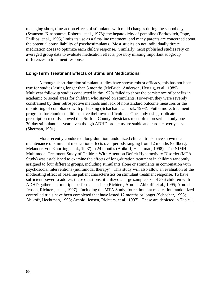managing short, time-action effects of stimulants with rapid changes during the school day (Swanson, Kinsbourne, Roberts, et al., 1978); the hepatoxicity of pemoline (Berkovitch, Pope, Phillips, et al., 1995) limits its use as a first-line treatment; and many parents are concerned about the potential abuse liability of psychostimulants. Most studies do not individually titrate medication doses to optimize each child's response. Similarly, most published studies rely on averaged group data to evaluate medication effects, possibly missing important subgroup differences in treatment response.

#### **Long-Term Treatment Effects of Stimulant Medications**

Although short-duration stimulant studies have shown robust efficacy, this has not been true for studies lasting longer than 3 months (McBride, Anderson, Hertzig, et al., 1989). Multiyear followup studies conducted in the 1970s failed to show the persistence of benefits in academic or social areas for children who stayed on stimulants. However, they were severely constrained by their retrospective methods and lack of nonstandard outcome measures or the monitoring of compliance with pill-taking (Schachar, Tannock, 1993). Futhermore, treatment programs for chonic conditions have their own difficulties. One study using triplicate prescription records showed that Suffolk County physicians most often prescribed only one 30-day stimulant per year, even though ADHD problems are stable and chronic over years (Sherman, 1991).

More recently conducted, long-duration randomized clinical trials have shown the maintenance of stimulant medication effects over periods ranging from 12 months (Gillberg, Melander, von Knorring, et al., 1997) to 24 months (Abikoff, Hechtman, 1998). The NIMH Multimodal Treatment Study of Children With Attention Deficit Hyperactivity Disorder (MTA Study) was established to examine the effects of long-duration treatment in children randomly assigned to four different groups, including stimulants alone or stimulants in combination with psychosocial interventions (multimodal therapy). This study will also allow an evaluation of the moderating effect of baseline patient characteristics on stimulant treatment response. To have sufficient power to address these questions, it utilized a large sample size of 576 children with ADHD gathered at multiple performance sites (Richters, Arnold, Abikoff, et al., 1995; Arnold, Jensen, Richters, et al., 1997). Including the MTA Study, four stimulant medication randomized controlled trials have been completed that have lasted 12 months or longer (Schachar, 1998; Abikoff, Hechtman, 1998; Arnold, Jensen, Richters, et al., 1997). These are depicted in Table 1.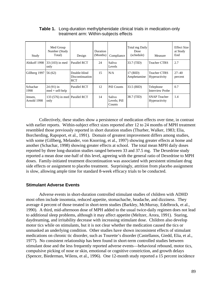| Study                  | Med Group<br>Number (Study<br>Total)  | Design                                        | <b>Duration</b><br>(Months) | Compliance                       | Total mg Daily<br>Dose<br>(schedule) | Measure                              | <b>Effect Size</b><br>at Study<br>End |
|------------------------|---------------------------------------|-----------------------------------------------|-----------------------------|----------------------------------|--------------------------------------|--------------------------------------|---------------------------------------|
| Abikoff 1998           | 33 (103) in med<br>only               | Parallel RCT                                  | 24                          | Saliva<br>Levels                 | 33.7 (TID)                           | Teacher CTRS                         | 2.7                                   |
| Gillberg 1997          | 56(62)                                | Double-blind<br>Discontinuation<br><b>RCT</b> | 15                          | N/A                              | 17(BID)<br>Amphetamine               | Teacher CTRS<br><b>Hyperactivity</b> | $27 - 40$<br>percent                  |
| Schachar<br>1998       | $24(91)$ in<br>$med + self-help$      | Parallel RCT                                  | 12                          | Pill Counts                      | $33.5$ (BID)                         | Telephone<br><b>Interview Probe</b>  | 0.7                                   |
| Jensen,<br>Arnold 1998 | 133 (576) in med Parallel RCT<br>only |                                               | 14                          | Saliva<br>Levels: Pill<br>Counts | 38.7 (TID)                           | <b>SNAP</b> Teacher<br>Hyperactivity | 1.4                                   |

## **Table 1.** Long-duration methylphenidate clinical trials in medication-only treatment arm: Within-subjects effects

Collectively, these studies show a persistence of medication effects over time, in contrast with earlier reports. Within-subject effect sizes reported after 12 to 24 months of MPH treatment resembled those previously reported in short duration studies (Thurber, Walker, 1983; Elia, Borcherding, Rapoport, et al., 1991). Domain of greatest improvement differs among studies, with some (Gillberg, Melander, von Knorring, et al., 1997) showing greater effects at home and another (Schachar, 1998) showing greater effects at school. The total mean MPH daily doses reported by three long-duration studies ranged between 33 and 37.5 mg. The Dexedrine study reported a mean dose one-half of this level, agreeing with the general ratio of Dexedrine to MPH doses. Family-initiated treatment discontinuation was associated with persistent stimulant drug side effects or assignment to placebo treatment. Surprisingly, attrition from placebo assignment is slow, allowing ample time for standard 8-week efficacy trials to be conducted.

## **Stimulant Adverse Events**

Adverse events in short-duration controlled stimulant studies of children with ADHD most often include insomnia, reduced appetite, stomachache, headache, and dizziness. They average 4 percent of those treated in short-term studies (Barkley, McMurray, Edelbrock, et al., 1990). A third, mid-afternoon dose of MPH added to the usual twice-daily regimen does not lead to additional sleep problems, although it may affect appetite (Meltzer, Arora, 1991). Staring, daydreaming, and irritability decrease with increasing stimulant dose. Children also develop motor tics while on stimulants, but it is not clear whether the medication caused the tics or unmasked an underlying condition. Other studies have shown inconsistent effects of stimulant medications on chronic tic disorder, such as Tourette's disorder (Castellanos, Giedd, Elia, et al., 1977). No consistent relationship has been found in short-term controlled studies between stimulant dose and the less frequently reported adverse events—behavioral rebound, motor tics, compulsive picking of nose or skin, emotional or cognitive constriction, and growth delays (Spencer, Biederman, Wilens, et al., 1996). One 12-month study reported a 15 percent incidence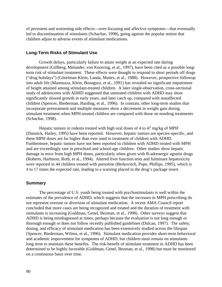of persistent and worsening side effects—over-focusing and affective symptoms—that eventually led to discontinuation of stimulants (Schachar, 1998), going against the popular notion that children adjust to adverse events of stimulant medications.

#### **Long-Term Risks of Stimulant Use**

Growth delays, particularly failure to attain weight at an expected rate during development (Gillberg, Melander, von Knorring, et al., 1997), have been cited as a possible longterm risk of stimulant treatment. These effects were thought to respond to short periods off drugs ("drug holidays") (Gittelman-Klein, Landa, Mattes, et al., 1988). However, prospective followup into adult life (Mannuzza, Klein, Bonagura, et al., 1991) has revealed no significant impairment of height attained among stimulant-treated children. A later single-observation, cross-sectional study of adolescents with ADHD suggested that untreated children with ADHD may show significantly slowed growth in early years, and later catch up, compared with nonaffected children (Spencer, Biederman, Harding, et al., 1996). In contrast, other long-term studies that incorporate pretreatment and multiple measures show a decrement in weight gain during stimulant treatment when MPH-treated children are compared with those on nondrug treatments (Schachar, 1998).

Hepatic tumors in rodents treated with high oral doses of 4 to 47 mg/kg of MPH (Dunnick, Hailey, 1995) have been reported. However, hepatic tumors are species-specific, and these MPH doses are far higher than ever used in treatment of children with ADHD. Furthermore, hepatic tumors have not been reported in children with ADHD treated with MPH and are exceedingly rare in preschool and school-age children. Other studies show hepatic damage in mice from high MPH doses, particularly when given with B-adrenergic agonist drugs (Roberts, Harbison, Roth, et al., 1994). Altered liver function tests and fulminant hepatoxicity were reported in 44 children treated with pemoline (Berkovitch, Pope, Phillips, 1995), which is 4 to 17 times the expected rate, leading to a warning placed in the drug's package insert.

#### **Summary**

The percentage of U.S. youth being treated with psychostimulants is well within the estimates of the prevalence of ADHD, which suggests that the increases in MPH prescribing do not represent overuse or diversion of stimulant medication. A recent AMA Council report concluded that more cases are being recognized and treated and the duration of treatment with stimulants is increasing (Goldman, Genel, Bezman, et al., 1998). Other surveys suggest that ADHD is being misdiagnosed at times, perhaps because the evaluation is not long enough or thorough enough or does not follow recently published guidelines (Dulcan, 1997). The safety, dosing, and efficacy of stimulant medication has been extensively studied across the lifespan (Spencer, Biederman, Wilens, et al., 1996). Stimulant medication provides short-term behavioral and academic improvement for symptoms of ADHD, but children must remain on stimulants long term to maintain these benefits. The risk-benefit of stimulant treatment in ADHD has been determined to be highly favorable (Goldman, Genel, Bezman, et al., 1998) but must be monitored on a continuous basis over time.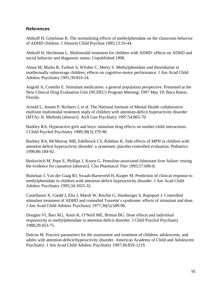## **References**

Abikoff H, Gittelman R. The normalizing effects of methylphenidate on the classroom behavior of ADHD children. J Abnorm Child Psychiat 1985;13:33-44.

Abikoff H, Hechtman L. Multimodal treatment for children with ADHD: effects on ADHD and social behavior and diagnostic status. Unpublished 1998.

Aman M, Marks R, Turbott S, Wilsher C, Merry S. Methylphenidate and thioridazine in intellectually subaverage children: effects on cognitive-motor performance. J Am Acad Child Adolesc Psychiatry 1991;30:816-24.

Angold A, Costello E. Stimulant medication: a general population perspective. Presented at the New Clinical Drug Evaluation Unit (NCDEU) Program Meeting; 1997 May 19; Boca Raton, Florida.

Arnold L, Jensen P, Richters J, et al. The National Institute of Mental Health collaborative multisite multimodal treatment study of children with attention-deficit hyperactivity disorder (MTA): II. Methods [abstract]. Arch Gen Psychiatry 1997;54:865-70.

Barkley RA. Hyperactive girls and boys: stimulant drug effects on mother-child interactions. J Child Psychol Psychiatry 1989;30(3):379-90.

Barkley RA, McMurray MB, Edelbrock CS, Robbins K. Side effects of MPH in children with attention deficit hyperactivity disorder: a systematic placebo-controlled evaluation. Pediatrics 1990;86:184-92.

Berkovitch M, Pope E, Phillips J, Koren G. Pemoline-associated fulminant liver failure: testing the evidence for causation [abstract]. Clin Pharmacol Ther 1995;57:696-8.

Buitelaar J, Van der Gaag RJ, Swaab-Barneveld H, Kuiper M. Prediction of clinical response to methylphenidate in children with attention-deficit hyperactivity disorder. J Am Acad Child Adolesc Psychiatry 1995;34:1025-32.

Castellanos X, Giedd J, Elia J, Marsh W, Ritchie G, Hamburger S, Rapoport J. Controlled stimulant treatment of ADHD and comorbid Tourette's syndrome: effects of stimulant and dose. J Am Acad Child Adolesc Psychiatry 1977;36(5):589-96.

Douglas VI, Barr RG, Amin K, O'Neill ME, Britton BG. Dose effects and individual responsivity to methylphenidate in attention deficit disorder. J Child Psychol Psychiatry 1988;29:453-75.

Dulcan M. Practice parameters for the assessment and treatment of children, adolescents, and adults with attention-deficit/hyperactivity disorder. American Academy of Child and Adolescent Psychiatry. J Am Acad Child Adolesc Psychiatry 1997;36:85S-121S.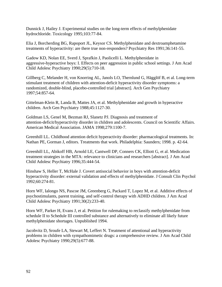Dunnick J, Hailey J. Experimental studies on the long-term effects of methylphenidate hydrochloride. Toxicology 1995;103:77-84.

Elia J, Borcherding BG, Rapoport JL, Keysor CS. Methylphenidate and dextroamphetamine treatments of hyperactivity: are there true non-responders? Psychiatry Res 1991;36:141-55.

Gadow KD, Nolan EE, Sverd J, Sprafkin J, Paolicelli L. Methylphenidate in aggressive-hyperactive boys: I. Effects on peer aggression in public school settings. J Am Acad Child Adolesc Psychiatry 1990;29(5):710-18.

Gillberg C, Melander H, von Knorring AL, Janols LO, Thernlund G, Hägglöf B, et al. Long-term stimulant treatment of children with attention-deficit hyperactivity disorder symptoms: a randomized, double-blind, placebo-controlled trial [abstract]. Arch Gen Psychiatry 1997;54:857-64.

Gittelman-Klein R, Landa B, Mattes JA, et al. Methylphenidate and growth in hyperactive children. Arch Gen Psychiatry 1988;45:1127-30.

Goldman LS, Genel M, Bezman RJ, Slanetz PJ. Diagnosis and treatment of attention-deficit/hyperactivity disorder in children and adolescents. Council on Scientific Affairs. American Medical Association. JAMA 1998;279:1100-7.

Greenhill LL. Childhood attention deficit hyperactivity disorder: pharmacological treatments. In: Nathan PE, Gorman J, editors. Treatments that work. Philadelphia: Saunders; 1998. p. 42-64.

Greenhill LL, Abikoff HB, Arnold LE, Cantwell DP, Conners CK, Elliott G, et al. Medication treatment strategies in the MTA: relevance to clinicians and researchers [abstract]. J Am Acad Child Adolesc Psychiatry 1996;35:444-54.

Hinshaw S, Heller T, McHale J. Covert antisocial behavior in boys with attention-deficit hyperactivity disorder: external validation and effects of methylphenidate. J Consult Clin Psychol 1992;60:274-81.

Horn WF, Ialongo NS, Pascoe JM, Greenberg G, Packard T, Lopez M, et al. Additive effects of psychostimulants, parent training, and self-control therapy with ADHD children. J Am Acad Child Adolesc Psychiatry 1991;30(2):233-40.

Horn WF, Parker H, Evans J, et al. Petition for rulemaking to reclassify methylphenidate from schedule II to Schedule III controlled substance and alternatively to eliminate all likely future methylphenidate shortages. Unpublished 1994.

Jacobvitz D, Sroufe LA, Stewart M, Leffert N. Treatment of attentional and hyperactivity problems in children with sympathomimetic drugs: a comprehensive review. J Am Acad Child Adolesc Psychiatry 1990;29(5):677-88.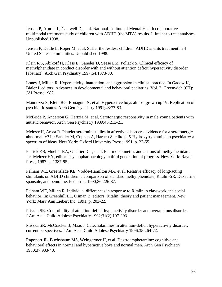Jensen P, Arnold L, Cantwell D, et al. National Institute of Mental Health collaborative multimodal treatment study of children with ADHD (the MTA) results. I. Intent-to-treat analyses. Unpublished 1998.

Jensen P, Kettle L, Roper M, et al. Suffer the restless children: ADHD and its treatment in 4 United States communities. Unpublished 1998.

Klein RG, Abikoff H, Klass E, Ganeles D, Seese LM, Pollack S. Clinical efficacy of methylphenidate in conduct disorder with and without attention deficit hyperactivity disorder [abstract]. Arch Gen Psychiatry 1997;54:1073-80.

Loney J, Milich R. Hyperactivity, inattention, and aggression in clinical practice. In Gadow K, Bialer I, editors. Advances in developmental and behavioral pediatrics. Vol. 3. Greenwich (CT): JAI Press; 1982.

Mannuzza S, Klein RG, Bonagura N, et al. Hyperactive boys almost grown up: V. Replication of psychiatric status. Arch Gen Psychiatry 1991;48:77-83.

McBride P, Anderson G, Hertzig M, et al. Serotonergic responsivity in male young patients with autistic behavior. Arch Gen Psychiatry 1989;46:213-21.

Meltzer H, Arora R. Platelet serotonin studies in affective disorders: evidence for a serotonergic abnormality? In: Sandler M, Coppen A, Harnett S, editors. 5-Hydroxytryptamine in psychiatry: a spectrum of ideas. New York: Oxford University Press; 1991. p. 23-55.

Patrick KS, Mueller RA, Gualtieri CT, et al. Pharmocokinetics and actions of methyphenidate. In: Meltzer HY, editor. Psychopharmacology: a third generation of progress. New York: Raven Press; 1987. p. 1387-95.

Pelham WE, Greenslade KE, Vodde-Hamilton MA, et al. Relative efficacy of long-acting stimulants on ADHD children: a comparison of standard methylphenidate, Ritalin-SR, Dexedrine spansule, and pemoline. Pediatrics 1990;86:226-37.

Pelham WE, Milich R. Individual differences in response to Ritalin in classwork and social behavior. In: Greenhill LL, Osman B, editors. Ritalin: theory and patient management. New York: Mary Ann Liebert Inc; 1991. p. 203-22.

Pliszka SR. Comorbidity of attention-deficit hyperactivity disorder and overanxious disorder. J Am Acad Child Adolesc Psychiatry 1992;31(2):197-203.

Pliszka SR, McCracken J, Maas J. Catecholamines in attention-deficit hyperactivity disorder: current perspectives. J Am Acad Child Adolesc Psychiatry 1996;35:264-72.

Rapoport JL, Buchsbaum MS, Weingartner H, et al. Dextroamphetamine: cognitive and behavioral effects in normal and hyperactive boys and normal men. Arch Gen Psychiatry 1980;37:933-43.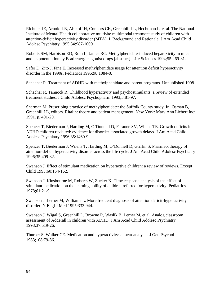Richters JE, Arnold LE, Abikoff H, Connors CK, Greenhill LL, Hechtman L, et al. The National Institute of Mental Health collaborative multisite multimodal treatment study of children with attention-deficit hyperactivity disorder (MTA): I. Background and Rationale. J Am Acad Child Adolesc Psychiatry 1995;34:987-1000.

Roberts SM, Harbison RD, Roth L, James RC. Methylphenidate-induced hepatoxicity in mice and its potentiation by B-adrenergic agonist drugs [abstract]. Life Sciences 1994;55:269-81.

Safer D, Zito J, Fine E. Increased methylphenidate usage for attention deficit hyperactivity disorder in the 1990s. Pediatrics 1996;98:1084-8.

Schachar R. Treatment of ADHD with methylphenidate and parent programs. Unpublished 1998.

Schachar R, Tannock R. Childhood hyperactivity and psychostimulants: a review of extended treatment studies. J Child Adolesc Psychopharm 1993;3:81-97.

Sherman M. Prescribing practice of methylphenidate: the Suffolk County study. In: Osman B, Greenhill LL, editors. Ritalin: theory and patient management. New York: Mary Ann Liebert Inc; 1991. p. 401-20.

Spencer T, Biederman J, Harding M, O'Donnell D, Faraone SV, Wilens TE. Growth deficits in ADHD children revisited: evidence for disorder-associated growth delays. J Am Acad Child Adolesc Psychiatry 1996;35:1460-9.

Spencer T, Biederman J, Wilens T, Harding M, O'Donnell D, Griffin S. Pharmacotherapy of attention-deficit hyperactivity disorder across the life cycle. J Am Acad Child Adolesc Psychiatry 1996;35:409-32.

Swanson J. Effect of stimulant medication on hyperactive children: a review of reviews. Except Child 1993;60:154-162.

Swanson J, Kinsbourne M, Roberts W, Zucker K. Time-response analysis of the effect of stimulant medication on the learning ability of children referred for hyperactivity. Pediatrics 1978;61:21-9.

Swanson J, Lerner M, Williams L. More frequent diagnosis of attention deficit-hyperactivity disorder. N Engl J Med 1995;333:944.

Swanson J, Wigal S, Greenhill L, Browne R, Waslik B, Lerner M, et al. Analog classroom assessment of Adderall in children with ADHD. J Am Acad Child Adolesc Psychiatry 1998;37:519-26.

Thurber S, Walker CE. Medication and hyperactivity: a meta-analysis. J Gen Psychol 1983;108:79-86.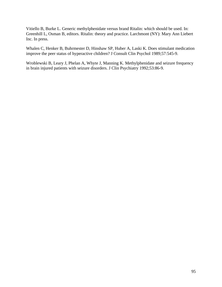Vitiello B, Burke L. Generic methylphenidate versus brand Ritalin: which should be used. In: Greenhill L, Osman B, editors. Ritalin: theory and practice. Larchmont (NY): Mary Ann Liebert Inc. In press.

Whalen C, Henker B, Buhrmester D, Hinshaw SP, Huber A, Laski K. Does stimulant medication improve the peer status of hyperactive children? J Consult Clin Psychol 1989;57:545-9.

Wroblewski B, Leary J, Phelan A, Whyte J, Manning K. Methylphenidate and seizure frequency in brain injured patients with seizure disorders. J Clin Psychiatry 1992;53:86-9.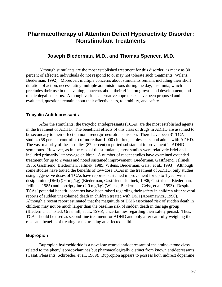## **Pharmacotherapy of Attention Deficit Hyperactivity Disorder: Nonstimulant Treatments**

## **Joseph Biederman, M.D., and Thomas Spencer, M.D.**

Although stimulants are the most established treatment for this disorder, as many as 30 percent of affected individuals do not respond to or may not tolerate such treatments (Wilens, Biederman, 1992). Moreover, multiple concerns about stimulants remain, including their short duration of action, necessitating multiple administrations during the day; insomnia, which precludes their use in the evening; concerns about their effect on growth and development; and medicolegal concerns. Although various alternative approaches have been proposed and evaluated, questions remain about their effectiveness, tolerability, and safety.

### **Tricyclic Antidepressants**

After the stimulants, the tricyclic antidepressants (TCAs) are the most established agents in the treatment of ADHD. The beneficial effects of this class of drugs in ADHD are assumed to be secondary to their effect on noradrenergic neurotransmission. There have been 31 TCA studies (58 percent controlled) of more than 1,000 children, adolescents, and adults with ADHD. The vast majority of these studies (87 percent) reported substantial improvement in ADHD symptoms. However, as in the case of the stimulants, most studies were relatively brief and included primarily latency-age children. A number of recent studies have examined extended treatment for up to 2 years and noted sustained improvement (Biederman, Gastfriend, Jellinek, 1986; Gastfriend, Biederman, Jellinek, 1985; Wilens, Biederman, Geist, et al., 1993). Although some studies have touted the benefits of low-dose TCAs in the treatment of ADHD, only studies using aggressive doses of TCAs have reported sustained improvement for up to 1 year with desipramine (DMI) (>4 mg/kg) (Biederman, Gastfriend, Jellinek, 1986; Gastfriend, Biederman, Jellinek, 1985) and nortriptyline (2.0 mg/kg) (Wilens, Biederman, Geist, et al., 1993). Despite TCAs' potential benefit, concerns have been raised regarding their safety in children after several reports of sudden unexplained death in children treated with DMI (Abramawicz, 1990). Although a recent report estimated that the magnitude of DMI-associated risk of sudden death in children may not be much larger than the baseline risk of sudden death in this age group (Biederman, Thisted, Greenhill, et al., 1995), uncertainties regarding their safety persist. Thus, TCAs should be used as second-line treatment for ADHD and only after carefully weighing the risks and benefits of treating or not treating an affected child.

#### **Bupropion**

Bupropion hydrochloride is a novel-structured antidepressant of the aminoketone class related to the phenylisopropylamines but pharmacologically distinct from known antidepressants (Casat, Pleasants, Schroeder, et al., 1989). Bupropion appears to possess both indirect dopamine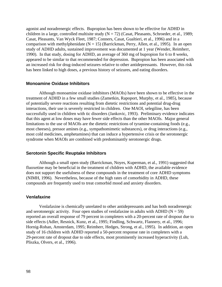agonist and noradrenergic effects. Bupropion has been shown to be effective for ADHD in children in a large, controlled multisite study  $(N = 72)$  (Casat, Pleasants, Schroeder, et al., 1989; Casat, Pleasants, Van Wyck Fleet, 1987; Conners, Casat, Gualtieri, et al., 1996) and in a comparison with methylphenidate ( $N = 15$ ) (Barrickman, Perry, Allen, et al., 1995). In an open study of ADHD adults, sustained improvement was documented at 1 year (Wender, Reimherr, 1990). In that study, dosing for ADHD, an average of 360 mg of bupropion for 6 to 8 weeks, appeared to be similar to that recommended for depression. Bupropion has been associated with an increased risk for drug-induced seizures relative to other antidepressants. However, this risk has been linked to high doses, a previous history of seizures, and eating disorders.

#### **Monoamine Oxidase Inhibitors**

Although monoamine oxidase inhibitors (MAOIs) have been shown to be effective in the treatment of ADHD in a few small studies (Zametkin, Rapoport, Murphy, et al., 1985), because of potentially severe reactions resulting from dietetic restrictions and potential drug-drug interactions, their use is severely restricted in children. One MAOI, selegiline, has been successfully used in children with tic disorders (Jankovic, 1993). Preliminary evidence indicates that this agent at low doses may have fewer side effects than the other MAOIs. Major general limitations to the use of MAOIs are the dietetic restrictions of tyramine-containing foods (e.g., most cheeses), pressor amines (e.g., sympathomimetic substances), or drug interactions (e.g., most cold medicines, amphetamines) that can induce a hypertensive crisis or the serotonergic syndrome when MAOIs are combined with predominantly serotonergic drugs.

#### **Serotonin Specific Reuptake Inhibitors**

Although a small open study (Barrickman, Noyes, Kuperman, et al., 1991) suggested that fluoxetine may be beneficial in the treatment of children with ADHD, the available evidence does not support the usefulness of these compounds in the treatment of core ADHD symptoms (NIMH, 1996). Nevertheless, because of the high rates of comorbidity in ADHD, these compounds are frequently used to treat comorbid mood and anxiety disorders.

#### **Venlafaxine**

Venlafaxine is chemically unrelated to other antidepressants and has both noradrenergic and serotonergic activity. Four open studies of venlafaxine in adults with ADHD ( $N = 59$ ) reported an overall response of 79 percent in completers with a 20-percent rate of dropout due to side effects (Adler, Resnick, Kunz, et al., 1995; Findling, Schwartz, Flannery, et al., 1996; Hornig-Rohan, Amsterdam, 1995; Reimherr, Hedges, Strong, et al., 1995). In addition, an open study of 16 children with ADHD reported a 50-percent response rate in completers with a 29-percent rate of dropout due to side effects, most prominently increased hyperactivity (Luh, Pliszka, Olvers, et al., 1996).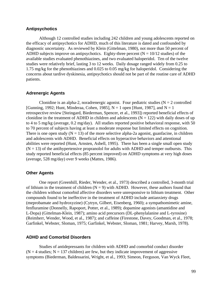#### **Antipsychotics**

Although 12 controlled studies including 242 children and young adolescents reported on the efficacy of antipsychotics for ADHD, much of this literature is dated and confounded by diagnostic uncertainty. As reviewed by Klein (Gittelman, 1980), not more than 50 percent of ADHD subjects improve on antipsychotics. Eighty-three percent  $(N = 10/12$  studies) of the available studies evaluated phenothiazines, and two evaluated haloperidol. Ten of the twelve studies were relatively brief, lasting 3 to 12 weeks. Daily dosage ranged widely from 0.25 to 1.75 mg/kg for the phenothiazines and 0.025 to 0.05 mg/kg for haloperidol. Considering the concerns about tardive dyskinesia, antipsychotics should not be part of the routine care of ADHD patients.

#### **Adrenergic Agents**

Clonidine is an alpha-2, noradrenergic agonist. Four pediatric studies  $(N = 2$  controlled [Gunning, 1992; Hunt, Minderaa, Cohen, 1985],  $N = 1$  open [Hunt, 1987], and  $N = 1$ retrospective review [Steingard, Biederman, Spencer, et al., 1993]) reported beneficial effects of clonidine in the treatment of ADHD in children and adolescents  $(N = 122)$  with daily doses of up to 4 to 5 mg/kg (average, 0.2 mg/day). All studies reported positive behavioral response, with 50 to 70 percent of subjects having at least a moderate response but limited effects on cognition. There is one open study  $(N = 13)$  of the more selective alpha-2a agonist, guanfacine, in children and adolescents with ADHD. Beneficial effects on hyperactive behaviors and attentional abilities were reported (Hunt, Arnsten, Asbell, 1995). There has been a single small open study  $(N = 13)$  of the antihypertensive propranolol for adults with ADHD and temper outbursts. This study reported beneficial effects (85 percent improved) on ADHD symptoms at very high doses (average, 528 mg/day) over 9 weeks (Mattes, 1986).

#### **Other Agents**

One report (Greenhill, Rieder, Wender, et al., 1973) described a controlled, 3-month trial of lithium in the treatment of children  $(N = 9)$  with ADHD. However, these authors found that the children without comorbid affective disorders were unresponsive to lithium treatment. Other compounds found to be ineffective in the treatment of ADHD include antianxiety drugs (meprobamate and hydroxyzine) (Cytryn, Gilbert, Eisenberg, 1960); a sympathomimetic amine, fenfluramine (Donnelly, Rapoport, Potter, et al., 1989); dopamine agonists (amantidine and L-Dopa) (Gittelman-Klein, 1987); amino acid precursors (DL-phenylalanine and L-tyrosine) (Reimherr, Wender, Wood, et al., 1987); and caffeine (Firestone, Davey, Goodman, et al., 1978; Garfinkel, Webster, Sloman, 1975; Garfinkel, Webster, Sloman, 1981; Harvey, Marsh, 1978).

#### **ADHD and Comorbid Disorders**

Studies of antidepressants for children with ADHD and comorbid conduct disorder  $(N = 4$  studies;  $N = 137$  children) are few, but they indicate improvement of aggressive symptoms (Biederman, Baldessarini, Wright, et al., 1993; Simeon, Ferguson, Van Wyck Fleet,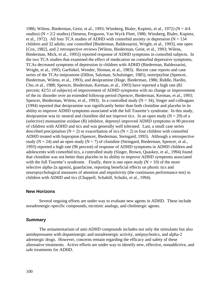1986; Wilens, Biederman, Geist, et al., 1993; Winsberg, Bialer, Kupietz, et al., 1972) ( $N = 4/4$ studies) (N = 2/2 studies) (Simeon, Ferguson, Van Wyck Fleet, 1986; Winsberg, Bialer, Kupietz, et al., 1972). All four TCA studies of ADHD with comorbid anxiety or depression ( $N = 134$ ) children and 32 adults; one controlled [Biederman, Baldessarini, Wright, et al., 1993], one open [Cox, 1982], and 2 retrospective reviews [Wilens, Biederman, Geist, et al., 1993; Wilens, Biederman, Mick, et al., 1995]) reported response of ADHD symptoms in comorbid subjects. In the two TCA studies that examined the effect of medication on comorbid depressive symptoms, TCAs decreased symptoms of depression in children with ADHD (Biederman, Baldessarini, Wright, et al., 1993; Garfinkel, Wender, Sloman, et al., 1983). Recent case reports and case series of the TCAs imipramine (Dillon, Salzman, Schulsinger, 1985), nortriptyline (Spencer, Biederman, Wilens, et al., 1993), and desipramine (Hoge, Biederman, 1986; Riddle, Hardin, Cho, et al., 1988; Spencer, Biederman, Kerman, et al., 1993) have reported a high rate (82 percent; 42/51 of subjects) of improvement of ADHD symptoms with no change or improvement of the tic disorder over an extended followup period (Spencer, Biederman, Kerman, et al., 1993; Spencer, Biederman, Wilens, et al., 1993). In a controlled study  $(N = 34)$ , Singer and colleagues (1994) reported that desipramine was significantly better than both clonidine and placebo in its ability to improve ADHD symptoms associated with the full Tourette's syndrome. In this study, desipramine was tic neutral and clonidine did not improve tics. In an open study  $(N = 29)$  of a (selective) monoamine oxidase (B) inhibitor, deprenyl improved ADHD symptoms in 90 percent of children with ADHD and tics and was generally well tolerated. Last, a small case series described precipitation ( $N = 2$ ) or exacerbation of tics ( $N = 2$ ) in four children with comorbid ADHD treated with bupropion (Spencer, Biederman, Steingard, 1993). Although a retrospective study ( $N = 24$ ) and an open study ( $N = 7$ ) of clonidine (Steingard, Biederman, Spencer, et al., 1993) reported a high rate (96 percent) of response of ADHD symptoms in ADHD children and adolescents with comorbid tics, a controlled study (Singer, Brown, Quaskey, et al., 1994) found that clonidine was not better than placebo in its ability to improve ADHD symptoms associated with the full Tourette's syndrome. Finally, there is one open study  $(N = 10)$  of the more selective alpha-2a agonist, guanfacine, reporting beneficial effects on phonic tics and neuropsychological measures of attention and impulsivity (the continuous performance test) in children with ADHD and tics (Chappell, Schahill, Schultz, et al., 1994).

#### **New Horizons**

Several ongoing efforts are under way to evaluate new agents in ADHD. These include noradrenergic-specific compounds, nicotinic analogs, and cholinergic agents.

#### **Summary**

The armamentarium of anti-ADHD compounds includes not only the stimulants but also antidepressants with dopaminergic and noradrenergic activity, antipsychotics, and alpha-2 adrenergic drugs. However, concerns remain regarding the efficacy and safety of these alternative treatments. Active efforts are under way to identify new, effective, nonaddictive, and safe treatments for ADHD.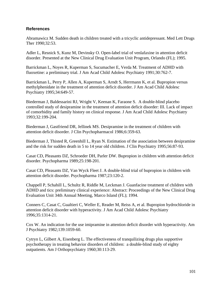## **References**

Abramawicz M. Sudden death in children treated with a tricyclic antidepressant. Med Lett Drugs Ther 1990;32:53.

Adler L, Resnick S, Kunz M, Devinsky O. Open-label trial of venlafaxine in attention deficit disorder. Presented at the New Clinical Drug Evaluation Unit Program, Orlando (FL); 1995.

Barrickman L, Noyes R, Kuperman S, Sucumacher E, Verda M. Treatment of ADHD with fluoxetine: a preliminary trial. J Am Acad Child Adolesc Psychiatry 1991;30:762-7.

Barrickman L, Perry P, Allen A, Kuperman S, Arndt S, Herrmann K, et al. Bupropion versus methylphenidate in the treatment of attention deficit disorder. J Am Acad Child Adolesc Psychiatry 1995;34:649-57.

Biederman J, Baldessarini RJ, Wright V, Keenan K, Faraone S. A double-blind placebo controlled study of desipramine in the treatment of attention deficit disorder: III. Lack of impact of comorbidity and family history on clinical response. J Am Acad Child Adolesc Psychiatry 1993;32:199-204.

Biederman J, Gastfriend DR, Jellinek MS. Desipramine in the treatment of children with attention deficit disorder. J Clin Psychopharmacol 1986;6:359-63.

Biederman J, Thisted R, Greenhill L, Ryan N. Estimation of the association between desipramine and the risk for sudden death in 5 to 14 year old children. J Clin Psychiatry 1995;56:87-93.

Casat CD, Pleasants DZ, Schroeder DH, Parler DW. Bupropion in children with attention deficit disorder. Psychopharma 1989;25:198-201.

Casat CD, Pleasants DZ, Van Wyck Fleet J. A double-blind trial of bupropion in children with attention deficit disorder. Psychopharma 1987;23:120-2.

Chappell P, Schahill L, Schultz R, Riddle M, Leckman J. Guanfacine treatment of children with ADHD and tics: preliminary clinical experience: Abstract: Proceedings of the New Clinical Drug Evaluation Unit 34th Annual Meeting, Marco Island (FL); 1994.

Conners C, Casat C, Gualtieri C, Weller E, Reader M, Reiss A, et al. Bupropion hydrochloride in attention deficit disorder with hyperactivity. J Am Acad Child Adolesc Psychiatry 1996;35:1314-21.

Cox W. An indication for the use imipramine in attention deficit disorder with hyperactivity. Am J Psychiatry 1982;139:1059-60.

Cytryn L, Gilbert A, Eisenberg L. The effectiveness of tranquilizing drugs plus supportive psychotherapy in treating behavior disorders of children: a double-blind study of eighty outpatients. Am J Orthopsychiatry 1960;30:113-29.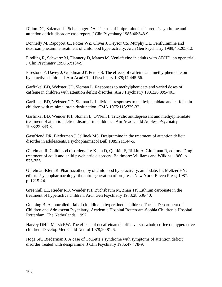Dillon DC, Salzman IJ, Schulsinger DA. The use of imipramine in Tourette's syndrome and attention deficit disorder: case report. J Clin Psychiatry 1985;46:348-9.

Donnelly M, Rapoport JL, Potter WZ, Oliver J, Keysor CS, Murphy DL. Fenfluramine and dextroamphetamine treatment of childhood hyperactivity. Arch Gen Psychiatry 1989;46:205-12.

Findling R, Schwartz M, Flannery D, Manos M. Venlafaxine in adults with ADHD: an open trial. J Clin Psychiatry 1996;57:184-9.

Firestone P, Davey J, Goodman JT, Peters S. The effects of caffeine and methylphenidate on hyperactive children. J Am Acad Child Psychiatry 1978;17:445-56.

Garfinkel BD, Webster CD, Sloman L. Responses to methylphenidate and varied doses of caffeine in children with attention deficit disorder. Am J Psychiatry 1981;26:395-401.

Garfinkel BD, Webster CD, Sloman L. Individual responses to methylphenidate and caffeine in children with minimal brain dysfunction. CMA 1975;113:729-32.

Garfinkel BD, Wender PH, Sloman L, O'Neill I. Tricyclic antidepressant and methylphenidate treatment of attention deficit disorder in children. J Am Acad Child Adolesc Psychiatry 1983;22:343-8.

Gastfriend DR, Biederman J, Jellinek MS. Desipramine in the treatment of attention deficit disorder in adolescents. Psychopharmacol Bull 1985;21:144-5.

Gittelman R. Childhood disorders. In: Klein D, Quitkin F, Rifkin A, Gittelman R, editors. Drug treatment of adult and child psychiatric disorders. Baltimore: Williams and Wilkins; 1980. p. 576-756.

Gittelman-Klein R. Pharmacotherapy of childhood hyperactivity: an update. In: Meltzer HY, editor. Psychopharmacology: the third generation of progress. New York: Raven Press; 1987. p. 1215-24.

Greenhill LL, Rieder RO, Wender PH, Buchsbaum M, Zhan TP. Lithium carbonate in the treatment of hyperactive children. Arch Gen Psychiatry 1973;28:636-40.

Gunning B. A controlled trial of clonidine in hyperkinetic children. Thesis: Department of Children and Adolescent Psychiatry, Academic Hospital Rotterdam-Sophia Children's Hospital Rotterdam, The Netherlands; 1992.

Harvey DHP, Marsh RW. The effects of decaffeinated coffee versus whole coffee on hyperactive children. Develop Med Child Neurol 1978;20:81-6.

Hoge SK, Biederman J. A case of Tourette's syndrome with symptoms of attention deficit disorder treated with desipramine. J Clin Psychiatry 1986;47:478-9.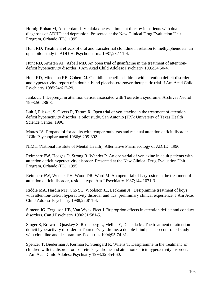Hornig-Rohan M, Amsterdam J. Venlafaxine vs. stimulant therapy in patients with dual diagnoses of ADHD and depression. Presented at the New Clinical Drug Evaluation Unit Program, Orlando (FL); 1995.

Hunt RD. Treatment effects of oral and transdermal clonidine in relation to methylphenidate: an open pilot study in ADD-H. Psychopharma 1987;23:111-4.

Hunt RD, Arnsten AF, Asbell MD. An open trial of guanfacine in the treatment of attentiondeficit hyperactivity disorder. J Am Acad Child Adolesc Psychiatry 1995;34:50-4.

Hunt RD, Minderaa RB, Cohen DJ. Clonidine benefits children with attention deficit disorder and hyperactivity: report of a double-blind placebo-crossover therapeutic trial. J Am Acad Child Psychiatry 1985;24:617-29.

Jankovic J. Deprenyl in attention deficit associated with Tourette's syndrome. Archives Neurol 1993;50:286-8.

Luh J, Pliszka, S, Olvers R, Tatum R. Open trial of venlafaxine in the treatment of attention deficit hyperactivity disorder: a pilot study. San Antonio (TX): University of Texas Health Science Center; 1996.

Mattes JA. Propanolol for adults with temper outbursts and residual attention deficit disorder. J Clin Psychopharmacol 1986;6:299-302.

NIMH (National Institute of Mental Health). Alternative Pharmacology of ADHD; 1996.

Reimherr FW, Hedges D, Strong R, Wender P. An open-trial of venlaxine in adult patients with attention deficit hyperactivity disorder. Presented at the New Clinical Drug Evaluation Unit Program, Orlando (FL); 1995.

Reimherr FW, Wender PH, Wood DR, Ward M. An open trial of L-tyrosine in the treatment of attention deficit disorder, residual type. Am J Psychiatry 1987;144:1071-3.

Riddle MA, Hardin MT, Cho SC, Woolston JL, Leckman JF. Desipramine treatment of boys with attention-deficit hyperactivity disorder and tics: preliminary clinical experience. J Am Acad Child Adolesc Psychiatry 1988;27:811-4.

Simeon JG, Ferguson HB, Van Wyck Fleet J. Buproprion effects in attention deficit and conduct disorders. Can J Psychiatry 1986;31:581-5.

Singer S, Brown J, Quaskey S, Rosenberg L, Mellits E, Denckla M. The treatment of attentiondeficit hyperactivity disorder in Tourette's syndrome: a double-blind placebo-controlled study with clonidine and desipramine. Pediatrics 1994;95:74-81.

Spencer T, Biederman J, Kerman K, Steingard R, Wilens T. Desipramine in the treatment of children with tic disorder or Tourette's syndrome and attention deficit hyperactivity disorder. J Am Acad Child Adolesc Psychiatry 1993;32:354-60.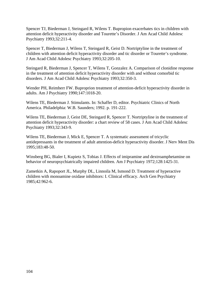Spencer TJ, Biederman J, Steingard R, Wilens T. Bupropion exacerbates tics in children with attention deficit hyperactivity disorder and Tourette's Disorder. J Am Acad Child Adolesc Psychiatry 1993;32:211-4.

Spencer T, Biederman J, Wilens T, Steingard R, Geist D. Nortriptyline in the treatment of children with attention deficit hyperactivity disorder and tic disorder or Tourette's syndrome. J Am Acad Child Adolesc Psychiatry 1993;32:205-10.

Steingard R, Biederman J, Spencer T, Wilens T, Gonzalez A. Comparison of clonidine response in the treatment of attention deficit hyperactivity disorder with and without comorbid tic disorders. J Am Acad Child Adolesc Psychiatry 1993;32:350-3.

Wender PH, Reimherr FW. Buproprion treatment of attention-deficit hyperactivity disorder in adults. Am J Psychiatry 1990;147:1018-20.

Wilens TE, Biederman J. Stimulants. In: Schaffer D, editor. Psychiatric Clinics of North America. Philadelphia: W.B. Saunders; 1992. p. 191-222.

Wilens TE, Biederman J, Geist DE, Steingard R, Spencer T. Nortriptyline in the treatment of attention deficit hyperactivity disorder: a chart review of 58 cases. J Am Acad Child Adolesc Psychiatry 1993;32:343-9.

Wilens TE, Biederman J, Mick E, Spencer T. A systematic assessment of tricyclic antidepressants in the treatment of adult attention-deficit hyperactivity disorder. J Nerv Ment Dis 1995;183:48-50.

Winsberg BG, Bialer I, Kupietz S, Tobias J. Effects of imipramine and dextroamphetamine on behavior of neuropsychiatrically impaired children. Am J Psychiatry 1972;128:1425-31.

Zametkin A, Rapoport JL, Murphy DL, Linnoila M, Ismond D. Treatment of hyperactive children with monoamine oxidase inhibitors: I. Clinical efficacy. Arch Gen Psychiatry 1985;42:962-6.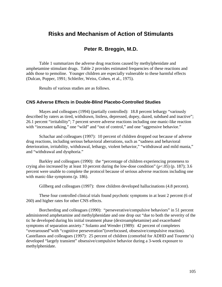## **Risks and Mechanism of Action of Stimulants**

## **Peter R. Breggin, M.D.**

Table 1 summarizes the adverse drug reactions caused by methylphenidate and amphetamine stimulant drugs. Table 2 provides estimated frequencies of these reactions and adds those to pemoline. Younger children are especially vulnerable to these harmful effects (Dulcan, Popper, 1991; Schleifer, Weiss, Cohen, et al., 1975).

Results of various studies are as follows.

#### **CNS Adverse Effects in Double-Blind Placebo-Controlled Studies**

Mayes and colleagues (1994) (partially controlled): 18.8 percent lethargy "variously described by raters as tired, withdrawn, listless, depressed, dopey, dazed, subdued and inactive"; 26.1 percent "irritability"; 7 percent severe adverse reactions including one manic-like reaction with "incessant talking," one "wild" and "out of control," and one "aggressive behavior."

Schachar and colleagues (1997): 10 percent of children dropped out because of adverse drug reactions, including serious behavioral aberrations, such as "sadness and behavioral deterioration, irritability, withdrawal, lethargy, violent behavior," "withdrawal and mild mania," and "withdrawal and dysphoria."

Barkley and colleagues (1990): the "percentage of children experiencing proneness to crying also increased by at least 10 percent during the low-dose condition" ( $p<.05$ ) (p. 187); 3.6 percent were unable to complete the protocol because of serious adverse reactions including one with manic-like symptoms (p. 186).

Gillberg and colleagues (1997): three children developed hallucinations (4.8 percent).

These four controlled clinical trials found psychotic symptoms in at least 2 percent (6 of 260) and higher rates for other CNS effects.

Borcherding and colleagues (1990): "perseverative/compulsive behaviors" in 51 percent administered amphetamine and methylphenidate and one drop out "due to both the severity of the tic he developed during his initial treatment phase (dextroamphetamine) and exacerbated symptoms of separation anxiety." Solanto and Wender (1989): 42 percent of completers "overaroused"with "cognitive perseveration"(overfocused, obsessive/compulsive reaction). Castellanos and colleagues (1997): 25 percent of children (comorbid for ADHD and Tourette's) developed "largely transient" obsessive/compulsive behavior during a 3-week exposure to methylphenidate.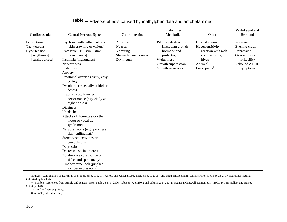| Cardiovascular                                                                  | Central Nervous System                                                                                                                                                                                                                                                                                                                                                                                                                                                                                                                                                                                                                                                                                                                           | Gastrointestinal                                                    | Endocrine/<br>Metabolic                                                                                                            | Other                                                                                                                                             | Withdrawal and<br>Rebound                                                                               |
|---------------------------------------------------------------------------------|--------------------------------------------------------------------------------------------------------------------------------------------------------------------------------------------------------------------------------------------------------------------------------------------------------------------------------------------------------------------------------------------------------------------------------------------------------------------------------------------------------------------------------------------------------------------------------------------------------------------------------------------------------------------------------------------------------------------------------------------------|---------------------------------------------------------------------|------------------------------------------------------------------------------------------------------------------------------------|---------------------------------------------------------------------------------------------------------------------------------------------------|---------------------------------------------------------------------------------------------------------|
| Palpitations<br>Tachycardia<br>Hypertension<br>[arrythmias]<br>[cardiac arrest] | Psychosis with hallucinations<br>(skin crawling or visions)<br><b>Excessive CNS</b> stimulation<br>[convulsions]<br>Insomnia (nightmares)<br><b>Nervousness</b><br>Irritability<br>Anxiety<br>Emotional oversensitivity, easy<br>crying<br>Dysphoria (especially at higher<br>doses)<br>Impaired cognitive test<br>performance (especially at<br>higher doses)<br><b>Dizziness</b><br>Headache<br>Attacks of Tourette's or other<br>motor or vocal tic<br>syndromes<br>Nervous habits (e.g., picking at<br>skin, pulling hair)<br>Stereotyped activities or<br>compulsions<br>Depression<br>Decreased social interest<br>Zombie-like constriction of<br>affect and spontaneity*<br>Amphetamine look (pinched,<br>somber expression) <sup>†</sup> | Anorexia<br>Nausea<br>Vomiting<br>Stomach pain, cramps<br>Dry mouth | Pituitary dysfunction<br>[including growth<br>hormone and<br>prolactin]<br>Weight loss<br>Growth suppression<br>Growth retardation | <b>Blurred</b> vision<br>Hypersensitivity<br>reaction with rash,<br>conjunctivitis, or<br>hives<br>Anemia <sup>+</sup><br>Leukopenia <sup>†</sup> | Insomnia<br>Evening crash<br>Depression<br>Overactivity and<br>irritability<br>Rebound ADHD<br>symptoms |

# **Table 1.** Adverse effects caused by methylphenidate and amphetamines

Sources: Combination of Dulcan (1994, Table 35-6, p. 1217), Arnold and Jensen (1995, Table 38-5, p. 2306), and Drug Enforcement Administration (1995, p. 23). Any additional material indicated by brackets.

\* "Zombie" references from Arnold and Jensen (1995, Table 38-5, p. 2306; Table 38-7, p. 2307; and column 2, p. 2307); Swanson, Cantwell, Lerner, et al. (1992, p. 15); Fialkov and Hasley (1984, p. 328).

†Arnold and Jensen (1995). ‡For methylphenidate only.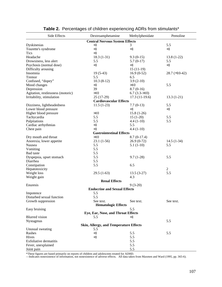| Side Effects                         | Dextroamphetamine                             | Methylphenidate | Pemoline        |
|--------------------------------------|-----------------------------------------------|-----------------|-----------------|
|                                      | <b>Central Nervous System Effects</b>         |                 |                 |
| Dyskinesias                          | $\leq$ 1                                      | 3               | 5.5             |
| Tourette's syndrome                  | $\leq$ 1                                      | <1              | <1              |
| <b>Tics</b>                          | $\leq$ 1                                      |                 |                 |
| Headache                             | $18.3(1-31)$                                  | $9.3(0-15)$     | $13.8(1-22)$    |
| Drowsiness, less alert               | 5.5                                           | $5.7(0-17)$     | 5.5             |
| Psychosis (normal dose)              | <1                                            | <1              | <1              |
| Difficulty arousing                  |                                               | $15(11-19)$     |                 |
| Insomnia                             | $19(5-43)$                                    | $16.9(0-52)$    | $28.7$ (<10-42) |
| Tremor                               | 5.5                                           | 6.5             |                 |
| Confused, "dopey"                    | $10.3(8-12)$                                  | $3.9(2-10)$     |                 |
| Mood changes                         | <1                                            | >10             | 5.5             |
| Depression                           | 39                                            | $8.7(0-16)$     |                 |
| Agitation, restlessness (motoric)    | $>10$                                         | $6.7(3.3-10)$   |                 |
| Irritability, stimulation            | $25(17-29)$                                   | $17.3(11-19.6)$ | $13.3(1-21)$    |
|                                      | <b>Cardiovascular Effects</b>                 |                 |                 |
| Dizziness, lightheadedness           | $11.5(1-23)$                                  | $7.7(0-13)$     | 5.5             |
| Lower blood pressure                 |                                               | <1              | <1              |
| Higher blood pressure                | >10                                           | $15.8(1-26)$    |                 |
| Tachycardia                          | 5.5                                           | $15(1-20)$      | 5.5             |
| Palpitations                         | 5.5                                           | $4.4(1-10)$     | 5.5             |
| Cardiac arrhythmias                  | <1                                            | 5.5             |                 |
| Chest pain                           | <1                                            | $4.4(1-10)$     |                 |
|                                      | <b>Gastrointestinal Effects</b>               |                 |                 |
| Dry mouth and throat                 | >10                                           | $8.7(0-17.4)$   |                 |
| Anorexia, lower appetite             | $23.1(1-56)$                                  | $26.9(0-72)$    | $14.5(1-34)$    |
| Nausea                               | 5.5                                           | $5.1(1-10)$     | 5.5             |
| Vomiting                             | 5.5                                           |                 |                 |
| <b>Bad</b> taste                     | 5.5                                           |                 |                 |
|                                      | 5.5                                           | $9.7(1-28)$     | 5.5             |
| Dyspepsia, upset stomach<br>Diarrhea | 5.5                                           |                 |                 |
|                                      |                                               |                 |                 |
| Constipation                         | 5.5                                           | 6.5             | $\overline{2}$  |
| Hepatotoxicity                       |                                               |                 |                 |
| Weight loss                          | $29.5(1-63)$                                  | $13.5(3-27)$    | 5.5             |
| Weight gain                          |                                               | 4.3             |                 |
|                                      | <b>Renal Effects</b>                          |                 |                 |
| Enuresis                             | <b>Endocrine and Sexual Effects</b>           | $9(3-20)$       |                 |
|                                      |                                               |                 |                 |
| Impotence                            | 5.5                                           |                 |                 |
| Disturbed sexual function            | 5.5                                           |                 |                 |
| Growth suppression                   | See text.                                     | See text.       | See text.       |
|                                      | <b>Hematologic Effects</b>                    |                 |                 |
| Easy bruising                        |                                               | 5.5             |                 |
|                                      | Eye, Ear, Nose, and Throat Effects            |                 |                 |
| <b>Blurred</b> vision                | 5.5                                           | <1              |                 |
| Nystagmus                            |                                               |                 | 5.5             |
|                                      | <b>Skin, Allergy, and Temperature Effects</b> |                 |                 |
| Unusual sweating                     | 5.5                                           |                 |                 |
| Rashes                               | <1                                            | 5.5             | 5.5             |
| <b>Hives</b>                         | <1                                            | 5.5             |                 |
| <b>Exfoliative dermatitis</b>        |                                               | 5.5             |                 |
| Fever, unexplained                   |                                               | 5.5             |                 |
| Joint pain                           |                                               | 5.5             |                 |

## **Table 2.** Percentages of children experiencing ADRs from stimulants\*

\*These figures are based primarily on reports of children and adolescents treated for ADHD.

—Indicates nonexistence of information, not nonexistence of adverse effects. All data taken from Maxmen and Ward (1995, pp. 365-6).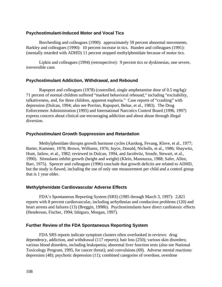### **Psychostimulant-Induced Motor and Vocal Tics**

Borcherding and colleagues (1990): approximately 59 percent abnormal movements. Barkley and colleagues (1990): 10 percent increase in tics. Handen and colleagues (1991): (mentally retarded with ADHD) 11 percent stopped methylphenidate because of motor tics.

Lipkin and colleagues (1994) (retrospective): 9 percent tics or dyskinesias, one severe, irreversible case.

### **Psychostimulant Addiction, Withdrawal, and Rebound**

Rapoport and colleagues (1978) (controlled, single amphetamine dose of 0.5 mg/kg): 71 percent of normal children suffered "marked behavioral rebound," including "excitability, talkativeness, and, for three children, apparent euphoria." Case reports of "crashing" with depression (Dulcan, 1994; also see Porrino, Rapoport, Behar, et al., 1983). The Drug Enforcement Administration (1995) and International Narcotics Control Board (1996, 1997) express concern about clinical use encouraging addiction and about abuse through illegal diversion.

### **Psychostimulant Growth Suppression and Retardation**

Methylphenidate disrupts growth hormone cycles (Aarskog, Fevang, Klove, et al., 1977; Barter, Kammer, 1978; Brown, Williams, 1976; Joyce, Donald, Nicholls, et al., 1986; Shaywitz, Hunt, Jatlow, et al., 1982; reviewed in Dulcan, 1994, and Jacobvitz, Sroufe, Stewart, et al., 1990). Stimulants inhibit growth (height and weight) (Klein, Mannuzza, 1988; Safer, Allen, Barr, 1975). Spencer and colleagues (1996) conclude that growth deficits are related to ADHD, but the study is flawed, including the use of only one measurement per child and a control group that is 1 year older.

## **Methylphenidate Cardiovascular Adverse Effects**

FDA's Spontaneous Reporting System (SRS) (1985 through March 3, 1997): 2,821 reports with 8 percent cardiovascular, including arrhythmias and conduction problems (120) and heart arrests and failures (13) (Breggin, 1998b). Psychostimulants have direct cardiotoxic effects (Henderson, Fischer, 1994; Ishiguro, Morgan, 1997).

## **Further Review of the FDA Spontaneous Reporting System**

FDA SRS reports indicate symptom clusters often overlooked in reviews: drug dependency, addiction, and withdrawal (117 reports); hair loss (250); various skin disorders; various blood disorders, including leukopenia; abnormal liver function tests (also see National Toxicology Program, 1995, for cancer threat); and convulsions (69). Adverse mental reactions: depression (48); psychotic depression (11); combined categories of overdose, overdose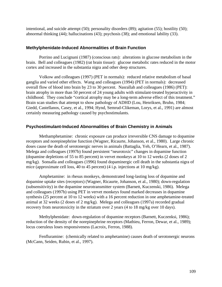intentional, and suicide attempt (50); personality disorders (89); agitation (55); hostility (50); abnormal thinking (44); hallucinations (43); psychosis (38); and emotional lability (33).

### **Methylphenidate-Induced Abnormalities of Brain Function**

Porrino and Lucignani (1987) (conscious rats): alterations in glucose metabolism in the brain. Bell and colleagues (1982) (rat brain tissue): glucose metabolic rates reduced in the motor cortex and increased in the substantia nigra and other deep structures.

Volkow and colleagues (1997) (PET in normals): reduced relative metabolism of basal ganglia and varied other effects. Wang and colleagues (1994) (PET in normals): decreased overall flow of blood into brain by 23 to 30 percent. Nasrallah and colleagues (1986) (PET): brain atrophy in more than 50 percent of 24 young adults with stimulant-treated hyperactivity in childhood. They conclude "cortical atrophy may be a long-term adverse effect of this treatment." Brain scan studies that attempt to show pathology of ADHD (Lou, Henriksen, Bruhn, 1984; Giedd, Castellanos, Casey, et al., 1994; Hynd, Semrud-Clikeman, Lorys, et al., 1991) are almost certainly measuring pathology caused by psychostimulants.

## **Psychostimulant-Induced Abnormalities of Brain Chemistry in Animals**

Methamphetamine: chronic exposure can produce irreversible CNS damage to dopamine receptors and norepinephrine function (Wagner, Ricaurte, Johanson, et al., 1980). Large chronic doses cause the death of serotonergic nerves in animals (Battaglia, Yeh, O'Hearn, et al., 1987). Melega and colleagues (1997b) found persistent "neurotoxic" changes in dopamine function (dopamine depletions of 55 to 85 percent) in vervet monkeys at 10 to 12 weeks (2 doses of 2 mg/kg). Sonsalla and colleagues (1996) found dopaminergic cell death in the substantia nigra of mice (approximate cell loss, 40 to 45 percent) (4 i.p. injections at 10 mg/kg).

Amphetamine: in rhesus monkeys, demonstrated long-lasting loss of dopamine and dopamine uptake sites (receptors) (Wagner, Ricaurte, Johanson, et al., 1980); down-regulation (subsensitivity) in the dopamine neurotransmitter system (Barnett, Kuczenski, 1986). Melega and colleagues (1997b) using PET in vervet monkeys found marked decreases in dopamine synthesis (25 percent at 10 to 12 weeks) with a 16 percent reduction in one amphetamine-treated animal at 32 weeks (2 doses of 2 mg/kg). Melega and colleagues (1997a) recorded gradual recovery from neurotoxicity in the striatum over 2 years (4 to 18 mg/kg over 10 days).

Methylphenidate: down-regulation of dopamine receptors (Barnett, Kuczenksi, 1986); reduction of the density of the norepinephrine receptors (Mathieu, Ferron, Dewar, et al., 1989); locus coeruleus loses responsiveness (Lacroix, Ferron, 1988).

Fenfluramine: (chemically related to amphetamine) causes death of serotonergic neurons (McCann, Seiden, Rubin, et al., 1997).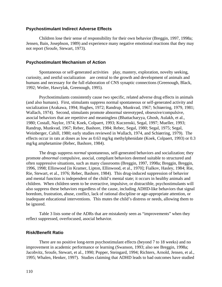#### **Psychostimulant Indirect Adverse Effects**

Children lose their sense of responsibility for their own behavior (Breggin, 1997, 1998a; Jensen, Bain, Josephson, 1989) and experience many negative emotional reactions that they may not report (Sroufe, Stewart, 1973).

#### **Psychostimulant Mechanism of Action**

Spontaneous or self-generated activities—play, mastery, exploration, novelty seeking, curiosity, and zestful socialization—are central to the growth and development of animals and humans and necessary for the full elaboration of CNS synaptic connections (Greenough, Black, 1992; Weiler, Hawrylak, Greenough, 1995).

Psychostimulants consistently cause two specific, related adverse drug effects in animals (and also humans). First, stimulants suppress normal spontaneous or self-generated activity and socialization (Arakawa, 1994; Hughes, 1972; Randrup, Munkvad, 1967; Schiørring, 1979, 1981; Wallach, 1974). Second, stimulants promote abnormal stereotyped, obsessive/compulsive, asocial behaviors that are repetitive and meaningless (Bhattacharyya, Ghosh, Aulakh, et al., 1980; Costall, Naylor, 1974; Koek, Colpaert, 1993; Kuczenski, Segal, 1997; Mueller, 1993; Randrup, Munkvad, 1967; Rebec, Bashore, 1984; Rebec, Segal, 1980; Segal, 1975; Segal, Weinberger, Cahill, 1980; early studies reviewed in Wallach, 1974, and Schiørring, 1979). The effects occur in rats at doses as low as 0.63 mg/kg methylphenidate (Koek, Colpaert, 1993) or 0.3 mg/kg amphetamine (Rebec, Bashore, 1984).

The drugs suppress *normal* spontaneous, self-generated behaviors and socialization; they promote *abnormal* compulsive, asocial, compliant behaviors deemed suitable to structured and often suppressive situations, such as many classrooms (Breggin, 1997, 1998a; Breggin, Breggin, 1996, 1998; Ellinwood [in Kramer, Lipton, Ellinwood, et al., 1970]; Fialkov, Hasley, 1984; Rie, Rie, Stewart, et al., 1976; Rebec, Bashore, 1984). This drug-induced suppression of behavior and mental function is independent of the child's mental state; it occurs in healthy animals and children. When children seem to be overactive, impulsive, or distractible, psychostimulants will also suppress these behaviors regardless of the cause, including ADHD-like behaviors that signal boredom, frustration, abuse, conflict, lack of rational discipline or age-appropriate attention, or inadequate educational interventions. This mutes the child's distress or needs, allowing them to be ignored.

Table 3 lists some of the ADRs that are mistakenly seen as "improvements" when they reflect suppressed, overfocused, asocial behavior.

#### **Risk/Benefit Ratio**

There are no positive long-term psychostimulant effects (beyond 7 to 18 weeks) and no improvement in academic performance or learning (Swanson, 1993; also see Breggin, 1998a; Jacobvitz, Sroufe, Stewart, et al., 1990; Popper, Steingard, 1994; Richters, Arnold, Jensen, et al., 1995; Whalen, Henker, 1997). Studies claiming that ADHD leads to bad outcomes have studied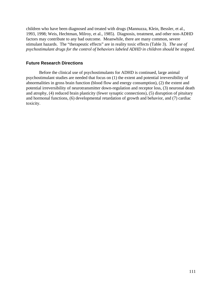children who have been diagnosed and treated with drugs (Mannuzza, Klein, Bessler, et al., 1993, 1998; Weis, Hechtman, Milroy, et al., 1985). Diagnosis, treatment, and other non-ADHD factors may contribute to any bad outcome. Meanwhile, there are many common, severe stimulant hazards. The "therapeutic effects" are in reality toxic effects (Table 3). *The use of psychostimulant drugs for the control of behaviors labeled ADHD in children should be stopped.* 

### **Future Research Directions**

Before the clinical use of psychostimulants for ADHD is continued, large animal psychostimulant studies are needed that focus on (1) the extent and potential irreversibility of abnormalities in gross brain function (blood flow and energy consumption), (2) the extent and potential irreversibility of neurotransmitter down-regulation and receptor loss, (3) neuronal death and atrophy, (4) reduced brain plasticity (fewer synaptic connections), (5) disruption of pituitary and hormonal functions, (6) developmental retardation of growth and behavior, and (7) cardiac toxicity.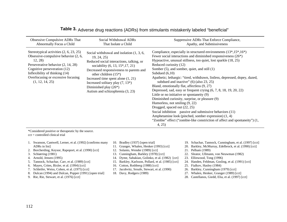| Obsessive Compulsive ADRs That                                                                                                                                                                                                                                    | Social Withdrawal ADRs                                                                                                                                                                                                                                                                                                                                                | Suppressive ADRs That Enforce Compliance,                                                                                                                                                                                                                                                                                                                                                                                                                                                                                                                                                                                                                                                                                                                                                                                                                                                                                         |
|-------------------------------------------------------------------------------------------------------------------------------------------------------------------------------------------------------------------------------------------------------------------|-----------------------------------------------------------------------------------------------------------------------------------------------------------------------------------------------------------------------------------------------------------------------------------------------------------------------------------------------------------------------|-----------------------------------------------------------------------------------------------------------------------------------------------------------------------------------------------------------------------------------------------------------------------------------------------------------------------------------------------------------------------------------------------------------------------------------------------------------------------------------------------------------------------------------------------------------------------------------------------------------------------------------------------------------------------------------------------------------------------------------------------------------------------------------------------------------------------------------------------------------------------------------------------------------------------------------|
| Abnormally Focus a Child                                                                                                                                                                                                                                          | That Isolate a Child                                                                                                                                                                                                                                                                                                                                                  | Apathy, and Submissiveness                                                                                                                                                                                                                                                                                                                                                                                                                                                                                                                                                                                                                                                                                                                                                                                                                                                                                                        |
| Stereotypical activities $(2, 6, 23, 25)$<br>Obsessive-compulsive behavior $(2, 6, 1)$<br>12, 28<br>Perseverative behavior (2, 14, 28)<br>Cognitive perseveration (12)<br>Inflexibility of thinking (14)<br>Overfocusing or excessive focusing<br>(1, 12, 14, 25) | Social withdrawal and isolation $(1, 3, 6, 1)$<br>19, 24, 25)<br>Reduced social interactions, talking, or<br>sociability $(6, 13, 15^*, 17, 21)$<br>Decreased responsiveness to parents and<br>other children $(15^*)$<br>Increased time spent alone $(1, 21)$<br>Increased solitary play $(7, 13^*)$<br>Diminished play $(26^*)$<br>Autism and schizophrenia (3, 23) | Compliance, especially in structured environments (13*,15*,16*)<br>Fewer social interactions and diminished responsiveness (26*)<br>Hypoactive, unusual stillness, too quiet, lost sparkle (18, 25)<br>Reduced curiosity (12)<br>Somber (5), and somber, quiet, and still (1)<br>Subdued $(6,10)$<br>Apathetic; lethargic: "tired, withdrawn, listless, depressed, dopey, dazed,<br>subdued and inactive" $(6)$ (also 23, 25)<br>Bland, emotionally flat, affectless (9, 27)<br>Depressed, sad, easy or frequent crying $(6, 7, 8, 18, 19, 20, 22)$<br>Little or no initiative or spontaneity (9)<br>Diminished curiosity, surprise, or pleasure (9)<br>Humorless, not smiling (9, 22)<br>Drugged, spaced out (22, 25)<br>Social inhibition—passive and submissive behaviors (11)<br>Amphetamine look (pinched, somber expression) (1, 4)<br>"Zombie" effect ("zombie-like constriction of affect and spontaneity") (1,<br>4, 25) |

## **Table 3.** Adverse drug reactions (ADRs) from stimulants mistakenly labeled "beneficial"

\*Considered positive or therapeutic by the source.

cct = controlled clinical trial

- 1. Swanson, Cantwell, Lerner, et al. (1992) [confirms many ADRs in list]
- 2. Borcherding, Keysor, Rapoport, et al. (1990) [cct]
- 3. Schiørring (1981)
- 4. Arnold, Jensen (1995)
- 5. Tannock, Schachar, Carr, et al. (1989) [cct]
- 6. Mayes, Crites, Bixler, et al. (1994) [cct]
- 7. Schleifer, Weiss, Cohen, et al. (1975) [cct]
- 8. Dulcan (1994) and Dulcan, Popper (1991) [open trial]
- 9. Rie, Rie, Stewart, et al. (1976) [cct]
- 
- 
- 12. Solanto, Wender (1989) [cct] 21. Pelham (1989)
- 
- 14. Dyme, Sahakian, Golinko, et al. (1982) [cct] 23. Ellinwood, Tong (1996) 15. Barkley, Karlsson, Pollard, et al. (1985) [cct] 24. Handen, Feldman, Gosli
- 
- 16. Cotton, Rothberg  $(1988)$  [cct]
- 17. Jacobvitz, Sroufe, Stewart, et al. (1990) 26. Barkley, Cunningham (1979) [cct]
- 
- 10. Bradley (1937) [open trial] 19. Schachar, Tannock, Cunningham, et al. (1997) [cct]
- 11. Granger, Whalen, Henker (1993) [cct] 20. Barkley, McMurray, Edelbrock, et al. (1990) [cct]
	-
- 13. Cunningham, Barkley (1978) [cct] 22. Sleator, Ullmann, von Neuwman (1982)
	-
	- 24. Handen, Feldman, Gosling, et al. (1991) [cct] 25. Fialkov, Hasley (1984)
	-
	-
- 18. Davy, Rodgers (1989) 27. Whalen, Henker, Granger (1989) [cct]
	- 28. Castellanos, Giedd, Elia, et al. (1997) [cct]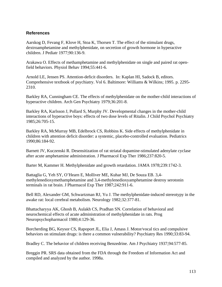## **References**

Aarskog D, Fevang F, Klove H, Stoa K, Thorsen T. The effect of the stimulant drugs, dextroamphetamine and methylphenidate, on secretion of growth hormone in hyperactive children. J Pediatr 1977;90:136-9.

Arakawa O. Effects of methamphetamine and methylphenidate on single and paired rat openfield behaviors. Physiol Behav 1994;55:441-6.

Arnold LE, Jensen PS. Attention-deficit disorders. In: Kaplan HI, Sadock B, editors. Comprehensive textbook of psychiatry. Vol 6. Baltimore: Williams & Wilkins; 1995. p. 2295- 2310.

Barkley RA, Cunningham CE. The effects of methylphenidate on the mother-child interactions of hyperactive children. Arch Gen Psychiatry 1979;36:201-8.

Barkley RA, Karlsson J, Pollard S, Murphy JV. Developmental changes in the mother-child interactions of hyperactive boys: effects of two dose levels of Ritalin. J Child Psychol Psychiatry 1985;26:705-15.

Barkley RA, McMurray MB, Edelbrock CS, Robbins K. Side effects of methylphenidate in children with attention deficit disorder: a systemic, placebo-controlled evaluation. Pediatrics 1990;86:184-92.

Barnett JV, Kuczenski R. Desensitization of rat striatal dopamine-stimulated adenylate cyclase after acute amphetamine administration. J Pharmacol Exp Ther 1986;237:820-5.

Barter M, Kammer H. Methylphenidate and growth retardation. JAMA 1978;239:1742-3.

Battaglia G, Yeh SY, O'Hearn E, Molliver ME, Kuhar MJ, De Souza EB. 3,4 methylenedioxymethamphetamine and 3,4-methylenedioxyamphetamine destroy serotonin terminals in rat brain. J Pharmacol Exp Ther 1987;242:911-6.

Bell RD, Alexander GM, Schwartzman RJ, Yu J. The methylphenidate-induced stereotypy in the awake rat: local cerebral metabolism. Neurology 1982;32:377-81.

Bhattacharyya AK, Ghosh B, Aulakh CS, Pradhan SN. Correlation of behavioral and neurochemical effects of acute administration of methylphenidate in rats. Prog Neuropsychopharmacol 1980;4:129-36.

Borcherding BG, Keysor CS, Rapoport JL, Elia J, Amass J. Motor/vocal tics and compulsive behaviors on stimulant drugs: is there a common vulnerability? Psychiatry Res 1990;33:83-94.

Bradley C. The behavior of children receiving Benzedrine. Am J Psychiatry 1937;94:577-85.

Breggin PR. SRS data obtained from the FDA through the Freedom of Information Act and compiled and analyzed by the author. 1998a.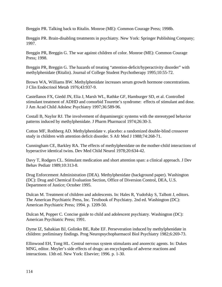Breggin PR. Talking back to Ritalin. Monroe (ME): Common Courage Press; 1998b.

Breggin PR. Brain-disabling treatments in psychiatry. New York: Springer Publishing Company; 1997.

Breggin PR, Breggin G. The war against children of color. Monroe (ME): Common Courage Press; 1998.

Breggin PR, Breggin G. The hazards of treating "attention-deficit/hyperactivity disorder" with methylphenidate (Ritalin). Journal of College Student Psychotherapy 1995;10:55-72.

Brown WA, Williams BW. Methylphenidate increases serum growth hormone concentrations. J Clin Endocrinol Metab 1976;43:937-9.

Castellanos FX, Giedd JN, Elia J, Marsh WL, Rathke GF, Hamburger SD, et al. Controlled stimulant treatment of ADHD and comorbid Tourette's syndrome: effects of stimulant and dose. J Am Acad Child Adolesc Psychiatry 1997;36:589-96.

Costall B, Naylor RJ. The involvement of dopaminergic systems with the stereotyped behavior patterns induced by methylphenidate. J Pharm Pharmacol 1974;26:30-3.

Cotton MF, Rothberg AD. Methylphenidate v. placebo: a randomized double-blind crossover study in children with attention deficit disorder. S Afr Med J 1988;74:268-71.

Cunningham CE, Barkley RA. The effects of methylphenidate on the mother-child interactions of hyperactive identical twins. Dev Med Child Neurol 1978;20:634-42.

Davy T, Rodgers CL. Stimulant medication and short attention span: a clinical approach. J Dev Behav Pediatr 1989;10:313-8.

Drug Enforcement Administration (DEA). Methylphenidate (background paper). Washington (DC): Drug and Chemical Evaluation Section, Office of Diversion Control, DEA, U.S. Department of Justice; October 1995.

Dulcan M. Treatment of children and adolescents. In: Hales R, Yudofsky S, Talbott J, editors. The American Psychiatric Press, Inc. Textbook of Psychiatry. 2nd ed. Washington (DC): American Psychiatric Press; 1994. p. 1209-50.

Dulcan M, Popper C. Concise guide to child and adolescent psychiatry. Washington (DC): American Psychiatric Press; 1991.

Dyme IZ, Sahakian BJ, Golinko BE, Rabe EF. Perseveration induced by methylphenidate in children: preliminary findings. Prog Neuropsychopharmacol Biol Psychiatry 1982;6:269-73.

Ellinwood EH, Tong HL. Central nervous system stimulants and anorectic agents. In: Dukes MNG, editor. Meyler's side effects of drugs: an encyclopedia of adverse reactions and interactions. 13th ed. New York: Elsevier; 1996. p. 1-30.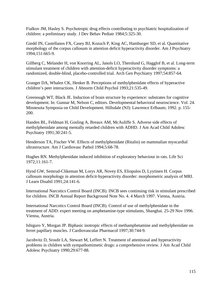Fialkov JM, Hasley S. Psychotropic drug effects contributing to psychiatric hospitalization of children: a preliminary study. J Dev Behav Pediatr 1984;5:325-30.

Giedd JN, Castellanos FX, Casey BJ, Kozuch P, King AC, Hamburger SD, et al. Quantitative morphology of the corpus callosum in attention deficit hyperactivity disorder. Am J Psychiatry 1994;151:665-9.

Gillberg C, Melander H, von Knorring AL, Janols LO, Thernlund G, Hagglof B, et al. Long-term stimulant treatment of children with attention-deficit hyperactivity disorder symptoms: a randomized, double-blind, placebo-controlled trial. Arch Gen Psychiatry 1997;54:857-64.

Granger DA, Whalen CK, Henker B. Perceptions of methylphenidate effects of hyperactive children's peer interactions. J Abnorm Child Psychol 1993;21:535-49.

Greenough WT, Black JE. Induction of brain structure by experience: substrates for cognitive development. In: Gunnar M, Nelson C, editors. Developmental behavioral neuroscience. Vol. 24. Minnesota Symposia on Child Development. Hillsdale (NJ): Lawrence Erlbaum; 1992. p. 155- 200.

Handen BL, Feldman H, Gosling A, Breaux AM, McAuliffe S. Adverse side effects of methylphenidate among mentally retarded children with ADHD. J Am Acad Child Adolesc Psychiatry 1991;30:241-5.

Henderson TA, Fischer VW. Effects of methylphenidate (Ritalin) on mammalian myocardial ultrastructure. Am J Cardiovasc Pathol 1994;5:68-78.

Hughes RN. Methylphenidate induced inhibition of exploratory behaviour in rats. Life Sci 1972;11:161-7.

Hynd GW, Semrud-Clikeman M, Lorys AR, Novey ES, Eliopulos D, Lyytinen H. Corpus callosum morphology in attention deficit-hyperactivity disorder: morphometric analysis of MRI. J Learn Disabil 1991;24:141-6.

International Narcotics Control Board (INCB). INCB sees continuing risk in stimulant prescribed for children. INCB Annual Report Background Note No. 4. 4 March 1997. Vienna, Austria.

International Narcotics Control Board (INCB). Control of use of methylphenidate in the treatment of ADD: expert meeting on amphetamine-type stimulants, Shanghai. 25-29 Nov 1996. Vienna, Austria.

Ishiguro Y, Morgan JP. Biphasic inotropic effects of methamphetamine and methylphenidate on ferret papillary muscles. J Cardiovascular Pharmacol 1997;30:744-9.

Jacobvitz D, Sroufe LA, Stewart M, Leffert N. Treatment of attentional and hyperactivity problems in children with sympathomimetic drugs: a comprehensive review. J Am Acad Child Adolesc Psychiatry 1990;29:677-88.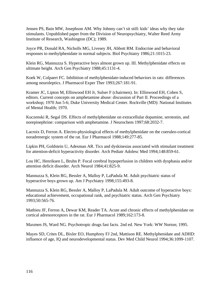Jensen PS, Bain MW, Josephson AM. Why Johnny can't sit still: kids' ideas why they take stimulants. Unpublished paper from the Division of Neuropsychiatry, Walter Reed Army Institute of Research, Washington (DC); 1989.

Joyce PR, Donald RA, Nicholls MG, Livesey JH, Abbott RM. Endocrine and behavioral responses to methylphenidate in normal subjects. Biol Psychiatry 1986;21:1015-23.

Klein RG, Mannuzza S. Hyperactive boys almost grown up. III. Methylphenidate effects on ultimate height. Arch Gen Psychiatry 1988;45:1131-4.

Koek W, Colpaert FC. Inhibition of methylphenidate-induced behaviors in rats: differences among neuroleptics. J Pharmacol Exper Ther 1993;267:181-91.

Kramer JC, Lipton M, Ellinwood EH Jr, Sulser F (chairmen). In: Ellinwood EH, Cohen S, editors. Current concepts on amphetamine abuse: discussion of Part II. Proceedings of a workshop; 1970 Jun 5-6; Duke University Medical Center. Rockville (MD): National Institutes of Mental Health; 1970.

Kuczenski R, Segal DS. Effects of methylphenidate on extracellular dopamine, serotonin, and norepinephrine: comparison with amphetamine. J Neurochem 1997;68:2032-7.

Lacroix D, Ferron A. Electro-physiological effects of methylphenidate on the coeruleo-cortical noradrenergic system of the rat. Eur J Pharmacol 1988;149:277-85.

Lipkin PH, Goldstein U, Adesman AR. Tics and dyskinesias associated with stimulant treatment for attention-deficit hyperactivity disorder. Arch Pediatr Adolesc Med 1994;148:859-61.

Lou HC, Henriksen L, Bruhn P. Focal cerebral hypoperfusion in children with dysphasia and/or attention deficit disorder. Arch Neurol 1984;41:825-9.

Mannuzza S, Klein RG, Bessler A, Malloy P, LaPadula M. Adult psychiatric status of hyperactive boys grown up. Am J Psychiatry 1998;155:493-8.

Mannuzza S, Klein RG, Bessler A, Malloy P, LaPadula M. Adult outcome of hyperactive boys: educational achievement, occupational rank, and psychiatric status. Arch Gen Psychiatry 1993;50:565-76.

Mathieu JF, Ferron A, Dewar KM, Reader TA. Acute and chronic effects of methylphenidate on cortical adrenoreceptors in the rat. Eur J Pharmacol 1989;162:173-8.

Maxmen JS, Ward NG. Psychotropic drugs fast facts. 2nd ed. New York: WW Norton; 1995.

Mayes SD, Crites DL, Bixler EO, Humphrey FJ 2nd, Mattison RE. Methylphenidate and ADHD: influence of age, IQ and neurodevelopmental status. Dev Med Child Neurol 1994;36:1099-1107.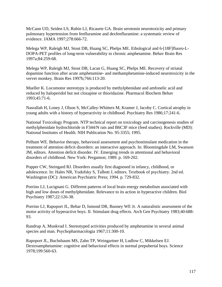McCann UD, Seiden LS, Rubin LJ, Ricaurte GA. Brain serotonin neurotoxicity and primary pulmonary hypertension from fenfluramine and dexfenfluramine: a systematic review of evidence. JAMA 1997;278:666-72.

Melega WP, Raleigh MJ, Stout DB, Huang SC, Phelps ME. Ethological and 6-[18F]fluoro-L-DOPA-PET profiles of long-term vulnerability to chronic amphetamine. Behav Brain Res 1997a;84:259-68.

Melega WP, Raleigh MJ, Stout DB, Lacan G, Huang SC, Phelps ME. Recovery of striatal dopamine function after acute amphetamine- and methamphetamine-induced neurotoxicity in the vervet monkey. Brain Res 1997b;766:113-20.

Mueller K. Locomotor stereotypy is produced by methylphenidate and amfonelic acid and reduced by haloperidol but not clozapine or thioridazine. Pharmacol Biochem Behav 1993;45:71-6.

Nasrallah H, Loney J, Olson S, McCalley-Whitters M, Kramer J, Jacoby C. Cortical atrophy in young adults with a history of hyperactivity in childhood. Psychiatry Res 1986;17:241-6.

National Toxicology Program. NTP technical report on toxicology and carcinogenesis studies of methylphenidate hydrochloride in F344/N rats and B6C3F mice (feed studies). Rockville (MD): National Institutes of Health. NIH Publication No. 95-3355; 1995.

Pelham WE. Behavior therapy, behavioral assessment and psychostimulant medication in the treatment of attention deficit disorders: an interactive approach. In: Bloomingdale LM, Swanson JM, editors. Attention deficit disorder. IV. Emerging trends in attentional and behavioral disorders of childhood. New York: Pergamon; 1989. p. 169-202.

Popper CW, Steingard RJ. Disorders usually first diagnosed in infancy, childhood, or adolescence. In: Hales NR, Yudofsky S, Talbott J, editors. Textbook of psychiatry. 2nd ed. Washington (DC): American Psychiatric Press; 1994. p. 729-832.

Porrino LJ, Lucignani G. Different patterns of local brain energy metabolism associated with high and low doses of methylphenidate. Relevance to its action in hyperactive children. Biol Psychiatry 1987;22:126-38.

Porrino LJ, Rapoport JL, Behar D, Ismond DR, Bunney WE Jr. A naturalistic assessment of the motor activity of hyperactive boys. II. Stimulant drug effects. Arch Gen Psychiatry 1983;40:688- 93.

Randrup A, Munkvad I. Stereotyped activities produced by amphetamine in several animal species and man. Psychopharmacologia 1967;11:300-10.

Rapoport JL, Buchsbaum MS, Zahn TP, Weingartner H, Ludlow C, Mikkelsen EJ. Dextroamphetamine: cognitive and behavioral effects in normal prepubertal boys. Science 1978;199:560-63.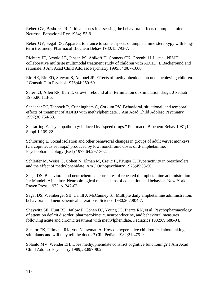Rebec GV, Bashore TR. Critical issues in assessing the behavioral effects of amphetamine. Neurosci Behavioral Rev 1984;153-9.

Rebec GV, Segal DS. Apparent tolerance to some aspects of amphetamine stereotypy with longterm treatment. Pharmacol Biochem Behav 1980;13:793-7.

Richters JE, Arnold LE, Jensen PS, Abikoff H, Conners CK, Greenhill LL, et al. NIMH collaborative multisite multimodal treatment study of children with ADHD. I. Background and rationale. J Am Acad Child Adolesc Psychiatry 1995;34:987-1000.

Rie HE, Rie ED, Stewart S, Ambuel JP. Effects of methylphenidate on underachieving children. J Consult Clin Psychol 1976;44:250-60.

Safer DJ, Allen RP, Barr E. Growth rebound after termination of stimulation drugs. J Pediatr 1975;86:113-6.

Schachar RJ, Tannock R, Cunningham C, Corkum PV. Behavioral, situational, and temporal effects of treatment of ADHD with methylphenidate. J Am Acad Child Adolesc Psychiatry 1997;36:754-63.

Schiørring E. Psychopathology induced by "speed drugs." Pharmacol Biochem Behav 1981;14, Suppl 1:109-22.

Schiørring E. Social isolation and other behavioral changes in groups of adult vervet monkeys (Cercopithecus aethiops) produced by low, nonchronic doses of d-amphetamine. Psychopharmacology (Berl) 1979;64:297-302.

Schleifer M, Weiss G, Cohen N, Elman M, Crejic H, Kruger E. Hyperactivity in preschoolers and the effect of methylphenidate. Am J Orthopsychiatry 1975;45:33-50.

Segal DS. Behavioral and neurochemical correlates of repeated d-amphetamine administration. In: Mandell AJ, editor. Neurobiological mechanisms of adaptation and behavior. New York: Raven Press; 1975. p. 247-62.

Segal DS, Weinberger SB, Cahill J, McCunney SJ. Multiple daily amphetamine administration: behavioral and neurochemical alterations. Science 1980;207:904-7.

Shaywitz SE, Hunt RD, Jatlow P, Cohen DJ, Young JG, Pierce RN, et al. Psychopharmacology of attention deficit disorder: pharmacokinetic, neuroendocrine, and behavioral measures following acute and chronic treatment with methylphenidate. Pediatrics 1982;69:688-94.

Sleator EK, Ullmann RK, von Neuwman A. How do hyperactive children feel about taking stimulants and will they tell the doctor? Clin Pediatr 1982;21:475-9.

Solanto MV, Wender EH. Does methylphenidate constrict cognitive functioning? J Am Acad Child Adolesc Psychiatry 1989;28:897-902.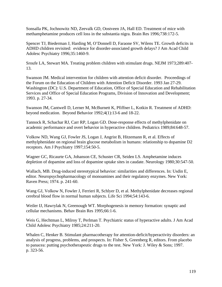Sonsalla PK, Jochnowitz ND, Zeevalk GD, Oostveen JA, Hall ED. Treatment of mice with methamphetamine produces cell loss in the substantia nigra. Brain Res 1996;738:172-5.

Spencer TJ, Biederman J, Harding M, O'Donnell D, Faraone SV, Wilens TE. Growth deficits in ADHD children revisited: evidence for disorder-associated growth delays? J Am Acad Child Adolesc Psychiatry 1996;35:1460-9.

Sroufe LA, Stewart MA. Treating problem children with stimulant drugs. NEJM 1973;289:407- 13.

Swanson JM. Medical intervention for children with attention deficit disorder. Proceedings of the Forum on the Education of Children with Attention Deficit Disorder. 1993 Jan 27-29. Washington (DC): U.S. Department of Education, Office of Special Education and Rehabilitation Services and Office of Special Education Programs, Division of Innovation and Development; 1993. p. 27-34.

Swanson JM, Cantwell D, Lerner M, McBurnett K, Pfiffner L, Kotkin R. Treatment of ADHD: beyond medication. Beyond Behavior 1992;4(1):13-6 and 18-22.

Tannock R, Schachar RJ, Carr RP, Logan GD. Dose-response effects of methylphenidate on academic performance and overt behavior in hyperactive children. Pediatrics 1989;84:648-57.

Volkow ND, Wang GJ, Fowler JS, Logan J, Angrist B, Hitzemann R, et al. Effects of methylphenidate on regional brain glucose metabolism in humans: relationship to dopamine D2 receptors. Am J Psychiatry 1997;154:50-5.

Wagner GC, Ricaurte GA, Johanson CE, Schuster CR, Seiden LS. Amphetamine induces depletion of dopamine and loss of dopamine uptake sites in caudate. Neurology 1980;30:547-50.

Wallach, MB. Drug-induced stereotypical behavior: similarities and differences. In: Usdin E, editor. Neuropsychopharmacology of monoamines and their regulatory enzymes. New York: Raven Press; 1974. p. 241-60.

Wang GJ, Volkow N, Fowler J, Ferrieri R, Schlyer D, et al. Methylphenidate decreases regional cerebral blood flow in normal human subjects. Life Sci 1994;54:143-6.

Weiler IJ, Hawrylak N, Greenough WT. Morphogenesis in memory formation: synaptic and cellular mechanisms. Behav Brain Res 1995;66:1-6.

Weis G, Hechtman L, Milroy T, Perlman T. Psychiatric status of hyperactive adults. J Am Acad Child Adolesc Psychiatry 1985;24:211-20.

Whalen C, Henker B. Stimulant pharmacotherapy for attention-deficit/hyperactivity disorders: an analysis of progress, problems, and prospects. In: Fisher S, Greenberg R, editors. From placebo to panacea: putting psychotherapeutic drugs to the test. New York: J. Wiley & Sons; 1997. p. 323-56.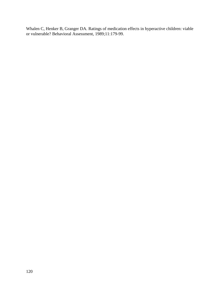Whalen C, Henker B, Granger DA. Ratings of medication effects in hyperactive children: viable or vulnerable? Behavioral Assessment, 1989;11:179-99.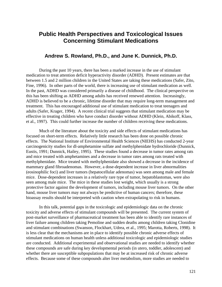# **Public Health Perspectives and Toxicological Issues Concerning Stimulant Medications**

## **Andrew S. Rowland, Ph.D., and June K. Dunnick, Ph.D.**

During the past 10 years, there has been a marked increase in the use of stimulant medication to treat attention deficit hyperactivity disorder (ADHD). Present estimates are that between 1.5 and 2 million children in the United States are taking these medications (Safer, Zito, Fine, 1996). In other parts of the world, there is increasing use of stimulant medication as well. In the past, ADHD was considered primarily a disease of childhood. The clinical perspective on this has been shifting as ADHD among adults has received renewed attention. Increasingly, ADHD is believed to be a chronic, lifetime disorder that may require long-term management and treatment. This has encouraged additional use of stimulant medication to treat teenagers and adults (Safer, Krager, 1994). A recent clinical trial suggests that stimulant medication may be effective in treating children who have conduct disorder without ADHD (Klein, Abikoff, Klass, et al., 1997). This could further increase the number of children receiving these medications.

Much of the literature about the toxicity and side effects of stimulant medications has focused on short-term effects. Relatively little research has been done on possible chronic effects. The National Institute of Environmental Health Sciences (NIEHS) has conducted 2-year carcinogenicity studies for dl-amphetamine sulfate and methylphenidate hydrochloride (Dunnick, Eustis, 1991; Dunnick, Hailey, 1995). These studies found a decrease in tumor rates among rats and mice treated with amphetamines and a decrease in tumor rates among rats treated with methylphenidate. Mice treated with methylphenidate also showed a decrease in the incidence of mammary gland fibroadenomas. However, a dose-dependent increase in liver abnormalities (eosinophilic foci) and liver tumors (hepatocellular adenomas) was seen among male and female mice. Dose-dependent increases in a relatively rare type of tumor, hepatoblastomas, were also seen among male mice. The mice in these studies lost weight, which usually is a strong protective factor against the development of tumors, including mouse liver tumors. On the other hand, mouse liver tumors may not always be predictive of human cancers; therefore, these bioassay results should be interpreted with caution when extrapolating to risk in humans.

In this talk, potential gaps in the toxicologic and epidemiologic data on the chronic toxicity and adverse effects of stimulant compounds will be presented. The current system of post-market surveillance of pharmaceutical treatment has been able to identify rare instances of liver failure among children taking Pemoline and sudden deaths among children taking Clonidine and stimulant combinations (Swanson, Flockhart, Udrea, et al., 1995; Marotta, Roberts, 1998). It is less clear that the mechanisms are in place to identify possible chronic adverse effects of stimulant medications on human health unless additional toxicologic and epidemiologic studies are conducted. Additional experimental and observational studies are needed to identify whether these compounds are safe during key developmental periods (in utero, toddler, adolescent) and whether there are susceptible subpopulations that may be at increased risk of chronic adverse effects. Because some of these compounds alter liver metabolism, more studies are needed to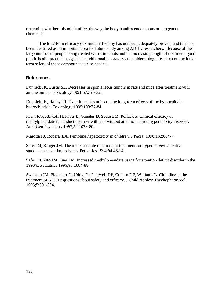determine whether this might affect the way the body handles endogenous or exogenous chemicals.

The long-term efficacy of stimulant therapy has not been adequately proven, and this has been identified as an important area for future study among ADHD researchers. Because of the large number of people being treated with stimulants and the increasing length of treatment, good public health practice suggests that additional laboratory and epidemiologic research on the longterm safety of these compounds is also needed.

### **References**

Dunnick JK, Eustis SL. Decreases in spontaneous tumors in rats and mice after treatment with amphetamine. Toxicology 1991;67:325-32.

Dunnick JK, Hailey JR. Experimental studies on the long-term effects of methylphenidate hydrochloride. Toxicology 1995;103:77-84.

Klein RG, Abikoff H, Klass E, Ganeles D, Seese LM, Pollack S. Clinical efficacy of methylphenidate in conduct disorder with and without attention deficit hyperactivity disorder. Arch Gen Psychiatry 1997;54:1073-80.

Marotta PJ, Roberts EA. Pemoline hepatoxicity in children. J Pediat 1998;132:894-7.

Safer DJ, Krager JM. The increased rate of stimulant treatment for hyperactive/inattentive students in secondary schools. Pediatrics 1994;94:462-4.

Safer DJ, Zito JM, Fine EM. Increased methylphenidate usage for attention deficit disorder in the 1990's. Pediatrics 1996;98:1084-88.

Swanson JM, Flockhart D, Udrea D, Cantwell DP, Connor DF, Williams L. Clonidine in the treatment of ADHD: questions about safety and efficacy. J Child Adolesc Psychopharmacol 1995;5:301-304.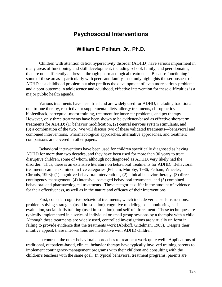# **Psychosocial Interventions**

## **William E. Pelham, Jr., Ph.D.**

Children with attention deficit hyperactivity disorder (ADHD) have serious impairment in many areas of functioning and skill development, including school, family, and peer domains, that are not sufficiently addressed through pharmacological treatments. Because functioning in some of these areas—particularly with peers and family—not only highlights the seriousness of ADHD as a childhood problem but also predicts the development of even more serious problems and a poor outcome in adolescence and adulthood, effective intervention for these difficulties is a major public health agenda.

Various treatments have been tried and are widely used for ADHD, including traditional one-to-one therapy, restrictive or supplemental diets, allergy treatments, chiropractics, biofeedback, perceptual-motor training, treatment for inner ear problems, and pet therapy. However, only three treatments have been shown to be evidence-based as effective short-term treatments for ADHD: (1) behavior modification, (2) central nervous system stimulants, and (3) a combination of the two. We will discuss two of these validated treatments—behavioral and combined interventions. Pharmacological approaches, alternative approaches, and treatment comparisons are covered in other papers.

Behavioral interventions have been used for children specifically diagnosed as having ADHD for more than two decades, and they have been used for more than 30 years to treat disruptive children, some of whom, although not diagnosed as ADHD, very likely had the disorder. Thus, there is an extensive literature on behavioral treatments for ADHD. Behavioral treatments can be examined in five categories (Pelham, Murphy, 1986; Pelham, Wheeler, Chronis, 1998): (1) cognitive-behavioral interventions, (2) clinical behavior therapy, (3) direct contingency management, (4) intensive, packaged behavioral treatments, and (5) combined behavioral and pharmacological treatments. These categories differ in the amount of evidence for their effectiveness, as well as in the nature and efficacy of their interventions.

First, consider cognitive-behavioral treatments, which include verbal self-instructions, problem-solving strategies (used in isolation), cognitive modeling, self-monitoring, selfevaluation, social skills training (used in isolation), and self-reinforcement. These techniques are typically implemented in a series of individual or small group sessions by a therapist with a child. Although these treatments are widely used, controlled investigations are virtually uniform in failing to provide evidence that the treatments work (Abikoff, Gittelman, 1985). Despite their intuitive appeal, these interventions are ineffective with ADHD children.

In contrast, the other behavioral approaches to treatment work quite well. Applications of traditional, outpatient-based, clinical behavior therapy have typically involved training parents to implement contingency-management programs with their children and consulting with the children's teachers with the same goal. In typical behavioral treatment programs, parents are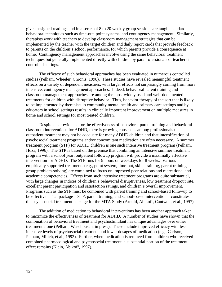given assigned readings and in a series of 8 to 20 weekly group sessions are taught standard behavioral techniques such as time-out, point systems, and contingency management. Similarly, therapists work with teachers to develop classroom management strategies that can be implemented by the teacher with the target children and daily report cards that provide feedback to parents on the children's school performance, for which parents provide a consequence at home. Contingency management approaches involve using the same behavioral treatment techniques but generally implemented directly with children by paraprofessionals or teachers in controlled settings.

The efficacy of such behavioral approaches has been evaluated in numerous controlled studies (Pelham, Wheeler, Chronis, 1998). These studies have revealed meaningful treatment effects on a variety of dependent measures, with larger effects not surprisingly coming from more intensive, contingency management approaches. Indeed, behavioral parent training and classroom management approaches are among the most widely used and well-documented treatments for children with disruptive behavior. Thus, behavior therapy of the sort that is likely to be implemented by therapists in community mental health and primary care settings and by educators in school settings results in clinically important improvement on multiple measures in home and school settings for most treated children.

Despite clear evidence for the effectiveness of behavioral parent training and behavioral classroom interventions for ADHD, there is growing consensus among professionals that outpatient treatment may not be adequate for many ADHD children and that intensification of psychosocial treatment programs and/or concomitant medication are often necessary. A summer treatment program (STP) for ADHD children is one such intensive treatment program (Pelham, Hoza, 1996). The STP is based on the premise that combining an intensive summer treatment program with a school year, outpatient followup program will provide a maximally effective intervention for ADHD. The STP runs for 9 hours on weekdays for 8 weeks. Various empirically supported treatments (e.g., point system, time-out, skills training, parent training, group problem-solving) are combined to focus on improved peer relations and recreational and academic competencies. Effects from such intensive treatment programs are quite substantial, with large changes in indices of children's behavioral disruptiveness, low treatment dropout rate, excellent parent participation and satisfaction ratings, and children's overall improvement. Programs such as the STP must be combined with parent training and school-based followup to be effective. That package—STP, parent training, and school-based intervention—constitutes the psychosocial treatment package for the MTA Study (Arnold, Abikoff, Cantwell, et al., 1997).

The addition of medication to behavioral interventions has been another approach taken to maximize the effectiveness of treatment for ADHD. A number of studies have shown that the combination of behavioral treatment and psychostimulant has unique advantages over either treatment alone (Pelham, Waschbusch, in press). These include improved efficacy with less intensive levels of psychosocial treatment and lower dosages of medication (e.g., Carlson, Pelham, Milich, et al., 1992). Further, when medication is removed from children who received combined pharmacological and psychosocial treatment, a substantial portion of the treatment effect remains (Klein, Abikoff, 1997).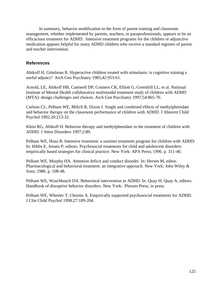In summary, behavior modification in the form of parent training and classroom management, whether implemented by parents, teachers, or paraprofessionals, appears to be an efficacious treatment for ADHD. Intensive treatment programs for the children or adjunctive medication appears helpful for many ADHD children who receive a standard regimen of parent and teacher intervention.

### **References**

Abikoff H, Gittelman R. Hyperactive children treated with stimulants: is cognitive training a useful adjunct? Arch Gen Psychiatry 1985;42:953-61.

Arnold, LE, Abikoff HB, Cantwell DP, Conners CK, Elliott G, Greenhill LL, et al. National Institute of Mental Health collaborative multimodal treatment study of children with ADHD (MTA): design challenges and choices. Arch Gen Psychiatry 1997;54:865-70.

Carlson CL, Pelham WE, Milich R, Dixon J. Single and combined effects of methylphenidate and behavior therapy on the classroom performance of children with ADHD. J Abnorm Child Psychol 1992;20:213-32.

Klein RG, Abikoff H. Behavior therapy and methylphenidate in the treatment of children with ADHD. J Atten Disorders 1997;2:89.

Pelham WE, Hoza B. Intensive treatment: a summer treatment program for children with ADHD. In: Hibbs E, Jensen P, editors. Psychosocial treatments for child and adolescent disorders: empirically based strategies for clinical practice. New York: APA Press; 1996. p. 311-40.

Pelham WE, Murphy HA. Attention deficit and conduct disorder. In: Hersen M, editor. Pharmacological and behavioral treatment: an integrative approach. New York: John Wiley & Sons; 1986. p. 108-48.

Pelham WE, Waschbusch DA. Behavioral intervention in ADHD. In: Quay H, Quay A, editors. Handbook of disruptive behavior disorders. New York: Plenum Press; in press.

Pelham WE, Wheeler T, Chronis A. Empirically supported psychosocial treatments for ADHD. J Clin Child Psychol 1998;27:189-204.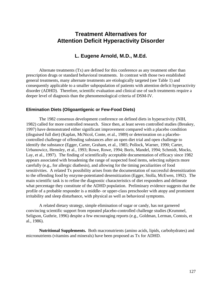# **Treatment Alternatives for Attention Deficit Hyperactivity Disorder**

# **L. Eugene Arnold, M.D., M.Ed.**

Alternate treatments (Tx) are defined for this conference as any treatment other than prescription drugs or standard behavioral treatments. In contrast with those two established general treatments, many alternate treatments are etiologically targeted (see Table 1) and consequently applicable to a smaller subpopulation of patients with attention deficit hyperactivity disorder (ADHD). Therefore, scientific evaluation and clinical use of such treatments require a deeper level of diagnosis than the phenomenological criteria of DSM-IV.

### **Elimination Diets (Oligoantigenic or Few-Food Diets)**

The 1982 consensus development conference on defined diets in hyperactivity (NIH, 1982) called for more controlled research. Since then, at least seven controlled studies (Breakey, 1997) have demonstrated either significant improvement compared with a placebo condition (disguised full diet) (Kaplan, McNicol, Conte, et al., 1989) or deterioration on a placebocontrolled challenge of offending substances after an open diet trial and open challenge to identify the substance (Egger, Carter, Graham, et al., 1985; Pollock, Warner, 1990; Carter, Urbanowicz, Hemsley, et al., 1993; Rowe, Rowe, 1994; Boris, Mandel, 1994; Schmidt, Mocks, Lay, et al., 1997). The finding of scientifically acceptable documentation of efficacy since 1982 appears associated with broadening the range of suspected food items, selecting subjects more carefully (e.g., for allergic diathesis), and allowing for the timing peculiarities of food sensitivities. A related Tx possibility arises from the documentation of successful desensitization to the offending food by enzyme-potentiated desensitization (Egger, Stolla, McEwen, 1992). The main scientific task is to refine the diagnostic characteristics of diet responders and delineate what percentage they constitute of the ADHD population. Preliminary evidence suggests that the profile of a probable responder is a middle- or upper-class preschooler with atopy and prominent irritability and sleep disturbance, with physical as well as behavioral symptoms.

A related dietary strategy, simple elimination of sugar or candy, has not garnered convincing scientific support from repeated placebo-controlled challenge studies (Krummel, Seligson, Guthrie, 1996) despite a few encouraging reports (e.g., Goldman, Lerman, Contois, et al., 1986).

**Nutritional Supplements.** Both macronutrients (amino acids, lipids, carbohydrates) and micronutrients (vitamins and minerals) have been proposed as Tx for ADHD.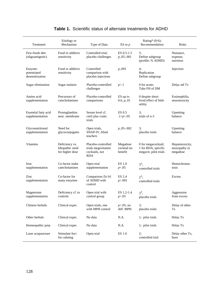| Treatment                                 | Etiology or<br>Mechanism                             | Type of Data                                                             | $ES$ or $p$                        | Rating* $(0-6)$ ;<br>Recommendation                                 | Risks                                        |
|-------------------------------------------|------------------------------------------------------|--------------------------------------------------------------------------|------------------------------------|---------------------------------------------------------------------|----------------------------------------------|
| Few-foods diet<br>(oligoantigenic)        | Food or additive<br>sensitivity                      | Controlled trial:<br>placebo challenges                                  | ES 0.5-1.5<br>$p, .05-.001$        | 5:<br>Define subgroup<br>(profile; % ADHD)                          | Nuisance,<br>expense,<br>nutrition           |
| Enzyme-<br>potentiated<br>desensitization | Food or additive<br>sensitivity                      | Controlled<br>comparison with<br>placebo injections                      | p,001                              | 4;<br>Replication<br>Define subgroup                                | Injection                                    |
| Sugar elimination                         | Sugar malaise                                        | Placebo-controlled<br>challenges                                         | p > 1                              | 0 for acute;<br>Take FH of DM                                       | Delay std Tx                                 |
| Amino acid<br>supplementation             | Precursors of<br>catecholamines                      | Placebo-controlled<br>comparisons                                        | ES up to<br>0.6, p.01              | 0 despite short-<br>lived effect of little<br>utility               | Eosinophilia,<br>neurotoxicity               |
| Essential fatty acid<br>supplementation   | Prostaglandins<br>neur. membrane                     | Serum level cf.<br>cntrl plac-contr.<br>trials                           | ES 0.5<br>.1 > p > .05             | 3:<br>trials of n-3                                                 | Upsetting<br>balance                         |
| Glyconutritional<br>supplementation       | Need for<br>glycoconjugates                          | Open trials,<br>SNAP-IV, blind<br>teachers                               | $p, .05-.002$                      | 3;<br>placebo trials                                                | Upsetting<br>balance                         |
| Vitamins                                  | Deficiency vs.<br>Idiopathic need<br>for higher dose | Placebo-controlled<br>trials megavitamin<br>cocktails, not<br><b>RDA</b> | Megadose<br>cocktail no<br>benefit | 0 for megacocktail;<br>1 for RDA, specific<br>megavit; pilot trials | Hepatotoxicity,<br>neuropathy in<br>megadose |
| Iron<br>supplementation                   | Co-factor make<br>catecholamines                     | Open trial<br>supplementation                                            | ES 1.0<br>p<.05                    | $3^{\dagger}$ :<br>controlled trials                                | Hemochroma-<br>tosis                         |
| Zinc<br>supplementation                   | Co-factor for<br>many enzymes                        | Comparison Zn lvl<br>of ADHD with<br>control                             | ES 2.4<br>p<.001                   | $2^{\dagger}$<br>controlled trials                                  | Excess                                       |
| Magnesium<br>supplementation              | Deficiency cf. to<br>controls                        | Open trial with<br>control group                                         | ES 1.2-1.4<br>p<.05                | $3^{\dagger}$ :<br>placebo trials                                   | Aggression<br>from excess                    |
| Chinese herbals                           | Clinical exper.                                      | Open trials, one<br>with MPH control                                     | $p<0.05$ ; no<br>diff. MPH         | 3:<br>placebo trials                                                | Delay of other<br>Tx                         |
| Other herbals                             | Clinical exper.                                      | No data                                                                  | N.A.                               | 1; pilot trials                                                     | Delay Tx                                     |
| Homeopathic prep                          | Clinical exper.                                      | No data                                                                  | N.A.                               | 1; pilot trials                                                     | Delay Tx                                     |
| Laser acupuncture                         | Stimulate foci<br>for calming                        | Open trial                                                               | <b>ES 1.0</b>                      | 2;<br>controlled trial                                              | Delay other Tx,<br>burn                      |

# **Table 1.** Scientific status of alternate treatments for ADHD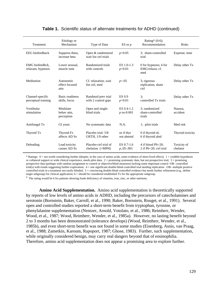| Treatment                               | Etiology or<br>Mechanism              | Type of Data                                       | $ES$ or $p$                 | Rating* $(0-6)$ ;<br>Recommendation             | <b>Risks</b>            |
|-----------------------------------------|---------------------------------------|----------------------------------------------------|-----------------------------|-------------------------------------------------|-------------------------|
| EEG biofeedback                         | Suppress theta,<br>increase beta      | Open & randomized<br>wait list ctrl trials         | p<0.05                      | 3; sham-controlled<br>trial                     | Expense, time           |
| EMG biofeedbck,<br>relaxath, hypnosis   | Lower arousal.<br>muscle tone         | Randomized trials<br>with controls                 | ES 1.0-1.3<br>p<0.01        | 0 for hypnosis; 4 for<br>EMG/relaxn; cf.<br>med | Delay other Tx          |
| Meditation                              | Autonomic<br>effect focused<br>attn   | Cf. relaxation, wait<br>list ctrl, med             | p<.05                       | 3; rigorous<br>replication, sham<br>ctrl        | Delay other Tx          |
| Channel-specific<br>perceptual training | Basic readiness<br>skills, focus      | Randmzd prev trial<br>with 2 control grps          | ES 0.9<br>p<0.01            | 3:<br>controlled Tx trials                      | Delay other Tx          |
| Vestibular<br>stimulation               | Modulate<br>behav attn,<br>perception | Open and single-<br>blind trials                   | ES 0.4-1.2<br>$p$ ns-0.001  | 3: randomized<br>sham-controlled<br>trials      | Nausea.<br>accident     |
| Antifungal Tx                           | GI yeast                              | No systematic data                                 | N.A.                        | 1; pilot trials                                 | Med risk                |
| Thyroid Tx                              | Thyroid Fx<br>affects AD Sx           | Placebo trial: 5/8<br>GRTH, 1/9 other              | ns if thyr<br>not abnrml    | 0 if thyroid nl;<br>6 if thyroid abnl           | Thyroid toxicity        |
| Deleading                               | Lead toxicity<br>causes AD Sx         | Placebo-ctrl trial of<br>chelation $(=\text{MPH})$ | ES 0.7-1.6<br>$p, .05-.001$ | 4 if blood Pb>20;<br>2 if Pb<20; ctrl trial     | Toxicity of<br>chelator |

#### **Table 1.** Scientific status of alternate treatments for ADHD (continued)

\* Ratings: 0 = not worth considering further (despite, in the case of amino acids, some evidence of short-lived effect); 1 = credible hypothesis or collateral support or wide clinical experience, needs pilot data;  $2 =$  promising systematic data, but not prospective trial;  $3 =$  promising prospective data (perhaps with random assignment to control or objective/blind measures) lacking some important control -OR- controlled trial(s) with trends suggesting further exploration;  $4 =$  one significant double-blind controlled trial needing replication -OR- multiple positive controlled trials in a treatment not easily blinded;  $5 =$  convincing double-blind controlled evidence but needs further refinement (e.g., define target subgroup) for clinical application; 6 = should be considered established Tx for the appropriate subgroup.

† The rating would be 6 for patients showing frank deficiency of vitamins, iron, zinc, or other nutrients.

**Amino Acid Supplementation.** Amino acid supplementation is theoretically supported by reports of low levels of amino acids in ADHD, including the precursors of catecholamines and serotonin (Bornstein, Baker, Carroll, et al., 1990; Baker, Bornstein, Rouget, et al., 1991). Several open and controlled studies reported a short-term benefit from tryptophan, tyrosine, or phenylalanine supplementation (Nemzer, Arnold, Votolato, et al., 1986; Reimherr, Wender, Wood, et al., 1987; Wood, Reimherr, Wender, et al., 1985a). However, no lasting benefit beyond 2 to 3 months has been demonstrated (tolerance develops) (Wood, Reimherr, Wender, et al., 1985b), and even short-term benefit was not found in some studies (Eisenberg, Asnis, van Praag, et al., 1988; Zametkin, Karoum, Rapoport, 1987; Ghose, 1983). Further, such supplementation, while originally considered benign, may carry real dangers beyond that of eosinophilia. Therefore, amino acid supplementation does not appear a promising area to explore further.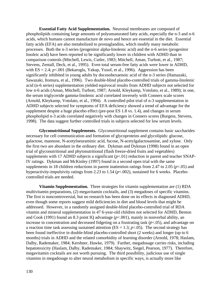**Essential Fatty Acid Supplementation.** Neuronal membranes are composed of phospholipids containing large amounts of polyunsaturated fatty acids, especially the n-3 and n-6 acids, which humans cannot manufacture de novo and hence are essential in the diet. Essential fatty acids (EFA) are also metabolized to prostaglandins, which modify many metabolic processes. Both the n-3 series (progenitor alpha-linolenic acid) and the n-6 series (progenitor linoleic acid) have been reported to be significantly lower in children with ADHD than in comparison controls (Mitchell, Lewis, Cutler, 1983; Mitchell, Aman, Turbott, et al., 1987; Stevens, Zentall, Deck, et al., 1995). Even total serum-free fatty acids were lower in ADHD, with  $ES = 2.4$ ;  $p < .001$  (Bekaroglu, Yakup, Yusof, et al., 1996). Aggression has been significantly inhibited in young adults by docosohexaenoic acid of the n-3 series (Hamazaki, Sawazaki, Itomura, et al., 1996). Two double-blind placebo-controlled trials of gamma-linolenic acid (n-6 series) supplementation yielded equivocal results from ADHD subjects not selected for low n-6 acids (Aman, Mitchell, Turbott, 1987; Arnold, Kleykamp, Votolato, et al., 1989); in one, the serum triglyceride gamma-linolenic acid correlated inversely with Conners scale scores (Arnold, Kleykamp, Votolato, et al., 1994). A controlled pilot trial of n-3 supplementation in ADHD subjects selected for symptoms of EFA deficiency showed a trend of advantage for the supplement despite a huge placebo effect (pre-post ES 1.8 vs. 1.4), and changes in serum phospholipid n-3 acids correlated negatively with changes in Conners scores (Burgess, Stevens, 1998). The data suggest further controlled trials in subjects selected for low serum levels.

**Glyconutritional Supplements.** Glyconutritional supplement contains basic saccharides necessary for cell communication and formation of glycoproteins and glycolipids: glucose, galactose, mannose, N-acetylneuraminic acid, fucose, N-acetylgalactosamine, and xylose. Only the first two are abundant in the ordinary diet. Dykman and Dykman (1998) found in an open trial of glyconutritional and phytonutritional (flash freeze-dried fruits and vegetables) supplements with 17 ADHD subjects a significant  $(p<0.01)$  reduction in parent and teacher SNAP-IV ratings. Dykman and McKinley (1997) found in a second open trial with the same supplements in 18 children reductions in parent inattention ratings from 2.47 to 2.05 ( $p$ <.05) and hyperactivity-impulsivity ratings from 2.23 to 1.54 (*p*<.002), sustained for 6 weeks. Placebocontrolled trials are needed.

**Vitamin Supplementation.** Three strategies for vitamin supplementation are (1) RDA multivitamin preparations, (2) megavitamin cocktails, and (3) megadoses of specific vitamins. The first is noncontroversial, but no research has been done on its effects in diagnosed ADHD, even though some reports suggest mild deficiencies in diet and blood levels that might be addressed. However, in a randomly assigned double-blind placebo-controlled trial of RDA vitamin and mineral supplementation in 47 6-year-old children not selected for ADHD, Benton and Cook (1991) found an 8.3 point IQ advantage (*p*<.001), mainly in nonverbal ability, an increase in concentration and decreased fidgeting on a frustrating task (*p*<.05), and advantage on a reaction time task assessing sustained attention ( $ES = 1.3$ ;  $p < .05$ ). The second strategy has been found ineffective in double-blind placebo-controlled short (2 weeks) and longer (up to 6 months) trials in ADHD and the related comorbidity of learning disorder (Arnold, 1978; Haslam, Dalby, Rademaker, 1984; Kershner, Hawke, 1979). Further, megadosage carries risks, including hepatotoxicity (Haslam, Dalby, Rademaker, 1984; Shaywitz, Siegel, Pearson, 1977). Therefore, megavitamin cocktails are not worth pursuing. The third possibility, judicious use of single vitamins in megadosage to alter neural metabolism in specific ways, is actually more like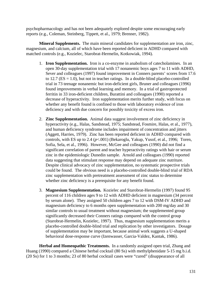psychopharmacology and has not been adequately explored despite some encouraging early reports (e.g., Coleman, Steinberg, Tippett, et al., 1979; Brenner, 1982).

**Mineral Supplements.** The main mineral candidates for supplementation are iron, zinc, magnesium, and calcium, all of which have been reported deficient in ADHD compared with matched controls (e.g., Kozielec, Starobrat-Hermelin, Kotkowiak, 1994).

- 1. **Iron Supplementation.** Iron is a co-enzyme in anabolism of catecholamines. In an open 30-day supplementation trial with 17 nonanemic boys ages 7 to 11 with ADHD, Sever and colleagues (1997) found improvement in Conners parents' scores from 17.6 to  $12.7$  (ES = 1.0), but not in teacher ratings. In a double-blind placebo-controlled trial in 73 teenage nonanemic but iron-deficient girls, Bruner and colleagues (1996) found improvements in verbal learning and memory. In a trial of gastroprotected ferritin in 33 iron-deficient children, Burattini and colleagues (1990) reported a decrease of hyperactivity. Iron supplementation merits further study, with focus on whether any benefit found is confined to those with laboratory evidence of iron deficiency and with due concern for possibly toxicity of excess iron.
- 2. **Zinc Supplementation.** Animal data suggest involvement of zinc deficiency in hyperactivity (e.g., Halas, Sandstead, 1975; Sandstead, Fosmire, Halas, et al., 1977), and human deficiency syndrome includes impairment of concentration and jitters (Aggett, Harries, 1979). Zinc has been reported deficient in ADHD compared with controls, with ES up to 2.4 (*p*<.001) (Bekaroglu, Yakup, Yusof, et al., 1996; Toren, Sofia, Sela, et al., 1996). However, McGee and colleagues (1990) did not find a significant correlation of parent and teacher hyperactivity ratings with hair or serum zinc in the epidemiologic Dunedin sample. Arnold and colleagues (1990) reported data suggesting that stimulant response may depend on adequate zinc nutriture. Despite clinical advocacy of zinc supplementation, no systematic prospective trials could be found. The obvious need is a placebo-controlled double-blind trial of RDA zinc supplementation with pretreatment assessment of zinc status to determine whether zinc deficiency is a prerequisite for any benefit found.
- 3. **Magnesium Supplementation.** Kozielec and Starobrat-Hermelin (1997) found 95 percent of 116 children ages 9 to 12 with ADHD deficient in magnesium (34 percent by serum alone). They assigned 50 children ages 7 to 12 with DSM-IV ADHD and magnesium deficiency to 6 months open supplementation with 200 mg/day and 30 similar controls to usual treatment without magnesium; the supplemented group significantly decreased their Conners ratings compared with the control group (Starobrat-Hermelin, Kozielec, 1997). Thus, magnesium supplementation merits a placebo-controlled double-blind trial and replication by other investigators. Dosage of supplementation may be important, because animal work suggests a U-shaped behavioral dose-response curve (Izenwasser, Garcia-Valdez, Kantak, 1986).

**Herbal and Homeopathic Treatments.** In a randomly assigned open trial, Zhang and Huang (1990) compared a Chinese herbal cocktail (80 Ss) with methylphenidate 5-15 mg b.i.d. (20 Ss) for 1 to 3 months; 23 of 80 herbal cocktail cases were "cured" (disappearance of all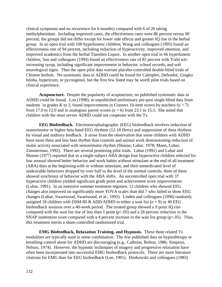clinical symptoms and no recurrence for 6 months) compared with 6 of 20 taking methylphenidate. Including improved cases, the effectiveness rates were 86 percent versus 90 percent; the groups did not differ except for lower side effects and greater IQ rise in the herbal group. In an open trial with 100 hyperkinetic children, Wang and colleagues (1995) found an effectiveness rate of 94 percent, including reduction of hyperactivity, improved attention, and improved academics from the herbal Tiaoshen Liquor. In another open trial in 66 hyperkinetic children, Sun and colleagues (1994) found an effectiveness rate of 85 percent with Yizhi witincreasing syrup, including significant improvement in behavior, school records, and soft neurological signs. Thus the open pilot data warrant placebo-controlled double-blind trials of Chinese herbals. No systematic data in ADHD could be found for Calmplex, Defendol, Gingko biloba, hypericum, or pycnogenol, but the first few listed may be worth pilot trials based on clinical experience.

**Acupuncture.** Despite the popularity of acupuncture, no published systematic data in ADHD could be found. Loo (1998), in unpublished preliminary pre-post single-blind data from students in grades K to 3, found improvements in Conners 10-item scores by teachers  $(n = 7)$ from 17.0 to 12.0 and in analogous parent scores ( $n = 6$ ) from 23.1 to 15.5. She noted that children with the most severe ADHD could not cooperate with the Tx.

**EEG Biofeedback.** Electroencephalographic (EEG) biofeedback involves induction of sensorimotor or higher beta band EEG rhythms (12-18 Hertz) and suppression of theta rhythms by visual and auditory feedback. It arose from the observation that some children with ADHD have more theta and less beta rhythm than controls and animal work demonstrating reduction of motor activity associated with sensorimotor rhythm (Shouse, Lubar, 1978; Mann, Lubar, Zimmerman, 1992). There are several promising pilot trials. Lubar (1991) and Lubar and Shouse (1977) reported that in a single-subject ABA design four hyperactive children selected for low arousal showed better behavior and work habits without stimulant at the end of all treatment (ABA) than at the beginning with or without stimulant, and their unmedicated level of undesirable behaviors dropped by over half to the level of the normal controls; three of them showed synchrony of behavior with the ABA shifts. An uncontrolled open trial with 37 hyperactive children yielded significant grade point and achievement score improvements (Lubar, 1991). In an intensive summer treatment regimen, 12 children who showed EEG changes also improved on significantly more TOVA scales than did 7 who failed to show EEG changes (Lubar, Swartwood, Swartwood, et al., 1995). Linden and colleagues (1996) randomly assigned 18 children with DSM-III-R ADD/ADHD to either a wait list ( $n = 9$ ) or 40 EEG biofeedback sessions over a 40-week period. The treated group showed a 9 point IQ rise compared with the wait list rise of less than 1 point  $(p<0.05)$  and a 28 percent reduction in the SNAP inattention score compared with a 4 percent increase in the wait list group  $(p<.05)$ . Thus, this treatment merits a sham-controlled randomized trial.

**EMG Biofeedback, Relaxation Training, and Hypnosis.** These three related Tx modalities are typically used in some combination. The few published data on hypnotherapy or breathing control alone for ADHD are discouraging (e.g., Calhoun, Bolton, 1986; Simpson, Nelson, 1974). However, the hypnotic techniques of imagery and progressive relaxation have often been incorporated into successful EMG biofeedback protocols. There are more literature citations for EMG than for EEG biofeedback (Lee, 1991). Denkowski and colleagues (1983)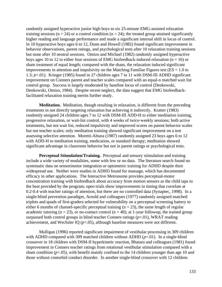randomly assigned hyperactive junior high boys to six 25-minute EMG-assisted relaxation training sessions ( $n = 24$ ) or a control condition ( $n = 24$ ); the treated group attained significantly higher reading and language performance and made a significant internal shift in locus of control. In 10 hyperactive boys ages 6 to 12, Dunn and Howell (1982) found significant improvement in behavior observations, parent ratings, and psychological tests after 10 relaxation training sessions but none after 10 neutral sessions. Omizo and Michael (1982) randomly assigned hyperactive boys ages 10 to 12 to either four sessions of EMG biofeedback-induced relaxation ( $n = 16$ ) or sham treatment of equal length; compared with the sham, the relaxation induced significant improvements in attention and impulsivity on the Matching Familiar Figures test ( $ES = 1.0$  to 1.3; *p*<.01). Krieger (1985) found in 27 children ages 7 to 11 with DSM-III ADHD significant improvement on Conners parent and teacher scales compared with an equal-n matched wait list control group. Success is largely moderated by baseline locus of control (Denkowski, Denkowski, Omizo, 1984). Despite recent neglect, the data suggest that EMG biofeedbackfacilitated relaxation training merits further study.

**Meditation.** Meditation, though resulting in relaxation, is different from the preceding treatments in not directly targeting relaxation but achieving it indirectly. Kratter (1983) randomly assigned 24 children ages 7 to 12 with DSM-III ADD-H to either meditation training, progressive relaxation, or wait-list control, with 4 weeks of twice-weekly sessions; both active treatments, but not wait list, reduced impulsivity and improved scores on parent behavior scales but not teacher scales; only meditation training showed significant improvement on a test assessing selective attention. Moretti-Altuna (1987) randomly assigned 23 boys ages 6 to 12 with ADD-H to meditation training, medication, or standard therapy; meditation showed significant advantage in classroom behavior but not in parent ratings or psychological tests.

**Perceptual Stimulation/Training.** Perceptual and sensory stimulation and training include a wide variety of modalities, some with few or no data. The literature search found no systematic data on sensorimotor integration or optometric training for ADHD despite their widespread use. Neither were studies in ADHD found for massage, which has documented efficacy in other applications. The Interactive Metronome provides perceptual-motor concentration training with biofeedback about accuracy from motion sensors as the child taps to the beat provided by the program; open trials show improvements in timing that correlate at 0.2-0.4 with teacher ratings of attention, but there are no controlled data (Synaptec, 1998). In a single-blind prevention paradigm, Arnold and colleagues (1977) randomly assigned matched triplets and quads of first-graders selected for vulnerability on a perceptual screening battery to either 6 months of channel-specific perceptual training  $(n = 23)$ , the same length of regular academic tutoring  $(n = 23)$ , or no-contact control  $(n = 40)$ ; at 1-year followup, the trained group surpassed both control groups in blind teacher Conners ratings  $(p<.01)$ , WRAT reading achievement, and Wechsler IQ (*p*<.05), although baseline measures were not different.

Mulligan (1996) reported significant impairment of vestibular processing in 309 children with ADHD compared with 309 matched children without ADHD  $(p<.01)$ . In a single-blind crossover in 18 children with DSM-II hyperkinetic reaction, Bhatara and colleagues (1981) found improvement in Conners teacher ratings from rotational vestibular stimulation compared with a sham condition  $(p<.05)$ , with benefit mainly confined to the 14 children younger than age 10 and those without comorbid conduct disorder. In another single-blind crossover with 12 children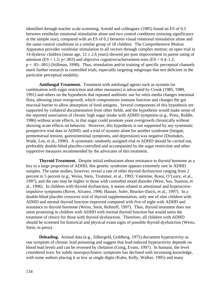identified through teacher scale screening, Arnold and colleagues (1985) found an ES of 0.5 between vestibular rotational stimulation alone and two control conditions (missing significance at the sample size), compared with an ES of 0.2 between visual rotational stimulation alone and the same control conditions in a similar group of 18 children. The Comprehensive Motion Apparatus provides vestibular stimulation in all vectors through complex motion; an open trial in 14 dyslexic children (mean age,  $12 \pm 2.6$  years) showed pre-post improvement in parent rating of attention (ES = 1.5;  $p < .003$ ) and objective cognitive/achievement tests (ES = 0.4–1.2;  $p = 0.05 - 0.001$ ) (Stillman, 1998). Thus, stimulation and/or training of specific perceptual channels merit further research in controlled trials, especially targeting subgroups that test deficient in the particular perceptual modality.

**Antifungal Treatment.** Treatment with antifungal agents such as nystatin (in combination with sugar restriction and other measures) is advocated by Crook (1985, 1989, 1991) and others on the hypothesis that repeated antibiotic use for otitis media changes intestinal flora, allowing yeast overgrowth, which compromises immune function and changes the gut mucosal barrier to allow absorption of food antigens. Several components of this hypothesis are supported by collateral documentation from other fields, and the hypothesis would make sense of the reported association of chronic high sugar intake with ADHD symptoms (e.g., Prinz, Riddle, 1986) without acute effects, in that sugar could promote yeast overgrowth chronically without showing acute effects on behavior. However, this hypothesis is not supported by any systematic prospective trial data in ADHD, and a trial of nystatin alone for another syndrome (fatigue, premenstrual tension, gastrointestinal symptoms, and depression) was negative (Dismukes, Wade, Lee, et al., 1990). A systematic randomly assigned trial in ADHD should be carried out, preferably double-blind placebo-controlled and accompanied by the sugar restriction and other supportive measures recommended by the advocates of this treatment.

**Thyroid Treatment.** Despite initial enthusiasm about resistance to thyroid hormone as a key to a large proportion of ADHD, this genetic syndrome appears extremely rare in ADHD samples. The same studies, however, reveal a rate of other thyroid dysfunction ranging from 2 percent to 5 percent (e.g., Weiss, Stein, Trommer, et al., 1993; Valentine, Rossi, O'Leary, et al., 1997), and the rate may be higher in those with comorbid mood disorder (West, Sax, Stanton, et al., 1996). In children with thyroid dysfunction, it seems related to attentional and hyperactiveimpulsive symptoms (Rovet, Alvarez, 1996; Hauser, Soler, Brucker-Davis, et al., 1997). In a double-blind placebo crossover trial of thyroid supplementation, only one of nine children with ADHD and normal thyroid function improved compared with five of eight with ADHD and resistance to thyroid hormone (Weiss, Stein, Refetoff, 1997). Thus, thyroid treatment does not seem promising in children with ADHD with normal thyroid function but would seem the treatment of choice for those with thyroid dysfunction. Therefore, all children with ADHD should be screened for historical and physical exam signs of possible thyroid dysfunction (Weiss, Stein, in press).

**Deleading.** Animal data (e.g., Silbergeld, Goldberg, 1975) document hyperactivity as one symptom of chronic lead poisoning and suggest that lead-induced hyperactivity depends on blood lead levels and can be reversed by chelation (Gong, Evans, 1997). In humans, the level considered toxic for subtle neuropsychiatric symptoms has declined with increasing knowledge, with some authors placing it as low as single digits (Kahn, Kelly, Walker, 1995) and many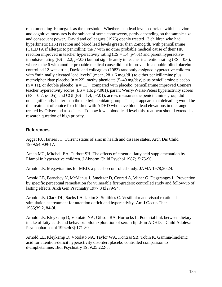recommending 10 mcg/dL as the threshold. Whether such lead levels correlate with behavioral and cognitive measures is the subject of some controversy, partly depending on the sample size and consequent power. David and colleagues (1976) openly treated 13 children who had hyperkinetic (HK) reaction and blood lead levels greater than 25mcg/dL with penicillamine (CaEDTA if allergic to penicillin); the 7 with no other probable medical cause of their HK reaction improved in teacher hyperactivity rating  $(ES = 1.4; p < 0.01)$  and parent hyperactiveimpulsive rating (ES = 2.2;  $p<0.05$ ) but not significantly in teacher inattention rating (ES = 0.6), whereas the 6 with another probable medical cause did not improve. In a double-blind placebocontrolled 12-week trial, David and colleagues (1983) randomly assigned hyperactive children with "minimally elevated lead levels" (mean,  $28 \pm 6$  mcg/dL) to either penicillamine plus methylphenidate placebo ( $n = 22$ ), methylphenidate (5–40 mg/day) plus penicillamine placebo  $(n = 11)$ , or double placebo  $(n = 11)$ ; compared with placebo, penicillamine improved Conners teacher hyperactivity scores ( $ES = 1.6$ ;  $p < .001$ ), parent Werry-Weiss-Peters hyperactivity scores  $(ES = 0.7; p<0.05)$ , and CGI  $(ES = 1.4; p<0.01)$ ; across measures the penicillamine group did nonsignificantly better than the methylphenidate group. Thus, it appears that deleading would be the treatment of choice for children with ADHD who have blood lead elevations in the range treated by Oliver and associates. To how low a blood lead level this treatment should extend is a research question of high priority.

### **References**

Agget PJ, Harries JT. Current status of zinc in health and disease states. Arch Dis Child 1979;54:909-17.

Aman MG, Mitchell EA, Turbott SH. The effects of essential fatty acid supplementation by Efamol in hyperactive children. J Abnorm Child Psychol 1987;15:75-90.

Arnold LE. Megavitamins for MBD: a placebo-controlled study. JAMA 1978;20:24.

Arnold LE, Barnebey N, McManus J, Smeltzer D, Conrad A, Winer G, Desgranges L. Prevention by specific perceptual remediation for vulnerable first-graders: controlled study and follow-up of lasting effects. Arch Gen Psychiatry 1977;34:l279-94.

Arnold LE, Clark DL, Sachs LA, Jakim S, Smithies C. Vestibular and visual rotational stimulation as treatment for attention deficit and hyperactivity. Am J Occup Ther 1985;39:2, 84-9l.

Arnold LE, Kleykamp D, Votolato NA, Gibson RA, Horrocks L. Potential link between dietary intake of fatty acids and behavior: pilot exploration of serum lipids in ADHD. J Child Adolesc Psychopharmacol 1994;4(3):171-80.

Arnold LE, Kleykamp D, Votolato NA, Taylor WA, Kontras SB, Tobin K. Gamma-linolenic acid for attention-deficit hyperactivity disorder: placebo controlled comparison to d-amphetamine. Biol Psychiatry 1989;25:222-8.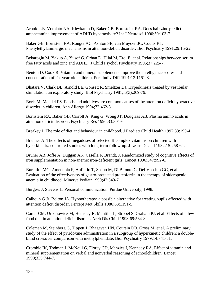Arnold LE, Votolato NA, Kleykamp D, Baker GB, Bornstein, RA. Does hair zinc predict amphetamine improvement of ADHD hyperactivity? Int J Neurosci 1990;50:103-7.

Baker GB, Bornstein RA, Rouget AC, Ashton SE, van Muyden JC, Coutts RT. Phenylethylaminergic mechanisms in attention-deficit disorder. Biol Psychiatry 1991;29:15-22.

Bekaroglu M, Yakup A, Yusof G, Orhan D, Hilal M, Erol E, et al. Relationships between serum free fatty acids and zinc and ADHD. J Child Psychol Psychiatry 1996;37:225-7.

Benton D, Cook R. Vitamin and mineral supplements improve the intelligence scores and concentration of six-year-old children. Pers Indiv Diff 1991;12:1151-8.

Bhatara V, Clark DL, Arnold LE, Gonsett R, Smeltzer DJ. Hyperkinesis treated by vestibular stimulation: an exploratory study. Biol Psychiatry 1981;l6(3):269-79.

Boris M, Mandel FS. Foods and additives are common causes of the attention deficit hyperactive disorder in children. Ann Allergy 1994;72:462-8.

Bornstein RA, Baker GB, Carroll A, King G, Wong JT, Douglass AB. Plasma amino acids in attention deficit disorder. Psychiatry Res 1990;33:301-6.

Breakey J. The role of diet and behaviour in childhood. J Paediatr Child Health 1997;33:190-4.

Brenner A. The effects of megadoses of selected B complex vitamins on children with hyperkinesis: controlled studies with long-term follow-up. J Learn Disabil 1982;15:258-64.

Bruner AB, Joffe A, Duggan AK, Casella F, Brandt, J. Randomized study of cognitive effects of iron supplementation in non-anemic iron-deficient girls. Lancet 1996;347:992-6.

Burattini MG, Amendola F, Aufierio T, Spano M, Di Bitonto G, Del Vecchio GC, et al. Evaluation of the effectiveness of gastro-protected proteoferrin in the therapy of sideropenic anemia in childhood. Minerva Pediatr 1990;42:343-7.

Burgess J, Stevens L. Personal communication. Purdue University, 1998.

Calhoun G Jr, Bolton JA. Hypnotherapy: a possible alternative for treating pupils affected with attention deficit disorder. Percept Mot Skills 1986;63:1191-5.

Carter CM, Urbanowicz M, Hemsley R, Mantilla L, Strobel S, Graham PJ, et al. Effects of a few food diet in attention deficit disorder. Arch Dis Child 1993;69:564-8.

Coleman M, Steinberg G, Tippett J, Bhagavan HN, Coursin DB, Gross M, et al. A preliminary study of the effect of pyridoxine administration in a subgroup of hyperkinetic children: a doubleblind crossover comparison with methylphenidate. Biol Psychiatry 1979;14:741-51.

Crombie IK, Todman J, McNeill G, Florey CD, Menzies I, Kennedy RA. Effect of vitamin and mineral supplementation on verbal and nonverbal reasoning of schoolchildren. Lancet 1990;335:744-7.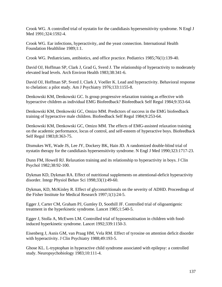Crook WG. A controlled trial of nystatin for the candidiasis hypersensitivity syndrome. N Engl J Med 1991;324:1592-4.

Crook WG. Ear infections, hyperactivity, and the yeast connection. International Health Foundation Healthline 1989;1:1.

Crook WG. Pediatricians, antibiotics, and office practice. Pediatrics 1985;76(1):139-40.

David OJ, Hoffman SP, Clark J, Grad G, Sverd J. The relationship of hyperactivity to moderately elevated lead levels. Arch Environ Health 1983;38:341-6.

David OJ, Hoffman SP, Sverd J, Clark J, Voeller K. Lead and hyperactivity. Behavioral response to chelation: a pilot study. Am J Psychiatry 1976;133:1155-8.

Denkowski KM, Denkowski GC. Is group progressive relaxation training as effective with hyperactive children as individual EMG Biofeedback? Biofeedback Self Regul 1984;9:353-64.

Denkowski KM, Denkowski GC, Omizo MM. Predictors of success in the EMG biofeedback training of hyperactive male children. Biofeedback Self Regul 1984;9:253-64.

Denkowski KM, Denkowski GC, Omizo MM. The effects of EMG-assisted relaxation training on the academic performance, locus of control, and self-esteem of hyperactive boys. Biofeedback Self Regul 1983;8:363-75.

Dismukes WE, Wade JS, Lee JY, Dockery BK, Hain JD. A randomized double-blind trial of nystatin therapy for the candidiasis hypersensitivity syndrome. N Engl J Med 1990;323:1717-23.

Dunn FM, Howell RJ. Relaxation training and its relationship to hyperactivity in boys. J Clin Psychol 1982;38:92-100.

Dykman KD, Dykman RA. Effect of nutritional supplements on attentional-deficit hyperactivity disorder. Integr Physiol Behav Sci 1998;33(1):49-60.

Dykman, KD, McKinley R. Effect of glyconutritionals on the severity of ADHD. Proceedings of the Fisher Institute for Medical Research 1997;1(1):24-5.

Egger J, Carter CM, Graham PJ, Gumley D, Soothill JF. Controlled trial of oligoantigenic treatment in the hyperkinetic syndrome. Lancet 1985;1:540-5.

Egger J, Stolla A, McEwen LM. Controlled trial of hyposensitisation in children with foodinduced hyperkinetic syndrome. Lancet 1992;339:1150-3.

Eisenberg J, Asnis GM, van Praag HM, Vela RM. Effect of tyrosine on attention deficit disorder with hyperactivity. J Clin Psychiatry 1988;49:193-5.

Ghose KL. L-tryptophan in hyperactive child syndrome associated with epilepsy: a controlled study. Neuropsychobiology 1983;10:111-4.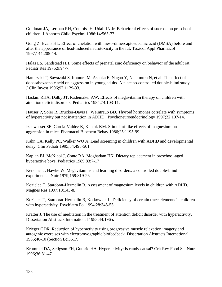Goldman JA, Lerman RH, Contois JH, Udall JN Jr. Behavioral effects of sucrose on preschool children. J Abnorm Child Psychol 1986;14:565-77.

Gong Z, Evans HL. Effect of chelation with meso-dimercaptosuccinic acid (DMSA) before and after the appearance of lead-induced neurotoxicity in the rat. Toxicol Appl Pharmacol 1997;144:205-14.

Halas ES, Sandstead HH. Some effects of prenatal zinc deficiency on behavior of the adult rat. Pediatr Res 1975;9:94-7.

Hamazaki T, Sawazaki S, Itomura M, Asaoka E, Nagao Y, Nishimura N, et al. The effect of docosahexaenoic acid on aggression in young adults. A placebo-controlled double-blind study. J Clin Invest 1996;97:1129-33.

Haslam RHA, Dalby JT, Rademaker AW. Effects of megavitamin therapy on children with attention deficit disorders. Pediatrics 1984;74:103-11.

Hauser P, Soler R, Brucker-Davis F, Weintraub BD. Thyroid hormones correlate with symptoms of hyperactivity but not inattention in ADHD. Psychoneuroendocrinology 1997;22:107-14.

Izenwasser SE, Garcia-Valdez K, Kantak KM. Stimulant-like effects of magnesium on aggression in mice. Pharmacol Biochem Behav 1986;25:1195-99.

Kahn CA, Kelly PC, Walker WO Jr. Lead screening in children with ADHD and developmental delay. Clin Pediatr 1995;34:498-501.

Kaplan BJ, McNicol J, Conte RA, Moghadam HK. Dietary replacement in preschool-aged hyperactive boys. Pediatrics 1989;83:7-17

Kershner J, Hawke W. Megavitamins and learning disorders: a controlled double-blind experiment. J Nutr 1979;159:819-26.

Kozielec T, Starobrat-Hermelin B. Assessment of magnesium levels in children with ADHD. Magnes Res 1997;10:143-8.

Kozielec T, Starobrat-Hermelin B, Kotkowiak L. Deficiency of certain trace elements in children with hyperactivity. Psychiatra Pol 1994;28:345-53.

Kratter J. The use of meditation in the treatment of attention deficit disorder with hyperactivity. Dissertation Abstracts International 1983;44:1965.

Krieger GDR. Reduction of hyperactivity using progressive muscle relaxation imagery and autogenic exercises with electromyographic biofeedback. Dissertation Abstracts International 1985;46-10 (Section B):3617.

Krummel DA, Seligson FH, Guthrie HA. Hyperactivity: is candy causal? Crit Rev Food Sci Nutr 1996;36:31-47.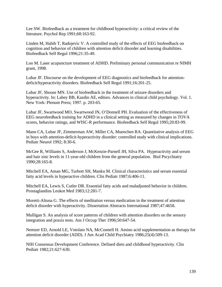Lee SW. Biofeedback as a treatment for childhood hyperactivity: a critical review of the literature. Psychol Rep 1991;68:163-92.

Linden M, Habib T, Radojevic V. A controlled study of the effects of EEG biofeedback on cognition and behavior of children with attention deficit disorder and learning disabilities. Biofeedback Self Regul 1996;21:35-49.

Loo M. Laser acupuncture treatment of ADHD. Preliminary personal communication re NIMH grant, 1998.

Lubar JF. Discourse on the development of EEG diagnostics and biofeedback for attentiondeficit/hyperactivity disorders. Biofeedback Self Regul 1991;16:201-25.

Lubar JF, Shouse MN. Use of biofeedback in the treatment of seizure disorders and hyperactivity. In: Lahey BB, Kazdin AE, editors. Advances in clinical child psychology. Vol. 1. New York: Plenum Press; 1997. p. 203-65.

Lubar JF, Swartwood MO, Swartwood JN, O'Donnell PH. Evaluation of the effectiveness of EEG neurofeedback training for ADHD in a clinical setting as measured by changes in TOVA scores, behavior ratings, and WISC-R performance. Biofeedback Self Regul 1995;20:83-99.

Mann CA, Lubar JF, Zimmerman AW, Miller CA, Muenchen RA. Quantitative analysis of EEG in boys with attention-deficit-hyperactivity disorder: controlled study with clinical implications. Pediatr Neurol 1992; 8:30-6.

McGee R, Williams S, Anderson J, McKenzie-Parnell JH, Silva PA. Hyperactivity and serum and hair zinc levels in 11-year-old children from the general population. Biol Pscychiatry 1990;28:165-8.

Mitchell EA, Aman MG, Turbott SH, Manku M. Clinical characteristics and serum essential fatty acid levels in hyperactive children. Clin Pediatr 1987;6:406-11.

Mitchell EA, Lewis S, Cutler DR. Essential fatty acids and maladjusted behavior in children. Prostaglandins Leukot Med 1983;12:281-7.

Moretti-Altuna G. The effects of meditation versus medication in the treatment of attention deficit disorder with hyperactivity. Dissertation Abstracts International 1987;47:4658.

Mulligan S. An analysis of score patterns of children with attention disorders on the sensory integration and praxis tests. Am J Occup Ther 1996;50:647-54.

Nemzer ED, Arnold LE, Votolato NA, McConnell H. Amino acid supplementation as therapy for attention deficit disorder (ADD). J Am Acad Child Psychiatry 1986;25(4):509-13.

NIH Consensus Development Conference. Defined diets and childhood hyperactivity. Clin Pediatr 1982;21:627-630.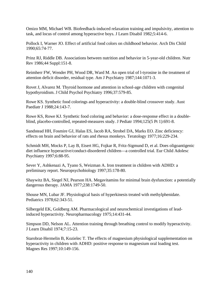Omizo MM, Michael WB. Biofeedback-induced relaxation training and impulsivity, attention to task, and locus of control among hyperactive boys. J Learn Disabil 1982;5:414-6.

Pollock I, Warner JO. Effect of artificial food colors on childhood behavior. Arch Dis Child 1990;65:74-77.

Prinz RJ, Riddle DB. Associations between nutrition and behavior in 5-year-old children. Nutr Rev 1986;44 Suppl:151-8.

Reimherr FW, Wender PH, Wood DR, Ward M. An open trial of l-tyrosine in the treatment of attention deficit disorder, residual type. Am J Psychiatry 1987;144:1071-3.

Rovet J, Alvarez M. Thyroid hormone and attention in school-age children with congenital hypothyroidism. J Child Psychol Psychiatry 1996;37:579-85.

Rowe KS. Synthetic food colorings and hyperactivity: a double-blind crossover study. Aust Paediatr J 1988;24:143-7.

Rowe KS, Rowe KJ. Synthetic food coloring and behavior: a dose-response effect in a doubleblind, placebo-controlled, repeated-measures study. J Pediatr 1994;125(5 Pt 1):691-8.

Sandstead HH, Fosmire GJ, Halas ES, Jacob RA, Strobel DA, Marks EO. Zinc deficiency: effects on brain and behavior of rats and rhesus monkeys. Teratology 1977;16:229-234.

Schmidt MH, Mocks P, Lay B, Eisert HG, Fojkar R, Fritz-Sigmund D, et al. Does oligoantigenic diet influence hyperactive/conduct-disordered children—a controlled trial. Eur Child Adolesc Psychiatry 1997;6:88-95.

Sever Y, Ashkenazi A, Tyano S, Weizman A. Iron treatment in children with ADHD: a preliminary report. Neuropsychobiology 1997;35:178-80.

Shaywitz BA, Siegel NJ, Pearson HA. Megavitamins for minimal brain dysfunction: a potentially dangerous therapy. JAMA 1977;238:1749-50.

Shouse MN, Lubar JF. Physiological basis of hyperkinesis treated with methylphenidate. Pediatrics 1978;62:343-51.

Silbergeld EK, Goldberg AM. Pharmacological and neurochemical investigations of leadinduced hyperactivity. Neuropharmacology 1975;14:431-44.

Simpson DD, Nelson AL. Attention training through breathing control to modify hyperactivity. J Learn Disabil 1974;7:15-23.

Starobrat-Hermelin B, Kozielec T. The effects of magnesium physiological supplementation on hyperactivity in children with ADHD: positive response to magnesium oral loading test. Magnes Res 1997;10:149-156.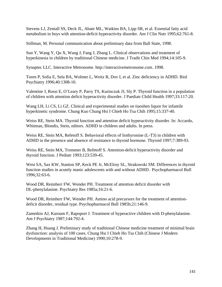Stevens LJ, Zentall SS, Deck JL, Abate ML, Watkins BA, Lipp SR, et al. Essential fatty acid metabolism in boys with attention-deficit hyperactivity disorder. Am J Clin Nutr 1995;62:761-8.

Stillman, M. Personal communication about preliminary data from Ball State, 1998.

Sun Y, Wang Y, Qu X, Wang J, Fang J, Zhang L. Clinical observations and treatment of hyperkinesia in children by traditional Chinese medicine. J Tradit Chin Med 1994;14:105-9.

Synaptec LLC. Interactive Metronome. http://interactivemetronome.com. 1998.

Toren P, Sofia E, Sela BA, Wolmer L, Weitz R, Dov I, et al. Zinc deficiency in ADHD. Biol Psychiatry 1996;40:1308-10.

Valentine J, Rossi E, O'Leary P, Parry TS, Kurinczuk JJ, Sly P. Thyroid function in a population of children with attention deficit hyperactivity disorder. J Paediatr Child Health 1997;33:117-20.

Wang LH, Li CS, Li GZ. Clinical and experimental studies on tiaoshen liquor for infantile hyperkinetic syndrome. Chung Kuo Chung Hsi I Chieh Ho Tsa Chih 1995;15:337-40.

Weiss RE, Stein MA. Thyroid function and attention deficit hyperactivity disorder. In: Accardo, Whitman, Blondis, Stein, editors. ADHD in children and adults. In press.

Weiss RE, Stein MA, Refetoff S. Behavioral effects of liothyronine (L-T3) in children with ADHD in the presence and absence of resistance to thyroid hormone. Thyroid 1997;7:389-93.

Weiss RE, Stein MA, Trommer B, Refetoff S. Attention-deficit hyperactivity disorder and thyroid function. J Pediatr 1993;123:539-45.

West SA, Sax KW, Stanton SP, Keck PE Jr, McElroy SL, Strakowski SM. Differences in thyroid function studies in acutely manic adolescents with and without ADHD. Psychopharmacol Bull 1996;32:63-6.

Wood DR, Reimherr FW, Wender PH. Treatment of attention deficit disorder with DL-phenylalanine. Psychiatry Res 1985a;16:21-6.

Wood DR, Reimherr FW, Wender PH. Amino acid precursors for the treatment of attentiondeficit disorder, residual type. Psychopharmacol Bull 1985b;21:146-9.

Zametkin AJ, Karoum F, Rapoport J. Treatment of hyperactive children with D-phenylalanine. Am J Psychiatry 1987;144:792-4.

Zhang H, Huang J. Preliminary study of traditional Chinese medicine treatment of minimal brain dysfunction: analysis of 100 cases. Chung Hsi I Chieh Ho Tsa Chih (Chinese J Modern Developments in Traditional Medicine) 1990;10:278-9.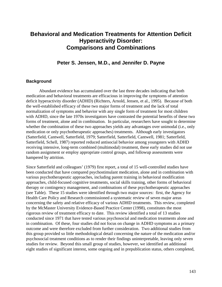# **Behavioral and Medication Treatments for Attention Deficit Hyperactivity Disorder: Comparisons and Combinations**

# **Peter S. Jensen, M.D., and Jennifer D. Payne**

### **Background**

Abundant evidence has accumulated over the last three decades indicating that both medication and behavioral treatments are efficacious in improving the symptoms of attention deficit hyperactivity disorder (ADHD) (Richters, Arnold, Jensen, et al., 1995). Because of both the well-established efficacy of these two major forms of treatment and the lack of total normalization of symptoms and behavior with any single form of treatment for most children with ADHD, since the late 1970s investigators have contrasted the potential benefits of these two forms of treatment, alone and in combination. In particular, researchers have sought to determine whether the combination of these two approaches yields any advantages over unimodal (i.e., only medication or only psychotherapeutic approaches) treatments. Although early investigators (Satterfield, Cantwell, Satterfield, 1979; Satterfield, Satterfield, Cantwell, 1981; Satterfield, Satterfield, Schell, 1987) reported reduced antisocial behavior among youngsters with ADHD receiving intensive, long-term combined (multimodal) treatment, these early studies did not use random assignment or employ appropriate control groups, and followup assessments were hampered by attrition.

Since Satterfield and colleagues' (1979) first report, a total of 15 well-controlled studies have been conducted that have compared psychostimulant medication, alone and in combination with various psychotherapeutic approaches, including parent training in behavioral modification approaches, child-focused cognitive treatments, social skills training, other forms of behavioral therapy or contingency management, and combinations of these psychotherapeutic approaches (see Table). These 15 studies were identified through two major sources: first, the Agency for Health Care Policy and Research commissioned a systematic review of seven major areas concerning the safety and relative efficacy of various ADHD treatments. This review, completed by the McMaster University Evidence-Based Practice Center (1998), constitutes the most rigorous review of treatment efficacy to date. This review identified a total of 13 studies conducted since 1971 that have tested various psychosocial and medication treatments alone and in combination. Of these, four studies did not focus on change in ADHD symptoms as a primary outcome and were therefore excluded from further consideration. Two additional studies from this group provided so little methodological detail concerning the nature of the medication and/or psychosocial treatment conditions as to render their findings uninterpretable, leaving only seven studies for review. Beyond this small group of studies, however, we identified an additional eight studies of significant interest, some ongoing and in prepublication status, others completed,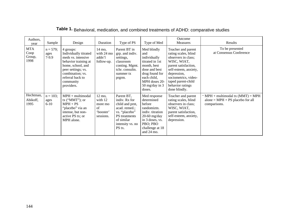| Authors,<br>year                     | Sample                         | Design                                                                                                                                                                                         | Duration                                                                  | Type of PS                                                                                                                                    | Type of Med                                                                                                                                                                                 | Outcome<br><b>Measures</b>                                                                                                                                                                                                          | Results                                                                                  |
|--------------------------------------|--------------------------------|------------------------------------------------------------------------------------------------------------------------------------------------------------------------------------------------|---------------------------------------------------------------------------|-----------------------------------------------------------------------------------------------------------------------------------------------|---------------------------------------------------------------------------------------------------------------------------------------------------------------------------------------------|-------------------------------------------------------------------------------------------------------------------------------------------------------------------------------------------------------------------------------------|------------------------------------------------------------------------------------------|
| <b>MTA</b><br>Coop<br>Group,<br>1998 | $n = 579;$<br>ages<br>$7-9.9$  | 4 groups:<br>Individually titrated<br>meds vs. intensive<br>behavior training at<br>home, school, and<br>peer settings; vs.<br>combination; vs.<br>referral back to<br>community<br>providers. | 14 mo,<br>with 24 mo<br>addn'l<br>follow-up.                              | Parent BT in<br>grp. and indiv.<br>settings,<br>classroom<br>conting. Mgmt.<br>tchr. consultn.<br>summer tx<br>prgrm.                         | Med blindly<br>and<br>individually<br>titrated in 1st<br>month, best<br>dose and best<br>drug found for<br>each child,<br>MPH doses 20-<br>$50 \frac{\text{mg}}{\text{day}}$ in 3<br>doses. | Teacher and parent<br>rating scales, blind<br>observers in class;<br>WISC, WIAT,<br>parent satisfaction,<br>self-esteem, anxiety,<br>depression,<br>sociometrics, video-<br>taped parent-child<br>behavior ratings<br>done blindly. | To be presented<br>at Consensus Conference                                               |
| Hechtman,<br>Abikoff,<br>1995        | $n = 103;$<br>ages<br>$6 - 10$ | $MPH + multimodal$<br>$tx$ (" $MMT$ "); or<br>$MPH + PS$<br>"placebo" via an<br>intense, but non-<br>active PS tx; or<br>MPH alone.                                                            | $12 \text{ mo}$ ,<br>with $12$<br>more mo<br>of<br>'booster'<br>sessions. | Parent BT,<br>indiv. Rx for<br>child and prnt,<br>acad. remed.;<br>vs. "placebo"<br>PS treatments<br>of similar<br>intensity vs. no<br>PS tx. | Med response<br>determined<br>before<br>randomiztn.<br>indiv. titration<br>$20-60$ mg/day<br>in 3 doses, vs.<br>PBO; PBO<br>challenge at 18<br>and 24 mo.                                   | Teacher and parent<br>rating scales, blind<br>observers in class;<br>WISC, WIAT,<br>parent satisfaction,<br>self-esteem, anxiety,<br>depression.                                                                                    | $-MPH + multinodal$ tx (MMT) = MPH<br>$alone = MPH + PS$ placebo for all<br>comparisons. |

# **Table 1.** Behavioral, medication, and combined treatments of ADHD: comparative studies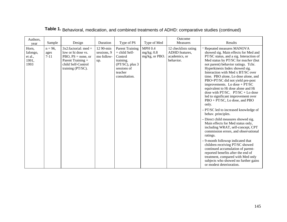| Authors,<br>year                              | Sample                         | Design                                                                                                                                  | Duration                                      | Type of PS                                                                                                                       | Type of Med                                       | Outcome<br>Measures                                                  | Results                                                                                                                                                                                                                                                                                                                                                                                                                                                                                                                                                                                                                                                                                                                                                                                                                                                                                                                                                                                                                                     |
|-----------------------------------------------|--------------------------------|-----------------------------------------------------------------------------------------------------------------------------------------|-----------------------------------------------|----------------------------------------------------------------------------------------------------------------------------------|---------------------------------------------------|----------------------------------------------------------------------|---------------------------------------------------------------------------------------------------------------------------------------------------------------------------------------------------------------------------------------------------------------------------------------------------------------------------------------------------------------------------------------------------------------------------------------------------------------------------------------------------------------------------------------------------------------------------------------------------------------------------------------------------------------------------------------------------------------------------------------------------------------------------------------------------------------------------------------------------------------------------------------------------------------------------------------------------------------------------------------------------------------------------------------------|
| Horn,<br>Ialongo,<br>et al.,<br>1991,<br>1993 | $n = 96$ ,<br>ages<br>$7 - 11$ | $3x2$ : factorial: med =<br>low or hi dose vs.<br>PBO, $PS = none$ , or<br>Parent Training +<br>child Self-Control<br>training (PT/SC). | 12 90-min<br>sessions, 9<br>mo follow-<br>up. | <b>Parent Training</b><br>+ child Self-<br>Control<br>training.<br>$(PT/SC)$ , plus 3<br>sessions of<br>teacher<br>consultation. | <b>MPH 0.4</b><br>$mg/kg$ ; 0.8<br>mg/kg, or PBO. | 12 checklists rating<br>ADHD features,<br>academics, or<br>behavior. | Repeated measures MANOVA<br>showed sig. Main effects for Med and<br>PT/SC status, and a sig. Interaction of<br>Med status by PT/SC for teacher (but<br>not parent) behavior ratings. Tchr.<br>Hyperkinesis Index showed sig.<br>Interaction with Med x BT/SC over<br>time. PBO alone, Lo dose alone, and<br>PBO+PT/SC did not yield pre-post<br>improvements. Lo dose $+ PT/SC$<br>equivalent to Hi dose alone and Hi<br>dose with PT/SC. $PT/SC + Lo$ dose<br>led to significant improvement over<br>PBO + PT/SC, Lo dose, and PBO<br>only.<br>- PT/SC led to increased knowledge of<br>behav. principles.<br>- Direct child measures showed sig.<br>Main effects for Med status only,<br>including WRAT, self-concept, CPT<br>commission errors, and observational<br>ratings.<br>-9-month followup indicated that<br>children receiving PT/SC showed<br>continued accumulation of parent-<br>reported benefits after the end of<br>treatment, compared with Med only<br>subjects who showed no further gains<br>or modest deterioration. |

# **Table 1.** Behavioral, medication, and combined treatments of ADHD: comparative studies (continued)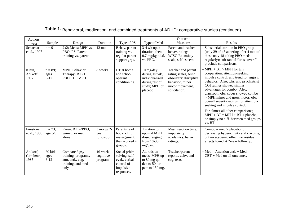| Authors,<br>year               | Sample                        | Design                                                                                | Duration                                 | Type of PS                                                                                | Type of Med                                                                                  | Outcome<br>Measures                                                                                                        | Results                                                                                                                                                                                                                                                                                                                                                                                                                                                                                              |
|--------------------------------|-------------------------------|---------------------------------------------------------------------------------------|------------------------------------------|-------------------------------------------------------------------------------------------|----------------------------------------------------------------------------------------------|----------------------------------------------------------------------------------------------------------------------------|------------------------------------------------------------------------------------------------------------------------------------------------------------------------------------------------------------------------------------------------------------------------------------------------------------------------------------------------------------------------------------------------------------------------------------------------------------------------------------------------------|
| Schachar<br>et al., 1997       | $n = 91$                      | 2x2; Meds: MPH vs.<br>PBO, PS: Parent<br>training vs. parent.                         | $12 \text{ mo}$                          | Behav. parent<br>training vs.<br>regular parent<br>support grps.                          | 3-4 wk open<br>titration; then<br>$0.7$ mg/kg b.i.d.<br>vs. PBO.                             | Parent and teacher<br>behav. ratings;<br>WISC-R; anxiety<br>scale, self-esteem.                                            | - Substantial attrition in PBO group<br>(only 29 of 45 adhering after 4 mo; of<br>these only 18 taking PBO meds<br>regularly); substantial "cross-overs"<br>preclude comparisons.                                                                                                                                                                                                                                                                                                                    |
| Klein,<br>Abikoff,<br>1997     | $n = 89;$<br>ages<br>$6 - 12$ | MPH; Behavior<br>Therapy $(BT)$ +<br>PBO; BT+MPH.                                     | 8 weeks                                  | BT at home<br>and school:<br>operant<br>conditioning.                                     | 10 mg/day<br>during 1st wk,<br>individualized<br>during rest of<br>study; MPH or<br>placebo. | Teacher and parent<br>rating scales, blind<br>observers: disruptive<br>behavior, minor<br>motor movement,<br>solicitation. | $-MPH + BT > MPH$ for tchr.<br>cooperation, attention-seeking,<br>impulse control, and trend for aggrsv.<br>behavior. Also, tchr. and psychiatrist<br>CGI ratings showed similar<br>advantages for combo. Also,<br>classroom obs. codes showed combo<br>> MPH minor and gross motor; obs.<br>overall severity ratings, for attention-<br>seeking and impulse control.<br>- For almost all other comparisons;<br>$MPH + BT = MPH > BT + placebo,$<br>or simply no diff. between med groups<br>vs. BT. |
| Firestone<br>et al., 1986      | $n = 73,$<br>age 5-9          | Parent BT w/PBO;<br>w/med; or med<br>alone.                                           | $3 \text{ mo}$ w/ 2-<br>year<br>followup | Parents read<br>book: child<br>management,<br>then worked in<br>groups.                   | Titration to<br>optimal MPH<br>dose, ranging<br>from $10-30$<br>mg/day.                      | Mean reaction time,<br>impulsivity;<br>academics, behav.<br>ratings.                                                       | Combo = $med$ > placebo for<br>decreasing hyperactivity and rxn time,<br>but no academic effect; no residual<br>effects found at 2-year followup.                                                                                                                                                                                                                                                                                                                                                    |
| Abikoff,<br>Gittelman,<br>1985 | 50 kids<br>ages<br>$6 - 12$   | Compare 3 psy<br>training programs,<br>attn. cntl., cog.<br>training, and med<br>only | 16-week<br>cognitive<br>program          | Social prblm-<br>solving, self-<br>eval., verbal<br>control of<br>impulsive<br>responses. | All kids on<br>meds, MPH up<br>to 80 mg qd,<br>dex to 50, or<br>pem to 150 mg.               | Teacher/parent<br>reports, achv. and<br>cog. tests.                                                                        | $-Med =$ Attention cntl. + Med =<br>$CBT + Med$ on all outcomes.                                                                                                                                                                                                                                                                                                                                                                                                                                     |

**Table 1.** Behavioral, medication, and combined treatments of ADHD: comparative studies (continued)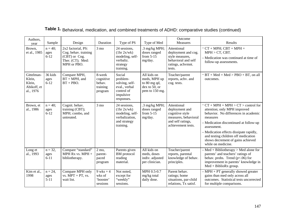| Authors,<br>year                                           | Sample                         | Design                                                                                         | Duration                                             | Type of PS                                                                                     | Type of Med                                                                    | Outcome<br>Measures                                                                                                 | <b>Results</b>                                                                                                                                                                                                                                                                                                                |
|------------------------------------------------------------|--------------------------------|------------------------------------------------------------------------------------------------|------------------------------------------------------|------------------------------------------------------------------------------------------------|--------------------------------------------------------------------------------|---------------------------------------------------------------------------------------------------------------------|-------------------------------------------------------------------------------------------------------------------------------------------------------------------------------------------------------------------------------------------------------------------------------------------------------------------------------|
| Brown,<br>et al., 1985                                     | $n = 40$ ;<br>ages<br>$6 - 12$ | 2x2 factorial, PS:<br>Cog. behav. training<br>(CBT) or Cog.<br>Ther. (CT); Med:<br>MPH or PBO. | $3 \text{ mo}$                                       | 24 sessions,<br>(1hr 2x/wk)<br>modeling, self-<br>verbaliz.<br>strategy<br>training.           | .3 mg/kg MPH;<br>doses ranged<br>from $5-15$<br>mg/day.                        | Attentional<br>deployment and cog.<br>style measures,<br>behavioral and self<br>ratings, achymnt.<br>tests.         | $CT + MPH$ ; $CBT + MPH =$<br>$MPH > CT$ , CBT.<br>- Medication was continued at time of<br>follow-up assessments.                                                                                                                                                                                                            |
| Gittelman-<br>Klein,<br>Klein,<br>Abikoff, et<br>al., 1976 | 36 kids<br>ages<br>$6 - 12$    | Compare MPH,<br>$BT + MPH$ , and<br>$BT + PBO.$                                                | 8-week<br>cognitive<br>behav.<br>training<br>program | Social<br>problem-<br>solving, self-<br>eval., verbal<br>control of<br>impulsive<br>responses. | All kids on<br>meds, MPH up<br>to 80 mg qd,<br>dex to 50, or<br>pem to 150 mg. | Teacher/parent<br>reports, achv. and<br>cog. tests.                                                                 | $-BT + Med = Med > PBO + BT$ , on all<br>outcomes.                                                                                                                                                                                                                                                                            |
| Brown, et<br>al., 1986                                     | $n = 40;$<br>ages<br>$6 - 12$  | Cognit. behav.<br>training (CBT);<br>MPH; combo, and<br>untreated.                             | $3 \text{ mo}$                                       | 24 sessions,<br>(1hr 2x/wk)<br>modeling, self-<br>verbalization,<br>and strategy<br>training.  | .3 mg/kg MPH;<br>doses ranged<br>from $5-15$<br>mg/day.                        | Attentional<br>deployment and<br>cognitive style<br>measures, behavioral<br>and self ratings,<br>achievement tests. | $CT + MPH = MPH > CT > control for$<br>attention; only MPH improved<br>behavior. No differences in academic<br>measures<br>- Medication discontinued at follow-up<br>assessment.<br>- Medication effects dissipate rapidly,<br>and testing children off medication<br>shows decrement of gains achieved<br>while on medicine. |
| Long et<br>al., 1993                                       | $n = 32$ ,<br>ages<br>$6 - 11$ | Compare "standard"<br>MPH Rx vs. MPH +<br>bibliotherapy.                                       | $2 \text{ mo}$ ,<br>parent-<br>paced<br>program      | Parents given<br><b>BM</b> protocol<br>reading<br>material.                                    | All kids on<br>meds, doses<br>indiv. adjusted<br>per clinician.                | Teacher/parent<br>reports, parental<br>knowledge of behav.<br>principles.                                           | $Med + Bibliotherapy > Med$ alone for<br>parents' and teachers' ratings of<br>behav. probs. Trend $(p<.06)$ for<br>improvement in parents' knowledge in<br>$Med + Bibliorx group.$                                                                                                                                            |
| Kim et al.,<br>1998                                        | $n = 24,$<br>ages<br>$5 - 11$  | Compare MPH only<br>$vs. MPT + PT, vs.$<br>wait list.                                          | $9$ wks + 4<br>wks of<br>'booster'<br>sessions       | Not noted,<br>except for<br>"weekly"<br>sessions.                                              | MPH 0.5-0.7<br>mg/kg total<br>daily dose.                                      | Parent behav.<br>ratings; home<br>situations, par-child<br>relations, Tx satisf.                                    | $-MPH + PT$ generally showed greater<br>gains than med only across all<br>outcomes. Statistical tests uncorrected<br>for multiple comparisons.                                                                                                                                                                                |

**Table 1.** Behavioral, medication, and combined treatments of ADHD: comparative studies (continued)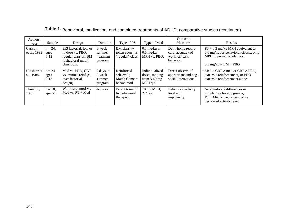| Authors,<br>year        | Sample                         | Design                                                                                               | Duration                                 | Type of PS                                                 | Type of Med                                                      | Outcome<br><b>Measures</b>                                            | Results                                                                                                                                                   |
|-------------------------|--------------------------------|------------------------------------------------------------------------------------------------------|------------------------------------------|------------------------------------------------------------|------------------------------------------------------------------|-----------------------------------------------------------------------|-----------------------------------------------------------------------------------------------------------------------------------------------------------|
| Carlson<br>et al., 1992 | $n = 24$ ,<br>ages<br>$6 - 12$ | 2x3 factorial: low or<br>hi dose vs. PBO,<br>regular class vs. BM<br>(behavioral mod.)<br>classroom. | 8-week<br>summer<br>treatment<br>program | $BM$ class $w/$<br>token econ., vs.<br>"regular" class.    | $0.3 \text{ mg/kg}$ or<br>$0.6 \,\mathrm{mg/kg}$<br>MPH vs. PBO. | Daily home report<br>card, accuracy of<br>work, off-task<br>behavior. | $- PS + 0.3$ mg/kg MPH equivalent to<br>0.6 mg/kg for behavioral effects; only<br>MPH improved academics.<br>$0.3 \text{ mg/kg} = \text{BM} + \text{PBO}$ |
| Hinshaw et<br>al., 1984 | $n = 24$<br>ages<br>$8 - 13$   | Med vs. PBO, CBT<br>vs. extrins. reinf.(x-<br>over factorial<br>design).                             | 2 days in<br>5-week<br>summer<br>program | Reinforced<br>self-eval.;<br>Match Game $=$<br>behav. mod. | Individualized<br>doses, ranging<br>from $5-40$ mg<br>MPH q.d.   | Direct observ, of<br>appropriate and neg.<br>social interactions.     | $-Med + CBT > med or CBT > PBO,$<br>extrinsic reinforcement, or $PBO +$<br>extrinsic reinforcement alone.                                                 |
| Thurston,<br>1979       | $n = 18$ ,<br>age $6-9$        | Wait list control vs.<br>Med vs. $PT + Med$                                                          | $4-6$ wks                                | Parent training<br>by behavioral<br>therapist.             | 10 mg MPH,<br>2x/day.                                            | Behaviors: activity<br>level and<br>impulsivity.                      | $-$ No significant differences in<br>impulsivity for any groups,<br>$PT + Med > med > control for$<br>decreased activity level.                           |

**Table 1.** Behavioral, medication, and combined treatments of ADHD: comparative studies (continued)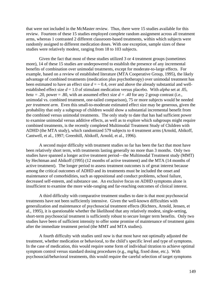that were not included in the McMaster review. Thus, there were 15 studies available for this review. Fourteen of these 15 studies employed complete random assignment across all treatment arms, whereas 1 contrasted 2 different classroom-based treatments, within which subjects were randomly assigned to different medication doses. With one exception, sample sizes of these studies were relatively modest, ranging from 18 to 103 subjects.

Given the fact that most of these studies utilized 3 or 4 treatment groups (sometimes more), 14 of these 15 studies are underpowered to establish the presence of any incremental benefits of combination over unimodal treatments, except for moderate-to-large effects. For example, based on a review of established literature (MTA Cooperative Group, 1995), the likely advantage of combined treatments (medication plus psychotherapy) over unimodal treatment has been estimated to have an effect size  $d = \sim 0.4$ , over and above the already substantial and wellestablished effect size *d* = 1.0 of stimulant medication versus placebo. With *alpha* set at .05, *beta* = .20, power = .80, with an assumed effect size  $d = .40$  for any 2 group contrast (i.e., unimodal vs. combined treatment, one-tailed comparison), 75 or more subjects would be needed *per treatment arm*. Even this small-to-moderate estimated effect size may be generous, given the probability that only a subgroup of children would show a substantial incremental benefit from the combined versus unimodal treatments. The only study to date that has had sufficient power to examine unimodal versus additive effects, as well as to explore which subgroups might require combined treatments, is the recently completed Multimodal Treatment Study of Children with ADHD (the MTA study), which randomized 579 subjects to 4 treatment arms (Arnold, Abikoff, Cantwell, et al., 1997; Greenhill, Abikoff, Arnold, et al., 1996).

A second major difficulty with treatment studies so far has been the fact that most have been relatively short term, with treatments lasting generally no more than 3 months. Only two studies have spanned a longer active treatment period—the Multimodal Treatment study (MMT) by Hechtman and Abikoff (1995) (12 months of active treatment) and the MTA (14 months of active treatment). The longer period to assess treatment outcomes is of great interest because among the critical outcomes of ADHD and its treatments must be included the onset and maintenance of comorbidities, such as oppositional and conduct problems, school failure, decreased self-esteem, and substance use. An exclusive focus on ADHD symptoms alone is insufficient to examine the more wide-ranging and far-reaching outcomes of clinical interest.

A third difficulty with comparative treatment studies to date is that most psychosocial treatments have not been sufficiently intensive. Given the well-known difficulties with generalization and maintenance of psychosocial treatment effects (Richters, Arnold, Jensen, et al., 1995), it is questionable whether the likelihood that any relatively modest, single-setting, short-term psychosocial treatment is sufficiently robust to secure longer term benefits. Only two studies have been of sufficient intensity to offer some promise of maintenance of treatment gains after the immediate treatment period (the MMT and MTA studies).

A fourth difficulty with studies until now is that most have not optimally adjusted the treatment, whether medication or behavioral, to the child's specific level and type of symptoms. In the case of medication, this would require some form of individual titration to achieve optimal symptom control versus standard dosing procedures (e.g., mg/kg, fixed dose, etc.). With psychosocial/behavioral treatments, this would require the careful selection of target symptoms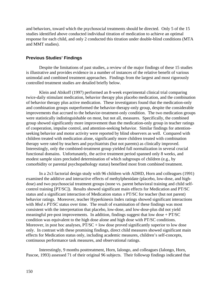and behaviors, toward which the psychosocial treatments should be directed. Only 5 of the 15 studies identified above conducted individual titration of medication to achieve an optimal response for each child, and only 2 conducted this titration under double-blind conditions (MTA and MMT studies).

#### **Previous Studies' Findings**

Despite the limitations of past studies, a review of the major findings of these 15 studies is illustrative and provides evidence in a number of instances of the relative benefit of various unimodal and combined treatment approaches. Findings from the largest and most rigorously controlled treatment studies are detailed briefly below.

Klein and Abikoff (1997) performed an 8-week experimental clinical trial comparing twice-daily stimulant medication, behavior therapy plus placebo medication, and the combination of behavior therapy plus active medication. These investigators found that the medication-only and combination groups outperformed the behavior-therapy-only group, despite the considerable improvements that accrued to the behavior-treatment-only condition. The two medication groups were statistically indistinguishable on most, but not all, measures. Specifically, the combined group showed significantly more improvement than the medication-only group in teacher ratings of cooperation, impulse control, and attention-seeking behavior. Similar findings for attentionseeking behavior and motor activity were reported by blind observers as well. Compared with children treated with medication alone, significantly more children treated with combination therapy were rated by teachers and psychiatrists (but not parents) as clinically improved. Interestingly, only the combined-treatment group yielded full normalization in several crucial functional domains. Unfortunately, the active treatment period spanned only 8 weeks, and modest sample sizes precluded determination of which subgroups of children (e.g., by comorbidity or parental psychopathology status) benefited most from combined treatment.

In a 2x3 factorial design study with 96 children with ADHD, Horn and colleagues (1991) examined the additive and interactive effects of methylphenidate (placebo, low-dose, and highdose) and two psychosocial treatment groups (none vs. parent behavioral training and child selfcontrol training [PT/SC]). Results showed significant main effects for Medication and PT/SC status and a significant interaction of Medication status *x* PT/SC for teacher (but not parent) behavior ratings. Moreover, teacher Hyperkinesis Index ratings showed significant interactions with *Med x PT/SC* status over time. The result of examination of these findings was most consistent with the interpretation that placebo, low-dose, and low-dose-plus did not yield meaningful pre-post improvements. In addition, findings suggest that low dose + PT/SC condition was equivalent to the high dose alone and high dose with PT/SC conditions. Moreover, in post hoc analyses,  $PT/SC + low$  dose proved significantly superior to low dose only. In contrast with these promising findings, direct child measures showed significant main effects for Medication status only, including academic measures, children's self-concepts, continuous performance task measures, and observational ratings.

Interestingly, 9 months posttreatment, Horn, Ialongo, and colleagues (Ialongo, Horn, Pascoe, 1993) assessed 71 of their original 96 subjects. Their followup findings indicated that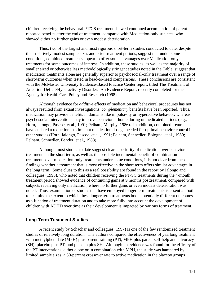children receiving the behavioral PT/CS treatment showed continued accumulation of parentreported benefits after the end of treatment, compared with Medication-only subjects, who showed either no further gains or even modest deterioration.

Thus, two of the largest and most rigorous short-term studies conducted to date, despite their relatively modest sample sizes and brief treatment periods, suggest that under some conditions, combined treatments appear to offer some advantages over Medication-only treatments for some outcomes of interest. In addition, these studies, as well as the majority of smaller sized or otherwise less methodologically stringent studies noted in the Table, suggest that medication treatments alone are generally superior to psychosocial-only treatment over a range of short-term outcomes when tested in head-to-head comparisons. These conclusions are consistent with the McMaster University Evidence-Based Practice Center report, titled The Treatment of Attention-Deficit/Hyperactivity Disorder: An Evidence Report, recently completed for the Agency for Health Care Policy and Research (1998).

Although evidence for *additive* effects of medication and behavioral procedures has not always resulted from extant investigations, *complementary* benefits have been reported. Thus, medication may provide benefits in domains like impulsivity or hyperactive behavior, whereas psychosocial interventions may improve behavior at home during unmedicated periods (e.g., Horn, Ialongo, Pascoe, et al., 1991; Pelham, Murphy, 1986). In addition, combined treatments have enabled a reduction in stimulant medication dosage needed for optimal behavior control in other studies (Horn, Ialongo, Pascoe, et al., 1991; Pelham, Schnedler, Bologna, et al., 1980; Pelham, Schnedler, Bender, et al., 1988).

Although most studies to date suggest clear superiority of medication over behavioral treatments in the short term, as well as the possible incremental benefit of combination treatments over medication-only treatments under some conditions, it is not clear from these findings whether a treatment that is most effective in the short term offers similar advantages in the long term. Some clues to this as a real possibility are found in the report by Ialongo and colleagues (1993), who noted that children receiving the PT/SC treatments during the 4-month treatment period showed evidence of continuing gains at 9 months posttreatment, compared with subjects receiving only medication, where no further gains or even modest deterioration was noted. Thus, examination of studies that have employed longer term treatments is essential, both to examine the extent to which these longer term treatments bode potentially different outcomes as a function of treatment duration and to take more fully into account the development of children with ADHD over time as their development is impacted by various forms of treatment.

#### **Long-Term Treatment Studies**

A recent study by Schachar and colleagues (1997) is one of the few randomized treatment studies of relatively long duration. The authors compared the effectiveness of yearlong treatment with methylphenidate (MPH) plus parent training (PT), MPH plus parent self-help and advocacy (SH), placebo plus PT, and placebo plus SH. Although no evidence was found for the efficacy of the PT interventions, either alone or in combination with MPH, the study was hampered by limited sample sizes, a 50-percent crossover rate to active medication in the placebo groups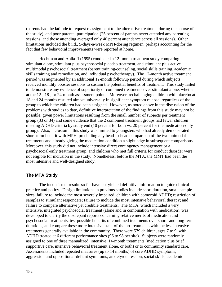(parents had the latitude to request reassignment to the alternative treatment during the course of the study), and poor parental participation (25 percent of parents never attended any parenting sessions, and those attending averaged only 40 percent attendance across all sessions). Other limitations included the b.i.d., 5-days-a-week MPH-dosing regimen, perhaps accounting for the fact that few behavioral improvements were reported at home.

Hechtman and Abikoff (1995) conducted a 12-month treatment study comparing stimulant alone, stimulant plus psychosocial placebo treatment, and stimulant plus active multimodal psychosocial treatment (parent training/counseling, social skills training, academic skills training and remediation, and individual psychotherapy). The 12-month active treatment period was augmented by an additional 12-month followup period during which subjects received monthly booster sessions to sustain the potential benefits of treatment. This study failed to demonstrate any evidence of superiority of combined treatments over stimulant alone, whether at the 12-, 18-, or 24-month assessment points. Moreover, rechallenging children with placebo at 18 and 24 months resulted almost universally in significant symptom relapse, regardless of the group to which the children had been assigned. However, as noted above in the discussion of the problems with studies to date, definitive interpretation of the findings from this study may not be possible, given power limitations resulting from the small number of subjects per treatment group (33 or 34) and some evidence that the 2 combined treatment groups had fewer children meeting ADHD criteria by study end (10 percent for both vs. 20 percent for the medication-only group). Also, inclusion in this study was limited to youngsters who had already demonstrated short-term benefit with MPH, precluding any head-to-head comparison of the two unimodal treatments and already giving the medication condition a slight edge in subsequent comparisons. Moreover, this study did not include intensive direct contingency management or a psychosocial-only treatment group, and children who met full criteria for conduct disorder were not eligible for inclusion in the study. Nonetheless, before the MTA, the MMT had been the most intensive and well-designed study.

#### **The MTA Study**

The inconsistent results so far have not yielded definitive information to guide clinical practice and policy. Design limitations in previous studies include short duration, small sample sizes, failure to include the most severely impaired, children with comorbid ADHD; restriction of samples to stimulant responders; failure to include the most intensive behavioral therapy; and failure to compare alternative yet credible treatments. The MTA, which included a very intensive, integrated psychosocial treatment (alone and in combination with medication), was developed to clarify the discrepant reports concerning relative merits of medication and psychosocial treatments, test possible benefits of combined treatments over short- and long-term durations, and compare these more intensive state-of-the-art treatments with the less intensive treatments generally available in the community. There were 579 children, ages 7 to 9, with ADHD treated at 6 different performance sites (96 to 98 per site). Subjects were randomly assigned to one of three manualized, intensive, 14-month treatments (medication plus brief supportive care, intensive behavioral treatment alone, or both) or to community standard care. Assessments included repeated measures (up to 14 months) of core ADHD symptoms; aggression and oppositional-defiant symptoms; anxiety/depression; social skills; academic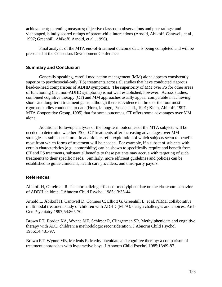achievement; parenting measures; objective classroom observations and peer ratings; and videotaped, blindly scored ratings of parent-child interactions (Arnold, Abikoff, Cantwell, et al., 1997; Greenhill, Abikoff, Arnold, et al., 1996).

Final analysis of the MTA end-of-treatment outcome data is being completed and will be presented at the Consensus Development Conference.

### **Summary and Conclusion**

Generally speaking, careful medication management (MM) alone appears consistently superior to psychosocial-only (PS) treatments across all studies that have conducted rigorous head-to-head comparisons of ADHD symptoms. The superiority of MM over PS for other areas of functioning (i.e., non-ADHD symptoms) is not well established, however. Across studies, combined cognitive therapy (CT) and MM approaches usually appear comparable in achieving short- and long-term treatment gains, although there is evidence in three of the four most rigorous studies conducted to date (Horn, Ialongo, Pascoe et al., 1991; Klein, Abikoff, 1997; MTA Cooperative Group, 1995) that for some outcomes, CT offers some advantages over MM alone.

Additional followup analyses of the long-term outcomes of the MTA subjects will be needed to determine whether PS or CT treatments offer increasing advantages over MM strategies as subjects mature. In addition, careful exploration of which subjects seem to benefit most from which forms of treatment will be needed. For example, if a subset of subjects with certain characteristics (e.g., comorbidity) can be shown to specifically require and benefit from CT and PS treatments, substantial benefits to these patients may accrue with targeting of such treatments to their specific needs. Similarly, more efficient guidelines and policies can be established to guide clinicians, health care providers, and third-party payors.

### **References**

Abikoff H, Gittelman R. The normalizing effects of methylphenidate on the classroom behavior of ADDH children. J Abnorm Child Psychol 1985;13:33-44.

Arnold L, Abikoff H, Cantwell D, Conners C, Elliott G, Greenhill L, et al. NIMH collaborative multimodal treatment study of children with ADHD (MTA): design challenges and choices. Arch Gen Psychiatry 1997;54:865-70.

Brown RT, Borden KA, Wynne ME, Schleser R, Clingerman SR. Methylphenidate and cognitive therapy with ADD children: a methodologic reconsideration. J Abnorm Child Psychol 1986;14:481-97.

Brown RT, Wynne ME, Medenis R. Methylphenidate and cognitive therapy: a comparison of treatment approaches with hyperactive boys. J Abnorm Child Psychol 1985;13:69-87.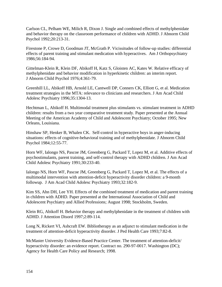Carlson CL, Pelham WE, Milich R, Dixon J. Single and combined effects of methylphenidate and behavior therapy on the classroom performance of children with ADHD. J Abnorm Child Psychol 1992;20:213-31.

Firestone P, Crowe D, Goodman JT, McGrath P. Vicissitudes of follow-up studies: differential effects of parent training and stimulant medication with hyperactives. Am J Orthopsychiatry 1986;56:184-94.

Gittelman-Klein R, Klein DF, Abikoff H, Katz S, Gloisten AC, Kates W. Relative efficacy of methylphenidate and behavior modification in hyperkinetic children: an interim report. J Abnorm Child Psychol 1976;4:361-79.

Greenhill LL, Abikoff HB, Arnold LE, Cantwell DP, Conners CK, Elliott G, et al. Medication treatment strategies in the MTA: relevance to clinicians and researchers. J Am Acad Child Adolesc Psychiatry 1996;35:1304-13.

Hechtman L, Abikoff H. Multimodal treatment plus stimulants vs. stimulant treatment in ADHD children: results from a two year comparative treatment study. Paper presented at the Annual Meeting of the American Academy of Child and Adolescent Psychiatry; October 1995; New Orleans, Louisiana.

Hinshaw SP, Henker B, Whalen CK. Self-control in hyperactive boys in anger-inducing situations: effects of cognitive-behavioral training and of methylphenidate. J Abnorm Child Psychol 1984;12:55-77.

Horn WF, Ialongo NS, Pascoe JM, Greenberg G, Packard T, Lopez M, et al. Additive effects of psychostimulants, parent training, and self-control therapy with ADHD children. J Am Acad Child Adolesc Psychiatry 1991;30:233-40.

Ialongo NS, Horn WF, Pascoe JM, Greenberg G, Packard T, Lopez M, et al. The effects of a multimodal intervention with attention-deficit hyperactivity disorder children: a 9-month followup. J Am Acad Child Adolesc Psychiatry 1993;32:182-9.

Kim SS, Ahn DH, Lee YH. Effects of the combined treatment of medication and parent training in children with ADHD. Paper presented at the International Association of Child and Adolescent Psychiatry and Allied Professions; August 1998; Stockholm, Sweden.

Klein RG, Abikoff H. Behavior therapy and methylphenidate in the treatment of children with ADHD. J Attention Disord 1997;2:89-114.

Long N, Rickert VI, Ashcraft EW. Bibliotherapy as an adjunct to stimulant medication in the treatment of attention-deficit hyperactivity disorder. J Ped Health Care 1993;7:82-8.

McMaster University Evidence-Based Practice Center. The treatment of attention-deficit/ hyperactivity disorder: an evidence report. Contract no. 290-97-0017. Washington (DC); Agency for Health Care Policy and Research; 1998.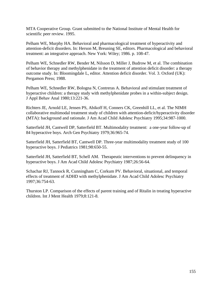MTA Cooperative Group. Grant submitted to the National Institute of Mental Health for scientific peer review. 1995.

Pelham WE, Murphy HA. Behavioral and pharmacological treatment of hyperactivity and attention-deficit disorders. In: Herson M, Breuning SE, editors. Pharmacological and behavioral treatment: an integrative approach. New York: Wiley; 1986. p. 108-47.

Pelham WE, Schnedler RW, Bender M, Nilsson D, Miller J, Budrow M, et al. The combination of behavior therapy and methylphenidate in the treatment of attention deficit disorder: a therapy outcome study. In: Bloomingdale L, editor. Attention deficit disorder. Vol. 3. Oxford (UK): Pergamon Press; 1988.

Pelham WE, Schnedler RW, Bologna N, Contreras A. Behavioral and stimulant treatment of hyperactive children: a therapy study with methylphenidate probes in a within-subject design. J Appl Behav Anal 1980;13:221-36.

Richters JE, Arnold LE, Jensen PS, Abikoff H, Conners CK, Greenhill LL, et al. The NIMH collaborative multimodal treatment study of children with attention-deficit/hyperactivity disorder (MTA): background and rationale. J Am Acad Child Adolesc Psychiatry 1995;34:987-1000.

Satterfield JH, Cantwell DP, Satterfield BT. Multimodality treatment: a one-year follow-up of 84 hyperactive boys. Arch Gen Psychiatry 1979;36:965-74.

Satterfield JH, Satterfield BT, Cantwell DP. Three-year multimodality treatment study of 100 hyperactive boys. J Pediatrics 1981;98:650-55.

Satterfield JH, Satterfield BT, Schell AM. Therapeutic interventions to prevent delinquency in hyperactive boys. J Am Acad Child Adolesc Psychiatry 1987;26:56-64.

Schachar RJ, Tannock R, Cunningham C, Corkum PV. Behavioral, situational, and temporal effects of treatment of ADHD with methylphenidate. J Am Acad Child Adolesc Psychiatry 1997;36:754-63.

Thurston LP. Comparison of the effects of parent training and of Ritalin in treating hyperactive children. Int J Ment Health 1979;8:121-8.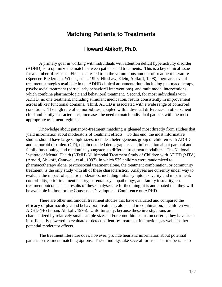# **Matching Patients to Treatments**

# **Howard Abikoff, Ph.D.**

A primary goal in working with individuals with attention deficit hyperactivity disorder (ADHD) is to optimize the match between patients and treatments. This is a key clinical issue for a number of reasons. First, as attested to in the voluminous amount of treatment literature (Spencer, Biederman, Wilens, et al., 1996; Hinshaw, Klein, Abikoff, 1998), there are several treatment strategies available in the ADHD clinical armamentarium, including pharmacotherapy, psychosocial treatment (particularly behavioral interventions), and multimodal interventions, which combine pharmacologic and behavioral treatment. Second, for most individuals with ADHD, no one treatment, including stimulant medication, results consistently in improvement across all key functional domains. Third, ADHD is associated with a wide range of comorbid conditions. The high rate of comorbidities, coupled with individual differences in other salient child and family characteristics, increases the need to match individual patients with the most appropriate treatment regimen.

Knowledge about patient-to-treatment matching is gleaned most directly from studies that yield information about moderators of treatment effects. To this end, the most informative studies should have large sample sizes, include a heterogeneous group of children with ADHD and comorbid disorders (CD), obtain detailed demographics and information about parental and family functioning, and randomize youngsters to different treatment modalities. The National Institute of Mental Health (NIMH) Multimodal Treatment Study of Children with ADHD (MTA) (Arnold, Abikoff, Cantwell, et al., 1997), in which 579 children were randomized to pharmacotherapy alone, psychosocial treatment alone, the treatment combination, or community treatment, is the only study with all of these characteristics. Analyses are currently under way to evaluate the impact of specific moderators, including initial symptom severity and impairment, comorbidity, prior treatment history, parental psychopathology, and family insularity, on treatment outcome. The results of these analyses are forthcoming; it is anticipated that they will be available in time for the Consensus Development Conference on ADHD.

There are other multimodal treatment studies that have evaluated and compared the efficacy of pharmacologic and behavioral treatment, alone and in combination, in children with ADHD (Hechtman, Abikoff, 1995). Unfortunately, because these investigations are characterized by relatively small sample sizes and/or comorbid exclusion criteria, they have been insufficiently powered to evaluate or detect patient-by-treatment interactions, as well as other potential moderator effects.

The treatment literature does, however, provide heuristic information about potential patient-to-treatment matching options. These findings take several forms. The first pertains to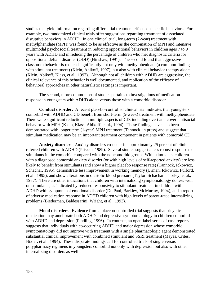studies that yield information regarding differential treatment effects on specific behaviors. For example, two randomized clinical trials offer suggestions regarding treatment of associated disruptive behaviors in ADHD. In one clinical trial, long-term (2-year) treatment with methylphenidate (MPH) was found to be as effective as the combination of MPH and intensive multimodal psychosocial treatment in reducing oppositional behaviors in children ages 7 to 9 years with ADHD and in reducing the percentage of children who met diagnostic criteria for oppositional defiant disorder (ODD) (Hinshaw, 1991). The second found that aggressive classroom behavior is reduced significantly not only with methylphenidate (a common finding with stimulant treatment) (Klein, Abikoff, 1997), but also with clinical behavior therapy alone (Klein, Abikoff, Klass, et al., 1997). Although not all children with ADHD are aggressive, the clinical relevance of this behavior is well documented, and replication of the efficacy of behavioral approaches in other naturalistic settings is important.

The second, more common set of studies pertains to investigations of medication response in youngsters with ADHD alone versus those with a comorbid disorder.

**Conduct disorder**. A recent placebo-controlled clinical trial indicates that youngsters comorbid with ADHD and CD benefit from short-term (5-week) treatment with methylphenidate. There were significant reductions in multiple aspects of CD, including overt and covert antisocial behavior with MPH (Klein, Klass, Abikoff, et al., 1994). These findings have also been demonstrated with longer term (1-year) MPH treatment (Tannock, in press) and suggest that stimulant medication may be an important treatment component in patients with comorbid CD.

**Anxiety disorder**. Anxiety disorders co-occur in approximately 25 percent of clinicreferred children with ADHD (Pliszka, 1989). Several studies suggest a less robust response to stimulants in the comorbid compared with the noncomorbid group. With stimulants, children with a diagnosed comorbid anxiety disorder (or with high levels of self-reported anxiety) are less likely to benefit from stimulants (and show a higher placebo response rate) (Tannock, Ickowicz, Schachar, 1995), demonstrate less improvement in working memory (Urman, Ickowicz, Fulford, et al., 1995), and show alterations in diastolic blood pressure (Taylor, Schachar, Thorley, et al., 1987). There are other indications that children with internalizing symptomatology do less well on stimulants, as indicated by reduced responsivity to stimulant treatment in children with ADHD with symptoms of emotional disorder (Du Paul, Barkley, McMurray, 1994), and a report of adverse medication response in ADHD children with high levels of parent-rated internalizing problems (Biederman, Baldessarini, Wright, et al., 1993).

**Mood disorders**. Evidence from a placebo-controlled trial suggests that tricyclic medication may ameliorate both ADHD and depressive symptomatology in children comorbid with ADHD and depression (Findling, 1996). In contrast, an open-label series of case reports suggests that individuals with co-occurring ADHD and major depression whose comorbid symptomatology did not improve with treatment with a single pharmacologic agent demonstrated substantial clinical improvement with combined stimulant and SSRI treatment (Mayes, Crites, Bixler, et al., 1994). These disparate findings call for controlled trials of single versus polypharmacy regimens in youngsters comorbid not only with depression but also with other internalizing disorders as well.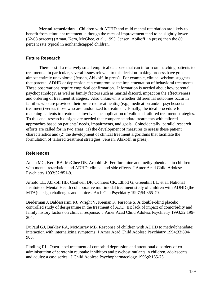**Mental retardation**. Children with ADHD and mild mental retardation are likely to benefit from stimulant treatment, although the rates of improvement tend to be slightly lower (62-68 percent) (Aman, Kern, McGhee, et al., 1993; Jensen, Abikoff, in press) than the 80 percent rate typical in nonhandicapped children.

## **Future Research**

There is still a relatively small empirical database that can inform on matching patients to treatments. In particular, several issues relevant to this decision-making process have gone almost entirely unexplored (Jensen, Abikoff, in press). For example, clinical wisdom suggests that parental ADHD or depression can compromise the implementation of behavioral treatments. These observations require empirical confirmation. Information is needed about how parental psychopathology, as well as family factors such as marital discord, impact on the effectiveness and ordering of treatment strategies. Also unknown is whether differential outcomes occur in families who are provided their preferred treatment(s) (e.g., medication and/or psychosocial treatment) versus those who are randomized to treatment. Finally, the ideal procedure for matching patients to treatments involves the application of validated tailored treatment strategies. To this end, research designs are needed that compare standard treatments with tailored approaches based on patients' needs, impairments, and goals. Coincidentally, parallel research efforts are called for in two areas: (1) the development of measures to assess these patient characteristics and (2) the development of clinical treatment algorithms that facilitate the formulation of tailored treatment strategies (Jensen, Abikoff, in press).

# **References**

Aman MG, Kern RA, McGhee DE, Arnold LE. Fenfluramine and methylphenidate in children with mental retardation and ADHD: clinical and side effects. J Amer Acad Child Adolesc Psychiatry 1993;32:851-9.

Arnold LE, Abikoff HB, Cantwell DP, Conners CK, Elliott G, Greenhill LL, et al. National Institute of Mental Health collaborative multimodal treatment study of children with ADHD (the MTA): design challenges and choices. Arch Gen Psychiatry 1997;54:865-70.

Biederman J, Baldessarini RJ, Wright V, Keenan K, Faraone S. A double-blind placebo controlled study of desipramine in the treatment of ADD, III: lack of impact of comorbidity and family history factors on clinical response. J Amer Acad Child Adolesc Psychiatry 1993;32:199- 204.

DuPaul GJ, Barkley RA, McMurray MB. Response of children with ADHD to methylphenidate: interaction with internalizing symptoms. J Amer Acad Child Adolesc Psychiatry 1994;33:894- 903.

Findling RL. Open-label treatment of comorbid depression and attentional disorders of coadministration of serotonin reuptake inhibitors and psychostimulants in children, adolescents, and adults: a case series. J Child Adolesc Psychopharmacology 1996;6:165-75.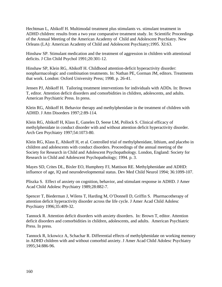Hechtman L, Abikoff H. Multimodal treatment plus stimulants vs. stimulant treatment in ADHD children: results from a two year comparative treatment study. In: Scientific Proceedings of the Annual Meeting of the American Academy of Child and Adolescent Psychiatry. New Orleans (LA): American Academy of Child and Adolescent Psychiatry;1995. XI:63.

Hinshaw SP. Stimulant medication and the treatment of aggression in children with attentional deficits. J Clin Child Psychol 1991;20:301-12.

Hinshaw SP, Klein RG, Abikoff H. Childhood attention-deficit hyperactivity disorder: nonpharmacologic and combination treatments. In: Nathan PE, Gorman JM, editors. Treatments that work. London: Oxford University Press; 1998. p. 26-41.

Jensen PJ, Abikoff H. Tailoring treatment interventions for individuals with ADDs. In: Brown T, editor. Attention deficit disorders and comorbidities in children, adolescents, and adults. American Psychiatric Press. In press.

Klein RG, Abikoff H. Behavior therapy and methylphenidate in the treatment of children with ADHD. J Attn Disorders 1997;2:89-114.

Klein RG, Abikoff H, Klass E, Ganeles D, Seese LM, Pollock S. Clinical efficacy of methylphenidate in conduct disorder with and without attention deficit hyperactivity disorder. Arch Gen Psychiatry 1997;54:1073-80.

Klein RG, Klass E, Abikoff H, et al. Controlled trial of methylphenidate, lithium, and placebo in children and adolescents with conduct disorders. Proceedings of the annual meeting of the Society for Research in Child and Adolescent Psychopathology. London, England: Society for Research in Child and Adolescent Psychopathology; 1994. p. 3.

Mayes SD, Crites DL, Bixler EO, Humphrey FJ, Mattison RE. Methylphenidate and ADHD: influence of age, IQ and neurodevelopmental status. Dev Med Child Neurol 1994; 36:1099-107.

Pliszka S. Effect of anxiety on cognition, behavior, and stimulant response in ADHD. J Amer Acad Child Adolesc Psychiatry 1989;28:882-7.

Spencer T, Biederman J, Wilens T, Harding M, O'Donnell D, Griffin S. Pharmacotherapy of attention deficit hyperactivity disorder across the life cycle. J Amer Acad Child Adolesc Psychiatry 1996;35:409-32.

Tannock R. Attention deficit disorders with anxiety disorders. In: Brown T, editor. Attention deficit disorders and comorbidities in children, adolescents, and adults. American Psychiatric Press. In press.

Tannock R, Ickowicz A, Schachar R. Differential effects of methylphenidate on working memory in ADHD children with and without comorbid anxiety. J Amer Acad Child Adolesc Psychiatry 1995;34:886-96.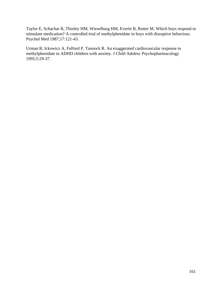Taylor E, Schachar R, Thorley HM, Wieselburg HM, Everitt B, Rutter M. Which boys respond to stimulant medication? A controlled trial of methylphenidate in boys with disruptive behaviour. Psychol Med 1987;17:121-43.

Urman R, Ickowicz A, Fulford P, Tannock R. An exaggerated cardiovascular response to methylphenidate in ADHD children with anxiety. J Child Adolesc Psychopharmacology 1995;5:29-37.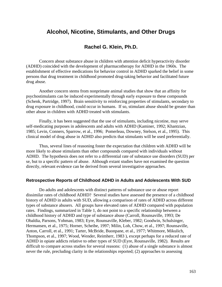# **Alcohol, Nicotine, Stimulants, and Other Drugs**

# **Rachel G. Klein, Ph.D.**

Concern about substance abuse in children with attention deficit hyperactivity disorder (ADHD) coincided with the development of pharmacotherapy for ADHD in the 1960s. The establishment of effective medications for behavior control in ADHD sparked the belief in some persons that drug treatment in childhood promoted drug-taking behavior and facilitated future drug abuse.

Another concern stems from nonprimate animal studies that show that an affinity for psychostimulants can be induced experimentally through early exposure to these compounds (Schenk, Partridge, 1997). Brain sensitivity to reinforcing properties of stimulants, secondary to drug exposure in childhood, could occur in humans. If so, stimulant abuse should be greater than other abuse in children with ADHD treated with stimulants.

Finally, it has been suggested that the use of stimulants, including nicotine, may serve self-medicating purposes in adolescents and adults with ADHD (Kaminer, 1992; Khantzian, 1985; Levin, Conners, Sparrow, et al., 1996; Pomerleau, Downey, Stelson, et al., 1995). This clinical model of drug abuse in ADHD also predicts that stimulants will be used preferentially.

Thus, several lines of reasoning foster the expectation that children with ADHD will be more likely to abuse stimulants than other compounds compared with individuals without ADHD. The hypothesis does not refer to a differential rate of substance use disorders (SUD) per se, but to a specific pattern of abuse. Although extant studies have not examined the question directly, relevant evidence can be derived from several investigative approaches.

#### **Retrospective Reports of Childhood ADHD in Adults and Adolescents With SUD**

Do adults and adolescents with distinct patterns of substance use or abuse report dissimilar rates of childhood ADHD? Several studies have assessed the presence of a childhood history of ADHD in adults with SUD, allowing a comparison of rates of ADHD across different types of substance abusers. All groups have elevated rates of ADHD compared with population rates. Findings, summarized in Table 1, do not point to a specific relationship between a childhood history of ADHD and type of substance abuse (Carroll, Rounsaville, 1993; De Obaldia, Parsons, Yohman, 1983; Eyre, Rounsaville, Kleber, 1982; Goodwin, Schulsinger, Hermansen, et al., 1975; Horner, Scheibe, 1997; Milin, Loh, Chow, et al., 1997; Rounsaville, Anton, Carroll, et al., 1991; Tarter, McBride, Buonpane, et al., 1977; Whitmore, Mikulich, Thompson, et al., 1997; Wood, Wender, Reimherr, 1983 ), except perhaps for a reduced rate of ADHD in opiate addicts relative to other types of SUD (Eyre, Rounsaville, 1982). Results are difficult to compare across studies for several reasons: (1) abuse of a single substance is almost never the rule, precluding clarity in the relationships reported; (2) approaches to assessing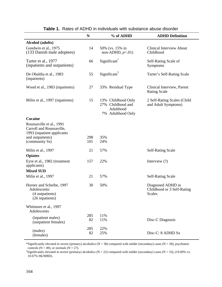|                                                                                    | N          | % of ADHD                                                                 | <b>ADHD Definition</b>                                    |
|------------------------------------------------------------------------------------|------------|---------------------------------------------------------------------------|-----------------------------------------------------------|
| Alcohol (adults)                                                                   |            |                                                                           |                                                           |
| Goodwin et al., 1975<br>(133 Danish male adoptees)                                 | 14         | 50% (vs. 15% in<br>non-ADHD, $p<.01$ )                                    | <b>Clinical Interview About</b><br>Childhood              |
| Tarter et al., 1977<br>(inpatients and outpatients)                                | 66         | Significant <sup>®</sup>                                                  | Self-Rating Scale of<br>Symptoms                          |
| De Obaldia et al., 1983<br>(inpatients)                                            | 55         | Significant $^{\dagger}$                                                  | Tarter's Self-Rating Scale                                |
| Wood et al., 1983 (inpatients)                                                     | 27         | 33% Residual Type                                                         | Clinical Interview, Parent<br><b>Rating Scale</b>         |
| Milin et al., 1997 (inpatients)                                                    | 15         | 13% Childhood Only<br>27% Childhood and<br>Adulthood<br>7% Adulthood Only | 2 Self-Rating Scales (Child<br>and Adult Symptoms)        |
| Cocaine                                                                            |            |                                                                           |                                                           |
| Rounsaville et al., 1991<br>Carroll and Rounsaville,<br>1993 (inpatient applicants |            |                                                                           |                                                           |
| and outpatients)<br>(community Ss)                                                 | 298<br>101 | 35%<br>24%                                                                |                                                           |
| Milin et al., 1997<br><b>Opiates</b>                                               | 21         | 57%                                                                       | <b>Self-Rating Scale</b>                                  |
| Eyre et al., 1982 (treatment<br>applicants)                                        | 157        | 22%                                                                       | Interview (?)                                             |
| <b>Mixed SUD</b>                                                                   |            |                                                                           |                                                           |
| Milin et al., 1997                                                                 | 21         | 57%                                                                       | <b>Self-Rating Scale</b>                                  |
| Horner and Scheibe, 1997<br>Adolescents:<br>(4 outpatients)<br>(26 inpatients)     | 30         | 50%                                                                       | Diagnosed ADHD in<br>Childhood or 3 Self-Rating<br>Scales |
| Whitmore et al., 1997<br>Adolescents                                               |            |                                                                           |                                                           |
| (inpatient males)<br>(outpatient females)                                          | 285<br>82  | 11%<br>11%                                                                | Disc-C Diagnosis                                          |
| (males)<br>(females)                                                               | 285<br>82  | 22%<br>25%                                                                | Disc-C: 8 ADHD Sx                                         |

| <b>Table 1.</b> Rates of ADHD in individuals with substance abuse disorder |  |  |  |  |
|----------------------------------------------------------------------------|--|--|--|--|
|----------------------------------------------------------------------------|--|--|--|--|

\*Significantly elevated in severe (primary) alcoholics ( $N = 38$ ) compared with milder (secondary) cases ( $N = 28$ ), psychiatric controls ( $N = 49$ ), or normals ( $N = 27$ ).

<sup>†</sup>Significantly elevated in severe (primary) alcoholics ( $N = 22$ ) compared with milder (secondary) cases ( $N = 33$ ), (19.00% vs. 10.67% Hk/MBD).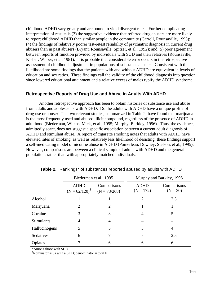childhood ADHD vary greatly and are bound to yield divergent rates. Further complicating interpretation of results is (3) the suggestive evidence that referred drug abusers are more likely to report childhood ADHD than similar people in the community (Carroll, Rounsaville, 1993); (4) the findings of relatively poorer test-retest reliability of psychiatric diagnosis in current drug abusers than in past abusers (Bryant, Rounsaville, Spitzer, et al., 1992); and (5) poor agreement between reports of function provided by individuals with SUD and their relatives (Rounsaville, Kleber, Wilber, et al, 1981). It is probable that considerable error occurs in the retrospective assessment of childhood adjustment in populations of substance abusers. Consistent with this likelihood are some findings that the patients with and without ADHD are equivalent in levels of education and sex ratios. These findings call the validity of the childhood diagnosis into question since lowered educational attainment and a relative excess of males typify the ADHD syndrome.

### **Retrospective Reports of Drug Use and Abuse in Adults With ADHD**

Another retrospective approach has been to obtain histories of substance use and abuse from adults and adolescents with ADHD. Do the adults with ADHD have a unique profile of drug use or abuse? The two relevant studies, summarized in Table 2, have found that marijuana is the most frequently used and abused illicit compound, regardless of the presence of ADHD in adulthood (Biederman, Wilens, Mick, et al., 1995; Murphy, Barkley, 1996). Thus, the evidence, admittedly scant, does not suggest a specific association between a current adult diagnosis of ADHD and stimulant abuse. A report of cigarette smoking notes that adults with ADHD have elevated rates of smoking, as well as relatively less likelihood of desisting; these findings support a self-medicating model of nicotine abuse in ADHD (Pomerleau, Downey, Stelson, et al., 1995). However, comparisons are between a clinical sample of adults with ADHD and the general population, rather than with appropriately matched individuals.

|                   | Biederman et al., 1995                  |                                 | Murphy and Barkley, 1996   |                           |  |
|-------------------|-----------------------------------------|---------------------------------|----------------------------|---------------------------|--|
|                   | <b>ADHD</b><br>$(N = 62/120)^{\dagger}$ | Comparisons<br>$(N = 73/268)^T$ | <b>ADHD</b><br>$(N = 172)$ | Comparisons<br>$(N = 30)$ |  |
| Alcohol           |                                         |                                 | 2                          | 2.5                       |  |
| Marijuana         | $\mathcal{D}_{\mathcal{L}}$             | $\mathcal{D}_{\mathcal{L}}$     |                            |                           |  |
| Cocaine           | 3                                       | 3                               | 4                          | 5                         |  |
| <b>Stimulants</b> | $\overline{4}$                          | $\overline{4}$                  |                            |                           |  |
| Hallucinogens     | 5                                       | 5                               | 3                          | 4                         |  |
| Sedatives         | 6                                       |                                 | 5                          | 2.5                       |  |
| Opiates           | ┑                                       | 6                               | 6                          | 6                         |  |

**Table 2.** Rankings\* of substances reported abused by adults with ADHD

\*Among those with SUD.

<sup>†</sup>Nominator = Ss with a SUD; denominator = total N.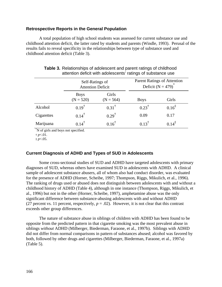## **Retrospective Reports in the General Population**

A total population of high school students was assessed for current substance use and childhood attention deficit, the latter rated by students and parents (Windle, 1993). Perusal of the results fails to reveal specificity in the relationships between type of substance used and childhood attention deficit (Table 3).

|            | Self-Ratings of<br><b>Attention Deficit</b> |                      | Parent Ratings of Attention<br>Deficit (N = 479) <sup><math>\dot{ }</math></sup> |            |  |
|------------|---------------------------------------------|----------------------|----------------------------------------------------------------------------------|------------|--|
|            | <b>Boys</b><br>$(N = 520)$                  | Girls<br>$(N = 564)$ | <b>Boys</b>                                                                      | Girls      |  |
| Alcohol    | $0.19^{\dagger}$                            | $0.31^{\dagger}$     | $0.23^{\dagger}$                                                                 | $0.16^{+}$ |  |
| Cigarettes | $0.14^T$                                    | $0.29^{\dagger}$     | 0.09                                                                             | 0.17       |  |
| Marijuana  | $0.14^+$                                    | $0.16^{\dagger}$     | $0.13^{T}$                                                                       | $0.14^{+}$ |  |

| <b>Table 3.</b> Relationships of adolescent and parent ratings of childhood |
|-----------------------------------------------------------------------------|
| attention deficit with adolescents' ratings of substance use                |

\* N of girls and boys not specified.

 $\uparrow p < .01$ .

 $\ddagger p < .05$ .

## **Current Diagnosis of ADHD and Types of SUD in Adolescents**

Some cross-sectional studies of SUD and ADHD have targeted adolescents with primary diagnoses of SUD, whereas others have examined SUD in adolescents with ADHD. A clinical sample of adolescent substance abusers, all of whom also had conduct disorder, was evaluated for the presence of ADHD (Horner, Scheibe, 1997; Thompson, Riggs, Mikulich, et al., 1996). The ranking of drugs used or abused does not distinguish between adolescents with and without a childhood history of ADHD (Table 4), although in one instance (Thompson, Riggs, Mikulich, et al., 1996) but not in the other (Horner, Scheibe, 1997), amphetamine abuse was the only significant difference between substance-abusing adolescents with and without ADHD (27 percent vs. 11 percent, respectively,  $p = .02$ ). However, it is not clear that this contrast exceeds other group differences.

The nature of substance abuse in siblings of children with ADHD has been found to be opposite from the predicted pattern in that cigarette smoking was the most prevalent abuse in siblings *without* ADHD (Milberger, Biederman, Faraone, et al., 1997b). Siblings with ADHD did not differ from normal comparisons in pattern of substances abused; alcohol was favored by both, followed by other drugs and cigarettes (Milberger, Biederman, Faraone, et al., 1997a) (Table 5).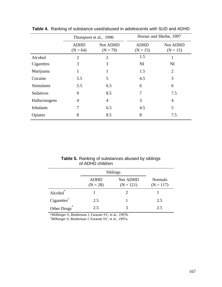|                   |                           | Thompson et al., 1996  | Horner and Sheibe, 1997   |                        |  |
|-------------------|---------------------------|------------------------|---------------------------|------------------------|--|
|                   | <b>ADHD</b><br>$(N = 64)$ | Not ADHD<br>$(N = 79)$ | <b>ADHD</b><br>$(N = 15)$ | Not ADHD<br>$(N = 15)$ |  |
| Alcohol           | 2                         | $\mathcal{D}_{\cdot}$  | 1.5                       |                        |  |
| Cigarettes        | 3                         | 3                      | NI                        | NI                     |  |
| Marijuana         | 1                         |                        | 1.5                       | $\overline{2}$         |  |
| Cocaine           | 5.5                       | 5                      | 4.5                       | 3                      |  |
| <b>Stimulants</b> | 5.5                       | 6.5                    | 6                         | 6                      |  |
| Sedatives         | 9                         | 8.5                    | 7                         | 7.5                    |  |
| Hallucinogens     | $\overline{4}$            | $\overline{4}$         | 3                         | $\overline{4}$         |  |
| <b>Inhalants</b>  | 7                         | 6.5                    | 4.5                       | 5                      |  |
| Opiates           | 8                         | 8.5                    | 8                         | 7.5                    |  |

**Table 4.** Ranking of substance used/abused in adolescents with SUD and ADHD

**Table 5.** Ranking of substances abused by siblings of ADHD children

|                         | <b>Siblings</b>           |                         |                               |
|-------------------------|---------------------------|-------------------------|-------------------------------|
|                         | <b>ADHD</b><br>$(N = 28)$ | Not ADHD<br>$(N = 121)$ | <b>Normals</b><br>$(N = 117)$ |
| Alcohol <sup>*</sup>    |                           | ာ                       |                               |
| Cigarettes <sup>†</sup> | 2.5                       |                         | 2.5                           |
| <b>Other Drugs</b>      | 2.5                       |                         | 2.5                           |

\*Milberger S, Biederman J, Faraone SV, et al., 1997b.

† Milberger S, Biederman J, Faraone SV, et al., 1997a.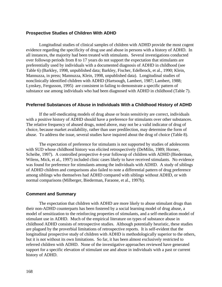#### **Prospective Studies of Children With ADHD**

Longitudinal studies of clinical samples of children with ADHD provide the most cogent evidence regarding the specificity of drug use and abuse in persons with a history of ADHD. In all instances, the majority had been treated with stimulants. Several investigations conducted over followup periods from 8 to 17 years do not support the expectation that stimulants are preferentially used by individuals with a documented diagnosis of ADHD in childhood (see Table 6) (Barkley, 1998, unpublished data; Barkley, Fischer, Edelbrock, et al., 1990; Klein, Mannuzza, in press; Mannuzza, Klein, 1998, unpublished data). Longitudinal studies of nonclinically identified children with ADHD (Hartsough, Lambert, 1987; Lambert, 1988; Lynskey, Fergusson, 1995) are consistent in failing to demonstrate a specific pattern of substance use among individuals who had been diagnosed with ADHD in childhood (Table 7).

#### **Preferred Substances of Abuse in Individuals With a Childhood History of ADHD**

If the self-medicating models of drug abuse or brain sensitivity are correct, individuals with a positive history of ADHD should have a preference for stimulants over other substances. The relative frequency of abused drugs, noted above, may not be a valid indicator of drug of choice, because market availability, rather than user predilection, may determine the form of abuse. To address the issue, several studies have inquired about the drug of choice (Table 8).

The expectation of preference for stimulants is not supported by studies of adolescents with SUD whose childhood history was elicited retrospectively (DeMilio, 1989; Horner, Scheibe, 1997). A controlled prospective 4-year followup of children with ADHD (Biederman, Wilens, Mick, et al., 1997) included clinic cases likely to have received stimulants. No evidence was found for preference for stimulants among the individuals with ADHD. A study of siblings of ADHD children and comparisons also failed to note a differential pattern of drug preference among siblings who themselves had ADHD compared with siblings without ADHD, or with normal comparisons (Milberger, Biederman, Faraone, et al., 1997b).

#### **Comment and Summary**

The expectation that children with ADHD are more likely to abuse stimulant drugs than their non-ADHD counterparts has been fostered by a social learning model of drug abuse, a model of sensitization to the reinforcing properties of stimulants, and a self-medication model of stimulant use in ADHD. Much of the empirical literature on types of substance abuse in childhood ADHD consists of retrospective studies. Although potentially heuristic, these studies are plagued by the proverbial limitations of retrospective reports. It is self-evident that the longitudinal prospective study of children with ADHD is methodologically superior to the others, but it is not without its own limitations. So far, it has been almost exclusively restricted to referred children with ADHD. None of the investigative approaches reviewed have generated support for a specific elevation of stimulant use and abuse in individuals with a past or current history of ADHD.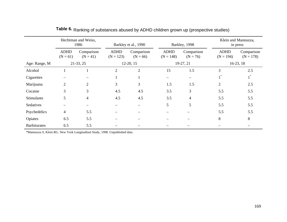|                     |                           | Hechtman and Weiss,<br>1986 | Barkley et al., 1990       |                          | Barkley, 1998              |                          | Klein and Mannuzza,<br>in press |                           |  |
|---------------------|---------------------------|-----------------------------|----------------------------|--------------------------|----------------------------|--------------------------|---------------------------------|---------------------------|--|
|                     | <b>ADHD</b><br>$(N = 61)$ | Comparison<br>$(N = 41)$    | <b>ADHD</b><br>$(N = 123)$ | Comparison<br>$(N = 66)$ | <b>ADHD</b><br>$(N = 148)$ | Comparison<br>$(N = 76)$ | <b>ADHD</b><br>$(N = 194)$      | Comparison<br>$(N = 178)$ |  |
| Age: Range, M       |                           | $21-33, 25$                 |                            | $12-20, 15$              |                            | 19-27, 21                |                                 | 16-23, 18                 |  |
| Alcohol             |                           |                             | $\overline{2}$             | $\mathfrak{2}$           | 15                         | 1.5                      | 3                               | 2.5                       |  |
| Cigarettes          |                           |                             |                            |                          |                            |                          | 1*                              | $1^*$                     |  |
| Marijuana           | $\overline{2}$            | 2                           | 3                          | 3                        | 1.5                        | 1.5                      | $\overline{2}$                  | 2.5                       |  |
| Cocaine             | 3                         | 3                           | 4.5                        | 4.5                      | 3.5                        | 3                        | 5.5                             | 5.5                       |  |
| <b>Stimulants</b>   | 5                         | $\overline{4}$              | 4.5                        | 4.5                      | 3.5                        | $\overline{4}$           | 5.5                             | 5.5                       |  |
| Sedatives           |                           |                             |                            |                          | 5                          | 5                        | 5.5                             | 5.5                       |  |
| Psychedelics        | $\overline{4}$            | 5.5                         |                            |                          |                            |                          | 5.5                             | 5.5                       |  |
| Opiates             | 6.5                       | 5.5                         |                            |                          |                            |                          | 8                               | 8                         |  |
| <b>Barbiturates</b> | 6.5                       | 5.5                         |                            |                          |                            |                          |                                 |                           |  |

**Table 6.** Ranking of substances abused by ADHD children grown up (prospective studies)

\*Mannuzza S, Klein RG. New York Longitudinal Study, 1998. Unpublished data.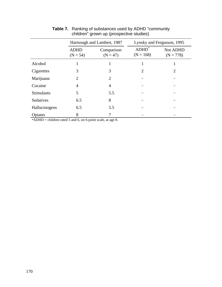|                   |                             | Hartsough and Lambert, 1987 | Lynsky and Fergusson, 1995  |                             |  |
|-------------------|-----------------------------|-----------------------------|-----------------------------|-----------------------------|--|
|                   | <b>ADHD</b><br>$(N = 54)$   | Comparison<br>$(N = 47)$    | <b>ADHD</b><br>$(N = 168)$  | Not ADHD<br>$(N = 778)$     |  |
| Alcohol           |                             |                             |                             |                             |  |
| Cigarettes        | 3                           | 3                           | $\mathcal{D}_{\mathcal{L}}$ | $\mathcal{D}_{\mathcal{L}}$ |  |
| Marijuana         | $\mathcal{D}_{\mathcal{L}}$ | $\mathcal{D}_{\mathcal{L}}$ |                             |                             |  |
| Cocaine           | 4                           | 4                           |                             |                             |  |
| <b>Stimulants</b> | 5                           | 5.5                         |                             |                             |  |
| Sedatives         | 6.5                         | 8                           |                             |                             |  |
| Hallucinogens     | 6.5                         | 5.5                         |                             |                             |  |
| Opiates           | 8                           | 7                           |                             |                             |  |

# **Table 7.** Ranking of substances used by ADHD "community children" grown up (prospective studies)

 $*ADHD = children rated 5 and 6, on 6-point scale, at age 8.$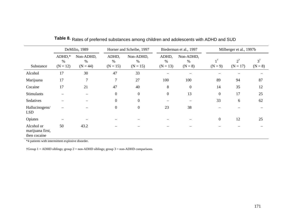|                                                |                             | DeMilio, 1989                |                             | Horner and Scheibe, 1997        |                             | Biederman et al., 1997         |                            | Milberger et al., 1997b     |                            |
|------------------------------------------------|-----------------------------|------------------------------|-----------------------------|---------------------------------|-----------------------------|--------------------------------|----------------------------|-----------------------------|----------------------------|
| Substance                                      | $ADHD,*$<br>%<br>$(N = 12)$ | Non-ADHD,<br>%<br>$(N = 44)$ | ADHD,<br>$\%$<br>$(N = 15)$ | Non-ADHD,<br>$\%$<br>$(N = 15)$ | ADHD,<br>$\%$<br>$(N = 13)$ | Non-ADHD,<br>$\%$<br>$(N = 8)$ | $1^{\dagger}$<br>$(N = 9)$ | $2^{\dagger}$<br>$(N = 17)$ | $3^{\dagger}$<br>$(N = 8)$ |
| Alcohol                                        | 17                          | 30                           | 47                          | 33                              |                             |                                |                            |                             |                            |
| Marijuana                                      | 17                          | $\overline{7}$               | $\tau$                      | 27                              | 100                         | 100                            | 89                         | 94                          | 87                         |
| Cocaine                                        | 17                          | 21                           | 47                          | 40                              | 8                           | $\boldsymbol{0}$               | 14                         | 35                          | 12                         |
| <b>Stimulants</b>                              |                             | —                            | $\boldsymbol{0}$            | $\boldsymbol{0}$                | $\boldsymbol{0}$            | 13                             | $\overline{0}$             | 17                          | 25                         |
| Sedatives                                      |                             |                              | $\boldsymbol{0}$            | $\overline{0}$                  |                             |                                | 33                         | 6                           | 62                         |
| Hallucinogens/<br><b>LSD</b>                   |                             |                              | $\boldsymbol{0}$            | $\overline{0}$                  | 23                          | 38                             |                            |                             |                            |
| Opiates                                        |                             |                              |                             |                                 |                             |                                | $\overline{0}$             | 12                          | 25                         |
| Alcohol or<br>marijuana first,<br>then cocaine | 50                          | 43.2                         |                             |                                 |                             |                                |                            |                             |                            |

**Table 8.** Rates of preferred substances among children and adolescents with ADHD and SUD

\*4 patients with intermittent explosive disorder.

†Group 1 = ADHD siblings; group 2 = non-ADHD siblings; group 3 = non-ADHD comparisons.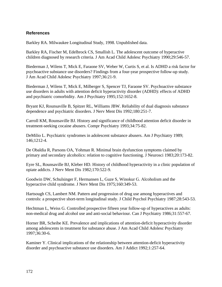# **References**

Barkley RA. Milwaukee Longitudinal Study, 1998. Unpublished data.

Barkley RA, Fischer M, Edelbrock CS, Smallish L. The adolescent outcome of hyperactive children diagnosed by research criteria. J Am Acad Child Adolesc Psychiatry 1990;29:546-57.

Biederman J, Wilens T, Mick E, Faraone SV, Weber W, Curtis S, et al. Is ADHD a risk factor for psychoactive substance use disorders? Findings from a four-year prospective follow-up study. J Am Acad Child Adolesc Psychiatry 1997;36:21-9.

Biederman J, Wilens T, Mick E, Milberger S, Spencer TJ, Faraone SV. Psychoactive substance use disorders in adults with attention deficit hyperactivity disorder (ADHD): effects of ADHD and psychiatric comorbidity. Am J Psychiatry 1995;152:1652-8.

Bryant KJ, Rounsaville B, Spitzer RL, Williams JBW. Reliability of dual diagnosis substance dependence and psychiatric disorders. J Nerv Ment Dis 1992;180:251-7.

Carroll KM, Rounsaville BJ. History and significance of childhood attention deficit disorder in treatment-seeking cocaine abusers. Compr Psychiatry 1993;34:75-82.

DeMilio L. Psychiatric syndromes in adolescent substance abusers. Am J Psychiatry 1989; 146;1212-4.

De Obaldia R, Parsons OA, Yohman R. Minimal brain dysfunction symptoms claimed by primary and secondary alcoholics: relation to cognitive functioning. J Neurosci 1983;20:173-82.

Eyre SL, Rounsaville BJ, Kleber HD. History of childhood hyperactivity in a clinic population of opiate addicts. J Nerv Ment Dis 1982;170:522-9.

Goodwin DW, Schulsinger F, Hermansen L, Guze S, Winokur G. Alcoholism and the hyperactive child syndrome. J Nerv Ment Dis 1975;160:349-53.

Hartsough CS, Lambert NM. Pattern and progression of drug use among hyperactives and controls: a prospective short-term longitudinal study. J Child Psychol Psychiatry 1987;28:543-53.

Hechtman L, Weiss G. Controlled prospective fifteen year follow-up of hyperactives as adults: non-medical drug and alcohol use and anti-social behaviour. Can J Psychiatry 1986;31:557-67.

Horner BR, Scheibe KE. Prevalence and implications of attention-deficit hyperactivity disorder among adolescents in treatment for substance abuse. J Am Acad Child Adolesc Psychiatry 1997;36:30-6.

Kaminer Y. Clinical implications of the relationship between attention-deficit hyperactivity disorder and psychoactive substance use disorders. Am J Addict 1992;1:257-64.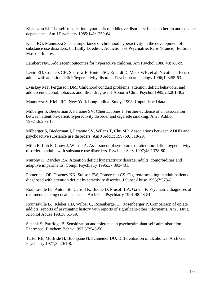Khantzian EJ. The self-medication hypothesis of addictive disorders: focus on heroin and cocaine dependence. Am J Psychiatry 1985;142:1259-64.

Klein RG, Mannuzza S. The importance of childhood hyperactivity in the development of substance use disorders. In: Bailly D, editor. Addictions et Psychiatrie. Paris (France): Editions Masson. In press.

Lambert NM. Adolescent outcomes for hyperactive children. Am Psychol 1988;43:786-99.

Levin ED, Conners CK, Sparrow E, Hinton SC, Erhardt D, Meck WH, et al. Nicotine effects on adults with attention deficit/hyperactivity disorder. Psychopharmacology 1996;123:55-63.

Lynskey MT, Fergusson DM. Childhood conduct problems, attention deficit behaviors, and adolescent alcohol, tobacco, and illicit drug use. J Abnorm Child Psychol 1995;23:281-302.

Mannuzza S, Klein RG. New York Longitudinal Study, 1998. Unpublished data.

Milberger S, Biederman J, Faraone SV, Chen L, Jones J. Further evidence of an association between attention-deficit/hyperactivity disorder and cigarette smoking. Am J Addict 1997a;6:205-17.

Milberger S, Biederman J, Faraone SV, Wilens T, Chu MP. Associations between ADHD and psychoactive substance use disorders. Am J Addict 1997b;6:318-29.

Milin R, Loh E, Chow J, Wilson A. Assessment of symptoms of attention-deficit hyperactivity disorder in adults with substance use disorders. Psychiatr Serv 1997;48:1378-80.

Murphy K, Barkley RA. Attention deficit hyperactivity disorder adults: comorbidities and adaptive impairments. Compr Psychiatry 1996;37:393-401.

Pomerleau OF, Downey KK, Stelson FW, Pomerleau CS. Cigarette smoking in adult patients diagnosed with attention deficit hyperactivity disorder. J Subst Abuse 1995;7:373-8.

Rounsaville BJ, Anton SF, Carroll K, Budde D, Prusoff BA, Gawin F. Psychiatric diagnoses of treatment-seeking cocaine abusers. Arch Gen Psychiatry 1991;48:43-51.

Rounsaville BJ, Kleber HD, Wilber C, Rosenberger D, Rosenberger P. Comparison of opiate addicts' reports of psychiatric history with reports of significant-other informants. Am J Drug Alcohol Abuse 1981;8:51-69.

Schenk S, Partridge B. Sensitization and tolerance in psychostimulant self-administration. Pharmacol Biochem Behav 1997;57:543-50.

Tarter RE, McBride H, Buonpane N, Schneider DU. Differentiation of alcoholics. Arch Gen Psychiatry 1977;34:761-8.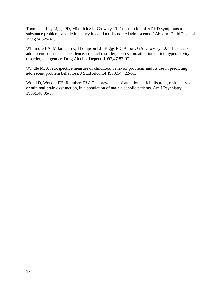Thompson LL, Riggs PD, Mikulich SK, Crowley TJ. Contribution of ADHD symptoms to substance problems and delinquency in conduct-disordered adolescents. J Abnorm Child Psychol 1996;24:325-47.

Whitmore EA, Mikulich SK, Thompson LL, Riggs PD, Aarons GA, Crowley TJ. Influences on adolescent substance dependence: conduct disorder, depression, attention deficit hyperactivity disorder, and gender. Drug Alcohol Depend 1997;47:87-97.

Windle M. A retrospective measure of childhood behavior problems and its use in predicting adolescent problem behaviors. J Stud Alcohol 1993;54:422-31.

Wood D, Wender PH, Reimherr FW. The prevalence of attention deficit disorder, residual type, or minimal brain dysfunction, in a population of male alcoholic patients. Am J Psychiatry 1983;140:95-8.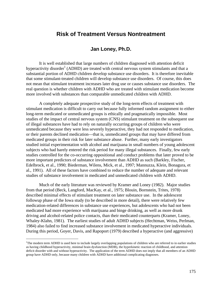# **Risk of Treatment Versus Nontreatment**

# **Jan Loney, Ph.D.**

It is well established that large numbers of children diagnosed with attention deficit hyperactivity disorder<sup>1</sup> (ADHD) are treated with central nervous system stimulants and that a substantial portion of ADHD children develop substance use disorders. It is therefore inevitable that some stimulant-treated children will develop substance use disorders. Of course, this does not mean that stimulant treatment increases later drug use or causes substance use disorders. The real question is whether children with ADHD who are treated with stimulant medication become more involved with substances than comparable unmedicated children with ADHD.

A completely adequate prospective study of the long-term effects of treatment with stimulant medication is difficult to carry out because fully informed random assignment to either long-term medicated or unmedicated groups is ethically and pragmatically impossible. Most studies of the impact of central nervous system (CNS) stimulant treatment on the subsequent use of illegal substances have had to rely on naturally occurring groups of children who were unmedicated because they were less severely hyperactive, they had not responded to medication, or their parents declined medication—that is, unmedicated groups that may have differed from medicated groups in their risk for later substance abuse. Further, many early investigators studied initial experimentation with alcohol and marijuana in small numbers of young adolescent subjects who had barely entered the risk period for many illegal substances. Finally, few early studies controlled for the co-occurring oppositional and conduct problems that later proved to be more important predictors of substance involvement than ADHD as such (Barkley, Fischer, Edelbrock, et al., 1990; Biederman, Wilens, Mick, et al., 1997; Mannuzza, Klein, Bonagura, et al., 1991). All of these factors have combined to reduce the number of adequate and relevant studies of substance involvement in medicated and unmedicated children with ADHD.

Much of the early literature was reviewed by Kramer and Loney (1982). Major studies from that period (Beck, Langford, MacKay, et al., 1975; Blouin, Bornstein, Trites, 1978) described minimal effects of stimulant treatment on later substance use. In the adolescent followup phase of the Iowa study (to be described in more detail), there were relatively few medication-related differences in substance use experiences, but adolescents who had not been medicated had more experience with marijuana and binge drinking, as well as more drunk driving and alcohol-related police contacts, than their medicated counterparts (Kramer, Loney, Whaley-Klahn, 1981). The earliest studies of adult ADHD subjects (Hechtman, Weiss, Perlman, 1984) also failed to find increased substance involvement in medicated hyperactive individuals. During this period, Goyer, Davis, and Rapoport (1979) described a hyperactive (and aggressive)

-

<sup>&</sup>lt;sup>1</sup>The modern term ADHD is used here to include largely overlapping populations of children who are referred to in earlier studies as having childhood hyperactivity, minimal brain dysfunction (MDB), the hyperkinetic reaction of childhood, and attention deficit disorder with and without hyperactivity. The application of the term ADHD does not imply that all members of an ADHD group have ADHD only, because many children with ADHD have additional complicating diagnoses.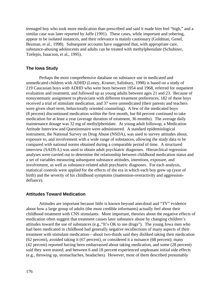teenaged boy who took more medication than prescribed and said it made him feel "high," and a similar case was later reported by Jaffe (1991). These cases, while important and sobering, appear to be isolated instances, and their relevance is mainly cautionary (Goldman, Genel, Bezman, et al., 1998). Subsequent accounts have suggested that, with appropriate care, substance-abusing adolescents and adults can be treated with methylphenidate (Schubiner, Tzelepis, Isaacson, et al., 1995).

### **The Iowa Study**

Perhaps the most comprehensive database on substance use in medicated and unmedicated children with ADHD (Loney, Kramer, Salisbury, 1998) is based on a study of 219 Caucasian boys with ADHD who were born between 1954 and 1968, referred for outpatient evaluation and treatment, and followed up as young adults between ages 21 and 23. Because of nonsystematic assignment to physicians with different treatment preferences, 182 of these boys received a trial of stimulant medication, and 37 were unmedicated (their parents and teachers were given short-term, behaviorally oriented counseling). A few of the medicated boys (8 percent) discontinued medication within the first month, but 84 percent continued to take medication for at least a year (average duration of treatment, 36 months). The average daily maintenance dosage was 32 mg of methylphenidate. At young adult followup, a Medication Attitude Interview and Questionnaire were administered. A standard epidemiological instrument, the National Survey on Drug Abuse (NSDA), was used to survey attitudes about, exposure to, and involvement with a wide range of substances, allowing the study data to be compared with national norms obtained during a comparable period of time. A structured interview (SADS-L) was used to obtain adult psychiatric diagnoses. Hierarchical regression analyses were carried out to determine the relationship between childhood medication status and a set of variables measuring subsequent substance attitudes, intentions, exposure, and involvement, as well as substance-related adult psychiatric diagnoses. For each analysis, statistical controls were applied for the effects of the era in which each boy grew up (year of birth) and the severity of his childhood symptoms (inattention-overactivity and aggressiondefiance).

#### **Attitudes Toward Medication**

Attitudes are important because little is known beyond anecdotal and "TV" evidence about how a large group of adults (the most credible informants) actually feel about their childhood treatment with CNS stimulants. More important, theories about the negative effects of medication often suggest that treatment causes later substance abuse by changing children's attitudes toward the use of substances (e.g.,"It's OK to use drugs"). The young Iowa men who had been medicated in childhood had generally negative recollections of many aspects of their treatment with stimulant medication—about two-thirds said they disliked taking their medication (62 percent), avoided taking it (67 percent), or considered it a nuisance (68 percent); many (42 percent) reported having been embarrassed about taking medication, and some (28 percent) said they were teased; and between 6 and 18 percent experienced unpleasant initial side effects (e.g., throwing up, stomachaches, headaches). However, most of them described presumably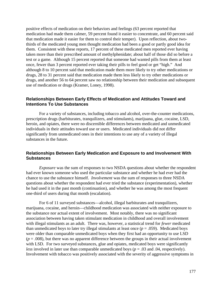positive effects of medication on their behaviors and feelings (63 percent reported that medication had made them calmer, 59 percent found it easier to concentrate, and 60 percent said that medication made it easier for them to control their temper). Upon reflection, about twothirds of the medicated young men thought medication had been a good or partly good idea for them. Consistent with these reports, 17 percent of these medicated men reported ever having taken more than their prescribed amount of methylphenidate; about half of those did so before a test or a game. Although 15 percent reported that someone had wanted pills from them at least once, fewer than 3 percent reported ever taking their pills to feel good or get "high." And although 8 to 10 percent said that medication made them more likely to try other medications or drugs, 28 to 31 percent said that medication made them less likely to try other medications or drugs, and another 56 to 64 percent saw no relationship between their medication and subsequent use of medication or drugs (Kramer, Loney, 1998).

### **Relationships Between Early Effects of Medication and Attitudes Toward and Intentions To Use Substances**

For a variety of substances, including tobacco and alcohol, over-the-counter medications, prescription drugs (barbiturates, tranquilizers, and stimulants), marijuana, glue, cocaine, LSD, heroin, and opiates, there were no discernible differences between medicated and unmedicated individuals in their attitudes toward use or users. Medicated individuals did not differ significantly from unmedicated ones in their intentions to use any of a variety of illegal substances in the future.

## **Relationships Between Early Medication and Exposure to and Involvement With Substances**

*Exposure* was the sum of responses to two NSDA questions about whether the respondent had ever known someone who used the particular substance and whether he had ever had the chance to use the substance himself. *Involvement* was the sum of responses to three NSDA questions about whether the respondent had ever tried the substance (experimentation), whether he had used it in the past month (continuation), and whether he was among the most frequent one-third of users during that month (escalation).

For 6 of 11 surveyed substances—alcohol, illegal barbiturates and tranquilizers, marijuana, cocaine, and heroin—childhood medication was associated with neither exposure to the substance nor actual extent of involvement. Most notably, there was no significant association between having taken stimulant medication in childhood and overall involvement with illegal stimulants as an adult. There was, however, a statistical trend for *fewer* medicated than unmedicated boys to later try illegal stimulants at least once  $(p = .059)$ . Medicated boys were older than comparable unmedicated boys when they first had an opportunity to use LSD  $(p = .008)$ , but there was no apparent difference between the groups in their actual involvement with LSD. For two surveyed substances, glue and opiates, medicated boys were significantly *less* involved in later use than comparable unmedicated boys ( $p = .03$  and  $.04$ , respectively). Involvement with tobacco was positively associated with the severity of aggressive symptoms in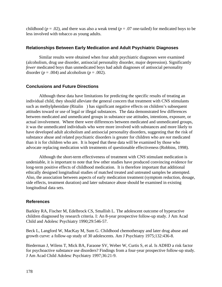childhood ( $p = .02$ ), and there was also a weak trend ( $p = .07$  one-tailed) for medicated boys to be less involved with tobacco as young adults.

## **Relationships Between Early Medication and Adult Psychiatric Diagnoses**

Similar results were obtained when four adult psychiatric diagnoses were examined (alcoholism, drug use disorder, antisocial personality disorder, major depression). Significantly *fewer* medicated boys than unmedicated boys had adult diagnoses of antisocial personality disorder ( $p = .004$ ) and alcoholism ( $p = .002$ ).

### **Conclusions and Future Directions**

Although these data have limitations for predicting the specific results of treating an individual child, they should alleviate the general concern that treatment with CNS stimulants such as methylphenidate (Ritalin©) has significant negative effects on children's subsequent attitudes toward or use of legal or illegal substances. The data demonstrated few differences between medicated and unmedicated groups in substance use attitudes, intentions, exposure, or actual involvement. Where there were differences between medicated and unmedicated groups, it was the unmedicated individuals who were more involved with substances and more likely to have developed adult alcoholism and antisocial personality disorders, suggesting that the risk of substance abuse and related psychiatric disorders is greater for children who are *not* medicated than it is for children who are. It is hoped that these data will be examined by those who advocate replacing medication with treatments of questionable effectiveness (Robbins, 1998).

Although the short-term effectiveness of treatment with CNS stimulant medication is undeniable, it is important to note that few other studies have produced convincing evidence for long-term positive effects of childhood medication. It is therefore important that additional ethically designed longitudinal studies of matched treated and untreated samples be attempted. Also, the association between aspects of early medication treatment (symptom reduction, dosage, side effects, treatment duration) and later substance abuse should be examined in existing longitudinal data sets.

## **References**

Barkley RA, Fischer M, Edelbrock CS, Smallish L. The adolescent outcome of hyperactive children diagnosed by research criteria. I: An 8-year prospective follow-up study. J Am Acad Child and Adolesc Psychiatry 1990;29:546-57.

Beck L, Langford W, MacKay M, Sum G. Childhood chemotherapy and later drug abuse and growth curve: a follow-up study of 30 adolescents. Am J Psychiatry 1975;132:436-8.

Biederman J, Wilens T, Mick BA, Faraone SV, Weber W, Curtis S, et al. Is ADHD a risk factor for psychoactive substance use disorders? Findings from a four-year prospective follow-up study. J Am Acad Child Adolesc Psychiatry 1997;36:21-9.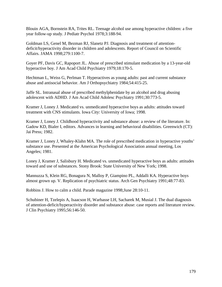Blouin AGA, Bornstein RA, Trites RL. Teenage alcohol use among hyperactive children: a five year follow-up study. J Pediatr Psychol 1978;3:188-94.

Goldman LS, Genel M, Bezman RJ, Slanetz PJ. Diagnosis and treatment of attentiondeficit/hyperactivity disorder in children and adolescents. Report of Council on Scientific Affairs. JAMA 1998;279:1100-7.

Goyer PF, Davis GC, Rapoport JL. Abuse of prescribed stimulant medication by a 13-year-old hyperactive boy. J Am Acad Child Psychiatry 1979;18:170-5.

Hechtman L, Weiss G, Perlman T. Hyperactives as young adults: past and current substance abuse and antisocial behavior. Am J Orthopsychiatry 1984;54:415-25.

Jaffe SL. Intranasal abuse of prescribed methylphenidate by an alcohol and drug abusing adolescent with ADHD. J Am Acad Child Adolesc Psychiatry 1991;30:773-5.

Kramer J, Loney J. Medicated vs. unmedicated hyperactive boys as adults: attitudes toward treatment with CNS stimulants. Iowa City: University of Iowa; 1998.

Kramer J, Loney J. Childhood hyperactivity and substance abuse: a review of the literature. In: Gadow KD, Bialer I, editors. Advances in learning and behavioral disabilities. Greenwich (CT): Jai Press; 1982.

Kramer J, Loney J, Whaley-Klahn MA. The role of prescribed medication in hyperactive youths' substance use. Presented at the American Psychological Association annual meeting, Los Angeles; 1981.

Loney J, Kramer J, Salisbury H. Medicated vs. unmedicated hyperactive boys as adults: attitudes toward and use of substances. Stony Brook: State University of New York; 1998.

Mannuzza S, Klein RG, Bonagura N, Malloy P, Giampino PL, Addalli KA. Hyperactive boys almost grown up. V. Replication of psychiatric status. Arch Gen Psychiatry 1991;48:77-83.

Robbins J. How to calm a child. Parade magazine 1998;June 28:10-11.

Schubiner H, Tzelepis A, Isaacson H, Warbasse LH, Sacharek M, Musial J. The dual diagnosis of attention-deficit/hyperactivity disorder and substance abuse: case reports and literature review. J Clin Psychiatry 1995;56:146-50.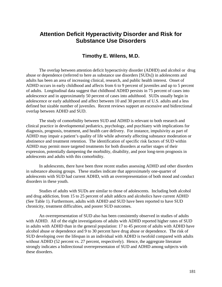# **Attention Deficit Hyperactivity Disorder and Risk for Substance Use Disorders**

# **Timothy E. Wilens, M.D.**

The overlap between attention deficit hyperactivity disorder (ADHD) and alcohol or drug abuse or dependence (referred to here as substance use disorders [SUDs]) in adolescents and adults has been an area of increasing clinical, research, and public health interest. Onset of ADHD occurs in early childhood and affects from 6 to 9 percent of juveniles and up to 5 percent of adults. Longitudinal data suggest that childhood ADHD persists in 75 percent of cases into adolescence and in approximately 50 percent of cases into adulthood. SUDs usually begin in adolescence or early adulthood and affect between 10 and 30 percent of U.S. adults and a less defined but sizable number of juveniles. Recent reviews support an excessive and bidirectional overlap between ADHD and SUD.

The study of comorbidity between SUD and ADHD is relevant to both research and clinical practice in developmental pediatrics, psychology, and psychiatry with implications for diagnosis, prognosis, treatment, and health care delivery. For instance, impulsivity as part of ADHD may impair a patient's quality of life while adversely affecting substance moderation or abstinence and treatment retention. The identification of specific risk factors of SUD within ADHD may permit more targeted treatments for both disorders at earlier stages of their expression, potentially dampening the morbidity, disability, and poor long-term prognosis in adolescents and adults with this comorbidity.

In adolescents, there have been three recent studies assessing ADHD and other disorders in substance abusing groups. These studies indicate that approximately one-quarter of adolescents with SUD had current ADHD, with an overrepresentation of both mood and conduct disorders in these youth.

Studies of adults with SUDs are similar to those of adolescents. Including both alcohol and drug addiction, from 15 to 25 percent of adult addicts and alcoholics have current ADHD (See Table 1). Furthermore, adults with ADHD and SUD have been reported to have SUD chronicity, treatment difficulties, and poorer SUD outcomes.

An overrepresentation of SUD also has been consistently observed in studies of adults with ADHD. All of the eight investigations of adults with ADHD reported higher rates of SUD in adults with ADHD than in the general population: 17 to 45 percent of adults with ADHD have alcohol abuse or dependence and 9 to 30 percent have drug abuse or dependence. The risk of SUD developing over the lifespan in an individual with ADHD is twofold compared with adults without ADHD (52 percent vs. 27 percent, respectively). Hence, the aggregrate literature strongly indicates a bidirectional overrepresentaion of SUD and ADHD among subjects with these disorders.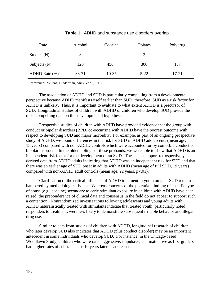| Rate           | Alcohol   | Cocaine | Opiates  | Polydrug  |
|----------------|-----------|---------|----------|-----------|
| Studies $(N)$  | 3         |         |          |           |
| Subjects $(N)$ | 120       | $450+$  | 306      | 157       |
| ADHD Rate (%)  | $33 - 71$ | $10-35$ | $5 - 22$ | $17 - 21$ |

#### **Table 1.** ADHD and substance use disorders overlap

Reference: Wilens, Biederman, Mick, et al., 1997.

The association of ADHD and SUD is particularly compelling from a developmental perspective because ADHD manifests itself earlier than SUD; therefore, SUD as a risk factor for ADHD is unlikely. Thus, it is important to evaluate to what extent ADHD is a precursor of SUD. Longitudinal studies of children with ADHD or children who develop SUD provide the most compelling data on this developmental hypothesis.

Prospective studies of children with ADHD have provided evidence that the group with conduct or bipolar disorders (BPD) co-occurring with ADHD have the poorest outcome with respect to developing SUD and major morbidity. For example, as part of an ongoing prospective study of ADHD, we found differences in the risk for SUD in ADHD adolescents (mean age, 15 years) compared with non-ADHD controls which were accounted for by comorbid conduct or bipolar disorders. In the older siblings of these probands, we were able to show that ADHD is an independent risk factor for the development of an SUD. These data support retrospectively derived data from ADHD adults indicating that ADHD was an independent risk for SUD and that there was an earlier age of SUD onset in adults with ADHD (mean age of full SUD, 19 years) compared with non-ADHD adult controls (mean age, 22 years, *p*<.01).

Clarification of the critical influence of ADHD treatment in youth on later SUD remains hampered by methodological issues. Whereas concerns of the potential kindling of specific types of abuse (e.g., cocaine) secondary to early stimulant exposure in children with ADHD have been raised, the preponderance of clinical data and consensus in the field do not appear to support such a contention. Nonrandomized investigations following adolescents and young adults with ADHD naturalistically treated with stimulants indicate that treated youth, particularly noted responders to treatment, were less likely to demonstrate subsequent irritable behavior and illegal drug use.

Similar to data from studies of children with ADHD, longitudinal research of children who later develop SUD also indicates that ADHD (plus conduct disorder) may be an important antecedent in some individuals who develop SUD. For instance, in the Chicago-based Woodlawn Study, children who were rated aggressive, impulsive, and inattentive as first graders had higher rates of substance use 10 years later as adolescents.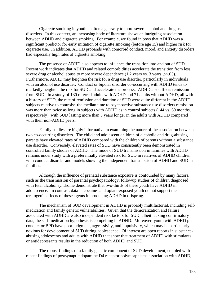Cigarette smoking in youth is often a gateway to more severe alcohol and drug use disorders. In this context, an increasing body of literature shows an intriguing association between ADHD and cigarette smoking. For example, we found in boys that ADHD was a significant predictor for early initiation of cigarette smoking (before age 15) and higher risk for cigarette use. In addition, ADHD probands with comorbid conduct, mood, and anxiety disorders had especially high rates of cigarette smoking.

The presence of ADHD also appears to influence the transition into and out of SUD. Recent work indicates that ADHD and related comorbidities accelerate the transition from less severe drug or alcohol abuse to more severe dependence  $(1.2 \text{ years vs. } 3 \text{ years}, p<.05)$ . Furthermore, ADHD may heighten the risk for a drug use disorder, particularly in individuals with an alcohol use disorder. Conduct or bipolar disorder co-occurring with ADHD tends to markedly heighten the risk for SUD and accelerate the process. ADHD also affects remission from SUD. In a study of 130 referred adults with ADHD and 71 adults without ADHD, all with a history of SUD, the rate of remission and duration of SUD were quite different in the ADHD subjects relative to controls: the median time to psychoactive substance use disorders remission was more than twice as long in subjects with ADHD as in control subjects (144 vs. 60 months, respectively), with SUD lasting more than 3 years longer in the adults with ADHD compared with their non-ADHD peers.

Family studies are highly informative in examining the nature of the association between two co-occurring disorders. The child and adolescent children of alcoholic and drug-abusing parents have elevated rates of ADHD compared with the children of parents without a substance use disorder. Conversely, elevated rates of SUD have consistently been demonstrated in controlled family studies of ADHD. The mode of SUD transmission in families with ADHD remains under study with a preferentially elevated risk for SUD in relatives of ADHD children with conduct disorder and models showing the independent transmission of ADHD and SUD in families.

Although the influence of prenatal substance exposure is confounded by many factors, such as the transmission of parental psychopathology, followup studies of children diagnosed with fetal alcohol syndrome demonstrate that two-thirds of these youth have ADHD in adolescence. In contrast, data in cocaine- and opiate-exposed youth do not support the teratogenic effects of these agents in producing ADHD in offspring.

The mechanism of SUD development in ADHD is probably multifactorial, including selfmedication and family genetic vulnerabilities. Given that the demoralization and failure associated with ADHD are also independent risk factors for SUD, albeit lacking confirmatory data, the self-medication hypothesis is compelling in ADHD. Moreover, youth with ADHD plus conduct or BPD have poor judgment, aggressivity, and impulsivity, which may be particularly noxious for development of SUD during adolescence. Of interest are open reports in substanceabusing adolescents and adults with ADHD that show that treatment of ADHD with stimulants or antidepressants results in the reduction of both ADHD and SUD.

The robust findings of a family genetic component of SUD development, coupled with recent findings of postsynaptic dopamine D4 receptor polymorphisms association with ADHD,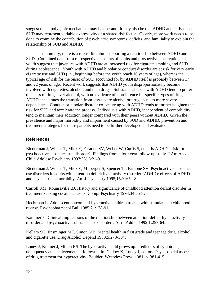suggest that a polygenic mechanism may be operant. It may also be that ADHD and early onset SUD may represent variable expressivity of a shared risk factor. Clearly, more work needs to be done to examine the contribution of psychiatric symptoms, deficits, and familiality to explain the relationship of SUD and ADHD.

In summary, there is a robust literature supporting a relationship between ADHD and SUD. Combined data from retrospective accounts of adults and prospective observations of youth suggest that juveniles with ADHD are at increased risk for cigarette smoking and SUD during adolescence. Youth with ADHD and bipolar or conduct disorder are at risk for very early cigarette use and SUD (i.e., beginning before the youth reach 16 years of age), whereas the typical age of risk for the onset of SUD accounted for by ADHD itself is probably between 17 and 22 years of age. Recent work suggests that ADHD youth disproportionately become involved with cigarettes, alcohol, and then drugs. Substance abusers with ADHD tend to prefer the class of drugs over alcohol, with no evidence of a preference for specific types of drugs. ADHD accelerates the transition from less severe alcohol or drug abuse to more severe dependence. Conduct or bipolar disorder co-occurring with ADHD tends to further heighten the risk for SUD and accelerate the process. Individuals with ADHD, independent of comorbidity, tend to maintain their addiction longer compared with their peers without ADHD. Given the prevalence and major morbidity and impairment caused by SUD and ADHD, prevention and treatment strategies for these patients need to be further developed and evaluated.

## **References**

Biederman J, Wilens T, Mick E, Faraone SV, Weber W, Curtis S, et al. Is ADHD a risk for psychoactive substance use disorder? Findings from a four year follow-up study. J Am Acad Child Adolesc Psychiatry 1997;36(1):21-9.

Biederman J, Wilens T, Mick E, Milberger S, Spencer TJ, Faraone SV. Psychoactive substance use disorders in adults with attention deficit hyperactivity disorder (ADHD): effects of ADHD and psychiatric comorbidity. Am J Psychiatry 1995;152:1652-8.

Carroll KM, Rounsaville BJ. History and significance of childhood attention deficit disorder in treatment-seeking cocaine abusers. Compr Psychiatry 1993;34:75-82.

Hechtman L. Adolescent outcome of hyperactive children treated with stimulants in childhood: a review. Psychopharmacol Bull 1985;21:178-91.

Kaminer Y. Clinical implications of the relationship between attention-deficit hyperactivity disorder and psychoactive substance use disorders. Am J Addict 1992;1:257-64.

Kellam SG, Ensminger ME, Simon MB. Mental health in first grade and teenage drug, alcohol, and cigarette use. Drug Alcohol Depend 1980;5:273-304.

Loney J, Kramer J, Milich RS. The hyperactive child grows up: predictors of symptoms, delinquency and achievement at followup. In: Gadow K, Loney J, editors. Psychosocial aspects of drug treatment for hyperactivity. Boulder: Westview Press; 1981. p. 381-415.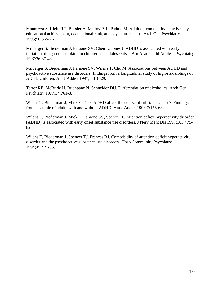Mannuzza S, Klein RG, Bessler A, Malloy P, LaPadula M. Adult outcome of hyperactive boys: educational achievement, occupational rank, and psychiatric status. Arch Gen Psychiatry 1993;50:565-76

Milberger S, Biederman J, Faraone SV, Chen L, Jones J. ADHD is associated with early initiation of cigarette smoking in children and adolescents. J Am Acad Child Adolesc Psychiatry 1997;36:37-43.

Milberger S, Biederman J, Faraone SV, Wilens T, Chu M. Associations between ADHD and psychoactive substance use disorders: findings from a longitudinal study of high-risk siblings of ADHD children. Am J Addict 1997;6:318-29.

Tarter RE, McBride H, Buonpane N, Schneider DU. Differentiation of alcoholics. Arch Gen Psychiatry 1977;34:761-8.

Wilens T, Biederman J, Mick E. Does ADHD affect the course of substance abuse? Findings from a sample of adults with and without ADHD. Am J Addict 1998;7:156-63.

Wilens T, Biederman J, Mick E, Faraone SV, Spencer T. Attention deficit hyperactivity disorder (ADHD) is associated with early onset substance use disorders. J Nerv Ment Dis 1997;185:475- 82.

Wilens T, Biederman J, Spencer TJ, Frances RJ. Comorbidity of attention deficit hyperactivity disorder and the psychoactive substance use disorders. Hosp Community Psychiatry 1994;45:421-35.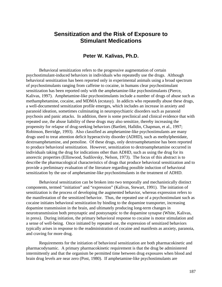# **Sensitization and the Risk of Exposure to Stimulant Medications**

# **Peter W. Kalivas, Ph.D.**

Behavioral sensitization refers to the progressive augmentation of certain psychostimulant-induced behaviors in individuals who repeatedly use the drugs. Although behavioral sensitization has been reported only in experimental animals using a broad spectrum of psychostimulants ranging from caffeine to cocaine, in humans clear psychostimulant sensitization has been reported only with the amphetamine-like psychostimulants (Pierce, Kalivas, 1997). Amphetamine-like psychostimulants include a number of drugs of abuse such as methamphetamine, cocaine, and MDMA (ecstasy). In addicts who repeatedly abuse these drugs, a well-documented sensitization profile emerges, which includes an increase in anxiety and paranoid ideation, sometimes culminating in neuropsychiatric disorders such as paranoid psychosis and panic attacks. In addition, there is some preclinical and clinical evidence that with repeated use, the abuse liability of these drugs may also sensitize, thereby increasing the propensity for relapse of drug-seeking behaviors (Bartlett, Halldin, Chapman, et al., 1997; Robinson, Berridge, 1993). Also classified as amphetamine-like psychostimulants are many drugs used to treat attention deficit hyperactivity disorder (ADHD), such as methylphenidate, dextroamphetamine, and pemoline. Of these drugs, only dextroamphetamine has been reported to produce behavioral sensitization. However, sensitization to dextroamphetamine occurred in individuals taking the drug for indications other than ADHD, such as using the drug for its anorectic properties (Ellinwood, Sudilovsky, Nelson, 1973). The focus of this abstract is to describe the pharmacological characteristics of drugs that produce behavioral sensitization and to provide a preliminary evaluation of the literature regarding possible induction of behavioral sensitization by the use of amphetamine-like psychostimulants in the treatment of ADHD.

Behavioral sensitization can be broken into two temporally and mechanistically distinct components, termed "initiation" and "expression" (Kalivas, Stewart, 1991). The initiation of sensitization is the process of developing the augmented behavior, whereas expression refers to the manifestation of the sensitized behavior. Thus, the repeated use of a psychostimulant such as cocaine initiates behavioral sensitization by binding to the dopamine transporter, increasing dopamine transmission in the brain, and ultimately producing long-term changes in neurotransmission both presynaptic and postsynaptic to the dopamine synapse (White, Kalivas, in press). During initiation, the primary behavioral response to cocaine is motor stimulation and a sense of well-being. Once initiated by repeated use, the expression of sensitized behaviors typically arises in response to the readministration of cocaine and manifests as anxiety, paranoia, and craving for more drug.

Requirements for the initiation of behavioral sensitization are both pharmacokinetic and pharmacodynamic. A primary pharmacokinetic requirement is that the drug be administered intermittently and that the organism be permitted time between drug exposures when blood and brain drug levels are near zero (Post, 1980). If amphetamine-like psychostimulants are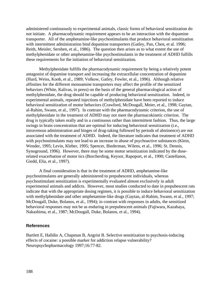administered continuously to experimental animals, classic forms of behavioral sensitization do not initiate. A pharmacodynamic requirement appears to be an interaction with the dopamine transporter. All of the amphetamine-like psychostimulants that produce behavioral sensitization with intermittent administration bind dopamine transporters (Gatley, Pan, Chen, et al. 1996; Reith, Meisler, Sershen, et al., 1986). The question then arises as to what extent the use of methylphenidate or other amphetamine-like psychostimulants in the treatment of ADHD fulfills these requirements for the initiation of behavioral sensitization.

Methylphenidate fulfills the pharmacodynamic requirement by being a relatively potent antagonist of dopamine transport and increasing the extracellular concentration of dopamine (Hurd, Weiss, Koob, et al., 1989; Volkow, Gatley, Fowler, et al., 1996). Although relative affinities for the different monoamine transporters may affect the profile of the sensitized behaviors (White, Kalivas, in press) on the basis of the general pharmacological action of methylphenidate, the drug should be capable of producing behavioral sensitization. Indeed, in experimental animals, repeated injections of methylphenidate have been reported to induce behavioral sensitization of motor behaviors (Crawford, McDougall, Meier, et al., 1998; Gaytan, al-Rahim, Swann, et al., 1997). In contrast with the pharmacodynamic criterion, the use of methylphenidate in the treatment of ADHD may not meet the pharmacokinetic criterion. The drug is typically taken orally and in a continuous rather than intermittent fashion. Thus, the large swings in brain concentration that are optimal for inducing behavioral sensitization (i.e., intravenous administration and binges of drug-taking followed by periods of abstinence) are not associated with the treatment of ADHD. Indeed, the literature indicates that treatment of ADHD with psychostimulants may not lead to an increase in abuse of psychoactive substances (Klein, Wender, 1995; Levin, Kleber, 1995; Spencer, Biederman, Wilens, et al., 1996; St. Dennis, Synoground, 1996). However, there may be some motor sensitization indicated by the doserelated exacerbation of motor tics (Borcherding, Keysor, Rapoport, et al., 1990; Castellanos, Giedd, Elia, et al., 1997).

A final consideration is that in the treatment of ADHD, amphetamine-like psychostimulants are generally administered to prepubescent individuals, whereas psychostimulant sensitization is experimentally evaluated almost exclusively in adult experimental animals and addicts. However, most studies conducted to date in prepubescent rats indicate that with the appropriate dosing regimen, it is possible to induce behavioral sensitization with methylphenidate and other amphetamine-like drugs (Gaytan, al-Rahim, Swann, et al., 1997; McDougall, Duke, Bolanos, et al., 1994); in contrast with responses in adults, the sensitized behavioral responses may not be as enduring in prepubescent animals (Fujiwara, Kazahaya, Nakashima, et al., 1987; McDougall, Duke, Bolanos, et al., 1994).

## **References**

Bartlett E, Halldin A, Chapman B, Angrist B. Selective sensitization to psychosis-inducing effects of cocaine: a possible marker for addiction relapse vulnerability? Neuropsychopharmacology 1997;16:77-82.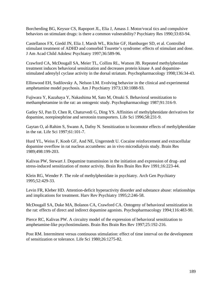Borcherding BG, Keysor CS, Rapoport JL, Elia J, Amass J. Motor/vocal tics and compulsive behaviors on stimulant drugs: is there a common vulnerability? Psychiatry Res 1990;33:83-94.

Castellanos FX, Giedd JN, Elia J, Marsh WL, Ritchie GF, Hamburger SD, et al. Controlled stimulant treatment of ADHD and comorbid Tourette's syndrome: effects of stimulant and dose. J Am Acad Child Adolesc Psychiatry 1997;36:589-96.

Crawford CA, McDougall SA, Meier TL, Collins RL, Watson JB. Repeated methylphenidate treatment induces behavioral sensitization and decreases protein kinase A and dopaminestimulated adenylyl cyclase activity in the dorsal striatum. Psychopharmacology 1998;136:34-43.

Ellinwood EH, Sudilovsky A, Nelson LM. Evolving behavior in the clinical and experimental amphetamine model psychosis. Am J Psychiatry 1973;130:1088-93.

Fujiwara Y, Kazahaya Y, Nakashima M, Sato M, Otsuki S. Behavioral sensitization to methamphetamine in the rat: an ontogenic study. Psychopharmacology 1987;91:316-9.

Gatley SJ, Pan D, Chen R, Chaturvedi G, Ding YS. Affinities of methylphenidate derivatives for dopamine, norepinephrine and serotonin transporters. Life Sci 1996;58:231-9.

Gaytan O, al-Rahim S, Swann A, Dafny N. Sensitization to locomotor effects of methylphenidate in the rat. Life Sci 1997;61:101-7.

Hurd YL, Weiss F, Koob GF, And NE, Ungerstedt U. Cocaine reinforcement and extracellular dopamine overflow in rat nucleus accumbens: an in vivo microdialysis study. Brain Res 1989;498:199-203.

Kalivas PW, Stewart J. Dopamine transmission in the initiation and expression of drug- and stress-induced sensitization of motor activity. Brain Res Brain Res Rev 1991;16:223-44.

Klein RG, Wender P. The role of methylphenidate in psychiatry. Arch Gen Psychiatry 1995;52:429-33.

Levin FR, Kleber HD. Attention-deficit hyperactivity disorder and substance abuse: relationships and implications for treatment. Harv Rev Psychiatry 1995;2:246-58.

McDougall SA, Duke MA, Bolanos CA, Crawford CA. Ontogeny of behavioral sensitization in the rat: effects of direct and indirect dopamine agonists. Psychopharmacology 1994;116:483-90.

Pierce RC, Kalivas PW. A circuitry model of the expression of behavioral sensitization to amphetamine-like psychostimulants. Brain Res Brain Res Rev 1997;25:192-216.

Post RM. Intermittent versus continuous stimulation: effect of time interval on the development of sensitization or tolerance. Life Sci 1980;26:1275-82.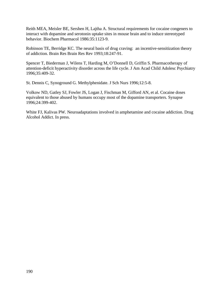Reith MEA, Meisler BE, Sershen H, Lajtha A. Structural requirements for cocaine congeners to interact with dopamine and serotonin uptake sites in mouse brain and to induce stereotyped behavior. Biochem Pharmacol 1986:35:1123-9.

Robinson TE, Berridge KC. The neural basis of drug craving: an incentive-sensitization theory of addiction. Brain Res Brain Res Rev 1993;18:247-91.

Spencer T, Biederman J, Wilens T, Harding M, O'Donnell D, Griffin S. Pharmacotherapy of attention-deficit hyperactivity disorder across the life cycle. J Am Acad Child Adolesc Psychiatry 1996;35:409-32.

St. Dennis C, Synoground G. Methylphenidate. J Sch Nurs 1996;12:5-8.

Volkow ND, Gatley SJ, Fowler JS, Logan J, Fischman M, Gifford AN, et al. Cocaine doses equivalent to those abused by humans occupy most of the dopamine transporters. Synapse 1996;24:399-402.

White FJ, Kalivas PW. Neuroadaptations involved in amphetamine and cocaine addiction. Drug Alcohol Addict. In press.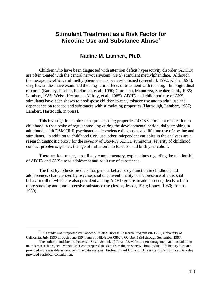# **Stimulant Treatment as a Risk Factor for Nicotine Use and Substance Abuse2**

# **Nadine M. Lambert, Ph.D.**

Children who have been diagnosed with attention deficit hyperactivity disorder (ADHD) are often treated with the central nervous system (CNS) stimulant methylphenidate. Although the therapeutic efficacy of methylphenidate has been established (Greenhill, 1992; Klein, 1993), very few studies have examined the long-term effects of treatment with the drug. In longitudinal research (Barkley, Fischer, Edelbrock, et al., 1990; Gittelman, Mannuzza, Shenker, et al., 1985; Lambert, 1988; Weiss, Hechtman, Milroy, et al., 1985), ADHD and childhood use of CNS stimulants have been shown to predispose children to early tobacco use and to adult use and dependence on tobacco and substances with stimulating properties (Hartsough, Lambert, 1987; Lambert, Hartsough, in press).

This investigation explores the predisposing properties of CNS stimulant medication in childhood in the uptake of regular smoking during the developmental period, daily smoking in adulthood, adult DSM-III-R psychoactive dependence diagnoses, and lifetime use of cocaine and stimulants. In addition to childhood CNS use, other independent variables in the analyses are a research diagnostic proxy for the severity of DSM-IV ADHD symptoms, severity of childhood conduct problems, gender, the age of initiation into tobacco, and birth year cohort.

There are four major, most likely complementary, explanations regarding the relationship of ADHD and CNS use to adolescent and adult use of substances.

The first hypothesis predicts that general behavior dysfunction in childhood and adolescence, characterized by psychosocial unconventionality or the presence of antisocial behavior (all of which are also prevalent among ADHD groups in adolescence), leads to both more smoking and more intensive substance use (Jessor, Jessor, 1980; Loney, 1980; Robins, 1980).

-

 $^{2}$ This study was supported by Tobacco-Related Disease Research Program #IRT251, University of California, July 1990 through June 1994, and by NIDA DA 08624, October 1994 through September 1997.

The author is indebted to Professor Susan Schenk of Texas A&M for her encouragement and consultation on this research project. Marsha McLeod prepared the data from the prospective longitudinal life history files and provided indispensable assistance in the data analysis. Professor Paul Holland, University of California at Berkeley, provided statistical consultation.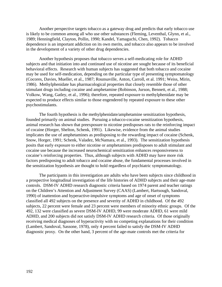Another perspective targets tobacco as a gateway drug and predicts that early tobacco use is likely to be common among all who use other substances (Fleming, Leventhal, Glynn, et al., 1989; Henningfield, Clayton, Pollin, 1990; Kandel, Yamaguchi, Chen, 1992). Tobacco dependence is an important addiction on its own merits, and tobacco also appears to be involved in the development of a variety of other drug dependencies.

Another hypothesis proposes that tobacco serves a self-medicating role for ADHD subjects and that initiation into and continued use of nicotine are sought because of its beneficial behavioral effects. Research with human subjects has suggested that both tobacco and cocaine may be used for self-medication, depending on the particular type of presenting symptomatology (Cocores, Davies, Mueller, et al., 1987; Rounsaville, Anton, Carroll, et al. 1991; Weiss, Mirin, 1986). Methylphenidate has pharmacological properties that closely resemble those of other stimulant drugs including cocaine and amphetamine (Robinson, Jurson, Bennett, et al., 1988; Volkow, Wang, Gatley, et al., 1996); therefore, repeated exposure to methylphenidate may be expected to produce effects similar to those engendered by repeated exposure to these other psychostimulants.

The fourth hypothesis is the methylphenidate/amphetamine sensitization hypothesis, founded primarily on animal studies. Pursuing a tobacco-cocaine sensitization hypothesis, animal research has shown that preexposure to nicotine predisposes rats to the reinforcing impact of cocaine (Horger, Shelton, Schenk, 1991). Likewise, evidence from the animal studies implicates the use of amphetamines as predisposing to the rewarding impact of cocaine (Schenk, Snow, Horger, 1991; Schenk, Valadez, McNamara, et al., 1993). The sensitization hypothesis posits that early exposure to either nicotine or amphetamines predisposes to adult stimulant and cocaine use because the increased neurochemical sensitization enhances responsiveness to cocaine's reinforcing properties. Thus, although subjects with ADHD may have more risk factors predisposing to adult tobacco and cocaine abuse, the fundamental processes involved in the sensitization hypothesis are thought to hold regardless of psychiatric symptomatology.

The participants in this investigation are adults who have been subjects since childhood in a prospective longitudinal investigation of the life histories of ADHD subjects and their age-mate controls. DSM-IV ADHD research diagnostic criteria based on 1974 parent and teacher ratings on the Children's Attention and Adjustment Survey (CAAS) (Lambert, Hartsough, Sandoval, 1990) of inattention and hyperactive-impulsive symptoms and age of onset of symptoms classified all 492 subjects on the presence and severity of ADHD in childhood. Of the 492 subjects, 22 percent were female and 23 percent were members of minority ethnic groups. Of the 492, 132 were classified as severe DSM-IV ADHD, 99 were moderate ADHD, 61 were mild ADHD, and 200 subjects did not satisfy DSM-IV ADHD research criteria. Of those originally receiving medical diagnoses of hyperactivity with no competing explanations for their condition (Lambert, Sandoval, Sassone, 1978), only 4 percent failed to satisfy the DSM-IV ADHD diagnostic proxy. On the other hand, 3 percent of the age-mate controls met the criteria for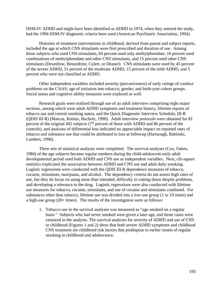DSM-IV ADHD and might have been identified as ADHD in 1974, when they entered the study, had the 1994 DSM-IV diagnostic criteria been used (American Psychiatric Association, 1994).

Histories of treatment interventions in childhood, derived from parent and subject reports, included the age at which CNS stimulants were first prescribed and duration of use. Among those subjects who used CNS stimulants, 69 percent used only methylphenidate, 16 percent used combinations of methylphenidate and other CNS stimulants, and 15 percent used other CNS stimulants (Dexedrine, Benzedrine, Cylert, or Deaner). CNS stimulants were used by 45 percent of the severe ADHD, 51 percent of the moderate ADHD, 15 percent of the mild ADHD, and 5 percent who were not classified as ADHD.

Other independent variables included severity (pervasiveness) of early ratings of conduct problems on the CAAS; age of initiation into tobacco; gender; and birth-year cohort groups. Social status and cognitive ability measures were explored as well.

Research goals were realized through use of an adult interview comprising eight major sections, among which were adult ADHD symptoms and treatment history, lifetime reports of tobacco use and current smoking status, and the Quick Diagnostic Interview Schedule, III-R (QDIS III-R) (Marcus, Robins, Bucholz, 1990). Adult interview protocols were obtained for 81 percent of the original 492 subjects (77 percent of those with ADHD and 86 percent of the controls), and analyses of differential loss indicated no appreciable impact on reported rates of tobacco and substance use that could be attributed to loss at followup (Hartsough, Babinski, Lambert, 1996).

Three sets of statistical analyses were completed. The survival analyses (Cox, Oakes, 1984) of the age subjects became regular smokers during the child-adolescent-early adult developmental period used both ADHD and CNS use as independent variables. Next, chi-square statistics explicated the association between ADHD and CNS use and adult daily smoking. Logistic regressions were conducted with the QDIS III-R dependence measures of tobacco, cocaine, stimulants, marijuana, and alcohol. The dependency criteria do not assess high rates of use, but they do focus on using more than intended, difficulty in cutting down despite problems, and developing a tolerance to the drug. Logistic regressions were also conducted with lifetime use measures for tobacco, cocaine, stimulants, and use of cocaine and stimulants combined. For substances other than tobacco, lifetime use was divided into a low-use group (1 to 19 times) and a high-use group (20+ times). The results of the investigation were as follows:

1. Tobacco use in the survival analyses was measured as "age smoked on a regular basis." Subjects who had never smoked were given a later age, and those cases were censored in the analysis. The survival analyses for severity of ADHD and use of CNS in childhood (Figures 1 and 2) show that both severe ADHD symptoms and childhood CNS treatment are childhood risk factors that predispose to earlier onsets of regular smoking in childhood and adolescence.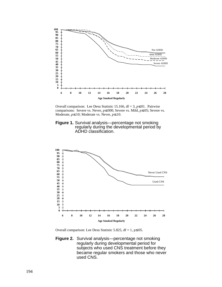

Overall comparison: Lee Desu Statistic 15.166, df = 3, *p*≤.01. Pairwise comparisons: Severe vs. Never, *p*≤.000; Severe vs. Mild, *p*≤.05; Severe vs. Moderate, *p*≤.10; Moderate vs. Never, *p*≤.10.





Overall comparison: Lee Desu Statistic 5.825, df = 1, p≤.05.

**Figure 2.** Survival analysis—percentage not smoking regularly during developmental period for subjects who used CNS treatment before they became regular smokers and those who never used CNS.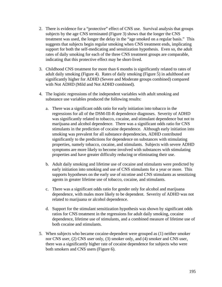- 2. There is evidence for a "protective" effect of CNS use. Survival analysis that groups subjects by the age CNS terminated (Figure 3) shows that the longer the CNS treatment was used, the longer the delay in the "age smoked on a regular basis." This suggests that subjects begin regular smoking when CNS treatment ends, implicating support for both the self-medicating and sensitization hypothesis. Even so, the adult rates of daily smoking for each of the three CNS treatment groups are comparable, indicating that this protective effect may be short-lived.
- 3. Childhood CNS treatment for more than 6 months is significantly related to rates of adult daily smoking (Figure 4). Rates of daily smoking (Figure 5) in adulthood are significantly higher for ADHD (Severe and Moderate groups combined) compared with Not ADHD (Mild and Not ADHD combined).
- 4. The logistic regressions of the independent variables with adult smoking and substance use variables produced the following results:
	- a. There was a significant odds ratio for early initiation into tobacco in the regressions for all of the DSM-III-R dependence diagnoses. Severity of ADHD was significantly related to tobacco, cocaine, and stimulant dependence but not to marijuana and alcohol dependence. There was a significant odds ratio for CNS stimulants in the prediction of cocaine dependence. Although early initiation into smoking was prevalent for all substance dependencies, ADHD contributed significantly to the predictions for dependence on substances with stimulating properties, namely tobacco, cocaine, and stimulants. Subjects with severe ADHD symptoms are more likely to become involved with substances with stimulating properties and have greater difficulty reducing or eliminating their use.
	- b. Adult daily smoking and lifetime use of cocaine and stimulants were predicted by early initiation into smoking and use of CNS stimulants for a year or more. This supports hypotheses on the early use of nicotine and CNS stimulants as sensitizing agents in greater lifetime use of tobacco, cocaine, and stimulants.
	- c. There was a significant odds ratio for gender only for alcohol and marijuana dependence, with males more likely to be dependent. Severity of ADHD was not related to marijuana or alcohol dependence.
	- d. Support for the stimulant sensitization hypothesis was shown by significant odds ratios for CNS treatment in the regressions for adult daily smoking, cocaine dependence, lifetime use of stimulants, and a combined measure of lifetime use of both cocaine and stimulants.
- 5. When subjects who became cocaine-dependent were grouped as (1) neither smoker nor CNS user, (2) CNS user only, (3) smoker only, and (4) smoker and CNS user, there was a significantly higher rate of cocaine dependence for subjects who were both smokers and CNS users (Figure 6).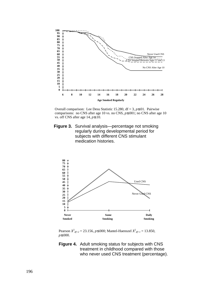

Overall comparison: Lee Desu Statistic 15.280, df = 3, *p*≤.01. Pairwise comparisons: no CNS after age 10 vs. no CNS, *p*≤.001; no CNS after age 10 vs. off CNS after age 14, *p*≤.10.

Figure 3. Survival analysis—percentage not smoking regularly during developmental period for subjects with different CNS stimulant medication histories.



Pearson  $X^2$ <sub>*df=2*</sub> = 23.156, *p*≤.000; Mantel-Haenszel  $X^2$ <sub>*df=1*</sub> = 13.850, *p*≤.000.

**Figure 4.** Adult smoking status for subjects with CNS treatment in childhood compared with those who never used CNS treatment (percentage).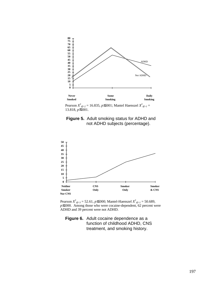

Pearson  $X^2$ <sub>*df=2*</sub> = 16.835, *p*≤.001; Mantel Haenszel  $X^2$ <sub>*df=1*</sub> = 13.818, *p*≤.001.





Pearson  $X^2_{df=3} = 52.61$ ,  $p \le 0.00$ ; Mantel-Haenszel  $X^2_{df=1} = 50.689$ , *p*≤.000. Among those who were cocaine-dependent, 62 percent were ADHD and 39 percent were not ADHD.

Figure 6. Adult cocaine dependence as a function of childhood ADHD, CNS treatment, and smoking history.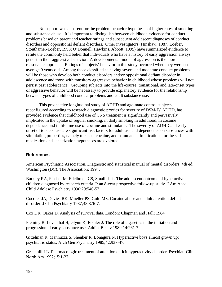No support was apparent for the problem behavior hypothesis of higher rates of smoking and substance abuse. It is important to distinguish between childhood evidence for conduct problems based on parent and teacher ratings and subsequent adolescent diagnoses of conduct disorders and oppositional defiant disorders. Other investigators (Hinshaw, 1987; Loeber, Stouthamer-Loeber, 1998; O'Donnell, Hawkins, Abbott, 1995) have summarized evidence to refute the commonly held belief that individuals who have a history of early aggression always persist in their aggressive behavior. A developmental model of aggression is the more reasonable approach. Ratings of subjects' behavior in this study occurred when they were on average 9 years old. Among those classified as having severe and moderate conduct problems will be those who develop both conduct disorders and/or oppositional defiant disorder in adolescence and those with transitory aggressive behavior in childhood whose problems will not persist past adolescence. Grouping subjects into the life-course, transitional, and late-onset types of aggressive behavior will be necessary to provide explanatory evidence for the relationship between types of childhood conduct problems and adult substance use.

This prospective longitudinal study of ADHD and age-mate control subjects, reconfigured according to research diagnostic proxies for severity of DSM-IV ADHD, has provided evidence that childhood use of CNS treatment is significantly and pervasively implicated in the uptake of regular smoking, in daily smoking in adulthood, in cocaine dependence, and in lifetime use of cocaine and stimulants. The severity of ADHD and early onset of tobacco use are significant risk factors for adult use and dependence on substances with stimulating properties, namely tobacco, cocaine, and stimulants. Implications for the selfmedication and sensitization hypotheses are explored.

## **References**

American Psychiatric Association. Diagnostic and statistical manual of mental disorders. 4th ed. Washington (DC): The Association; 1994.

Barkley RA, Fischer M, Edelbrock CS, Smallish L. The adolescent outcome of hyperactive children diagnosed by research criteria. I: an 8-year prospective follow-up study. J Am Acad Child Adolesc Psychiatry 1990;29:546-57.

Cocores JA, Davies RK, Mueller PS, Gold MS. Cocaine abuse and adult attention deficit disorder. J Clin Psychiatry 1987;48:376-7.

Cox DR, Oakes D. Analysis of survival data. London: Chapman and Hall; 1984.

Fleming R, Leventhal H, Glynn K, Ershler J. The role of cigarettes in the initiation and progression of early substance use. Addict Behav 1989;14:261-72.

Gittelman R, Mannuzza S, Shenker R, Bonagura N. Hyperactive boys almost grown up: psychiatric status. Arch Gen Psychiatry 1985;42:937-47.

Greenhill LL. Pharmacologic treatment of attention deficit hyperactivity disorder. Psychiatr Clin North Am 1992;15:1-27.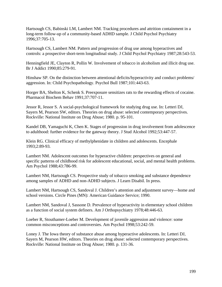Hartsough CS, Babinski LM, Lambert NM. Tracking procedures and attrition containment in a long-term follow-up of a community-based ADHD sample. J Child Psychol Psychiatry 1996;37:705-13.

Hartsough CS, Lambert NM. Pattern and progression of drug use among hyperactives and controls: a prospective short-term longitudinal study. J Child Psychol Psychiatry 1987;28:543-53.

Henningfield JE, Clayton R, Pollin W. Involvement of tobacco in alcoholism and illicit drug use. Br J Addict 1990;85:279-91.

Hinshaw SP. On the distinction between attentional deficits/hyperactivity and conduct problems/ aggression. In: Child Psychopathology. Psychol Bull 1987;101:443-63.

Horger BA, Shelton K, Schenk S. Preexposure sensitizes rats to the rewarding effects of cocaine. Pharmacol Biochem Behav 1991;37:707-11.

Jessor R, Jessor S. A social-psychological framework for studying drug use. In: Letteri DJ, Sayers M, Pearson SW, editors. Theories on drug abuse: selected contemporary perspectives. Rockville: National Institute on Drug Abuse; 1980. p. 95-101.

Kandel DB, Yamaguchi K, Chen K. Stages of progression in drug involvement from adolescence to adulthood: further evidence for the gateway theory. J Stud Alcohol 1992;53:447-57.

Klein RG. Clinical efficacy of methylphenidate in children and adolescents. Encephale 1993;2:89-93.

Lambert NM. Adolescent outcomes for hyperactive children: perspectives on general and specific patterns of childhood risk for adolescent educational, social, and mental health problems. Am Psychol 1988;43:786-99.

Lambert NM, Hartsough CS. Prospective study of tobacco smoking and substance dependence among samples of ADHD and non-ADHD subjects. J Learn Disabil. In press.

Lambert NM, Hartsough CS, Sandoval J. Children's attention and adjustment survey—home and school versions. Circle Pines (MN): American Guidance Service; 1990.

Lambert NM, Sandoval J, Sassone D. Prevalence of hyperactivity in elementary school children as a function of social system definers. Am J Orthopsychiatry 1978;48:446-63.

Loeber R, Stouthamer-Loeber M. Development of juvenile aggression and violence: some common misconceptions and controversies. Am Psychol 1998;53:242-59.

Loney J. The Iowa theory of substance abuse among hyperactive adolescents. In: Letteri DJ, Sayers M, Pearson HW, editors. Theories on drug abuse: selected contemporary perspectives. Rockville: National Institute on Drug Abuse; 1980. p. 131-36.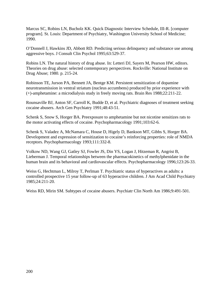Marcus SC, Robins LN, Bucholz KK. Quick Diagnostic Interview Schedule, III-R. [computer program]. St. Louis: Department of Psychiatry, Washington University School of Medicine; 1990.

O'Donnell J, Hawkins JD, Abbott RD. Predicting serious delinquency and substance use among aggressive boys. J Consult Clin Psychol 1995;63:529-37.

Robins LN. The natural history of drug abuse. In: Letteri DJ, Sayers M, Pearson HW, editors. Theories on drug abuse: selected contemporary perspectives. Rockville: National Institute on Drug Abuse; 1980. p. 215-24.

Robinson TE, Jurson PA, Bennett JA, Bentge KM. Persistent sensitization of dopamine neurotransmission in ventral striatum (nucleus accumbens) produced by prior experience with (+)-amphetamine: a microdialysis study in freely moving rats. Brain Res 1988;22:211-22.

Rounsaville BJ, Anton SF, Carroll K, Budde D, et al. Psychiatric diagnoses of treatment seeking cocaine abusers. Arch Gen Psychiatry 1991;48:43-51.

Schenk S, Snow S, Horger BA. Preexposure to amphetamine but not nicotine sensitizes rats to the motor activating effects of cocaine. Psychopharmacology 1991;103:62-6.

Schenk S, Valadez A, McNamara C, House D, Higely D, Bankson MT, Gibbs S, Horger BA. Development and expression of sensitization to cocaine's reinforcing properties: role of NMDA receptors. Psychopharmacology 1993;111:332-8.

Volkow ND, Wang GJ, Gatley SJ, Fowler JS, Din YS, Logan J, Hitzeman R, Angrist B, Lieberman J. Temporal relationships between the pharmacokinetics of methylphenidate in the human brain and its behavioral and cardiovascular effects. Psychopharmacology 1996;123:26-33.

Weiss G, Hechtman L, Milroy T, Perlman T. Psychiatric status of hyperactives as adults: a controlled prospective 15 year follow-up of 63 hyperactive children. J Am Acad Child Psychiatry 1985;24:211-20.

Weiss RD, Mirin SM. Subtypes of cocaine abusers. Psychiatr Clin North Am 1986;9:491-501.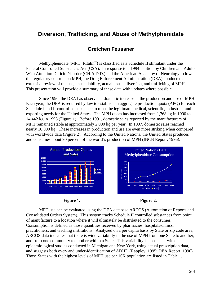# **Diversion, Trafficking, and Abuse of Methylphenidate**

## **Gretchen Feussner**

Methylphenidate (MPH, Ritalin®) is classified as a Schedule II stimulant under the Federal Controlled Substances Act (CSA). In response to a 1994 petition by Children and Adults With Attention Deficit Disorder (CH.A.D.D.) and the American Academy of Neurology to lower the regulatory controls on MPH, the Drug Enforcement Administration (DEA) conducted an extensive review of the use, abuse liability, actual abuse, diversion, and trafficking of MPH. This presentation will provide a summary of these data with updates where possible.

Since 1990, the DEA has observed a dramatic increase in the production and use of MPH. Each year, the DEA is required by law to establish an aggregate production quota (APQ) for each Schedule I and II controlled substance to meet the legitimate medical, scientific, industrial, and exporting needs for the United States. The MPH quota has increased from 1,768 kg in 1990 to 14,442 kg in 1998 (Figure 1). Before 1991, domestic sales reported by the manufacturers of MPH remained stable at approximately 2,000 kg per year. In 1997, domestic sales reached nearly 10,000 kg. These increases in production and use are even more striking when compared with worldwide data (Figure 2). According to the United Nations, the United States produces and consumes about 90 percent of the world's production of MPH (INCB Report, 1996).





MPH use can be evaluated using the DEA database ARCOS (Automation of Reports and Consolidated Orders System). This system tracks Schedule II controlled substances from point of manufacture to a location where it will ultimately be distributed to the consumer. Consumption is defined as those quantities received by pharmacies, hospitals/clinics, practitioners, and teaching institutions. Analyzed on a per capita basis by State or zip code area, ARCOS data indicates that there is wide variability in the use of MPH from one State to another, and from one community to another within a State. This variability is consistent with epidemiological studies conducted in Michigan and New York, using actual prescription data, and suggests both over- and under-identification of ADHD (Rappley, 1995; DEA Report, 1996). Those States with the highest levels of MPH use per 10K population are listed in Table 1.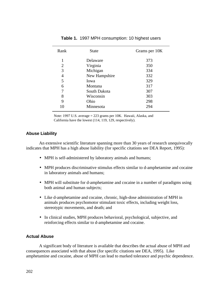| Rank | State         | Grams per 10K |
|------|---------------|---------------|
| 1    | Delaware      | 373           |
| 2    | Virginia      | 350           |
| 3    | Michigan      | 334           |
| 4    | New Hampshire | 332           |
| 5    | Iowa          | 329           |
| 6    | Montana       | 317           |
| 7    | South Dakota  | 307           |
| 8    | Wisconsin     | 303           |
| 9    | Ohio          | 298           |
| 10   | Minnesota     | 294           |

### **Table 1.** 1997 MPH consumption: 10 highest users

Note: 1997 U.S. average = 223 grams per 10K. Hawaii, Alaska, and California have the lowest (114, 119, 129, respectively).

## **Abuse Liability**

An extensive scientific literature spanning more than 30 years of research unequivocally indicates that MPH has a high abuse liability (for specific citations see DEA Report, 1995):

- MPH is self-administered by laboratory animals and humans;
- MPH produces discriminative stimulus effects similar to d-amphetamine and cocaine in laboratory animals and humans;
- MPH will substitute for d-amphetamine and cocaine in a number of paradigms using both animal and human subjects;
- Like d-amphetamine and cocaine, chronic, high-dose administration of MPH in animals produces psychomotor stimulant toxic effects, including weight loss, stereotypic movements, and death; and
- In clinical studies, MPH produces behavioral, psychological, subjective, and reinforcing effects similar to d-amphetamine and cocaine.

## **Actual Abuse**

A significant body of literature is available that describes the actual abuse of MPH and consequences associated with that abuse (for specific citations see DEA, 1995). Like amphetamine and cocaine, abuse of MPH can lead to marked tolerance and psychic dependence.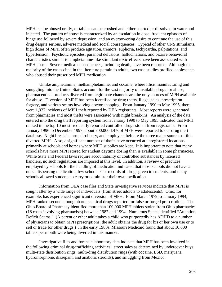MPH can be abused orally, or tablets can be crushed and either snorted or dissolved in water and injected. The pattern of abuse is characterized by an escalation in dose, frequent episodes of binge use followed by severe depression, and an overpowering desire to continue the use of this drug despite serious, adverse medical and social consequences. Typical of other CNS stimulants, high doses of MPH often produce agitation, tremors, euphoria, tachycardia, palpitations, and hypertension. Psychotic episodes, paranoid delusions, hallucinations, and bizarre behavioral characteristics similar to amphetamine-like stimulant toxic effects have been associated with MPH abuse. Severe medical consequences, including death, have been reported. Although the majority of the cases cited in the literature pertain to adults, two case studies profiled adolescents who abused their prescribed MPH medication.

Unlike amphetamine, methamphetamine, and cocaine, where illicit manufacturing and smuggling into the United States account for the vast majority of available drugs for abuse, pharmaceutical products diverted from legitimate channels are the only sources of MPH available for abuse. Diversion of MPH has been identified by drug thefts, illegal sales, prescription forgery, and various scams involving doctor shopping. From January 1990 to May 1995, there were 1,937 incidents of MPH theft reported by DEA registrants. Most reports were generated from pharmacies and most thefts were associated with night break-ins. An analysis of the data entered into the drug theft reporting system from January 1990 to May 1995 indicated that MPH ranked in the top 10 most frequently reported controlled drugs stolen from registrants. From January 1996 to December 1997, about 700,000 DUs of MPH were reported to our drug theft database. Night break-in, armed robbery, and employee theft are the three major sources of this diverted MPH. Also, a significant number of thefts have occurred at unregistered locations, primarily at schools and homes where MPH supplies are kept. It is important to note that many schools have more MPH stored for student daytime dosing than is available in some pharmacies. While State and Federal laws require accountability of controlled substances by licensed handlers, no such regulations are imposed at this level. In addition, a review of practices employed by schools for the handling of medication indicated that most schools did not have a nurse dispensing medication, few schools kept records of drugs given to students, and many schools allowed students to carry or administer their own medication.

Information from DEA case files and State investigative services indicate that MPH is sought after by a wide range of individuals (from street addicts to adolescents). Ohio, for example, has experienced significant diversion of MPH. From March 1979 to January 1994, MPH ranked second among pharmaceutical drugs reported for false or forged prescriptions. The Ohio Board of Pharmacy identified more than 100,000 MPH tablets stolen from Ohio pharmacies (18 cases involving pharmacists) between 1987 and 1994. Numerous States identified "Attention Deficit Scams." (A parent or other adult takes a child who purportedly has ADHD to a number of physicians to obtain MPH prescriptions; the adult obtains the drug for his or her own use or to sell or trade for other drugs.) In the early 1980s, Missouri Medicaid found that about 10,000 tablets per month were being diverted in this manner.

Investigative files and forensic laboratory data indicate that MPH has been involved in the following criminal drug-trafficking activities: street sales as determined by undercover buys, multi-state distribution rings, multi-drug distribution rings (with cocaine, LSD, marijuana, hydromorphone, diazepam, and anabolic steroids), and smuggling from Mexico.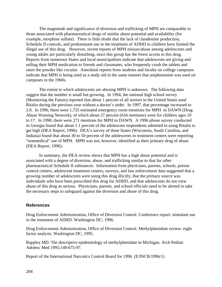The magnitude and significance of diversion and trafficking of MPH are comparable to those associated with pharmaceutical drugs of similar abuse potential and availability (for example, morphine sulfate). There is little doubt that the lack of clandestine production, Schedule II controls, and predominant use in the treatment of ADHD in children have limited the illegal use of this drug. However, recent reports of MPH misuse/abuse among adolescents and young adults are particularly disturbing, since this group has the freest access to this drug. Reports from numerous States and local municipalities indicate that adolescents are giving and selling their MPH medication to friends and classmates, who frequently crush the tablets and snort the powder like cocaine. Anecdotal reports from students and faculty on college campuses indicate that MPH is being used as a study aid in the same manner that amphetamine was used on campuses in the 1960s.

The extent to which adolescents are abusing MPH is unknown. The following data suggest that the number is small but growing. In 1994, the national high school survey (Monitoring the Future) reported that about 1 percent of all seniors in the United States used Ritalin during the previous year without a doctor's order. In 1997, that percentage increased to 2.8. In 1996, there were 1,725 estimated emergency room mentions for MPH in DAWN (Drug Abuse Warning Network), of which about 27 percent (634 mentions) were for children ages 10 to 17. In 1990, there were 271 mentions for MPH in DAWN. A 1996 phone survey conducted in Georgia found that about 1.1 percent of the adolescent respondents admitted to using Ritalin to get high (DEA Report, 1996). DEA's survey of three States (Wisconsin, South Carolina, and Indiana) found that about 30 to 50 percent of the adolescents in treatment centers were reporting "nonmedical" use of MPH. MPH was not, however, identified as their primary drug of abuse (DEA Report, 1996).

In summary, the DEA review shows that MPH has a high abuse potential and is associated with a degree of diversion, abuse, and trafficking similar to that for other pharmaceutical Schedule II substances. Information from physicians, parents, schools, poison control centers, adolescent treatment centers, surveys, and law enforcement data suggested that a growing number of adolescents were using this drug illicitly, that the primary source was individuals who have been prescribed this drug for ADHD, and that adolescents do not view abuse of this drug as serious. Physicians, parents, and school officials need to be alerted to take the necessary steps to safeguard against the diversion and abuse of this drug.

## **References**

Drug Enforcement Administration, Office of Diversion Control. Conference report: stimulant use in the treatment of ADHD. Washington DC; 1996.

Drug Enforcement Administration, Office of Diversion Control. Methylphenidate review: eight factor analysis. Washington DC; 1995.

Rappley MD. The descriptive epidemiology of methylphenidate in Michigan. Arch Pediatr Adolesc Med 1995;149:675-97.

Report of the International Narcotics Control Board for 1996. (E/INCB/1996/1)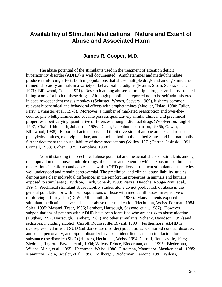# **Availability of Stimulant Medications: Nature and Extent of Abuse and Associated Harm**

## **James R. Cooper, M.D.**

The abuse potential of the stimulants used in the treatment of attention deficit hyperactivity disorder (ADHD) is well documented. Amphetamines and methylphenidate produce reinforcing effects both in populations that abuse multiple drugs and among stimulanttrained laboratory animals in a variety of behavioral paradigms (Martin, Sloan, Sapira, et al., 1971; Ellinwood, Cohen, 1971). Research among abusers of multiple drugs reveals dose-related liking scores for both of these drugs. Although pemoline is reported not to be self-administered in cocaine-dependent rhesus monkeys (Schuster, Woods, Seevers, 1969), it shares common relevant biochemical and behavioral effects with amphetamines (Mueller, Hsiao, 1980; Fuller, Perry, Bymaster, et al., 1978). Moreover, a number of marketed prescription and over-thecounter phenylethylamines and cocaine possess qualitatively similar clinical and preclinical properties albeit varying quantitative differences among individual drugs (Woolverton, English, 1997; Chait, Uhlenhuth, Johanson, 1986a; Chait, Uhlenhuth, Johanson, 1986b; Gawin, Ellinwood, 1988). Reports of actual abuse and illicit diversion of amphetamines and related phenylethylamines, methylphenidate, and pemoline both in the United States and internationally further document the abuse liability of these medications (Willey, 1971; Parran, Jasinski, 1991; Connell, 1968; Cohen, 1975; Pemoline, 1988).

Notwithstanding the preclinical abuse potential and the actual abuse of stimulants among the population that abuses multiple drugs, the nature and extent to which exposure to stimulant medications in children and adolescents with ADHD predicts subsequent stimulant abuse are less well understood and remain controversial. The preclinical and clinical abuse liability studies demonstrate clear individual differences in the reinforcing properties in animals and humans exposed to stimulants (Davidson, Finch, Schenk, 1993; Piazza, Deroche, Rouge-Pont, et al., 1997). Preclinical stimulant abuse liability studies alone do not predict risk of abuse in the general population or within subpopulations of those with medical illnesses, irrespective of reinforcing efficacy data (DeWit, Uhlenhuth, Johanson, 1987). Many patients exposed to stimulant medications never misuse or abuse their medication (Hechtman, Weiss, Perlman, 1984; Spier, 1995; Masand, Tesar, 1996; Lambert, Hartsough, Sassone, et al., 1987). However, subpopulations of patients with ADHD have been identified who are at risk to abuse nicotine (Hughes, 1997; Hartsough, Lambert, 1987) and other stimulants (Schenk, Davidson, 1997) and sedatives, including alcohol (Carroll, Rounsaville, Bryant, 1993). Furthermore, ADHD is overrepresented in adult SUD (substance use disorder) populations. Comorbid conduct disorder, antisocial personality, and bipolar disorder have been identified as mediating factors for substance use disorder (SUD) (Herrero, Hechtman, Weiss, 1994; Carroll, Rounsaville, 1993; Ziedonis, Rayford, Bryant, et al., 1994; Wilens, Prince, Biederman, et al., 1995; Biederman, Wilens, Mick, et al., 1995; Hechtman, Weiss, 1986; Gittelman, Mannuzza, Shenker, et al., 1985; Mannuzza, Klein, Bessler, et al., 1998; Milberger, Biederman, Faraone, 1997; Wilens,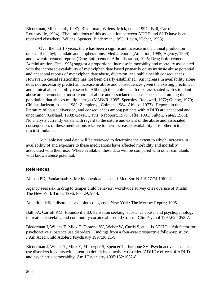Biederman, Mick, et al., 1997; Biederman, Wilens, Mick, et al., 1997; Ball, Carroll, Rounsaville, 1994). The limitations of this association between ADHD and SUD have been reviewed elsewhere (Wilens, Spencer, Biederman, 1995; Levin, Kleber, 1995).

Over the last 10 years, there has been a significant increase in the annual production quotas of methylphenidate and amphetamine. Media reports (Attention, 1995; Agency, 1996) and law enforcement reports (Drug Enforcement Administration, 1995; Drug Enforcement Administration, Oct. 1995) suggest a proportional increase in morbidity and mortality associated with the increased availability of methylphenidate based primarily on its intrinsic abuse potential and anecdotal reports of methylphenidate abuse, diversion, and public health consequences. However, a causal relationship has not been clearly established. An increase in availability alone does not necessarily predict an increase in abuse and consequences given the existing preclinical and clinical abuse liability research. Although the public health risks associated with stimulant abuse are documented, most reports of abuse and associated consequences occur among the population that abuses multiple drugs (MMWR, 1995; Spensley, Rockwell, 1972; Gunby, 1979; Chillar, Jackson, Alaan, 1982; Zemplenyi, Colman, 1984; Abiuso, 1977). Reports in the literature of abuse, diversion, and consequences among patients with ADHD are anecdotal and uncommon (Garland, 1998; Goyer, Davis, Rapoport, 1979; Jaffe, 1991; Fulton, Yates, 1988). No analysis currently exists with regard to the nature and extent of the abuse and associated consequences of these medications relative to their increased availability or to other licit and illicit stimulants.

Available national data will be reviewed to determine the extent to which increases in availability of and exposure to these medications have affected morbidity and mortality associated with their use. Where available, these data will be compared with other stimulants with known abuse potential.

## **References**

Abiuso PD, Pandarinath S. Methylphenidate abuse. J Med Soc N J 1977;74:1061-2.

Agency sees risk in drug to temper child behavior; worldwide survey cites overuse of Ritalin. The New York Times 1996. Feb 29;A-14.

Attention deficit disorder—a dubious diagnosis. New York: The Merrow Report; 1995.

Ball SA, Carroll KM, Rounsaville BJ. Sensation seeking, substance abuse, and psychopathology in treatment-seeking and community cocaine abusers. J Consult Clin Psychol 1994;62:1053-7.

Biederman J, Wilens T, Mick E, Faraone SV, Weber W, Curtis S, et al. Is ADHD a risk factor for psychoactive substance use disorders? Findings from a four-year prospective follow-up study. J Am Acad Child Adolesc Psychiatry 1997;36:21-9.

Biederman J, Wilens T, Mick E, Milberger S, Spencer TJ, Faraone SV. Psychoactive substance use disorders in adults with attention deficit hyperactivity disorder (ADHD): effects of ADHD and psychiatric comorbidity. Am J Psychiatry 1995;152:1652-8.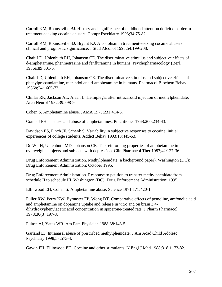Carroll KM, Rounsaville BJ. History and significance of childhood attention deficit disorder in treatment-seeking cocaine abusers. Compr Psychiatry 1993;34:75-82.

Carroll KM, Rounsaville BJ, Bryant KJ. Alcoholism in treatment-seeking cocaine abusers: clinical and prognostic significance. J Stud Alcohol 1993;54:199-208.

Chait LD, Uhlenhuth EH, Johanson CE. The discriminative stimulus and subjective effects of d-amphetamine, phenmetrazine and fenfluramine in humans. Psychopharmacology (Berl) 1986a;89:301-6.

Chait LD, Uhlenhuth EH, Johanson CE. The discriminative stimulus and subjective effects of phenylpropanolamine, mazindol and d-amphetamine in humans. Pharmacol Biochem Behav 1986b;24:1665-72.

Chillar RK, Jackson AL, Alaan L. Hemiplegia after intracarotid injection of methylphenidate. Arch Neurol 1982;39:598-9.

Cohen S. Amphetamine abuse. JAMA 1975;231:414-5.

Connell PH. The use and abuse of amphetamines. Practitioner 1968;200:234-43.

Davidson ES, Finch JF, Schenk S. Variability in subjective responses to cocaine: initial experiences of college students. Addict Behav 1993;18:445-53.

De Wit H, Uhlenhuth MD, Johanson CE. The reinforcing properties of amphetamine in overweight subjects and subjects with depression. Clin Pharmacol Ther 1987;42:127-36.

Drug Enforcement Administration. Methylphenidate (a background paper). Washington (DC): Drug Enforcement Administration; October 1995.

Drug Enforcement Administration. Response to petition to transfer methylphenidate from schedule II to schedule III. Washington (DC): Drug Enforcement Administration; 1995.

Ellinwood EH, Cohen S. Amphetamine abuse. Science 1971;171:420-1.

Fuller RW, Perry KW, Bymaster FP, Wong DT. Comparative effects of pemoline, amfonelic acid and amphetamine on dopamine uptake and release in vitro and on brain 3,4 dihydroxyphenylacetic acid concentration in spiperone-treated rats. J Pharm Pharmacol 1978;30(3):197-8.

Fulton AI, Yates WR. Am Fam Physician 1988;38:143-5.

Garland EJ. Intranasal abuse of prescribed methylphenidate. J Am Acad Child Adolesc Psychiatry 1998;37:573-4.

Gawin FH, Ellinwood EH. Cocaine and other stimulants. N Engl J Med 1988;318:1173-82.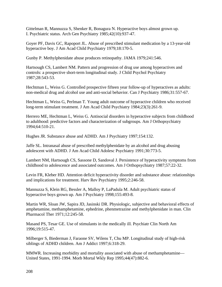Gittelman R, Mannuzza S, Shenker R, Bonagura N. Hyperactive boys almost grown up. I. Psychiatric status. Arch Gen Psychiatry 1985;42(10):937-47.

Goyer PF, Davis GC, Rapoport JL. Abuse of prescribed stimulant medication by a 13-year-old hyperactive boy. J Am Acad Child Psychiatry 1979;18:170-5.

Gunby P. Methylphenidate abuse produces retinopathy. JAMA 1979;241:546.

Hartsough CS, Lambert NM. Pattern and progression of drug use among hyperactives and controls: a prospective short-term longitudinal study. J Child Psychol Psychiatry 1987;28:543-53.

Hechtman L, Weiss G. Controlled prospective fifteen year follow-up of hyperactives as adults: non-medical drug and alcohol use and anti-social behavior. Can J Psychiatry 1986;31:557-67.

Hechtman L, Weiss G, Perlman T. Young adult outcome of hyperactive children who received long-term stimulant treatment. J Am Acad Child Psychiatry 1984;23(3):261-9.

Herrero ME, Hechtman L, Weiss G. Antisocial disorders in hyperactive subjects from childhood to adulthood: predictive factors and characterization of subgroups. Am J Orthopsychiatry 1994;64:510-21.

Hughes JR. Substance abuse and ADHD. Am J Psychiatry 1997;154:132.

Jaffe SL. Intranasal abuse of prescribed methylphenidate by an alcohol and drug abusing adolescent with ADHD. J Am Acad Child Adolesc Psychiatry 1991;30:773-5.

Lambert NM, Hartsough CS, Sassone D, Sandoval J. Persistence of hyperactivity symptoms from childhood to adolescence and associated outcomes. Am J Orthopsychiatry 1987;57:22-32.

Levin FR, Kleber HD. Attention deficit hyperactivity disorder and substance abuse: relationships and implications for treatment. Harv Rev Psychiatry 1995;2:246-58.

Mannuzza S, Klein RG, Bessler A, Malloy P, LaPadula M. Adult psychiatric status of hyperactive boys grown up. Am J Psychiatry 1998;155:493-8.

Martin WR, Sloan JW, Sapira JD, Jasinski DR. Physiologic, subjective and behavioral effects of amphetamine, methamphetamine, ephedrine, phenmetrazine and methylphenidate in man. Clin Pharmacol Ther 1971;12:245-58.

Masand PS, Tesar GE. Use of stimulants in the medically ill. Psychiatr Clin North Am 1996;19:515-47.

Milberger S, Biederman J, Faraone SV, Wilens T, Chu MP. Longitudinal study of high-risk siblings of ADHD children. Am J Addict 1997;6:318-29.

MMWR. Increasing morbidity and mortality associated with abuse of methamphetamine— United States, 1991-1994. Morb Mortal Wkly Rep 1995;44(47):882-6.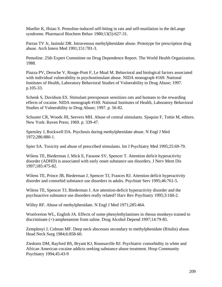Mueller K, Hsiao S. Pemoline-induced self-biting in rats and self-mutilation in the deLange syndrome. Pharmacol Biochem Behav 1980;13(5):627-31.

Parran TV Jr, Jasinski DR. Intravenous methylphenidate abuse. Prototype for prescription drug abuse. Arch Intern Med 1991;151:781-3.

Pemoline. 25th Expert Committee on Drug Dependence Report. The World Health Organization. 1988.

Piazza PV, Deroche V, Rouge-Pont F, Le Moal M. Behavioral and biological factors associated with individual vulnerability to psychostimulant abuse. NIDA monograph #169. National Institutes of Health, Laboratory Behavioral Studies of Vulnerability to Drug Abuse; 1997. p.105-33.

Schenk S, Davidson ES. Stimulant preexposure sensitizes rats and humans to the rewarding effects of cocaine. NIDA monograph #169. National Institutes of Health, Laboratory Behavioral Studies of Vulnerability to Drug Abuse; 1997. p. 56-82.

Schuster CR, Woods JH, Seevers MH. Abuse of central stimulants. Sjoquist F, Tottie M, editors. New York: Raven Press; 1969. p. 339-47.

Spensley J, Rockwell DA. Psychosis during methylphenidate abuse. N Engl J Med 1972;286:880-1.

Spier SA. Toxicity and abuse of prescribed stimulants. Int J Psychiatry Med 1995;25:69-79.

Wilens TE, Biederman J, Mick E, Faraone SV, Spencer T. Attention deficit hyperactivity disorder (ADHD) is associated with early onset substance use disorders. J Nerv Ment Dis 1997;185:475-82.

Wilens TE, Prince JB, Biederman J, Spencer TJ, Frances RJ. Attention deficit hyperactivity disorder and comorbid substance use disorders in adults. Psychiatr Serv 1995;46:761-5.

Wilens TE, Spencer TJ, Biederman J. Are attention-deficit hyperactivity disorder and the psychoactive substance use disorders really related? Harv Rev Psychiatry 1995;3:160-2.

Willey RF. Abuse of methylphenidate. N Engl J Med 1971;285:464.

Woolverton WL, English JA. Effects of some phenylethylamines in rhesus monkeys trained to discriminate (+)-amphetamine from saline. Drug Alcohol Depend 1997;14:79-85.

Zemplenyi J, Colman MF. Deep neck abscesses secondary to methylphenidate (Ritalin) abuse. Head Neck Surg 1984;6:858-60.

Ziedonis DM, Rayford BS, Bryant KJ, Rounsaville BJ. Psychiatric comorbidity in white and African American cocaine addicts seeking substance abuse treatment. Hosp Community Psychiatry 1994;45:43-9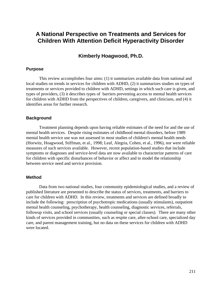# **A National Perspective on Treatments and Services for Children With Attention Deficit Hyperactivity Disorder**

## **Kimberly Hoagwood, Ph.D.**

### **Purpose**

This review accomplishes four aims: (1) it summarizes available data from national and local studies on trends in services for children with ADHD, (2) it summarizes studies on types of treatments or services provided to children with ADHD, settings in which such care is given, and types of providers, (3) it describes types of barriers preventing access to mental health services for children with ADHD from the perspectives of children, caregivers, and clinicians, and (4) it identifies areas for further research.

### **Background**

Treatment planning depends upon having reliable estimates of the need for and the use of mental health services. Despite rising estimates of childhood mental disorders, before 1989 mental health service use was not assessed in most studies of children's mental health needs (Horwitz, Hoagwood, Stiffman, et al., 1998; Leaf, Alegria, Cohen, et al., 1996), nor were reliable measures of such services available. However, recent population-based studies that include symptoms or diagnoses and service-level data are now available to characterize patterns of care for children with specific disturbances of behavior or affect and to model the relationship between service need and service provision.

#### **Method**

Data from two national studies, four community epidemiological studies, and a review of published literature are presented to describe the status of services, treatments, and barriers to care for children with ADHD. In this review, treatments and services are defined broadly to include the following: prescription of psychotropic medications (usually stimulants), outpatient mental health counseling, psychotherapy, health counseling, diagnostic services, referrals, followup visits, and school services (usually counseling or special classes). There are many other kinds of services provided in communities, such as respite care, after-school care, specialized day care, and parent management training, but no data on these services for children with ADHD were located.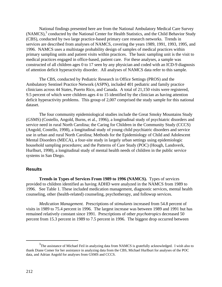National findings presented here are from the National Ambulatory Medical Care Survey (NAMCS),<sup>3</sup> conducted by the National Center for Health Statistics, and the Child Behavior Study (CBS), conducted by two large practice-based primary care research networks. Trends in services are described from analyses of NAMCS, covering the years 1989, 1991, 1993, 1995, and 1996. NAMCS uses a multistage probability design of samples of medical practices within primary sampling units and patient visits within practices. The basic sampling unit is the visit to medical practices engaged in office-based, patient care. For these analyses, a sample was constructed of all children ages 0 to 17 seen by any physician and coded with an ICD-9 diagnosis of attention deficit hyperactivity disorder. All analyses of NAMCS data refer to this sample.

The CBS, conducted by Pediatric Research in Office Settings (PROS) and the Ambulatory Sentinel Practice Network (ASPN), included 401 pediatric and family practice clinicians across 44 States, Puerto Rico, and Canada. A total of 21,150 visits were registered, 9.5 percent of which were children ages 4 to 15 identified by the clinician as having attention deficit hyperactivity problems. This group of 2,007 comprised the study sample for this national dataset.

The four community epidemiological studies include the Great Smoky Mountains Study (GSMS) (Costello, Angold, Burns, et al., 1996), a longitudinal study of psychiatric disorders and service need in rural North Carolina; the Caring for Children in the Community Study (CCCS) (Angold, Costello, 1998), a longitudinal study of young child psychiatric disorders and service use in urban and rural North Carolina; Methods for the Epidemiology of Child and Adolescent Mental Disorders (MECA), a four-site study in largely urban settings using epidemiologic household sampling procedures; and the Patterns of Care Study (POC) (Hough, Landsverk, Hurlburt, 1998), a longitudinal study of mental health needs of children in the public service systems in San Diego.

#### **Results**

**Trends in Types of Services From 1989 to 1996 (NAMCS).** Types of services provided to children identified as having ADHD were analyzed in the NAMCS from 1989 to 1996. See Table 1. These included medication management, diagnostic services, mental health counseling, other (health-related) counseling, psychotherapy, and followup services.

*Medication Management.* Prescriptions of *stimulants* increased from 54.8 percent of visits in 1989 to 75.4 percent in 1996. The largest increase was between 1989 and 1991 but has remained relatively constant since 1991. Prescriptions of other *psychotropics* decreased 50 percent from 15.3 percent in 1989 to 7.5 percent in 1996. The biggest drop occurred between

-

 $3$ The assistance of Michael Feil in analyzing data from NAMCS is gratefully acknowledged. I wish also to thank Diane Comer for her assistance in analyzing data from the CBS, Michael Hurlburt for analyses of the POC data, and Adrian Angold for analyses from GSMS and CCCS.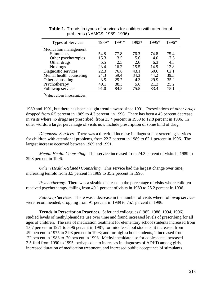| <b>Types of Services</b> | 1989* | 1991* | 1993* | 1995* | 1996* |
|--------------------------|-------|-------|-------|-------|-------|
| Medication management    |       |       |       |       |       |
| <b>Stimulants</b>        | 54.8  | 77.8  | 76.3  | 74.8  | 75.4  |
| Other psychotropics      | 15.3  | 3.5   | 5.6   | 4.0   | 7.5   |
| Other drugs              | 6.5   | 2.5   | 2.6   | 6.3   | 4.3   |
| No drugs                 | 23.4  | 16.2  | 15.5  | 14.9  | 12.8  |
| Diagnostic services      | 22.3  | 76.6  | 43.1  | 60.6  | 62.1  |
| Mental health counseling | 24.3  | 59.4  | 34.3  | 44.2  | 39.3  |
| Other counseling         | 3.5   | 29.7  | 4.3   | 29.9  | 35.2  |
| Psychotherapy            | 40.1  | 38.3  | 5.6   | 21.3  | 25.2  |
| Followup services        | 91.0  | 84.5  | 75.5  | 83.4  | 75.1  |

**Table 1.** Trends in types of services for children with attentional problems (NAMCS, 1989–1996)

Values given in percentages.

1989 and 1991, but there has been a slight trend upward since 1991. Prescriptions of *other drugs*  dropped from 6.5 percent in 1989 to 4.3 percent in 1996. There has been a 45 percent decrease in visits where *no drugs* are prescribed, from 23.4 percent in 1989 to 12.8 percent in 1996. In other words, a larger percentage of visits now include prescription of some kind of drug.

*Diagnostic Services.* There was a threefold increase in diagnostic or screening services for children with attentional problems, from 22.3 percent in 1989 to 62.1 percent in 1996. The largest increase occurred between 1989 and 1991.

*Mental Health Counseling.* This service increased from 24.3 percent of visits in 1989 to 39.3 percent in 1996.

*Other (Health-Related) Counseling.* This service had the largest change over time, increasing tenfold from 3.5 percent in 1989 to 35.2 percent in 1996.

*Psychotherapy.* There was a sizable decrease in the percentage of visits where children received psychotherapy, falling from 40.1 percent of visits in 1989 to 25.2 percent in 1996.

*Followup Services.* There was a decrease in the number of visits where followup services were recommended, dropping from 91 percent in 1989 to 75.1 percent in 1996.

**Trends in Prescription Practices.** Safer and colleagues (1985, 1988, 1994, 1996) studied levels of methylphenidate use over time and found increased levels of prescribing for all ages of children. The rate of medication treatment for elementary school students increased from 1.07 percent in 1971 to 5.96 percent in 1987; for middle school students, it increased from .59 percent in 1975 to 2.98 percent in 1993; and for high school students, it increased from .22 percent in 1983 to .70 percent in 1993. Methylphenidate use for adolescents increased 2.5-fold from 1990 to 1995, perhaps due to increases in diagnoses of ADHD among girls, increased duration of medication treatment, and increased public acceptance of stimulants.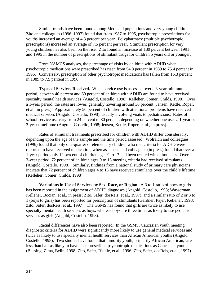Similar trends have been found among Medicaid populations and very young children. Zito and colleagues (1996, 1997) found that from 1987 to 1995, psychotropic prescriptions for youths increased an average of 4.3 percent per year. Polypharmacy (multiple psychotropic prescriptions) increased an average of 7.5 percent per year. Stimulant prescription for very young children has also been on the rise. Zito found an increase of 180 percent between 1991 and 1995 in the number of prescriptions of stimulant drugs for children 5 years old or younger.

From NAMCS analyses, the percentage of visits by children with ADHD when psychotropic medications were prescribed has risen from 54.8 percent in 1989 to 75.4 percent in 1996. Conversely, prescription of other psychotropic medications has fallen from 15.3 percent in 1989 to 7.5 percent in 1996.

**Types of Services Received.** When service use is assessed over a 3-year minimum period, between 40 percent and 60 percent of children with ADHD are found to have received specialty mental health services (Angold, Costello, 1998; Kelleher, Comer, Childs, 1998). Over a 1-year period, the rates are lower, generally hovering around 30 percent (Jensen, Kettle, Roper, et al., in press). Approximately 50 percent of children with attentional problems have received medical services (Angold, Costello, 1998), usually involving visits to pediatricians. Rates of school service use vary from 24 percent to 80 percent, depending on whether one uses a 1-year or 3-year timeframe (Angold, Costello, 1998; Jensen, Kettle, Roper, et al., in press).

Rates of stimulant treatments prescribed for children with ADHD differ considerably, depending upon the age of the sample and the time period assessed. Wolraich and colleagues (1996) found that only one-quarter of elementary children who met criteria for ADHD were reported to have received medication, whereas Jensen and colleagues (in press) found that over a 1-year period only 12 percent of children ages 9 to 17 had been treated with stimulants. Over a 3-year period, 72 percent of children ages 9 to 13 meeting criteria had received stimulants (Angold, Costello, 1998). Similarly, findings from a national study of primary care physicians indicate that 72 percent of children ages 4 to 15 have received stimulants over the child's lifetime (Kelleher, Comer, Childs, 1998).

**Variations in Use of Services by Sex, Race, or Region.** A 3 to 1 ratio of boys to girls has been reported in the assignment of ADHD diagnoses (Angold, Costello, 1998; Wasserman, Kelleher, Bocian, et al., in press; Zito, Safer, dosReis, et al., 1997), and a similar ratio of 2 or 3 to 1 (boys to girls) has been reported for prescription of stimulants (Gardner, Pajer, Kelleher, 1998; Zito, Safer, dosReis, et al., 1997). The GSMS has found that girls are twice as likely to use specialty mental health services as boys, whereas boys are three times as likely to use pediatric services as girls (Angold, Costello, 1998).

Racial differences have also been reported. In the GSMS, Caucasian youth meeting diagnostic criteria for ADHD were significantly more likely to use general medical services and twice as likely to use specialty mental health services than African American youths (Angold, Costello, 1998). Two studies have found that minority youth, primarily African American, are less than half as likely to have been prescribed psychotropic medications as Caucasian youths (Bussing, Zima, Belin, 1998; Zito, Safer, Riddle, et al., 1996; Zito, Safer, dosReis, et al., 1997).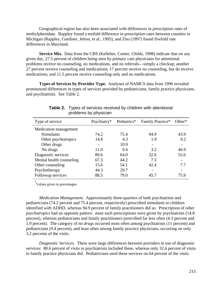Geographical region has also been associated with differences in prescription rates of methylphenidate. Rappley found a tenfold difference in prescription rates between counties in Michigan (Rappley, Gardiner, Jetton, et al., 1995), and Zito (1997) found fivefold rate differences in Maryland.

**Service Mix.** Data from the CBS (Kelleher, Comer, Childs, 1998) indicate that on any given day, 27.5 percent of children being seen by primary care physicians for attentional problems receive no counseling, no medications, and no referrals—simply a checkup; another 27 percent receive counseling and medications; 17 percent receive no counseling, but do receive medications; and 11.5 percent receive counseling only and no medications.

**Types of Services by Provider Type.** Analyses of NAMCS data from 1996 revealed pronounced differences in types of services provided by pediatricians, family practice physicians, and psychiatrists. See Table 2.

| Type of service          | Psychiatry* | Pediatrics* | Family Practice*         | Other $*$ |
|--------------------------|-------------|-------------|--------------------------|-----------|
| Medication management    |             |             |                          |           |
| <b>Stimulants</b>        | 74.2        | 75.4        | 94.9                     | 43.9      |
| Other psychotropics      | 14.8        | 4.3         | 1.9                      | 9.2       |
| Other drugs              |             | 10.9        | $\overline{\phantom{a}}$ | -         |
| No drugs                 | 11.0        | 9.4         | 3.2                      | 46.9      |
| Diagnostic services      | 80.6        | 64.0        | 32.6                     | 55.6      |
| Mental health counseling | 67.3        | 44.2        | 7.3                      |           |
| Other counseling         | 15.6        | 54.1        | 42.4                     | 7.7       |
| Psychotherapy            | 44.3        | 29.7        |                          |           |
| Followup services        | 88.5        | 79.0        | 45.7                     | 75.9      |

**Table 2.** Types of services received by children with attentional problems by physician

\* Values given in percentages.

*Medication Management.* Approximately three-quarters of both psychiatrists and pediatricians (74.2 percent and 75.4 percent, respectively) prescribed *stimulants* to children identified with ADHD, whereas 94.9 percent of family practitioners did so. Prescription of other *psychotropics* had an opposite pattern: most such prescriptions were given by psychiatrists (14.8 percent), whereas pediatricians and family practitioners prescribed far less often (4.3 percent and 1.9 percent). The category of *no drugs* occurred most often among psychiatrists (11 percent) and pediatricians (9.4 percent), and least often among family practice physicians, occurring on only 3.2 percents of the visits.

*Diagnostic Services.* There were large differences between providers in use of diagnostic services: 80.6 percent of visits to psychiatrists included these, whereas only 32.6 percent of visits to family practice physicians did. Pediatricians used these services on 64 percent of the visits.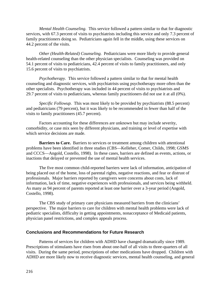*Mental Health Counseling.* This service followed a pattern similar to that for diagnostic services, with 67.3 percent of visits to psychiatrists including this service and only 7.3 percent of family practitioners doing so. Pediatricians again fell in the middle, using these services on 44.2 percent of the visits.

*Other (Health-Related) Counseling.* Pediatricians were more likely to provide general health-related counseling than the other physician specialists. Counseling was provided on 54.1 percent of visits to pediatricians, 42.4 percent of visits to family practitioners, and only 15.6 percent of visits to psychiatrists.

*Psychotherapy.* This service followed a pattern similar to that for mental health counseling and diagnostic services, with psychiatrists using psychotherapy more often than the other specialists. Psychotherapy was included in 44 percent of visits to psychiatrists and 29.7 percent of visits to pediatricians, whereas family practitioners did not use it at all (0%).

*Specific Followup.* This was most likely to be provided by psychiatrists (88.5 percent) and pediatricians (79 percent), but it was likely to be recommended in fewer than half of the visits to family practitioners (45.7 percent).

Factors accounting for these differences are unknown but may include severity, comorbidity, or case mix seen by different physicians, and training or level of expertise with which service decisions are made.

Barriers to Care. Barriers to services or treatment among children with attentional problems have been identified in three studies (CBS—Kelleher, Comer, Childs, 1998; GSMS and CCCS—Angold, Costello, 1998). In these cases, barriers are defined as events, actions, or inactions that delayed or prevented the use of mental health services.

The five most common child-reported barriers were lack of information, anticipation of being placed out of the home, loss of parental rights, negative reactions, and fear or distrust of professionals. Major barriers reported by caregivers were concerns about costs, lack of information, lack of time, negative experiences with professionals, and services being withheld. As many as 94 percent of parents reported at least one barrier over a 3-year period (Angold, Costello, 1998).

The CBS study of primary care physicians measured barriers from the clinicians' perspective. The major barriers to care for children with mental health problems were lack of pediatric specialists, difficulty in getting appointments, nonacceptance of Medicaid patients, physician panel restrictions, and complex appeals process.

### **Conclusions and Recommendations for Future Research**

Patterns of services for children with ADHD have changed dramatically since 1989. Prescriptions of stimulants have risen from about one-half of all visits to three-quarters of all visits. During the same period, prescriptions of other medications have dropped. Children with ADHD are more likely now to receive diagnostic services, mental health counseling, and general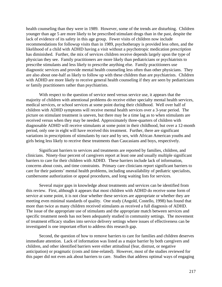health counseling than they were in 1989. However, some of the trends are disturbing. Children younger than age 5 are more likely to be prescribed stimulant drugs than in the past, despite the lack of evidence of its safety in this age group. Fewer visits of children now include recommendations for followup visits than in 1989, psychotherapy is provided less often, and the likelihood of a child with ADHD having a visit without a psychotropic medication prescription has diminished. Further, the mix of services children receive depends largely upon the type of physician they see. Family practitioners are more likely than pediatricians or psychiatrists to prescribe stimulants and less likely to prescribe anything else. Family practitioners use diagnostic services and provide mental health counseling less often than other physicians. They are also about one-half as likely to follow up with these children than are psychiatrists. Children with ADHD are more likely to receive general health counseling if they are seen by pediatricians or family practitioners rather than psychiatrists.

With respect to the question of service need versus service use, it appears that the majority of children with attentional problems do receive either specialty mental health services, medical services, or school services at some point during their childhood. Well over half of children with ADHD symptoms will receive mental health services over a 3-year period. The picture on stimulant treatment is uneven, but there may be a time lag as to when stimulants are received versus when they may be needed. Approximately three-quarters of children with diagnosable ADHD will receive stimulants at some point in their childhood, but over a 12-month period, only one in eight will have received this treatment. Further, there are significant variations in prescriptions of stimulants by race and by sex, with African American youths and girls being less likely to receive these treatments than Caucasians and boys, respectively.

Significant barriers to services and treatments are reported by families, children, and clinicians. Ninety-four percent of caregivers report at least one and usually multiple significant barriers to care for their children with ADHD. These barriers include lack of information, concerns about costs, and time constraints. Primary care clinicians report significant barriers to care for their patients' mental health problems, including unavailability of pediatric specialists, cumbersome authorization or appeal procedures, and long waiting lists for services.

Several major gaps in knowledge about treatments and services can be identified from this review. First, although it appears that most children with ADHD do receive some form of service at some point, it is not clear whether these services are appropriate or whether they are meeting even minimal standards of quality. One study (Angold, Costello, 1998) has found that more than twice as many children received stimulants as received a full diagnosis of ADHD. The issue of the appropriate use of stimulants and the appropriate match between services and specific treatment needs has not been adequately studied in community settings. The movement of treatment efficacy studies into service delivery settings where issues of effectiveness can be investigated is one important effort to address this research gap.

Second, the question of how to remove barriers to care for families and children deserves immediate attention. Lack of information was listed as a major barrier by both caregivers and children, and other identified barriers were either attitudinal (fear, distrust, or negative anticipation) or pragmatic (costs and time-related). However, most of the studies reviewed for this paper did not even ask about barriers to care. Studies that address optimal ways of engaging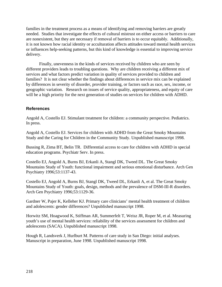families in the treatment process as a means of identifying and removing barriers are greatly needed. Studies that investigate the effects of cultural mistrust on either access or barriers to care are nonexistent, but they are necessary if removal of barriers is to occur equitably. Additionally, it is not known how racial identity or acculturation affects attitudes toward mental health services or influences help-seeking patterns, but this kind of knowledge is essential to improving service delivery.

Finally, unevenness in the kinds of services received by children who are seen by different providers leads to troubling questions. Why are children receiving a different mix of services and what factors predict variation in quality of services provided to children and families? It is not clear whether the findings about differences in service mix can be explained by differences in severity of disorder, provider training, or factors such as race, sex, income, or geographic variation. Research on issues of service quality, appropriateness, and equity of care will be a high priority for the next generation of studies on services for children with ADHD.

## **References**

Angold A, Costello EJ. Stimulant treatment for children: a community perspective. Pediatrics. In press.

Angold A, Costello EJ. Services for children with ADHD from the Great Smoky Mountains Study and the Caring for Children in the Community Study. Unpublished manuscript 1998.

Bussing R, Zima BT, Belin TR. Differential access to care for children with ADHD in special education programs. Psychiatr Serv. In press.

Costello EJ, Angold A, Burns BJ, Erkanli A, Stangl DK, Tweed DL. The Great Smoky Mountains Study of Youth: functional impairment and serious emotional disturbance. Arch Gen Psychiatry 1996;53:1137-43.

Costello EJ, Angold A, Burns BJ, Stangl DK, Tweed DL, Erkanli A, et al. The Great Smoky Mountains Study of Youth: goals, design, methods and the prevalence of DSM-III-R disorders. Arch Gen Psychiatry 1996;53:1129-36.

Gardner W, Pajer K, Kelleher KJ. Primary care clinicians' mental health treatment of children and adolescents: gender differences? Unpublished manuscript 1998.

Horwitz SM, Hoagwood K, Stiffman AR, Summerfelt T, Weisz JR, Roper M, et al. Measuring youth's use of mental health services: reliability of the services assessment for children and adolescents (SACA). Unpublished manuscript 1998.

Hough R, Landsverk J, Hurlburt M. Patterns of care study in San Diego: initial analyses. Manuscript in preparation, June 1998. Unpublished manuscript 1998.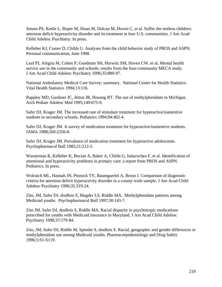Jensen PS, Kettle L, Roper M, Sloan M, Dulcan M, Hoven C, et al. Suffer the restless children: attention deficit hyperactivity disorder and its treatment in four U.S. communities. J Am Acad Child Adolesc Psychiatry. In press.

Kelleher KJ, Comer D, Childs G. Analyses from the child behavior study of PROS and ASPN. Personal communication, June 1998.

Leaf PJ, Alegria M, Cohen P, Goodman SH, Horwitz SM, Hoven CW, et al. Mental health service use in the community and schools: results from the four-community MECA study. J Am Acad Child Adolesc Psychiatry 1996;35:889-97.

National Ambulatory Medical Care Survey: summary. National Center for Health Statistics. Vital Health Statistics 1994;13:116.

Rappley MD, Gardiner JC, Jetton JR, Houang RT. The use of methylphenidate in Michigan. Arch Pediatr Adolesc Med 1995;149:675-9.

Safer DJ, Krager JM. The increased rate of stimulant treatment for hyperactive/inattentive students in secondary schools. Pediatrics 1994;94:462-4.

Safer DJ, Krager JM. A survey of medication treatment for hyperactive/inattentive students. JAMA 1988;260:2256-8.

Safer DJ, Krager JM. Prevalence of medication treatment for hyperactive adolescents. Psychopharmacol Bull 1985;21:212-5.

Wasserman R, Kelleher K, Bocian A, Baker A, Childs G, Indacochea F, et al. Identification of attentional and hyperactivity problems in primary care: a report from PROS and ASPN. Pediatrics. In press.

Wolraich ML, Hannah JN, Pinnock TY, Baumgaertel A, Brosn J. Comparison of diagnostic criteria for attention deficit hyperactivity disorder in a county-wide sample. J Am Acad Child Adolesc Psychiatry 1996;35:319-24.

Zito, JM, Safer DJ, dosReis S, Magder LS, Riddle MA. Methylphenidate patterns among Medicaid youths. Psychopharmacol Bull 1997;30:143-7.

Zito JM, Safer DJ, dosReis S, Riddle MA. Racial disparity in psychotropic medications prescribed for youths with Medicaid insurance in Maryland. J Am Acad Child Adolesc Psychiatry 1998;37:179-84.

Zito, JM, Safer DJ, Riddle M, Speedie S, dosReis S. Racial, geographic and gender differences in methylphenidate use among Medicaid youths. Pharmacoepidemiology and Drug Safety 1996;5:S1-S119.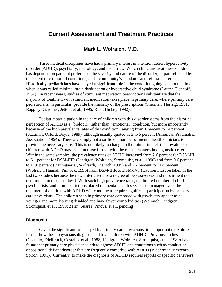# **Current Assessment and Treatment Practices**

## **Mark L. Wolraich, M.D.**

Three medical disciplines have had a primary interest in attention deficit hyperactivity disorder (ADHD): psychiatry, neurology, and pediatrics. Which clinicians treat these children has depended on parental preference; the severity and nature of the disorder, in part reflected by the extent of co-morbid conditions; and a community's standards and referral patterns. Historically, pediatricians have played a significant role in the condition going back to the time when it was called minimal brain dysfunction or hyperactive child syndrome (Laufer, Denhoff, 1957). In recent years, studies of stimulant medication prescriptions substantiate that the majority of treatment with stimulant medication takes place in primary care, where primary care pediatricians, in particular, provide the majority of the prescriptions (Sherman, Hertzig, 1991; Rappley, Gardiner, Jetton, et al., 1995; Ruel, Hickey, 1992).

Pediatric participation in the care of children with this disorder stems from the historical perception of ADHD as a "biologic" rather than "emotional" condition, but more importantly because of the high prevalence rates of this condition, ranging from 1 percent to 14 percent (Szatmari, Offord, Boyle, 1989), although usually quoted as 3 to 5 percent (American Psychiatric Association, 1994). There are simply not a sufficient number of mental health clinicians to provide the necessary care. This is not likely to change in the future; in fact, the prevalence of children with ADHD may even increase further with the recent changes in diagnostic criteria. Within the same samples, the prevalence rates of ADHD increased from 2.6 percent for DSM-III to 6.1 percent for DSM-IIIR (Lindgren, Wolraich, Stromquist, et al., 1990) and from 9.6 percent to 17.8 percent (Baumgaertel, Wolraich, Dietrich, 1995) and 7.2 percent to 11.4 percent (Wolraich, Hannah, Pinnock, 1996) from DSM-IIIR to DSM-IV. (Caution must be taken in the last two studies because the new criteria require a degree of pervasiveness and impairment not determined in those studies.) With such high prevalence rates, the limited number of child psychiatrists, and more restrictions placed on mental health services in managed care, the treatment of children with ADHD will continue to require significant participation by primary care physicians. The children seen in primary care compared with psychiatry appear to be younger and more learning disabled and have fewer comorbidities (Wolraich, Lindgren, Stromquist, et al., 1990; Zarin, Suarez, Pincus, et al., pending).

### **Diagnosis**

Given the significant role played by primary care physicians, it is important to explore further how these physicians diagnose and treat children with ADHD. Previous studies (Costello, Edelbrock, Costello, et al., 1988; Lindgren, Wolraich, Stromquist, et al., 1989) have found that primary care physicians underdiagnose ADHD and conditions such as conduct or oppositional defiant disorder that are frequently comorbid with ADHD (Biederman, Newcorn, Sprich, 1991). Currently, to make the diagnosis of ADHD requires reports of specific behaviors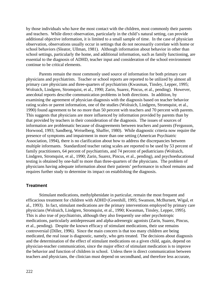by those individuals who have the most contact with the children, most commonly their parents and teachers. While direct observation, particularly in the child's natural setting, can provide additional objective information, it is limited to a small sample of time. In the case of physician observation, observations usually occur in settings that do not necessarily correlate with home or school behaviors (Sleator, Ullman, 1981). Although information about behavior in other than school settings, particularly the home, and additional information, such as family functioning, are essential to the diagnosis of ADHD, teacher input and consideration of the school environment continue to be critical elements.

Parents remain the most commonly used source of information for both primary care physicians and psychiatrists. Teacher or school reports are reported to be utilized by almost all primary care physicians and three-quarters of psychiatrists (Kwasman, Tinsley, Lepper, 1995; Wolraich, Lindgren, Stromquist, et al., 1990; Zarin, Suarez, Pincus, et al., pending). However, anecdotal reports describe communication problems in both directions. In addition, by examining the agreement of physician diagnosis with the diagnosis based on teacher behavior rating scales or parent information, one of the studies (Wolraich, Lindgren, Stromquist, et al., 1990) found agreement to be no more than 50 percent with teachers and 70 percent with parents. This suggests that physicians are more influenced by information provided by parents than by that provided by teachers in their consideration of the diagnosis. The issues of sources of information are problematic because of disagreements between teachers and parents (Fergusson, Horwood, 1993; Sandberg, Weiselberg, Shaffer, 1980). While diagnostic criteria now require the presence of symptoms and impairment in more than one setting (American Psychiatric Association, 1994), there is no clarification about how to address the discrepancies between multiple informants. Standardized teacher rating scales are reported to be used by 53 percent of family practitioners, 64 percent of psychiatrists, and 74 percent of pediatricians (Wolraich, Lindgren, Stromquist, et al., 1990; Zarin, Suarez, Pincus, et al., pending), and psychoeducational testing is obtained by one-half to more than three-quarters of the physicians. The problem of physicians having adequate information about their patients' performance in school remains and requires further study to determine its impact on establishing the diagnosis.

### **Treatment**

Stimulant medications, methylphenidate in particular, remain the most frequent and efficacious treatment for children with ADHD (Greenhill, 1995; Swanson, McBurnett, Wigal, et al., 1993). In fact, stimulant medications are the primary interventions employed by primary care physicians (Wolraich, Lindgren, Stromquist, et al., 1990; Kwasman, Tinsley, Lepper, 1995). This is also true of psychiatrists, although they also frequently use other psychotropic medications, particularly antidepressant and alpha-adrenergic agonists (Zarin, Suarez, Pincus, et al., pending). Despite the known efficacy of stimulant medications, their use remains controversial (Diller, 1996). Since the main concern is that too many children are being medicated, the real issue is diagnostic, namely, who gets treated. The decisions about diagnosis and the determination of the effect of stimulant medications on a given child, again, depend on physician-teacher communication, since the major effect of stimulant medication is to improve the behavior and function of children in school. Unless there is direct communication between teachers and physicians, the clinician must depend on secondhand, and therefore less accurate,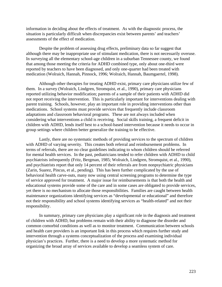information in deciding about the effects of treatment. As with the diagnostic process, the situation is particularly difficult when discrepancies exist between parents' and teachers' assessments of the effect of medication.

Despite the problem of assessing drug effects, preliminary data so far suggest that although there may be inappropriate use of stimulant medication, there is not necessarily overuse. In surveying all the elementary school-age children in a suburban Tennessee county, we found that among those meeting the criteria for ADHD combined type, only about one-third were reported by teachers to have been diagnosed, and only one-quarter had been treated with medication (Wolraich, Hannah, Pinnock, 1996; Wolraich, Hannah, Baumgaertel, 1998).

Although other therapies for treating ADHD exist, primary care physicians utilize few of them. In a survey (Wolraich, Lindgren, Stromquist, et al., 1990), primary care physicians reported utilizing behavior modification; parents of a sample of their patients with ADHD did not report receiving the intervention. This is particularly important for interventions dealing with parent training. Schools, however, play an important role in providing interventions other than medications. School systems must provide services that frequently include classroom adaptations and classroom behavioral programs. These are not always included when considering what interventions a child is receiving. Social skills training, a frequent deficit in children with ADHD, lends itself best to a school-based intervention because it needs to occur in group settings where children better generalize the training to be effective.

Lastly, there are no systematic methods of providing services to the spectrum of children with ADHD of varying severity. This creates both referral and reimbursement problems. In terms of referrals, there are no clear guidelines indicating to whom children should be referred for mental health services. In the past, pediatricians tended to refer children with ADHD to child psychiatrists infrequently (Fritz, Bergman, 1985; Wolraich, Lindgren, Stromquist, et al., 1990), and psychiatrists report that only 14 percent of their referrals are from nonpsychiatric physicians (Zarin, Suarez, Pincus, et al., pending). This has been further complicated by the use of behavioral health carve-outs, many now using central screening programs to determine the type of service approved for treatment. A major issue for reimbursements is that both the health and educational systems provide some of the care and in some cases are obligated to provide services, yet there is no mechanism to allocate those responsibilities. Families are caught between health maintenance organizations identifying services as "developmental or educational" and therefore not their responsibility and school systems identifying services as "health-related" and not their responsibility.

In summary, primary care physicians play a significant role in the diagnosis and treatment of children with ADHD, but problems remain with their ability to diagnose the disorder and common comorbid conditions as well as to monitor treatment. Communication between schools and health care providers is an important link in this process which requires further study and intervention through a systems conceptualization of the process and examining individual physician's practices. Further, there is a need to develop a more systematic method for organizing the broad array of services available to develop a seamless system of care.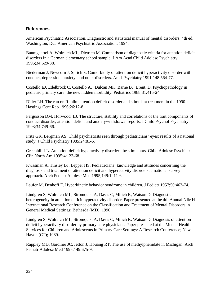## **References**

American Psychiatric Association. Diagnostic and statistical manual of mental disorders. 4th ed. Washington, DC: American Psychiatric Association; 1994.

Baumgaertel A, Wolraich ML, Dietrich M. Comparison of diagnostic criteria for attention deficit disorders in a German elementary school sample. J Am Acad Child Adolesc Psychiatry 1995;34:629-38.

Biederman J, Newcorn J, Sprich S. Comorbidity of attention deficit hyperactivity disorder with conduct, depression, anxiety, and other disorders. Am J Psychiatry 1991;148:564-77.

Costello EJ, Edelbrock C, Costello AJ, Dulcan MK, Barne BJ, Brent, D. Psychopathology in pediatric primary care: the new hidden morbidity. Pediatrics 1988;81:415-24.

Diller LH. The run on Ritalin: attention deficit disorder and stimulant treatment in the 1990's. Hastings Cent Rep 1996;26:12-8.

Fergusson DM, Horwood LJ. The structure, stability and correlations of the trait components of conduct disorder, attention deficit and anxiety/withdrawal reports. J Child Psychol Psychiatry 1993;34:749-66.

Fritz GK, Bergman AS. Child psychiatrists seen through pediatricians' eyes: results of a national study. J Child Psychiatry 1985;24:81-6.

Greenhill LL. Attention-deficit hyperactivity disorder: the stimulants. Child Adolesc Psychiatr Clin North Am 1995;4:123-68.

Kwasman A, Tinsley BJ, Lepper HS. Pediatricians' knowledge and attitudes concerning the diagnosis and treatment of attention deficit and hyperactivity disorders: a national survey approach. Arch Pediatr Adolesc Med 1995;149:1211-6.

Laufer M, Denhoff E. Hyperkinetic behavior syndrome in children. J Pediatr 1957;50:463-74.

Lindgren S, Wolraich ML, Stromquist A, Davis C, Milich R, Watson D. Diagnostic heterogeneity in attention deficit hyperactivity disorder. Paper presented at the 4th Annual NIMH International Research Conference on the Classification and Treatment of Mental Disorders in General Medical Settings; Bethesda (MD); 1990.

Lindgren S, Wolraich ML, Stromquist A, Davis C, Milich R, Watson D. Diagnosis of attention deficit hyperactivity disorder by primary care physicians. Paper presented at the Mental Health Services for Children and Adolescents in Primary Care Settings: A Research Conference; New Haven (CT); 1989.

Rappley MD, Gardiner JC, Jetton J, Houang RT. The use of methylphenidate in Michigan. Arch Pediatr Adolesc Med 1995;149:675-9.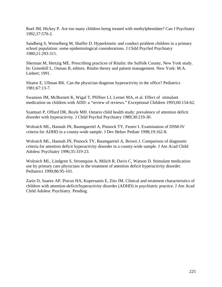Ruel JM, Hickey P. Are too many children being treated with methylphenidate? Can J Psychiatry 1992;37:570-2.

Sandberg S, Weiselberg M, Shaffer D. Hyperkinetic and conduct problem children in a primary school population: some epidemiological considerations. J Child Psychol Psychiatry 1980;21:293-311.

Sherman M, Hertzig ME. Prescribing practices of Ritalin: the Suffolk County, New York study. In: Greenhill L, Osman B, editors. Ritalin theory and patient management. New York: M.A. Liebert; 1991.

Sleator E, Ullman RK. Can the physician diagnose hyperactivity in the office? Pediatrics 1981;67:13-7.

Swanson JM, McBurnett K, Wigal T, Pfiffner LJ, Lerner MA, et al. Effect of stimulant medication on children with ADD: a "review of reviews." Exceptional Children 1993;60:154-62.

Szatmari P, Offord DR, Boyle MH. Ontario child health study: prevalence of attention deficit disorder with hyperactivity. J Child Psychol Psychiatry 1989;30:219-30.

Wolraich ML, Hannah JN, Baumgaertel A, Pinnock TY, Feurer I. Examination of DSM-IV criteria for ADHD in a county-wide sample. J Dev Behav Pediatr 1998;19:162-8.

Wolraich ML, Hannah JN, Pinnock TY, Baumgaertel A, Brown J. Comparison of diagnostic criteria for attention deficit hyperactivity disorder in a county-wide sample. J Am Acad Child Adolesc Psychiatry 1996;35:319-23.

Wolraich ML, Lindgren S, Stromquist A, Milich R, Davis C, Watson D. Stimulant medication use by primary care physicians in the treatment of attention deficit hyperactivity disorder. Pediatrics 1990;86:95-101.

Zarin D, Suarez AP, Pincus HA, Kupersanin E, Zito JM. Clinical and treatment characteristics of children with attention-deficit/hyperactivity disorder (ADHD) in psychiatric practice. J Am Acad Child Adolesc Psychiatry. Pending.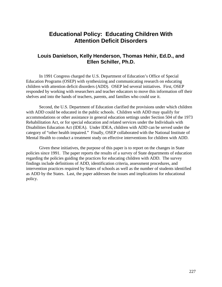# **Educational Policy: Educating Children With Attention Deficit Disorders**

## **Louis Danielson, Kelly Henderson, Thomas Hehir, Ed.D., and Ellen Schiller, Ph.D.**

In 1991 Congress charged the U.S. Department of Education's Office of Special Education Programs (OSEP) with synthesizing and communicating research on educating children with attention deficit disorders (ADD). OSEP led several initiatives. First, OSEP responded by working with researchers and teacher educators to move this information off their shelves and into the hands of teachers, parents, and families who could use it.

Second, the U.S. Department of Education clarified the provisions under which children with ADD could be educated in the public schools. Children with ADD may qualify for accommodations or other assistance in general education settings under Section 504 of the 1973 Rehabilitation Act, or for special education and related services under the Individuals with Disabilities Education Act (IDEA). Under IDEA, children with ADD can be served under the category of "other health impaired." Finally, OSEP collaborated with the National Institute of Mental Health to conduct a treatment study on effective interventions for children with ADD.

Given these initiatives, the purpose of this paper is to report on the changes in State policies since 1991. The paper reports the results of a survey of State departments of education regarding the policies guiding the practices for educating children with ADD. The survey findings include definitions of ADD, identification criteria, assessment procedures, and intervention practices required by States of schools as well as the number of students identified as ADD by the States. Last, the paper addresses the issues and implications for educational policy.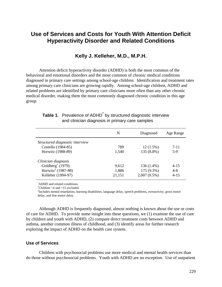# **Use of Services and Costs for Youth With Attention Deficit Hyperactivity Disorder and Related Conditions**

## **Kelly J. Kelleher, M.D., M.P.H.**

Attention deficit hyperactivity disorder (ADHD) is both the most common of the behavioral and emotional disorders and the most common of chronic medical conditions diagnosed in primary care settings among school-age children. Identification and treatment rates among primary care clinicians are growing rapidly. Among school-age children, ADHD and related problems are identified by primary care clinicians more often than any other chronic medical disorder, making them the most commonly diagnosed chronic condition in this age group.

## **Table 1.** Prevalence of ADHD<sup>\*</sup> by structured diagnostic interview and clinician diagnosis in primary care samples

|                                                    | N      | Diagnosed      | Age Range |
|----------------------------------------------------|--------|----------------|-----------|
| Structured diagnostic interview                    |        |                |           |
| Costello (1984-85)                                 | 789    | $12(1.5\%)$    | $7 - 11$  |
| Horwitz (1988-89)                                  | 1.540  | 135 (8.8%)     | $5-9$     |
| Clinician diagnosis                                |        |                |           |
| Goldberg <sup>†</sup> (1979)                       | 9,612  | 136 (1.4%)     | $4 - 15$  |
| Horwitz <sup><math>\ddagger</math></sup> (1987-88) | 1,886  | 175 (9.3%)     | $4 - 8$   |
| Kelleher (1994-97)                                 | 21,151 | $2,007(9.5\%)$ | $4 - 15$  |

\* ADHD and related conditions.

† Children <4 and >15 excluded.

‡ Includes mental retardation, learning disabilities, language delay, speech problems, overactivity, gross motor delay, and fine motor delay.

Although ADHD is frequently diagnosed, almost nothing is known about the use or costs of care for ADHD. To provide some insight into these questions, we (1) examine the use of care by children and youth with ADHD, (2) compare direct treatment costs between ADHD and asthma, another common illness of childhood, and (3) identify areas for further research exploring the impact of ADHD on the health care system.

### **Use of Services**

Children with psychosocial problems use more medical and mental health services than do those without psychosocial problems. Youth with ADHD are no exception. Use of outpatient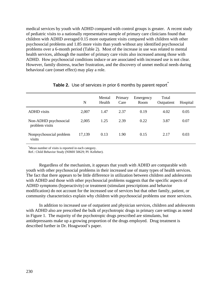medical services by youth with ADHD compared with control groups is greater. A recent study of pediatric visits to a nationally representative sample of primary care clinicians found that children with ADHD averaged 0.15 more outpatient visits compared with children with other psychosocial problems and 1.85 more visits than youth without any identified psychosocial problems over a 6-month period (Table 2). Most of the increase in use was related to mental health services, although the number of primary care visits also increased among those with ADHD. How psychosocial conditions induce or are associated with increased use is not clear. However, family distress, teacher frustration, and the discovery of unmet medical needs during behavioral care (onset effect) may play a role.

|                                         | N      | Mental<br>Health | Primary<br>Care | Emergency<br>Room | Total<br>Outpatient | Hospital |
|-----------------------------------------|--------|------------------|-----------------|-------------------|---------------------|----------|
| <b>ADHD</b> visits                      | 2,007  | 1.47             | 2.37            | 0.19              | 4.02                | 0.05     |
| Non-ADHD psychosocial<br>problem visits | 2,005  | 1.25             | 2.39            | 0.22              | 3.87                | 0.07     |
| Nonpsychosocial problem<br>visits       | 17,139 | 0.13             | 1.90            | 0.15              | 2.17                | 0.03     |

### **Table 2.** Use of services in prior 6 months by parent report

\* Mean number of visits is reported in each category.

Ref.: Child Behavior Study (NIMH 50629; PI: Kelleher).

Regardless of the mechanism, it appears that youth with ADHD are comparable with youth with other psychosocial problems in their increased use of many types of health services. The fact that there appears to be little difference in utilization between children and adolescents with ADHD and those with other psychosocial problems suggests that the specific aspects of ADHD symptoms (hyperactivity) or treatment (stimulant prescriptions and behavior modification) do not account for the increased use of services but that other family, patient, or community characteristics explain why children with psychosocial problems use more services.

In addition to increased use of outpatient and physician services, children and adolescents with ADHD also are prescribed the bulk of psychotropic drugs in primary care settings as noted in Figure 1. The majority of the psychotropic drugs prescribed are stimulants, but antidepressants make up a growing proportion of the drugs employed. Drug treatment is described further in Dr. Hoagwood's paper.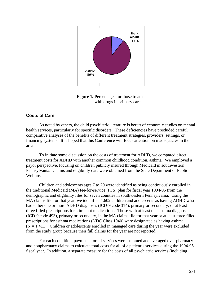

**Figure 1.** Percentages for those treated with drugs in primary care.

## **Costs of Care**

As noted by others, the child psychiatric literature is bereft of economic studies on mental health services, particularly for specific disorders. These deficiencies have precluded careful comparative analyses of the benefits of different treatment strategies, providers, settings, or financing systems. It is hoped that this Conference will focus attention on inadequacies in the area.

To initiate some discussion on the costs of treatment for ADHD, we compared direct treatment costs for ADHD with another common childhood condition, asthma. We employed a payor perspective, focusing on children publicly insured through Medicaid in southwestern Pennsylvania. Claims and eligibility data were obtained from the State Department of Public Welfare.

Children and adolescents ages 7 to 20 were identified as being continuously enrolled in the traditional Medicaid (MA) fee-for-service (FFS) plan for fiscal year 1994-95 from the demographic and eligibility files for seven counties in southwestern Pennsylvania. Using the MA claims file for that year, we identified 1,602 children and adolescents as having ADHD who had either one or more ADHD diagnoses (ICD-9 code 314), primary or secondary, or at least three filled prescriptions for stimulant medications. Those with at least one asthma diagnosis (ICD-9 code 493), primary or secondary, in the MA claims file for that year or at least three filled prescriptions for asthma medications (NDC Class 1940) were designated as having asthma  $(N = 1.411)$ . Children or adolescents enrolled in managed care during the year were excluded from the study group because their full claims for the year are not reported.

For each condition, payments for all services were summed and averaged over pharmacy and nonpharmacy claims to calculate total costs for all of a patient's services during the 1994-95 fiscal year. In addition, a separate measure for the costs of all psychiatric services (including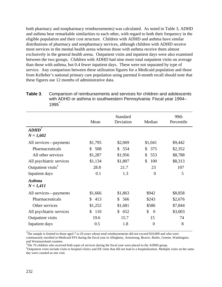both pharmacy and nonpharmacy reimbursements) was calculated. As noted in Table 3, ADHD and asthma bear remarkable similarities to each other, with regard to both their frequency in the eligible population and their cost structure. Children with ADHD and asthma have similar distributions of pharmacy and nonpharmacy services, although children with ADHD receive most services in the mental health arena whereas those with asthma receive them almost exclusively in the general health arena. Outpatient visits and inpatient days were also examined between the two groups. Children with ADHD had nine more total outpatient visits on average than those with asthma, but 0.4 fewer inpatient days. These were not separated by type of service. Any comparison between these utilization figures for a Medicaid population and those from Kelleher's national primary care population using parental 6-month recall should note that these figures use 12 months of administrative data.

| Table 3. | Comparison of reimbursements and services for children and adolescents |
|----------|------------------------------------------------------------------------|
|          | with ADHD or asthma in southwestern Pennsylvania: Fiscal year 1994–    |
|          | $1995^*$                                                               |

|                                | Mean      | Standard<br>Deviation | Median         | 99th<br>Percentile |
|--------------------------------|-----------|-----------------------|----------------|--------------------|
| $\boldsymbol{ADHD}^{\dagger}$  |           |                       |                |                    |
| $N = 1,602$                    |           |                       |                |                    |
| All services—payments          | \$1,795   | \$2,069               | \$1,041        | \$9,442            |
| Pharmaceuticals                | 508<br>\$ | \$554                 | \$<br>375      | \$2,352            |
| All other services             | \$1,287   | \$1,956               | \$<br>553      | \$8,788            |
| All psychiatric services       | \$1,134   | \$1,807               | \$<br>100      | \$8,313            |
| Outpatient visits <sup>‡</sup> | 28.8      | 21.7                  | 23             | 107                |
| Inpatient days                 | 0.1       | 1.3                   | $\theta$       | 5                  |
| <b>Asthma</b><br>$N = 1,411$   |           |                       |                |                    |
| All services—payments          | \$1,666   | \$1,863               | \$942          | \$8,858            |
| Pharmaceuticals                | 413<br>S. | $\mathbb{S}^-$<br>566 | \$243          | \$2,676            |
| Other services                 | \$1,252   | \$1,681               | \$586          | \$7,844            |
| All psychiatric services       | 110<br>\$ | \$652                 | \$<br>$\theta$ | \$3,003            |
| Outpatient visits              | 19.6      | 15.7                  | 15             | 74                 |
| Inpatient days                 | 0.5       | 1.8                   | $\overline{0}$ | 8                  |

\* The sample is limited to those aged 7 to 20 years whose total reimbursements did not exceed \$10,000 and who were continuously enrolled in Medicaid FFS during the fiscal year in Allegheny, Armstrong, Beaver, Butler, Greene, Washington, and Westmoreland counties.

† The 76 children who received both types of services during the fiscal year were placed in the ADHD group.

‡ Outpatient visits include visits to hospital clinics and ER visits that did not lead to a hospitalization. Multiple visits on the same day were counted as one visit.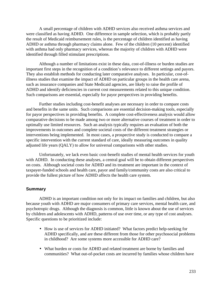A small percentage of children with ADHD services also received asthma services and were classified as having ADHD. One difference in sample selection, which is probably partly the result of Medicaid reimbursement rules, is the percentage of children identified as having ADHD or asthma through pharmacy claims alone. Few of the children (10 percent) identified with asthma had only pharmacy services, whereas the majority of children with ADHD were identified through filled stimulant prescriptions.

Although a number of limitations exist in these data, cost-of-illness or burden studies are important first steps in the recognition of a condition's relevance to different settings and payors. They also establish methods for conducting later comparative analyses. In particular, cost-ofillness studies that examine the impact of ADHD on particular groups in the health care arena, such as insurance companies and State Medicaid agencies, are likely to raise the profile of ADHD and identify deficiencies in current cost measurements related to this unique condition. Such comparisons are essential, especially for payor perspectives in providing benefits.

Further studies including cost-benefit analyses are necessary in order to compare costs and benefits in the same units. Such comparisons are essential decision-making tools, especially for payor perspectives in providing benefits. A complete cost-effectiveness analysis would allow comparative decisions to be made among two or more alternative courses of treatment in order to optimally use limited resources. Such an analysis typically requires an evaluation of both the improvements in outcomes and complete societal costs of the different treatment strategies or interventions being implemented. In most cases, a prospective study is conducted to compare a specific intervention with the current standard of care, ideally measuring outcomes in quality adjusted life years (QALY) to allow for universal comparisons with other studies.

Unfortunately, we lack even basic cost-benefit studies of mental health services for youth with ADHD. In conducting these analyses, a central goal will be to obtain different perspectives on costs. Although societal costs for ADHD and its treatment are important in the context of taxpayer-funded schools and health care, payor and family/community costs are also critical to provide the fullest picture of how ADHD affects the health care system.

### **Summary**

ADHD is an important condition not only for its impact on families and children, but also because youth with ADHD are major consumers of primary care services, mental health care, and psychotropic drugs. Although the diagnosis is common, little is known about the use of services by children and adolescents with ADHD, patterns of use over time, or any type of cost analyses. Specific questions to be prioritized include:

- How is use of services for ADHD initiated? What factors predict help-seeking for ADHD specifically, and are these different from those for other psychosocial problems in childhood? Are some systems more accessible for ADHD care?
- What burden or costs for ADHD and related treatment are borne by families and communities? What out-of-pocket costs are incurred by families whose children have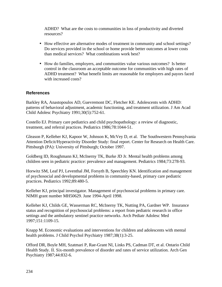ADHD? What are the costs to communities in loss of productivity and diverted resources?

- How effective are alternative modes of treatment in community and school settings? Do services provided in the school or home provide better outcomes at lower costs than medical services? What combinations work best?
- How do families, employers, and communities value various outcomes? Is better control in the classroom an acceptable outcome for communities with high rates of ADHD treatment? What benefit limits are reasonable for employers and payors faced with increased costs?

## **References**

Barkley RA, Anastopoulos AD, Guevremont DC, Fletcher KE. Adolescents with ADHD: patterns of behavioral adjustment, academic functioning, and treatment utilization. J Am Acad Child Adolesc Psychiatry 1991;30(5):752-61.

Costello EJ. Primary care pediatrics and child psychopathology: a review of diagnostic, treatment, and referral practices. Pediatrics 1986;78:1044-51.

Gleason P, Kelleher KJ, Kapoor W, Johnson K, McVey D, et al. The Southwestern Pennsylvania Attention Deficit/Hyperactivity Disorder Study: final report. Center for Research on Health Care. Pittsburgh (PA): University of Pittsburgh; October 1997.

Goldberg ID, Roughmann KJ, McInerny TK, Burke JD Jr. Mental health problems among children seen in pediatric practice: prevalence and management. Pediatrics 1984;73:278-93.

Horwitz SM, Leaf PJ, Leventhal JM, Forsyth B, Speechley KN. Identification and management of psychosocial and developmental problems in community-based, primary care pediatric practices. Pediatrics 1992;89:480-5.

Kelleher KJ, principal investigator. Management of psychosocial problems in primary care. NIMH grant number MH50629. June 1994-April 1998.

Kelleher KJ, Childs GE, Wasserman RC, McInerny TK, Nutting PA, Gardner WP. Insurance status and recognition of psychosocial problems: a report from pediatric research in office settings and the ambulatory sentinel practice networks. Arch Pediatr Adolesc Med 1997;151:1109-15.

Knapp M. Economic evaluations and interventions for children and adolescents with mental health problems. J Child Psychol Psychiatry 1987;38(1):3-25.

Offord DR, Boyle MH, Szatmari P, Rae-Grant NI, Links PS, Cadman DT, et al. Ontario Child Health Study. II. Six-month prevalence of disorder and rates of service utilization. Arch Gen Psychiatry 1987;44:832-6.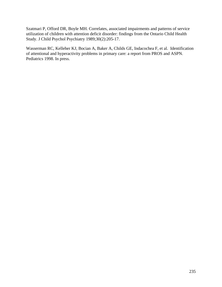Szatmari P, Offord DR, Boyle MH. Correlates, associated impairments and patterns of service utilization of children with attention deficit disorder: findings from the Ontario Child Health Study. J Child Psychol Psychiatry 1989;30(2):205-17.

Wasserman RC, Kelleher KJ, Bocian A, Baker A, Childs GE, Indacochea F, et al. Identification of attentional and hyperactivity problems in primary care: a report from PROS and ASPN. Pediatrics 1998. In press.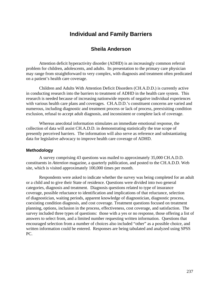# **Individual and Family Barriers**

# **Sheila Anderson**

Attention deficit hyperactivity disorder (ADHD) is an increasingly common referral problem for children, adolescents, and adults. Its presentation to the primary care physician may range from straightforward to very complex, with diagnosis and treatment often predicated on a patient's health care coverage.

Children and Adults With Attention Deficit Disorders (CH.A.D.D.) is currently active in conducting research into the barriers to treatment of ADHD in the health care system. This research is needed because of increasing nationwide reports of negative individual experiences with various health care plans and coverages. CH.A.D.D.'s constituent concerns are varied and numerous, including diagnostic and treatment process or lack of process, preexisiting condition exclusion, refusal to accept adult diagnosis, and inconsistent or complete lack of coverage.

Whereas anecdotal information stimulates an immediate emotional response, the collection of data will assist CH.A.D.D. in demonstrating statistically the true scope of presently perceived barriers. The information will also serve as reference and substantiating data for legislative advocacy to improve health care coverage of ADHD.

#### **Methodology**

A survey comprising 43 questions was mailed to approximately 35,000 CH.A.D.D. constituents in *Attention* magazine, a quarterly publication, and posted to the CH.A.D.D. Web site, which is visited approximately 100,000 times per month.

Respondents were asked to indicate whether the survey was being completed for an adult or a child and to give their State of residence. Questions were divided into two general categories, diagnosis and treatment. Diagnosis questions related to type of insurance coverage, possible reluctance to identification and implications of that reluctance, selection of diagnostician, waiting periods, apparent knowledge of diagnostician, diagnostic process, coexisting condition diagnosis, and cost coverage. Treatment questions focused on treatment planning, options, inclusion in the process, effectiveness, cost coverage, and satisfaction. The survey included three types of questions: those with a yes or no response, those offering a list of answers to select from, and a limited number requesting written information. Questions that encouraged selection from a number of choices also included "other" as a possible choice, and written information could be entered. Responses are being tabulated and analyzed using SPSS PC.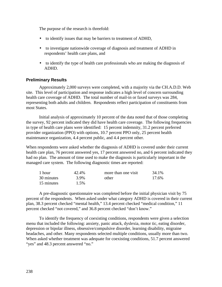The purpose of the research is threefold:

- to identify issues that may be barriers to treatment of ADHD,
- to investigate nationwide coverage of diagnosis and treatment of ADHD in respondents' health care plans, and
- to identify the type of health care professionals who are making the diagnosis of ADHD.

### **Preliminary Results**

Approximately 2,000 surveys were completed, with a majority via the CH.A.D.D. Web site. This level of participation and response indicates a high level of concern surrounding health care coverage of ADHD. The total number of mail-in or faxed surveys was 284, representing both adults and children. Respondents reflect participation of constituents from most States.

Initial analysis of approximately 10 percent of the data noted that of those completing the survey, 92 percent indicated they did have health care coverage. The following frequencies in type of health care plans were identified: 15 percent indemnity, 31.2 percent preferred provider organization (PPO) with options, 10.7 percent PPO only, 25 percent health maintenance organization, 4.4 percent public, and 4.4 percent other.

When respondents were asked whether the diagnosis of ADHD is covered under their current health care plan, 76 percent answered yes, 17 percent answered no, and 6 percent indicated they had no plan. The amount of time used to make the diagnosis is particularly important in the managed care system. The following diagnostic times are reported:

| 1 hour     | 42.4% | more than one visit | 34.1% |
|------------|-------|---------------------|-------|
| 30 minutes | 3.9%  | other               | 17.6% |
| 15 minutes | 1.5%  |                     |       |

A pre-diagnostic questionnaire was completed before the initial physician visit by 75 percent of the respondents. When asked under what category ADHD is covered in their current plan, 38.3 percent checked "mental health," 13.4 percent checked "medical condition," 11 percent checked "not covered," and 36.8 percent checked "don't know."

To identify the frequency of coexisting conditions, respondents were given a selection menu that included the following: anxiety, panic attack, dyslexia, motor tic, eating disorder, depression or bipolar illness, obsessive/compulsive disorder, learning disability, migraine headaches, and other. Many respondents selected multiple conditions, usually more than two. When asked whether treatment was adequate for coexisting conditions, 51.7 percent answered "yes" and 48.3 percent answered "no."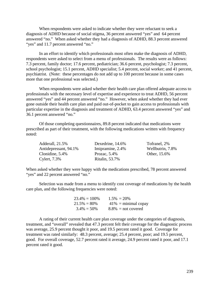When respondents were asked to indicate whether they were reluctant to seek a diagnosis of ADHD because of social stigma, 36 percent answered "yes" and 64 percent answered "no." When asked whether they had a diagnosis of ADHD, 88.3 percent answered "yes" and 11.7 percent answered "no."

In an effort to identify which professionals most often make the diagnosis of ADHD, respondents were asked to select from a menu of professionals. The results were as follows: 7.3 percent, family doctor; 17.6 percent, pediatrician; 36.6 percent, psychologist; 7.3 percent, school psychologist; 15.1 percent, ADHD specialist; 5.4 percent, social worker; and 41 percent, psychiatrist. (Note: these percentages do not add up to 100 percent because in some cases more that one professional was selected.)

When respondents were asked whether their health care plan offered adequate access to professionals with the necessary level of expertise and experience to treat ADHD, 56 percent answered "yes" and 44 percent answered "no." However, when asked whether they had ever gone outside their health care plan and paid out-of-pocket to gain access to professionals with particular expertise in the diagnosis and treatment of ADHD, 63.4 percent answered "yes" and 36.1 percent answered "no."

Of those completing questionnaires, 89.8 percent indicated that medications were prescribed as part of their treatment, with the following medications written with frequency noted:

| Adderall, 21.5%       | Dexedrine, 14.6% | Tofranel, 2%     |
|-----------------------|------------------|------------------|
| Antidepressant, 94.1% | Imipramine, 2.4% | Wellbutrin, 7.8% |
| Clonidine, 5.4%       | Prozac, $5.4\%$  | Other, 15.6%     |
| Cylert, 7.3%          | Ritalin, 53.7%   |                  |

When asked whether they were happy with the medications prescribed, 78 percent answered "yes" and 22 percent answered "no."

Selection was made from a menu to identify cost coverage of medications by the health care plan, and the following frequencies were noted:

| $23.4\% = 100\%$ | $1.5\% = 20\%$         |
|------------------|------------------------|
| $21.5\% = 80\%$  | $41\%$ = minimal copay |
| $3.4\% = 50\%$   | $8.8\% =$ not covered  |

A rating of their current health care plan coverage under the categories of diagnosis, treatment, and "overall" revealed that 47.3 percent felt their coverage for the diagnostic process was average, 25.9 percent thought it poor, and 19.5 percent rated it good. Coverage for treatment was rated similarly: 48.3 percent, average; 25.4 percent, poor; and 19.5 percent, good. For overall coverage, 52.7 percent rated it average, 24.9 percent rated it poor, and 17.1 percent rated it good.